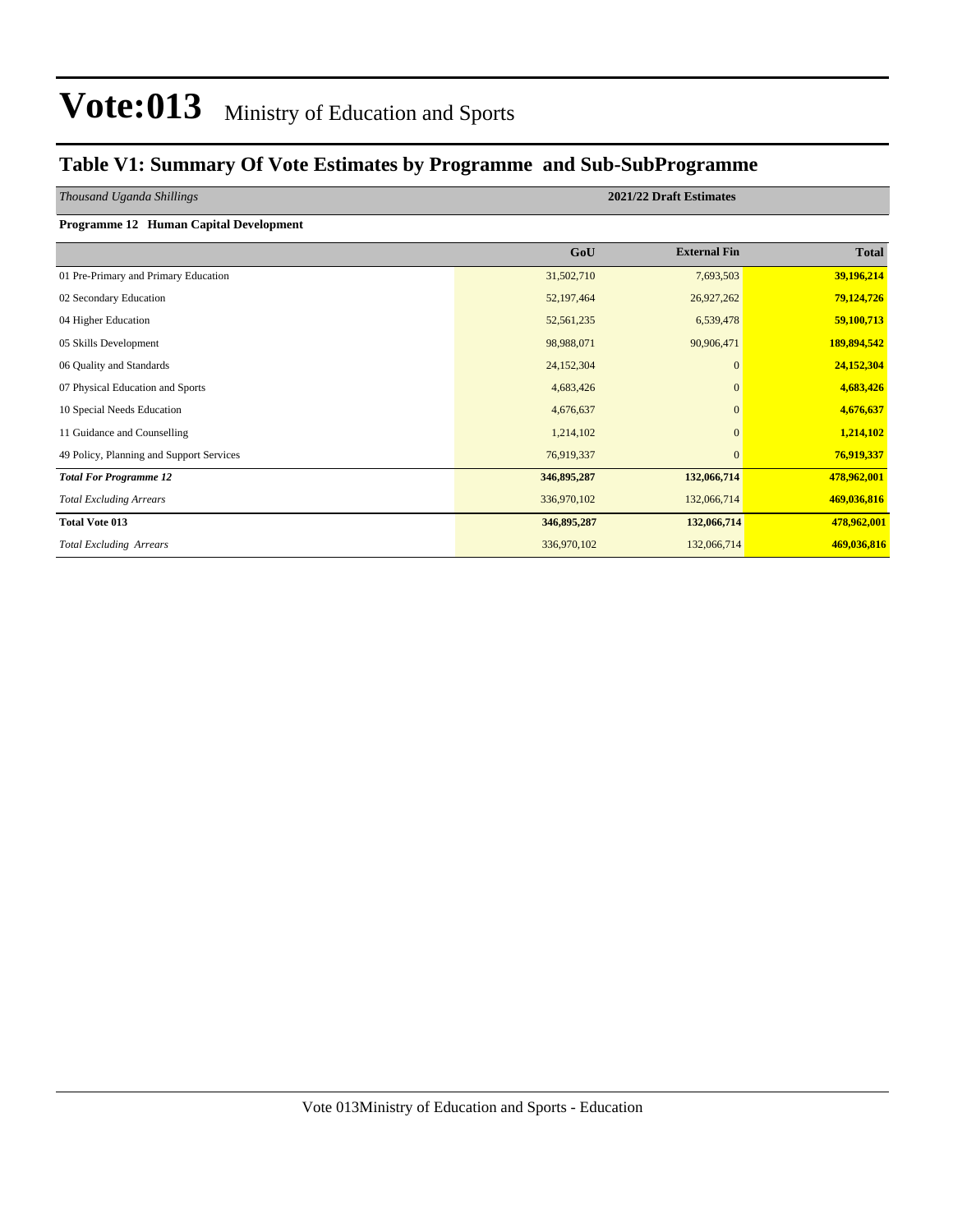### **Table V1: Summary Of Vote Estimates by Programme and Sub-SubProgramme**

| Thousand Uganda Shillings |  |  |  |
|---------------------------|--|--|--|
|---------------------------|--|--|--|

### **Programme 12 Human Capital Development**

| $\ldots$                                 |             |                     |              |
|------------------------------------------|-------------|---------------------|--------------|
|                                          | GoU         | <b>External Fin</b> | <b>Total</b> |
| 01 Pre-Primary and Primary Education     | 31,502,710  | 7,693,503           | 39,196,214   |
| 02 Secondary Education                   | 52,197,464  | 26,927,262          | 79,124,726   |
| 04 Higher Education                      | 52,561,235  | 6,539,478           | 59,100,713   |
| 05 Skills Development                    | 98,988,071  | 90,906,471          | 189,894,542  |
| 06 Quality and Standards                 | 24,152,304  | $\mathbf{0}$        | 24,152,304   |
| 07 Physical Education and Sports         | 4,683,426   | $\mathbf{0}$        | 4,683,426    |
| 10 Special Needs Education               | 4,676,637   | $\mathbf{0}$        | 4,676,637    |
| 11 Guidance and Counselling              | 1,214,102   | $\mathbf{0}$        | 1,214,102    |
| 49 Policy, Planning and Support Services | 76,919,337  | $\mathbf{0}$        | 76,919,337   |
| <b>Total For Programme 12</b>            | 346,895,287 | 132,066,714         | 478,962,001  |
| <b>Total Excluding Arrears</b>           | 336,970,102 | 132,066,714         | 469,036,816  |
| <b>Total Vote 013</b>                    | 346,895,287 | 132,066,714         | 478,962,001  |
| <b>Total Excluding Arrears</b>           | 336,970,102 | 132,066,714         | 469,036,816  |

*Thousand Uganda Shillings* **2021/22 Draft Estimates**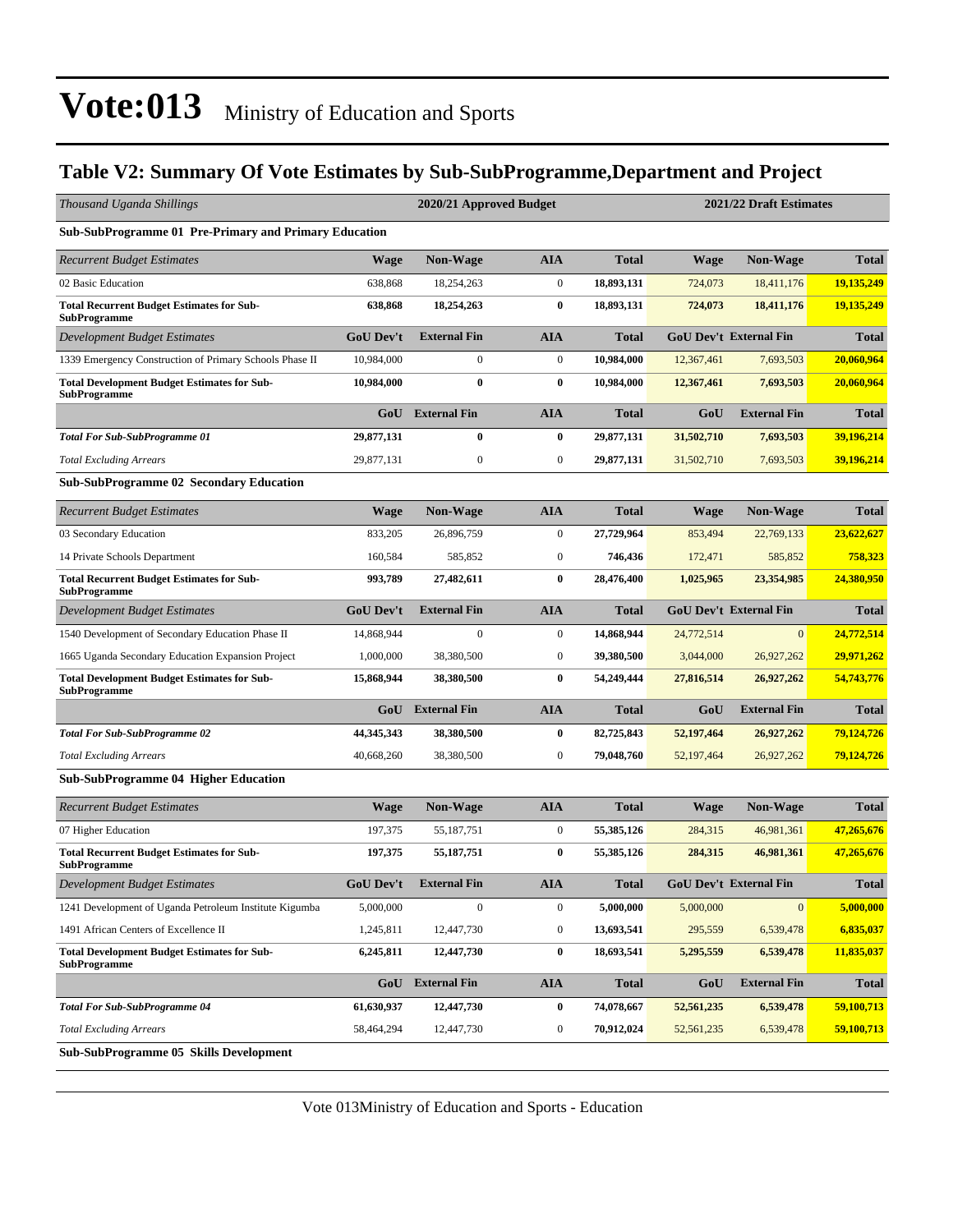### **Table V2: Summary Of Vote Estimates by Sub-SubProgramme,Department and Project**

| Thousand Uganda Shillings                                                 |                  | 2020/21 Approved Budget |                  |              | 2021/22 Draft Estimates |                               |              |  |  |
|---------------------------------------------------------------------------|------------------|-------------------------|------------------|--------------|-------------------------|-------------------------------|--------------|--|--|
| Sub-SubProgramme 01 Pre-Primary and Primary Education                     |                  |                         |                  |              |                         |                               |              |  |  |
| <b>Recurrent Budget Estimates</b>                                         | <b>Wage</b>      | Non-Wage                | <b>AIA</b>       | <b>Total</b> | <b>Wage</b>             | Non-Wage                      | <b>Total</b> |  |  |
| 02 Basic Education                                                        | 638,868          | 18,254,263              | $\boldsymbol{0}$ | 18,893,131   | 724,073                 | 18,411,176                    | 19,135,249   |  |  |
| <b>Total Recurrent Budget Estimates for Sub-</b><br><b>SubProgramme</b>   | 638,868          | 18,254,263              | $\bf{0}$         | 18,893,131   | 724,073                 | 18,411,176                    | 19,135,249   |  |  |
| Development Budget Estimates                                              | GoU Dev't        | <b>External Fin</b>     | <b>AIA</b>       | <b>Total</b> |                         | <b>GoU Dev't External Fin</b> | <b>Total</b> |  |  |
| 1339 Emergency Construction of Primary Schools Phase II                   | 10,984,000       | $\boldsymbol{0}$        | $\boldsymbol{0}$ | 10,984,000   | 12,367,461              | 7,693,503                     | 20,060,964   |  |  |
| <b>Total Development Budget Estimates for Sub-</b><br>SubProgramme        | 10,984,000       | $\bf{0}$                | $\bf{0}$         | 10,984,000   | 12,367,461              | 7,693,503                     | 20,060,964   |  |  |
|                                                                           | GoU              | <b>External Fin</b>     | <b>AIA</b>       | <b>Total</b> | GoU                     | <b>External Fin</b>           | <b>Total</b> |  |  |
| <b>Total For Sub-SubProgramme 01</b>                                      | 29,877,131       | 0                       | $\bf{0}$         | 29,877,131   | 31,502,710              | 7,693,503                     | 39,196,214   |  |  |
| <b>Total Excluding Arrears</b>                                            | 29,877,131       | $\boldsymbol{0}$        | $\boldsymbol{0}$ | 29,877,131   | 31,502,710              | 7,693,503                     | 39,196,214   |  |  |
| <b>Sub-SubProgramme 02 Secondary Education</b>                            |                  |                         |                  |              |                         |                               |              |  |  |
| <b>Recurrent Budget Estimates</b>                                         | <b>Wage</b>      | <b>Non-Wage</b>         | <b>AIA</b>       | <b>Total</b> | <b>Wage</b>             | <b>Non-Wage</b>               | <b>Total</b> |  |  |
| 03 Secondary Education                                                    | 833,205          | 26,896,759              | $\boldsymbol{0}$ | 27,729,964   | 853,494                 | 22,769,133                    | 23,622,627   |  |  |
| 14 Private Schools Department                                             | 160,584          | 585,852                 | $\mathbf{0}$     | 746,436      | 172,471                 | 585,852                       | 758,323      |  |  |
| <b>Total Recurrent Budget Estimates for Sub-</b><br>SubProgramme          | 993,789          | 27,482,611              | $\bf{0}$         | 28,476,400   | 1,025,965               | 23,354,985                    | 24,380,950   |  |  |
| Development Budget Estimates                                              | GoU Dev't        | <b>External Fin</b>     | <b>AIA</b>       | <b>Total</b> |                         | <b>GoU Dev't External Fin</b> | <b>Total</b> |  |  |
| 1540 Development of Secondary Education Phase II                          | 14,868,944       | $\boldsymbol{0}$        | $\mathbf{0}$     | 14,868,944   | 24,772,514              | $\mathbf{0}$                  | 24,772,514   |  |  |
| 1665 Uganda Secondary Education Expansion Project                         | 1,000,000        | 38,380,500              | $\boldsymbol{0}$ | 39,380,500   | 3,044,000               | 26,927,262                    | 29,971,262   |  |  |
| <b>Total Development Budget Estimates for Sub-</b><br><b>SubProgramme</b> | 15,868,944       | 38,380,500              | $\bf{0}$         | 54,249,444   | 27,816,514              | 26,927,262                    | 54,743,776   |  |  |
|                                                                           | GoU              | <b>External Fin</b>     | <b>AIA</b>       | <b>Total</b> | GoU                     | <b>External Fin</b>           | <b>Total</b> |  |  |
| <b>Total For Sub-SubProgramme 02</b>                                      | 44, 345, 343     | 38,380,500              | $\bf{0}$         | 82,725,843   | 52,197,464              | 26,927,262                    | 79,124,726   |  |  |
| <b>Total Excluding Arrears</b>                                            | 40,668,260       | 38,380,500              | $\boldsymbol{0}$ | 79,048,760   | 52,197,464              | 26,927,262                    | 79,124,726   |  |  |
| <b>Sub-SubProgramme 04 Higher Education</b>                               |                  |                         |                  |              |                         |                               |              |  |  |
| <b>Recurrent Budget Estimates</b>                                         | <b>Wage</b>      | <b>Non-Wage</b>         | <b>AIA</b>       | <b>Total</b> | <b>Wage</b>             | <b>Non-Wage</b>               | <b>Total</b> |  |  |
| 07 Higher Education                                                       | 197,375          | 55,187,751              | $\mathbf{0}$     | 55,385,126   | 284,315                 | 46,981,361                    | 47,265,676   |  |  |
| <b>Total Recurrent Budget Estimates for Sub-</b><br><b>SubProgramme</b>   | 197,375          | 55, 187, 751            | $\bf{0}$         | 55,385,126   | 284,315                 | 46,981,361                    | 47,265,676   |  |  |
| Development Budget Estimates                                              | <b>GoU</b> Dev't | <b>External Fin</b>     | AIA              | <b>Total</b> |                         | GoU Dev't External Fin        | <b>Total</b> |  |  |
| 1241 Development of Uganda Petroleum Institute Kigumba                    | 5,000,000        | $\boldsymbol{0}$        | $\mathbf{0}$     | 5,000,000    | 5,000,000               | $\mathbf{0}$                  | 5,000,000    |  |  |
| 1491 African Centers of Excellence II                                     | 1,245,811        | 12,447,730              | $\boldsymbol{0}$ | 13,693,541   | 295,559                 | 6,539,478                     | 6,835,037    |  |  |
| <b>Total Development Budget Estimates for Sub-</b><br>SubProgramme        | 6,245,811        | 12,447,730              | $\bf{0}$         | 18,693,541   | 5,295,559               | 6,539,478                     | 11,835,037   |  |  |
|                                                                           |                  | GoU External Fin        | <b>AIA</b>       | <b>Total</b> | GoU                     | <b>External Fin</b>           | <b>Total</b> |  |  |
| <b>Total For Sub-SubProgramme 04</b>                                      | 61,630,937       | 12,447,730              | $\bf{0}$         | 74,078,667   | 52,561,235              | 6,539,478                     | 59,100,713   |  |  |
| <b>Total Excluding Arrears</b>                                            | 58,464,294       | 12,447,730              | $\boldsymbol{0}$ | 70,912,024   | 52,561,235              | 6,539,478                     | 59,100,713   |  |  |
| Sub-SubProgramme 05 Skills Development                                    |                  |                         |                  |              |                         |                               |              |  |  |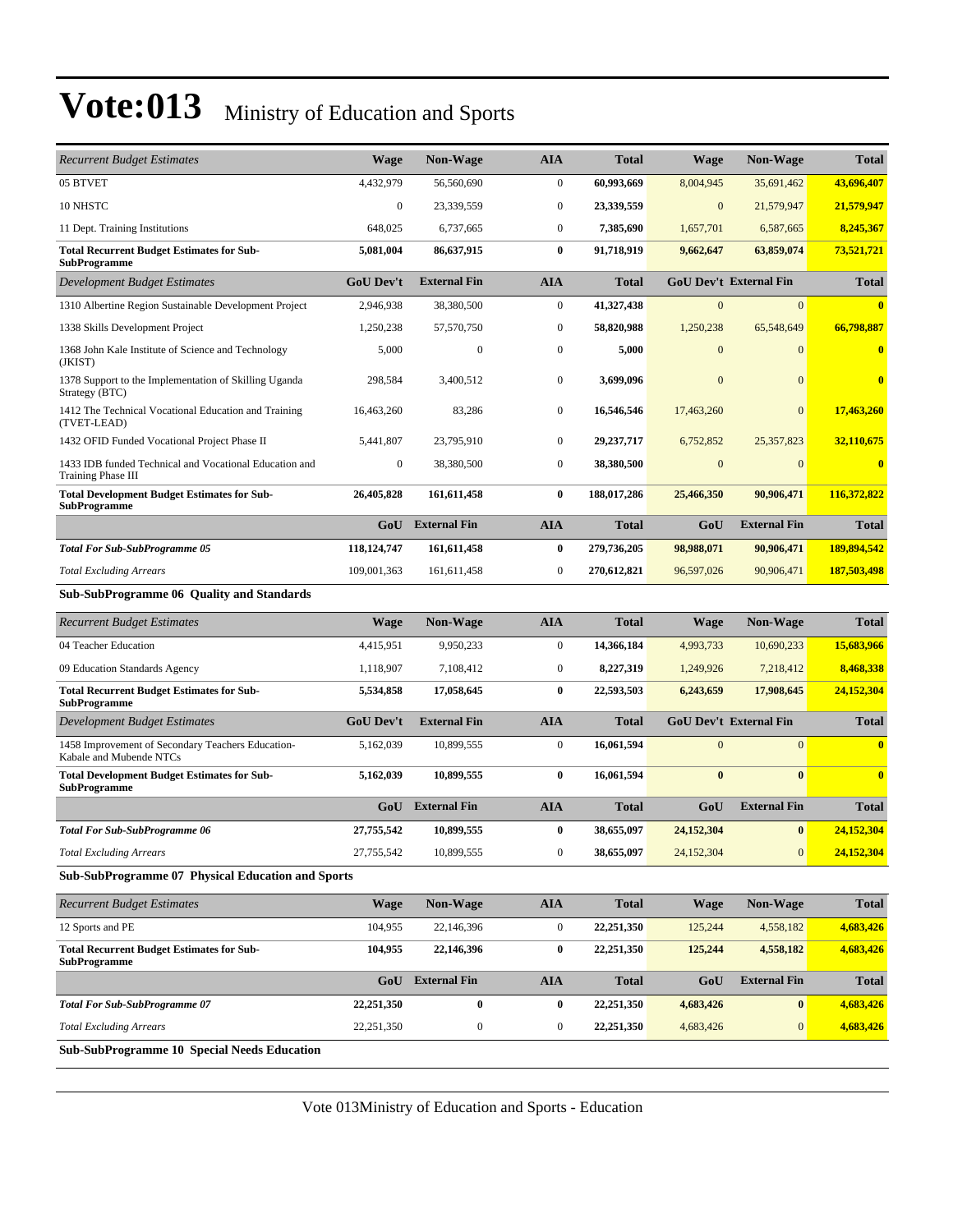| <b>Recurrent Budget Estimates</b>                                            | <b>Wage</b>      | <b>Non-Wage</b>         | <b>AIA</b>       | <b>Total</b> | <b>Wage</b>      | <b>Non-Wage</b>               | <b>Total</b>            |  |
|------------------------------------------------------------------------------|------------------|-------------------------|------------------|--------------|------------------|-------------------------------|-------------------------|--|
| 05 BTVET                                                                     | 4,432,979        | 56,560,690              | $\mathbf{0}$     | 60,993,669   | 8,004,945        | 35,691,462                    | 43,696,407              |  |
| 10 NHSTC                                                                     | $\boldsymbol{0}$ | 23,339,559              | $\bf{0}$         | 23,339,559   | $\mathbf{0}$     | 21,579,947                    | 21,579,947              |  |
| 11 Dept. Training Institutions                                               | 648,025          | 6,737,665               | $\mathbf{0}$     | 7,385,690    | 1,657,701        | 6,587,665                     | 8,245,367               |  |
| <b>Total Recurrent Budget Estimates for Sub-</b><br><b>SubProgramme</b>      | 5,081,004        | 86,637,915              | $\bf{0}$         | 91,718,919   | 9,662,647        | 63,859,074                    | 73,521,721              |  |
| Development Budget Estimates                                                 | <b>GoU Dev't</b> | <b>External Fin</b>     | <b>AIA</b>       | <b>Total</b> |                  | <b>GoU Dev't External Fin</b> | <b>Total</b>            |  |
| 1310 Albertine Region Sustainable Development Project                        | 2,946,938        | 38,380,500              | $\mathbf{0}$     | 41,327,438   | $\mathbf{0}$     | $\mathbf{0}$                  | $\overline{\mathbf{0}}$ |  |
| 1338 Skills Development Project                                              | 1,250,238        | 57,570,750              | $\boldsymbol{0}$ | 58,820,988   | 1,250,238        | 65,548,649                    | 66,798,887              |  |
| 1368 John Kale Institute of Science and Technology<br>(JKIST)                | 5,000            | $\boldsymbol{0}$        | $\boldsymbol{0}$ | 5,000        | $\mathbf{0}$     | $\overline{0}$                | $\bf{0}$                |  |
| 1378 Support to the Implementation of Skilling Uganda<br>Strategy (BTC)      | 298,584          | 3,400,512               | $\boldsymbol{0}$ | 3,699,096    | $\mathbf{0}$     | $\mathbf{0}$                  | $\bf{0}$                |  |
| 1412 The Technical Vocational Education and Training<br>(TVET-LEAD)          | 16,463,260       | 83,286                  | $\mathbf{0}$     | 16,546,546   | 17,463,260       | $\overline{0}$                | 17,463,260              |  |
| 1432 OFID Funded Vocational Project Phase II                                 | 5,441,807        | 23,795,910              | $\boldsymbol{0}$ | 29, 237, 717 | 6,752,852        | 25, 357, 823                  | 32,110,675              |  |
| 1433 IDB funded Technical and Vocational Education and<br>Training Phase III | $\boldsymbol{0}$ | 38,380,500              | $\mathbf{0}$     | 38,380,500   | $\boldsymbol{0}$ | $\overline{0}$                | $\bf{0}$                |  |
| <b>Total Development Budget Estimates for Sub-</b><br><b>SubProgramme</b>    | 26,405,828       | 161,611,458             | $\bf{0}$         | 188,017,286  | 25,466,350       | 90,906,471                    | 116,372,822             |  |
|                                                                              | GoU              | <b>External Fin</b>     | <b>AIA</b>       | <b>Total</b> | GoU              | <b>External Fin</b>           | <b>Total</b>            |  |
| <b>Total For Sub-SubProgramme 05</b>                                         | 118,124,747      | 161,611,458             | $\bf{0}$         | 279,736,205  | 98,988,071       | 90,906,471                    | 189,894,542             |  |
| <b>Total Excluding Arrears</b>                                               | 109,001,363      | 161,611,458             | $\boldsymbol{0}$ | 270,612,821  | 96,597,026       | 90,906,471                    | 187,503,498             |  |
| <b>Sub-SubProgramme 06 Quality and Standards</b>                             |                  |                         |                  |              |                  |                               |                         |  |
|                                                                              |                  |                         |                  |              |                  |                               |                         |  |
| <b>Recurrent Budget Estimates</b>                                            | Wage             | Non-Wage                | <b>AIA</b>       | <b>Total</b> | <b>Wage</b>      | <b>Non-Wage</b>               | <b>Total</b>            |  |
| 04 Teacher Education                                                         | 4,415,951        | 9,950,233               | $\boldsymbol{0}$ | 14,366,184   | 4,993,733        | 10,690,233                    | 15,683,966              |  |
| 09 Education Standards Agency                                                | 1,118,907        | 7,108,412               | $\mathbf{0}$     | 8,227,319    | 1,249,926        | 7,218,412                     | 8,468,338               |  |
| <b>Total Recurrent Budget Estimates for Sub-</b><br><b>SubProgramme</b>      | 5,534,858        | 17,058,645              | $\bf{0}$         | 22,593,503   | 6,243,659        | 17,908,645                    | 24,152,304              |  |
| Development Budget Estimates                                                 | <b>GoU Dev't</b> | <b>External Fin</b>     | <b>AIA</b>       | <b>Total</b> |                  | <b>GoU Dev't External Fin</b> | <b>Total</b>            |  |
| 1458 Improvement of Secondary Teachers Education-<br>Kabale and Mubende NTCs | 5,162,039        | 10,899,555              | $\boldsymbol{0}$ | 16,061,594   | $\mathbf{0}$     | $\mathbf{0}$                  | $\overline{\mathbf{0}}$ |  |
| <b>Total Development Budget Estimates for Sub-</b><br><b>SubProgramme</b>    | 5,162,039        | 10,899,555              | $\bf{0}$         | 16,061,594   | $\bf{0}$         | $\bf{0}$                      | $\overline{\mathbf{0}}$ |  |
|                                                                              | GoU              | <b>External Fin</b>     | <b>AIA</b>       | <b>Total</b> | GoU              | <b>External Fin</b>           | <b>Total</b>            |  |
| <b>Total For Sub-SubProgramme 06</b>                                         | 27,755,542       | 10,899,555              | $\bf{0}$         | 38,655,097   | 24,152,304       | $\bf{0}$                      | 24,152,304              |  |
| <b>Total Excluding Arrears</b>                                               | 27,755,542       | 10,899,555              | $\boldsymbol{0}$ | 38,655,097   | 24,152,304       | $\boldsymbol{0}$              | 24,152,304              |  |
| <b>Sub-SubProgramme 07 Physical Education and Sports</b>                     |                  |                         |                  |              |                  |                               |                         |  |
| <b>Recurrent Budget Estimates</b>                                            | Wage             | Non-Wage                | <b>AIA</b>       | <b>Total</b> | <b>Wage</b>      | <b>Non-Wage</b>               | <b>Total</b>            |  |
| 12 Sports and PE                                                             | 104,955          | 22,146,396              | $\boldsymbol{0}$ | 22,251,350   | 125,244          | 4,558,182                     | 4,683,426               |  |
| <b>Total Recurrent Budget Estimates for Sub-</b><br><b>SubProgramme</b>      | 104,955          | 22,146,396              | $\bf{0}$         | 22,251,350   | 125,244          | 4,558,182                     | 4,683,426               |  |
|                                                                              |                  | <b>GoU</b> External Fin | <b>AIA</b>       | <b>Total</b> | GoU              | <b>External Fin</b>           | <b>Total</b>            |  |
| <b>Total For Sub-SubProgramme 07</b>                                         | 22,251,350       | $\pmb{0}$               | $\bf{0}$         | 22,251,350   | 4,683,426        | $\bf{0}$                      | 4,683,426               |  |
| <b>Total Excluding Arrears</b>                                               | 22,251,350       | $\boldsymbol{0}$        | $\bf{0}$         | 22,251,350   | 4,683,426        | $\mathbf{0}$                  | 4,683,426               |  |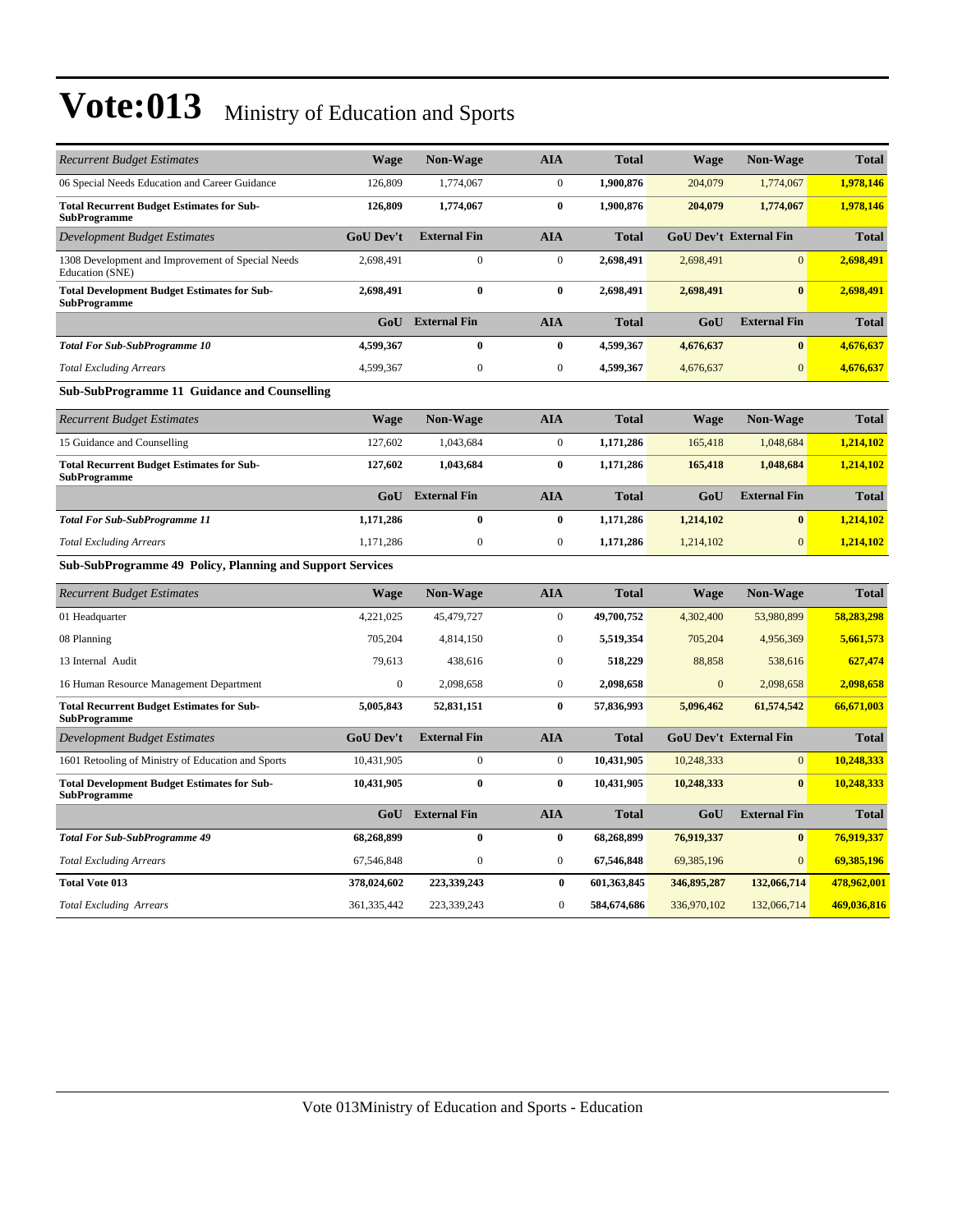| <b>Recurrent Budget Estimates</b>                                         | Wage             | <b>Non-Wage</b>     | <b>AIA</b>       | <b>Total</b> | <b>Wage</b>  | <b>Non-Wage</b>               | <b>Total</b> |  |  |  |  |
|---------------------------------------------------------------------------|------------------|---------------------|------------------|--------------|--------------|-------------------------------|--------------|--|--|--|--|
| 06 Special Needs Education and Career Guidance                            | 126,809          | 1,774,067           | $\mathbf{0}$     | 1,900,876    | 204,079      | 1,774,067                     | 1,978,146    |  |  |  |  |
| <b>Total Recurrent Budget Estimates for Sub-</b><br><b>SubProgramme</b>   | 126,809          | 1,774,067           | $\bf{0}$         | 1,900,876    | 204,079      | 1,774,067                     | 1,978,146    |  |  |  |  |
| Development Budget Estimates                                              | <b>GoU Dev't</b> | <b>External Fin</b> | <b>AIA</b>       | <b>Total</b> |              | <b>GoU Dev't External Fin</b> | <b>Total</b> |  |  |  |  |
| 1308 Development and Improvement of Special Needs<br>Education (SNE)      | 2,698,491        | $\boldsymbol{0}$    | $\boldsymbol{0}$ | 2,698,491    | 2,698,491    | $\overline{0}$                | 2,698,491    |  |  |  |  |
| <b>Total Development Budget Estimates for Sub-</b><br><b>SubProgramme</b> | 2,698,491        | $\bf{0}$            | $\bf{0}$         | 2,698,491    | 2,698,491    | $\bf{0}$                      | 2,698,491    |  |  |  |  |
|                                                                           | GoU              | <b>External Fin</b> | <b>AIA</b>       | <b>Total</b> | GoU          | <b>External Fin</b>           | <b>Total</b> |  |  |  |  |
| <b>Total For Sub-SubProgramme 10</b>                                      | 4,599,367        | $\bf{0}$            | $\bf{0}$         | 4,599,367    | 4,676,637    | $\bf{0}$                      | 4,676,637    |  |  |  |  |
| <b>Total Excluding Arrears</b>                                            | 4,599,367        | $\boldsymbol{0}$    | $\boldsymbol{0}$ | 4,599,367    | 4,676,637    | $\mathbf{0}$                  | 4,676,637    |  |  |  |  |
| <b>Sub-SubProgramme 11 Guidance and Counselling</b>                       |                  |                     |                  |              |              |                               |              |  |  |  |  |
| <b>Recurrent Budget Estimates</b>                                         | <b>Wage</b>      | <b>Non-Wage</b>     | <b>AIA</b>       | <b>Total</b> | <b>Wage</b>  | <b>Non-Wage</b>               | <b>Total</b> |  |  |  |  |
| 15 Guidance and Counselling                                               | 127,602          | 1.043.684           | $\mathbf{0}$     | 1,171,286    | 165,418      | 1,048,684                     | 1,214,102    |  |  |  |  |
| <b>Total Recurrent Budget Estimates for Sub-</b><br><b>SubProgramme</b>   | 127,602          | 1,043,684           | $\bf{0}$         | 1,171,286    | 165,418      | 1,048,684                     | 1,214,102    |  |  |  |  |
|                                                                           | GoU              | <b>External Fin</b> | <b>AIA</b>       | <b>Total</b> | GoU          | <b>External Fin</b>           | <b>Total</b> |  |  |  |  |
| <b>Total For Sub-SubProgramme 11</b>                                      | 1,171,286        | $\bf{0}$            | $\bf{0}$         | 1,171,286    | 1,214,102    | $\bf{0}$                      | 1,214,102    |  |  |  |  |
| <b>Total Excluding Arrears</b>                                            | 1,171,286        | $\boldsymbol{0}$    | $\boldsymbol{0}$ | 1,171,286    | 1,214,102    | $\mathbf{0}$                  | 1,214,102    |  |  |  |  |
| Sub-SubProgramme 49 Policy, Planning and Support Services                 |                  |                     |                  |              |              |                               |              |  |  |  |  |
| <b>Recurrent Budget Estimates</b>                                         | Wage             | <b>Non-Wage</b>     | <b>AIA</b>       | <b>Total</b> | <b>Wage</b>  | Non-Wage                      | <b>Total</b> |  |  |  |  |
| 01 Headquarter                                                            | 4,221,025        | 45,479,727          | $\boldsymbol{0}$ | 49,700,752   | 4,302,400    | 53,980,899                    | 58,283,298   |  |  |  |  |
| 08 Planning                                                               | 705,204          | 4,814,150           | $\boldsymbol{0}$ | 5,519,354    | 705,204      | 4,956,369                     | 5,661,573    |  |  |  |  |
| 13 Internal Audit                                                         | 79,613           | 438,616             | $\mathbf{0}$     | 518,229      | 88,858       | 538,616                       | 627,474      |  |  |  |  |
| 16 Human Resource Management Department                                   | $\boldsymbol{0}$ | 2,098,658           | $\mathbf{0}$     | 2,098,658    | $\mathbf{0}$ | 2,098,658                     | 2,098,658    |  |  |  |  |
| <b>Total Recurrent Budget Estimates for Sub-</b><br><b>SubProgramme</b>   | 5,005,843        | 52,831,151          | $\bf{0}$         | 57,836,993   | 5,096,462    | 61,574,542                    | 66,671,003   |  |  |  |  |
| Development Budget Estimates                                              | <b>GoU Dev't</b> | <b>External Fin</b> | <b>AIA</b>       | Total        |              | <b>GoU Dev't External Fin</b> | <b>Total</b> |  |  |  |  |
| 1601 Retooling of Ministry of Education and Sports                        | 10,431,905       | $\mathbf{0}$        | $\mathbf{0}$     | 10,431,905   | 10,248,333   | $\overline{0}$                | 10,248,333   |  |  |  |  |
| <b>Total Development Budget Estimates for Sub-</b><br><b>SubProgramme</b> | 10,431,905       | $\bf{0}$            | $\bf{0}$         | 10,431,905   | 10,248,333   | $\bf{0}$                      | 10,248,333   |  |  |  |  |
|                                                                           | GoU              | <b>External Fin</b> | <b>AIA</b>       | <b>Total</b> | GoU          | <b>External Fin</b>           | <b>Total</b> |  |  |  |  |
| <b>Total For Sub-SubProgramme 49</b>                                      | 68,268,899       | $\bf{0}$            | $\bf{0}$         | 68,268,899   | 76,919,337   | $\bf{0}$                      | 76,919,337   |  |  |  |  |
| <b>Total Excluding Arrears</b>                                            | 67,546,848       | $\mathbf{0}$        | $\boldsymbol{0}$ | 67,546,848   | 69,385,196   | $\overline{0}$                | 69,385,196   |  |  |  |  |
| <b>Total Vote 013</b>                                                     | 378,024,602      | 223,339,243         | $\bf{0}$         | 601,363,845  | 346,895,287  | 132,066,714                   | 478,962,001  |  |  |  |  |
|                                                                           |                  |                     |                  |              |              |                               |              |  |  |  |  |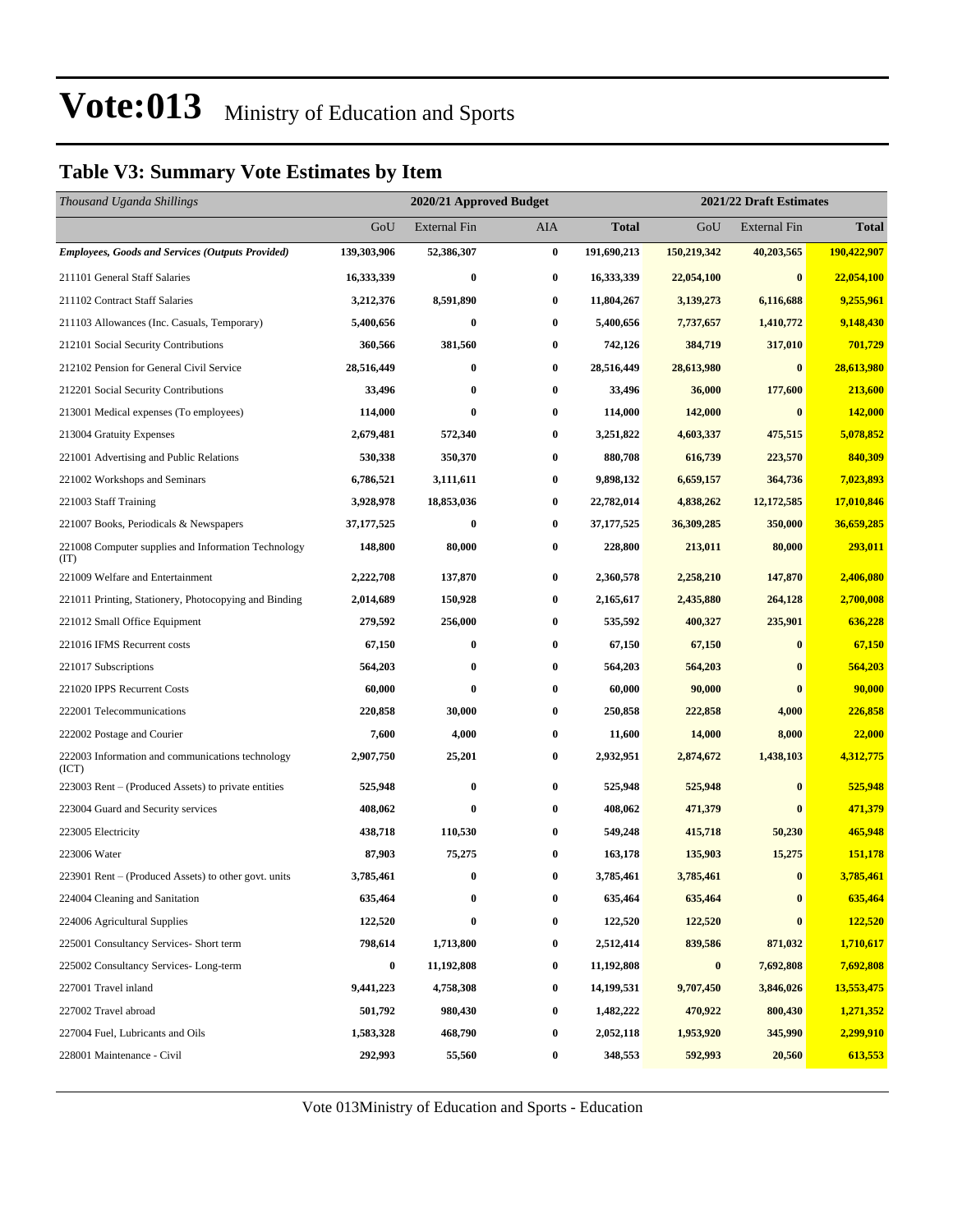### **Table V3: Summary Vote Estimates by Item**

| Thousand Uganda Shillings                                   |                  | 2020/21 Approved Budget |          |              | 2021/22 Draft Estimates |                     |                |  |
|-------------------------------------------------------------|------------------|-------------------------|----------|--------------|-------------------------|---------------------|----------------|--|
|                                                             | GoU              | <b>External Fin</b>     | AIA      | <b>Total</b> | GoU                     | <b>External Fin</b> | <b>Total</b>   |  |
| <b>Employees, Goods and Services (Outputs Provided)</b>     | 139,303,906      | 52,386,307              | $\bf{0}$ | 191,690,213  | 150,219,342             | 40,203,565          | 190,422,907    |  |
| 211101 General Staff Salaries                               | 16,333,339       | $\bf{0}$                | $\bf{0}$ | 16,333,339   | 22,054,100              | $\bf{0}$            | 22,054,100     |  |
| 211102 Contract Staff Salaries                              | 3,212,376        | 8,591,890               | 0        | 11,804,267   | 3,139,273               | 6,116,688           | 9,255,961      |  |
| 211103 Allowances (Inc. Casuals, Temporary)                 | 5,400,656        | $\bf{0}$                | $\bf{0}$ | 5,400,656    | 7,737,657               | 1,410,772           | 9,148,430      |  |
| 212101 Social Security Contributions                        | 360,566          | 381,560                 | 0        | 742,126      | 384,719                 | 317,010             | 701,729        |  |
| 212102 Pension for General Civil Service                    | 28,516,449       | $\bf{0}$                | 0        | 28,516,449   | 28,613,980              | $\bf{0}$            | 28,613,980     |  |
| 212201 Social Security Contributions                        | 33,496           | $\bf{0}$                | $\bf{0}$ | 33,496       | 36,000                  | 177,600             | 213,600        |  |
| 213001 Medical expenses (To employees)                      | 114,000          | $\bf{0}$                | $\bf{0}$ | 114,000      | 142,000                 | $\bf{0}$            | <b>142,000</b> |  |
| 213004 Gratuity Expenses                                    | 2,679,481        | 572,340                 | $\bf{0}$ | 3,251,822    | 4,603,337               | 475,515             | 5,078,852      |  |
| 221001 Advertising and Public Relations                     | 530,338          | 350,370                 | $\bf{0}$ | 880,708      | 616,739                 | 223,570             | 840,309        |  |
| 221002 Workshops and Seminars                               | 6,786,521        | 3,111,611               | 0        | 9,898,132    | 6,659,157               | 364,736             | 7,023,893      |  |
| 221003 Staff Training                                       | 3,928,978        | 18,853,036              | 0        | 22,782,014   | 4,838,262               | 12,172,585          | 17,010,846     |  |
| 221007 Books, Periodicals & Newspapers                      | 37, 177, 525     | $\boldsymbol{0}$        | $\bf{0}$ | 37, 177, 525 | 36,309,285              | 350,000             | 36,659,285     |  |
| 221008 Computer supplies and Information Technology<br>(TT) | 148,800          | 80,000                  | 0        | 228,800      | 213,011                 | 80,000              | 293,011        |  |
| 221009 Welfare and Entertainment                            | 2,222,708        | 137,870                 | 0        | 2,360,578    | 2,258,210               | 147,870             | 2,406,080      |  |
| 221011 Printing, Stationery, Photocopying and Binding       | 2,014,689        | 150,928                 | $\bf{0}$ | 2,165,617    | 2,435,880               | 264,128             | 2,700,008      |  |
| 221012 Small Office Equipment                               | 279,592          | 256,000                 | $\bf{0}$ | 535,592      | 400,327                 | 235,901             | 636,228        |  |
| 221016 IFMS Recurrent costs                                 | 67,150           | $\bf{0}$                | $\bf{0}$ | 67,150       | 67,150                  | $\bf{0}$            | 67,150         |  |
| 221017 Subscriptions                                        | 564,203          | $\bf{0}$                | $\bf{0}$ | 564,203      | 564,203                 | $\bf{0}$            | 564,203        |  |
| 221020 IPPS Recurrent Costs                                 | 60,000           | $\bf{0}$                | $\bf{0}$ | 60,000       | 90,000                  | $\bf{0}$            | 90,000         |  |
| 222001 Telecommunications                                   | 220,858          | 30,000                  | $\bf{0}$ | 250,858      | 222,858                 | 4,000               | 226,858        |  |
| 222002 Postage and Courier                                  | 7,600            | 4,000                   | $\bf{0}$ | 11,600       | 14,000                  | 8,000               | 22,000         |  |
| 222003 Information and communications technology<br>(ICT)   | 2,907,750        | 25,201                  | 0        | 2,932,951    | 2,874,672               | 1,438,103           | 4,312,775      |  |
| 223003 Rent – (Produced Assets) to private entities         | 525,948          | $\bf{0}$                | $\bf{0}$ | 525,948      | 525,948                 | $\bf{0}$            | 525,948        |  |
| 223004 Guard and Security services                          | 408.062          | $\bf{0}$                | $\bf{0}$ | 408,062      | 471,379                 | $\bf{0}$            | 471,379        |  |
| 223005 Electricity                                          | 438,718          | 110,530                 | $\bf{0}$ | 549,248      | 415,718                 | 50,230              | 465,948        |  |
| 223006 Water                                                | 87,903           | 75,275                  | $\bf{0}$ | 163,178      | 135,903                 | 15,275              | 151,178        |  |
| 223901 Rent – (Produced Assets) to other govt. units        | 3,785,461        | $\bf{0}$                | $\bf{0}$ | 3,785,461    | 3,785,461               | $\bf{0}$            | 3,785,461      |  |
| 224004 Cleaning and Sanitation                              | 635,464          | $\bf{0}$                | $\bf{0}$ | 635,464      | 635,464                 | $\boldsymbol{0}$    | 635,464        |  |
| 224006 Agricultural Supplies                                | 122,520          | $\bf{0}$                | $\bf{0}$ | 122,520      | 122,520                 | $\bf{0}$            | 122,520        |  |
| 225001 Consultancy Services- Short term                     | 798,614          | 1,713,800               | 0        | 2,512,414    | 839,586                 | 871,032             | 1,710,617      |  |
| 225002 Consultancy Services-Long-term                       | $\boldsymbol{0}$ | 11,192,808              | $\bf{0}$ | 11,192,808   | $\pmb{0}$               | 7,692,808           | 7,692,808      |  |
| 227001 Travel inland                                        | 9,441,223        | 4,758,308               | $\bf{0}$ | 14,199,531   | 9,707,450               | 3,846,026           | 13,553,475     |  |
| 227002 Travel abroad                                        | 501,792          | 980,430                 | $\bf{0}$ | 1,482,222    | 470,922                 | 800,430             | 1,271,352      |  |
| 227004 Fuel, Lubricants and Oils                            | 1,583,328        | 468,790                 | $\bf{0}$ | 2,052,118    | 1,953,920               | 345,990             | 2,299,910      |  |
| 228001 Maintenance - Civil                                  | 292,993          | 55,560                  | 0        | 348,553      | 592,993                 | 20,560              | 613,553        |  |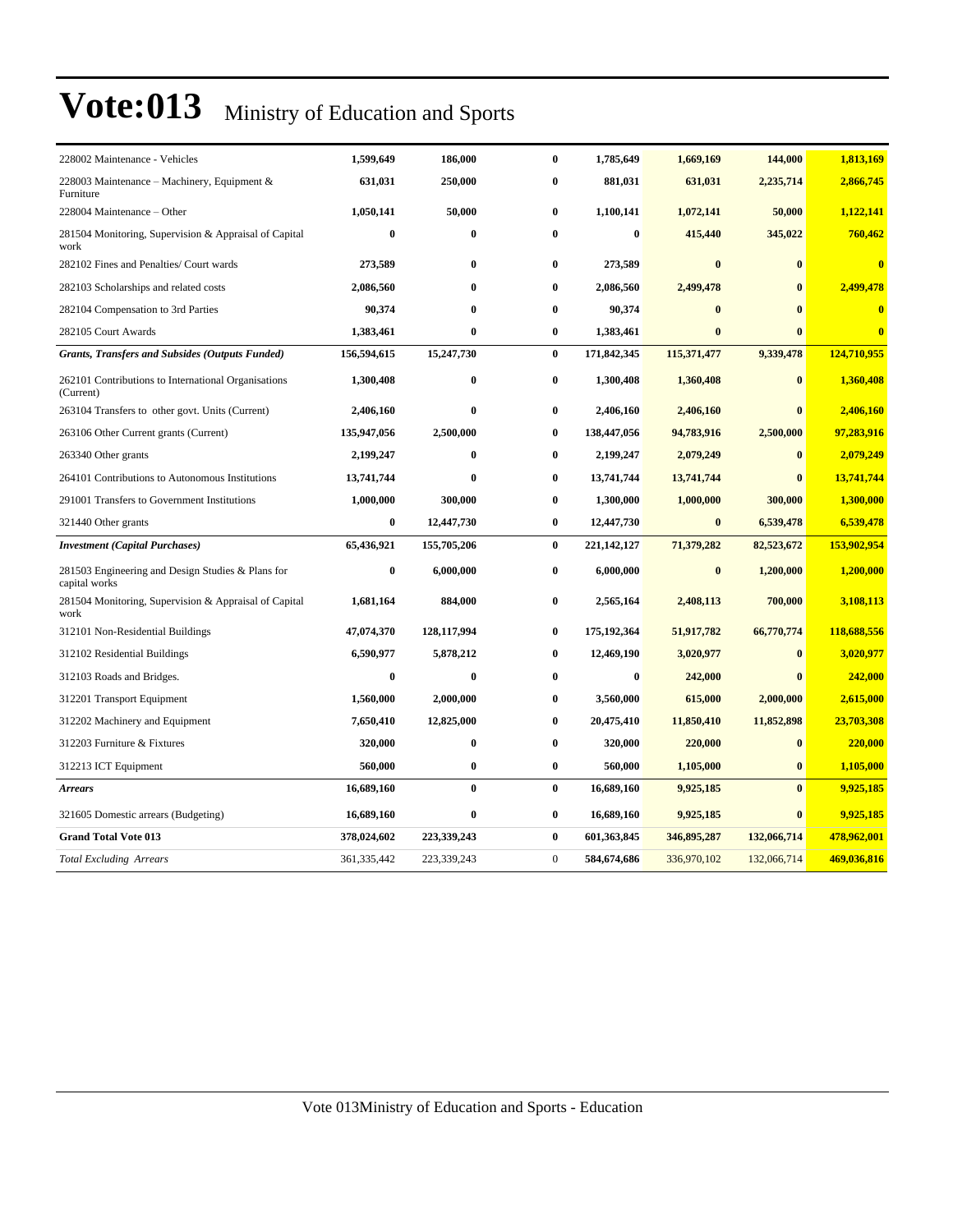| 228002 Maintenance - Vehicles                                      | 1,599,649   | 186,000      | 0              | 1,785,649   | 1,669,169   | 144,000      | 1,813,169               |
|--------------------------------------------------------------------|-------------|--------------|----------------|-------------|-------------|--------------|-------------------------|
| 228003 Maintenance – Machinery, Equipment $\&$<br>Furniture        | 631,031     | 250,000      | $\bf{0}$       | 881,031     | 631,031     | 2,235,714    | 2,866,745               |
| 228004 Maintenance – Other                                         | 1,050,141   | 50,000       | $\bf{0}$       | 1,100,141   | 1,072,141   | 50,000       | 1,122,141               |
| 281504 Monitoring, Supervision & Appraisal of Capital<br>work      | $\bf{0}$    | $\bf{0}$     | 0              | $\bf{0}$    | 415,440     | 345,022      | 760,462                 |
| 282102 Fines and Penalties/ Court wards                            | 273,589     | $\bf{0}$     | 0              | 273,589     | $\bf{0}$    | $\mathbf{0}$ | $\overline{\mathbf{0}}$ |
| 282103 Scholarships and related costs                              | 2,086,560   | $\bf{0}$     | 0              | 2,086,560   | 2,499,478   | $\mathbf{0}$ | 2,499,478               |
| 282104 Compensation to 3rd Parties                                 | 90,374      | $\bf{0}$     | 0              | 90,374      | $\bf{0}$    | $\mathbf{0}$ | $\bf{0}$                |
| 282105 Court Awards                                                | 1,383,461   | $\bf{0}$     | 0              | 1,383,461   | $\bf{0}$    | $\mathbf{0}$ | $\bf{0}$                |
| <b>Grants, Transfers and Subsides (Outputs Funded)</b>             | 156,594,615 | 15,247,730   | $\bf{0}$       | 171,842,345 | 115,371,477 | 9,339,478    | 124,710,955             |
| 262101 Contributions to International Organisations<br>(Current)   | 1,300,408   | $\bf{0}$     | 0              | 1,300,408   | 1,360,408   | $\mathbf{0}$ | 1,360,408               |
| 263104 Transfers to other govt. Units (Current)                    | 2,406,160   | $\mathbf{0}$ | $\bf{0}$       | 2,406,160   | 2,406,160   | $\mathbf{0}$ | 2,406,160               |
| 263106 Other Current grants (Current)                              | 135,947,056 | 2,500,000    | 0              | 138,447,056 | 94,783,916  | 2,500,000    | 97,283,916              |
| 263340 Other grants                                                | 2,199,247   | $\bf{0}$     | 0              | 2,199,247   | 2,079,249   | $\bf{0}$     | 2,079,249               |
| 264101 Contributions to Autonomous Institutions                    | 13,741,744  | $\bf{0}$     | 0              | 13,741,744  | 13,741,744  | $\mathbf{0}$ | 13,741,744              |
| 291001 Transfers to Government Institutions                        | 1,000,000   | 300,000      | 0              | 1,300,000   | 1,000,000   | 300,000      | 1,300,000               |
| 321440 Other grants                                                | $\bf{0}$    | 12,447,730   | 0              | 12,447,730  | $\bf{0}$    | 6,539,478    | 6,539,478               |
| <b>Investment</b> (Capital Purchases)                              | 65,436,921  | 155,705,206  | $\bf{0}$       | 221,142,127 | 71,379,282  | 82,523,672   | 153,902,954             |
| 281503 Engineering and Design Studies & Plans for<br>capital works | $\bf{0}$    | 6,000,000    | 0              | 6,000,000   | $\bf{0}$    | 1,200,000    | 1,200,000               |
| 281504 Monitoring, Supervision & Appraisal of Capital<br>work      | 1,681,164   | 884,000      | 0              | 2,565,164   | 2,408,113   | 700,000      | 3,108,113               |
| 312101 Non-Residential Buildings                                   | 47,074,370  | 128,117,994  | 0              | 175,192,364 | 51,917,782  | 66,770,774   | 118,688,556             |
| 312102 Residential Buildings                                       | 6,590,977   | 5,878,212    | 0              | 12,469,190  | 3,020,977   | $\mathbf{0}$ | 3,020,977               |
| 312103 Roads and Bridges.                                          | $\bf{0}$    | $\bf{0}$     | 0              | $\bf{0}$    | 242,000     |              | 242,000                 |
| 312201 Transport Equipment                                         | 1,560,000   | 2,000,000    | 0              | 3,560,000   | 615,000     | 2,000,000    | 2,615,000               |
| 312202 Machinery and Equipment                                     | 7,650,410   | 12,825,000   | 0              | 20,475,410  | 11,850,410  | 11,852,898   | 23,703,308              |
| 312203 Furniture & Fixtures                                        | 320,000     | 0            | 0              | 320,000     | 220,000     | $\bf{0}$     | 220,000                 |
| 312213 ICT Equipment                                               | 560,000     | $\bf{0}$     | $\bf{0}$       | 560,000     | 1,105,000   | $\bf{0}$     | 1,105,000               |
| <b>Arrears</b>                                                     | 16,689,160  | $\bf{0}$     | $\bf{0}$       | 16,689,160  | 9,925,185   | $\mathbf{0}$ | 9,925,185               |
| 321605 Domestic arrears (Budgeting)                                | 16,689,160  | $\bf{0}$     | 0              | 16,689,160  | 9,925,185   | $\bf{0}$     | 9,925,185               |
| <b>Grand Total Vote 013</b>                                        | 378,024,602 | 223,339,243  | $\bf{0}$       | 601,363,845 | 346,895,287 | 132,066,714  | 478,962,001             |
| <b>Total Excluding Arrears</b>                                     | 361,335,442 | 223,339,243  | $\overline{0}$ | 584,674,686 | 336,970,102 | 132,066,714  | 469,036,816             |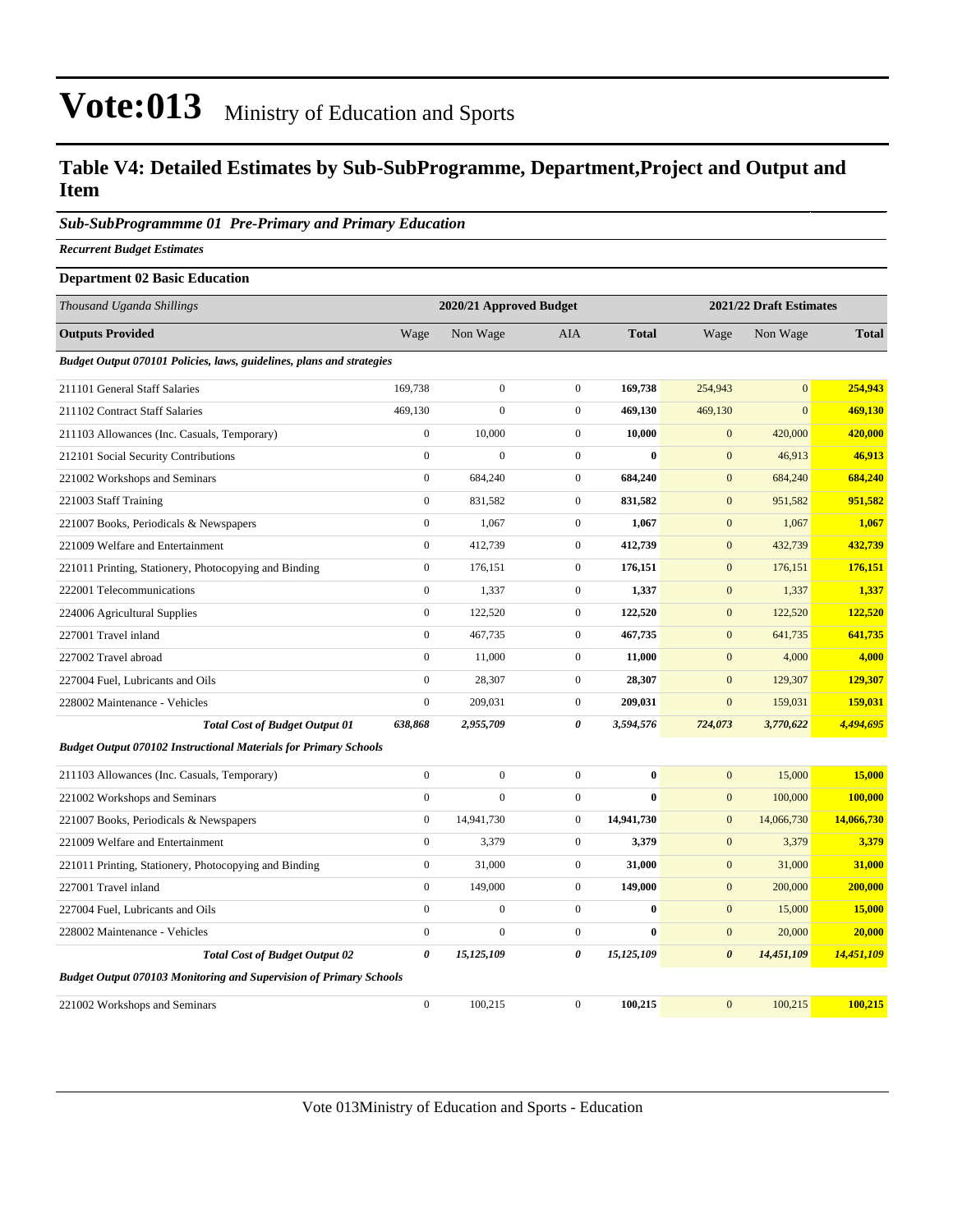### **Table V4: Detailed Estimates by Sub-SubProgramme, Department,Project and Output and Item**

#### *Sub-SubProgrammme 01 Pre-Primary and Primary Education*

*Recurrent Budget Estimates*

#### **Department 02 Basic Education**

| Thousand Uganda Shillings                                                 |                       | 2020/21 Approved Budget |                  |              |                       | 2021/22 Draft Estimates |              |
|---------------------------------------------------------------------------|-----------------------|-------------------------|------------------|--------------|-----------------------|-------------------------|--------------|
| <b>Outputs Provided</b>                                                   | Wage                  | Non Wage                | <b>AIA</b>       | <b>Total</b> | Wage                  | Non Wage                | <b>Total</b> |
| Budget Output 070101 Policies, laws, guidelines, plans and strategies     |                       |                         |                  |              |                       |                         |              |
| 211101 General Staff Salaries                                             | 169,738               | $\boldsymbol{0}$        | $\boldsymbol{0}$ | 169,738      | 254,943               | $\mathbf{0}$            | 254,943      |
| 211102 Contract Staff Salaries                                            | 469,130               | $\mathbf{0}$            | $\boldsymbol{0}$ | 469,130      | 469,130               | $\mathbf{0}$            | 469,130      |
| 211103 Allowances (Inc. Casuals, Temporary)                               | $\overline{0}$        | 10,000                  | $\mathbf{0}$     | 10,000       | $\mathbf{0}$          | 420,000                 | 420,000      |
| 212101 Social Security Contributions                                      | $\mathbf{0}$          | $\overline{0}$          | $\boldsymbol{0}$ | $\bf{0}$     | $\boldsymbol{0}$      | 46,913                  | 46,913       |
| 221002 Workshops and Seminars                                             | $\mathbf{0}$          | 684,240                 | $\boldsymbol{0}$ | 684,240      | $\mathbf{0}$          | 684,240                 | 684,240      |
| 221003 Staff Training                                                     | $\overline{0}$        | 831,582                 | $\mathbf{0}$     | 831,582      | $\mathbf{0}$          | 951,582                 | 951,582      |
| 221007 Books, Periodicals & Newspapers                                    | $\boldsymbol{0}$      | 1,067                   | $\boldsymbol{0}$ | 1,067        | $\boldsymbol{0}$      | 1,067                   | 1,067        |
| 221009 Welfare and Entertainment                                          | $\boldsymbol{0}$      | 412,739                 | $\boldsymbol{0}$ | 412,739      | $\mathbf{0}$          | 432,739                 | 432,739      |
| 221011 Printing, Stationery, Photocopying and Binding                     | $\boldsymbol{0}$      | 176,151                 | $\boldsymbol{0}$ | 176,151      | $\mathbf{0}$          | 176,151                 | 176,151      |
| 222001 Telecommunications                                                 | $\mathbf{0}$          | 1,337                   | $\boldsymbol{0}$ | 1,337        | $\mathbf{0}$          | 1,337                   | 1,337        |
| 224006 Agricultural Supplies                                              | $\mathbf{0}$          | 122,520                 | $\boldsymbol{0}$ | 122,520      | $\mathbf{0}$          | 122,520                 | 122,520      |
| 227001 Travel inland                                                      | $\boldsymbol{0}$      | 467,735                 | $\boldsymbol{0}$ | 467,735      | $\mathbf{0}$          | 641,735                 | 641,735      |
| 227002 Travel abroad                                                      | $\overline{0}$        | 11,000                  | $\boldsymbol{0}$ | 11,000       | $\mathbf{0}$          | 4,000                   | 4,000        |
| 227004 Fuel, Lubricants and Oils                                          | $\mathbf{0}$          | 28,307                  | $\mathbf{0}$     | 28,307       | $\mathbf{0}$          | 129,307                 | 129,307      |
| 228002 Maintenance - Vehicles                                             | $\boldsymbol{0}$      | 209,031                 | $\boldsymbol{0}$ | 209,031      | $\mathbf{0}$          | 159,031                 | 159,031      |
| <b>Total Cost of Budget Output 01</b>                                     | 638,868               | 2,955,709               | $\theta$         | 3,594,576    | 724,073               | 3,770,622               | 4,494,695    |
| <b>Budget Output 070102 Instructional Materials for Primary Schools</b>   |                       |                         |                  |              |                       |                         |              |
| 211103 Allowances (Inc. Casuals, Temporary)                               | $\boldsymbol{0}$      | $\boldsymbol{0}$        | $\boldsymbol{0}$ | $\bf{0}$     | $\mathbf{0}$          | 15,000                  | 15,000       |
| 221002 Workshops and Seminars                                             | $\overline{0}$        | $\mathbf{0}$            | $\overline{0}$   | $\bf{0}$     | $\mathbf{0}$          | 100,000                 | 100,000      |
| 221007 Books, Periodicals & Newspapers                                    | $\boldsymbol{0}$      | 14,941,730              | $\boldsymbol{0}$ | 14,941,730   | $\mathbf{0}$          | 14,066,730              | 14,066,730   |
| 221009 Welfare and Entertainment                                          | $\mathbf{0}$          | 3,379                   | $\boldsymbol{0}$ | 3,379        | $\mathbf{0}$          | 3,379                   | 3,379        |
| 221011 Printing, Stationery, Photocopying and Binding                     | $\boldsymbol{0}$      | 31,000                  | $\boldsymbol{0}$ | 31,000       | $\mathbf{0}$          | 31,000                  | 31,000       |
| 227001 Travel inland                                                      | $\mathbf{0}$          | 149,000                 | $\boldsymbol{0}$ | 149,000      | $\mathbf{0}$          | 200,000                 | 200,000      |
| 227004 Fuel, Lubricants and Oils                                          | $\overline{0}$        | $\mathbf{0}$            | $\boldsymbol{0}$ | $\bf{0}$     | $\mathbf{0}$          | 15,000                  | 15,000       |
| 228002 Maintenance - Vehicles                                             | $\boldsymbol{0}$      | $\boldsymbol{0}$        | $\boldsymbol{0}$ | $\bf{0}$     | $\boldsymbol{0}$      | 20,000                  | 20,000       |
| <b>Total Cost of Budget Output 02</b>                                     | $\boldsymbol{\theta}$ | 15,125,109              | 0                | 15,125,109   | $\boldsymbol{\theta}$ | 14,451,109              | 14,451,109   |
| <b>Budget Output 070103 Monitoring and Supervision of Primary Schools</b> |                       |                         |                  |              |                       |                         |              |
| 221002 Workshops and Seminars                                             | $\boldsymbol{0}$      | 100,215                 | $\boldsymbol{0}$ | 100,215      | $\overline{0}$        | 100,215                 | 100,215      |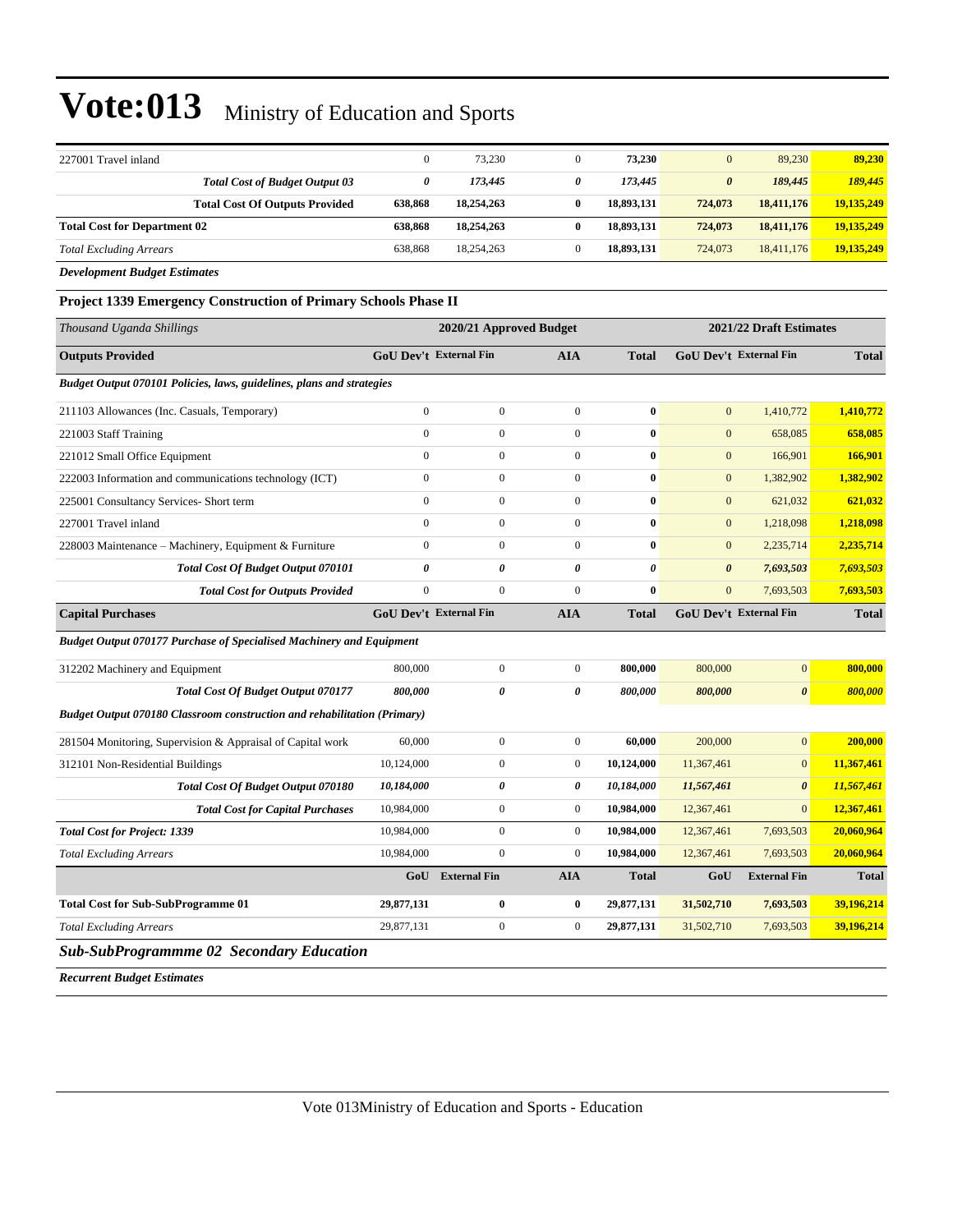| 227001 Travel inland                                                            | $\boldsymbol{0}$              | 73,230                  | $\overline{0}$   | 73,230                  | $\mathbf{0}$                  | 89,230                | 89,230       |
|---------------------------------------------------------------------------------|-------------------------------|-------------------------|------------------|-------------------------|-------------------------------|-----------------------|--------------|
| <b>Total Cost of Budget Output 03</b>                                           | $\pmb{\theta}$                | 173,445                 | $\pmb{\theta}$   | 173,445                 | $\boldsymbol{\theta}$         | 189,445               | 189,445      |
| <b>Total Cost Of Outputs Provided</b>                                           | 638,868                       | 18,254,263              | $\bf{0}$         | 18,893,131              | 724,073                       | 18,411,176            | 19,135,249   |
| <b>Total Cost for Department 02</b>                                             | 638,868                       | 18,254,263              | $\bf{0}$         | 18,893,131              | 724,073                       | 18,411,176            | 19,135,249   |
| <b>Total Excluding Arrears</b>                                                  | 638,868                       | 18,254,263              | $\overline{0}$   | 18,893,131              | 724,073                       | 18,411,176            | 19,135,249   |
| <b>Development Budget Estimates</b>                                             |                               |                         |                  |                         |                               |                       |              |
| <b>Project 1339 Emergency Construction of Primary Schools Phase II</b>          |                               |                         |                  |                         |                               |                       |              |
| Thousand Uganda Shillings                                                       |                               | 2020/21 Approved Budget |                  | 2021/22 Draft Estimates |                               |                       |              |
| <b>Outputs Provided</b>                                                         | <b>GoU Dev't External Fin</b> |                         | <b>AIA</b>       | <b>Total</b>            | <b>GoU Dev't External Fin</b> |                       | <b>Total</b> |
| Budget Output 070101 Policies, laws, guidelines, plans and strategies           |                               |                         |                  |                         |                               |                       |              |
| 211103 Allowances (Inc. Casuals, Temporary)                                     | $\boldsymbol{0}$              | $\mathbf{0}$            | $\boldsymbol{0}$ | $\bf{0}$                | $\mathbf{0}$                  | 1,410,772             | 1,410,772    |
| 221003 Staff Training                                                           | $\mathbf{0}$                  | $\boldsymbol{0}$        | $\overline{0}$   | $\bf{0}$                | $\mathbf{0}$                  | 658,085               | 658,085      |
| 221012 Small Office Equipment                                                   | $\mathbf{0}$                  | $\boldsymbol{0}$        | $\boldsymbol{0}$ | $\bf{0}$                | $\mathbf{0}$                  | 166,901               | 166,901      |
| 222003 Information and communications technology (ICT)                          | $\mathbf{0}$                  | $\mathbf{0}$            | $\mathbf{0}$     | $\bf{0}$                | $\mathbf{0}$                  | 1,382,902             | 1,382,902    |
| 225001 Consultancy Services- Short term                                         | $\mathbf{0}$                  | $\boldsymbol{0}$        | $\boldsymbol{0}$ | $\bf{0}$                | $\mathbf{0}$                  | 621,032               | 621,032      |
| 227001 Travel inland                                                            | $\Omega$                      | $\mathbf{0}$            | $\mathbf{0}$     | $\bf{0}$                | $\mathbf{0}$                  | 1,218,098             | 1,218,098    |
| 228003 Maintenance – Machinery, Equipment & Furniture                           | $\mathbf{0}$                  | $\boldsymbol{0}$        | $\boldsymbol{0}$ | $\bf{0}$                | $\mathbf{0}$                  | 2,235,714             | 2,235,714    |
| Total Cost Of Budget Output 070101                                              | $\theta$                      | $\theta$                | $\theta$         | $\theta$                | $\boldsymbol{\theta}$         | 7,693,503             | 7,693,503    |
| <b>Total Cost for Outputs Provided</b>                                          | $\overline{0}$                | $\mathbf{0}$            | $\mathbf{0}$     | $\bf{0}$                | $\mathbf{0}$                  | 7,693,503             | 7,693,503    |
| <b>Capital Purchases</b>                                                        | <b>GoU Dev't External Fin</b> |                         | <b>AIA</b>       | <b>Total</b>            | GoU Dev't External Fin        |                       | <b>Total</b> |
| <b>Budget Output 070177 Purchase of Specialised Machinery and Equipment</b>     |                               |                         |                  |                         |                               |                       |              |
| 312202 Machinery and Equipment                                                  | 800,000                       | $\boldsymbol{0}$        | $\boldsymbol{0}$ | 800,000                 | 800,000                       | $\mathbf{0}$          | 800,000      |
| <b>Total Cost Of Budget Output 070177</b>                                       | 800,000                       | $\boldsymbol{\theta}$   | 0                | 800,000                 | 800,000                       | $\boldsymbol{\theta}$ | 800,000      |
| <b>Budget Output 070180 Classroom construction and rehabilitation (Primary)</b> |                               |                         |                  |                         |                               |                       |              |
| 281504 Monitoring, Supervision & Appraisal of Capital work                      | 60,000                        | $\boldsymbol{0}$        | $\boldsymbol{0}$ | 60,000                  | 200,000                       | $\mathbf{0}$          | 200,000      |
| 312101 Non-Residential Buildings                                                | 10,124,000                    | $\boldsymbol{0}$        | $\boldsymbol{0}$ | 10,124,000              | 11,367,461                    | $\mathbf{0}$          | 11,367,461   |
| Total Cost Of Budget Output 070180                                              | 10,184,000                    | $\boldsymbol{\theta}$   | 0                | 10,184,000              | 11,567,461                    | $\boldsymbol{\theta}$ | 11,567,461   |
| <b>Total Cost for Capital Purchases</b>                                         | 10,984,000                    | $\mathbf{0}$            | $\boldsymbol{0}$ | 10,984,000              | 12,367,461                    | $\mathbf{0}$          | 12,367,461   |
| <b>Total Cost for Project: 1339</b>                                             | 10,984,000                    | $\overline{0}$          | $\mathbf{0}$     | 10,984,000              | 12,367,461                    | 7,693,503             | 20,060,964   |
| <b>Total Excluding Arrears</b>                                                  | 10,984,000                    | $\boldsymbol{0}$        | $\boldsymbol{0}$ | 10,984,000              | 12,367,461                    | 7,693,503             | 20,060,964   |
|                                                                                 |                               | GoU External Fin        | <b>AIA</b>       | <b>Total</b>            | GoU                           | <b>External Fin</b>   | <b>Total</b> |

*Sub-SubProgrammme 02 Secondary Education*

*Recurrent Budget Estimates*

**Total Cost for Sub-SubProgramme 01 29,877,131 0 0 29,877,131 31,502,710 7,693,503 39,196,214** *Total Excluding Arrears* 29,877,131 0 0 **29,877,131** 31,502,710 7,693,503 **39,196,214**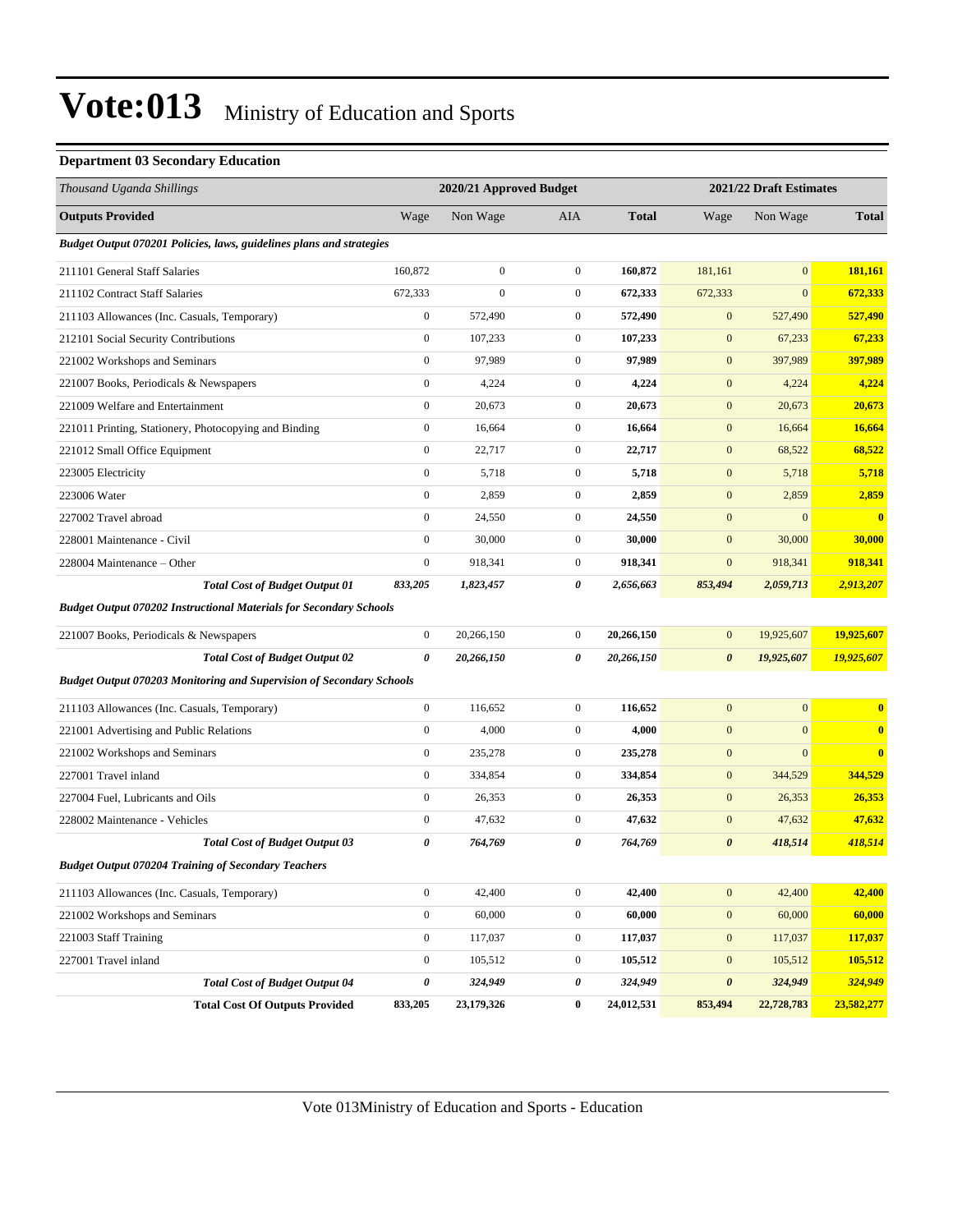#### **Department 03 Secondary Education**

| Thousand Uganda Shillings                                                   |                  | 2020/21 Approved Budget |                  |              |                       | 2021/22 Draft Estimates |                         |
|-----------------------------------------------------------------------------|------------------|-------------------------|------------------|--------------|-----------------------|-------------------------|-------------------------|
| <b>Outputs Provided</b>                                                     | Wage             | Non Wage                | AIA              | <b>Total</b> | Wage                  | Non Wage                | <b>Total</b>            |
| Budget Output 070201 Policies, laws, guidelines plans and strategies        |                  |                         |                  |              |                       |                         |                         |
| 211101 General Staff Salaries                                               | 160,872          | $\boldsymbol{0}$        | $\boldsymbol{0}$ | 160.872      | 181,161               | $\overline{0}$          | 181,161                 |
| 211102 Contract Staff Salaries                                              | 672,333          | $\overline{0}$          | $\boldsymbol{0}$ | 672,333      | 672,333               | $\mathbf{0}$            | 672,333                 |
| 211103 Allowances (Inc. Casuals, Temporary)                                 | $\boldsymbol{0}$ | 572,490                 | $\boldsymbol{0}$ | 572,490      | $\mathbf{0}$          | 527,490                 | 527,490                 |
| 212101 Social Security Contributions                                        | $\boldsymbol{0}$ | 107,233                 | $\boldsymbol{0}$ | 107,233      | $\mathbf{0}$          | 67,233                  | 67,233                  |
| 221002 Workshops and Seminars                                               | $\boldsymbol{0}$ | 97,989                  | $\boldsymbol{0}$ | 97,989       | $\mathbf{0}$          | 397,989                 | 397,989                 |
| 221007 Books, Periodicals & Newspapers                                      | $\boldsymbol{0}$ | 4,224                   | $\boldsymbol{0}$ | 4,224        | $\boldsymbol{0}$      | 4,224                   | 4,224                   |
| 221009 Welfare and Entertainment                                            | $\boldsymbol{0}$ | 20,673                  | $\boldsymbol{0}$ | 20,673       | $\mathbf{0}$          | 20,673                  | 20,673                  |
| 221011 Printing, Stationery, Photocopying and Binding                       | $\boldsymbol{0}$ | 16,664                  | $\boldsymbol{0}$ | 16,664       | $\mathbf{0}$          | 16,664                  | 16,664                  |
| 221012 Small Office Equipment                                               | $\boldsymbol{0}$ | 22,717                  | $\boldsymbol{0}$ | 22,717       | $\mathbf{0}$          | 68,522                  | 68,522                  |
| 223005 Electricity                                                          | $\boldsymbol{0}$ | 5,718                   | $\boldsymbol{0}$ | 5,718        | $\mathbf{0}$          | 5,718                   | 5,718                   |
| 223006 Water                                                                | $\boldsymbol{0}$ | 2,859                   | $\boldsymbol{0}$ | 2,859        | $\mathbf{0}$          | 2,859                   | 2,859                   |
| 227002 Travel abroad                                                        | $\boldsymbol{0}$ | 24,550                  | $\boldsymbol{0}$ | 24,550       | $\mathbf{0}$          | $\overline{0}$          | $\overline{\mathbf{0}}$ |
| 228001 Maintenance - Civil                                                  | $\boldsymbol{0}$ | 30,000                  | $\boldsymbol{0}$ | 30,000       | $\mathbf{0}$          | 30,000                  | 30,000                  |
| 228004 Maintenance – Other                                                  | $\boldsymbol{0}$ | 918,341                 | $\mathbf{0}$     | 918,341      | $\mathbf{0}$          | 918,341                 | 918,341                 |
| <b>Total Cost of Budget Output 01</b>                                       | 833,205          | 1,823,457               | 0                | 2,656,663    | 853,494               | 2,059,713               | 2,913,207               |
| <b>Budget Output 070202 Instructional Materials for Secondary Schools</b>   |                  |                         |                  |              |                       |                         |                         |
| 221007 Books, Periodicals & Newspapers                                      | $\boldsymbol{0}$ | 20,266,150              | $\mathbf{0}$     | 20,266,150   | $\boldsymbol{0}$      | 19,925,607              | 19,925,607              |
| <b>Total Cost of Budget Output 02</b>                                       | 0                | 20,266,150              | 0                | 20,266,150   | $\boldsymbol{\theta}$ | 19,925,607              | 19,925,607              |
| <b>Budget Output 070203 Monitoring and Supervision of Secondary Schools</b> |                  |                         |                  |              |                       |                         |                         |
| 211103 Allowances (Inc. Casuals, Temporary)                                 | $\boldsymbol{0}$ | 116,652                 | $\boldsymbol{0}$ | 116,652      | $\mathbf{0}$          | $\overline{0}$          | $\bf{0}$                |
| 221001 Advertising and Public Relations                                     | $\boldsymbol{0}$ | 4,000                   | $\mathbf{0}$     | 4,000        | $\mathbf{0}$          | $\mathbf{0}$            | $\overline{\mathbf{0}}$ |
| 221002 Workshops and Seminars                                               | $\boldsymbol{0}$ | 235,278                 | $\boldsymbol{0}$ | 235,278      | $\mathbf{0}$          | $\boldsymbol{0}$        | $\bf{0}$                |
| 227001 Travel inland                                                        | $\boldsymbol{0}$ | 334,854                 | $\boldsymbol{0}$ | 334,854      | $\boldsymbol{0}$      | 344,529                 | 344,529                 |
| 227004 Fuel, Lubricants and Oils                                            | $\boldsymbol{0}$ | 26,353                  | $\boldsymbol{0}$ | 26,353       | $\mathbf{0}$          | 26,353                  | 26,353                  |
| 228002 Maintenance - Vehicles                                               | $\boldsymbol{0}$ | 47,632                  | $\boldsymbol{0}$ | 47,632       | $\mathbf{0}$          | 47,632                  | 47,632                  |
| <b>Total Cost of Budget Output 03</b>                                       | 0                | 764,769                 | 0                | 764,769      | $\boldsymbol{\theta}$ | 418,514                 | 418,514                 |
| <b>Budget Output 070204 Training of Secondary Teachers</b>                  |                  |                         |                  |              |                       |                         |                         |
| 211103 Allowances (Inc. Casuals, Temporary)                                 | $\mathbf{0}$     | 42,400                  | $\overline{0}$   | 42,400       | $\mathbf{0}$          | 42,400                  | 42,400                  |
| 221002 Workshops and Seminars                                               | $\boldsymbol{0}$ | 60,000                  | $\boldsymbol{0}$ | 60,000       | $\boldsymbol{0}$      | 60,000                  | 60,000                  |
| 221003 Staff Training                                                       | $\boldsymbol{0}$ | 117,037                 | $\boldsymbol{0}$ | 117,037      | $\boldsymbol{0}$      | 117,037                 | 117,037                 |
| 227001 Travel inland                                                        | $\boldsymbol{0}$ | 105,512                 | $\boldsymbol{0}$ | 105,512      | $\mathbf{0}$          | 105,512                 | 105,512                 |
| <b>Total Cost of Budget Output 04</b>                                       | 0                | 324,949                 | 0                | 324,949      | $\pmb{\theta}$        | 324,949                 | 324,949                 |
| <b>Total Cost Of Outputs Provided</b>                                       | 833,205          | 23,179,326              | $\bf{0}$         | 24,012,531   | 853,494               | 22,728,783              | 23,582,277              |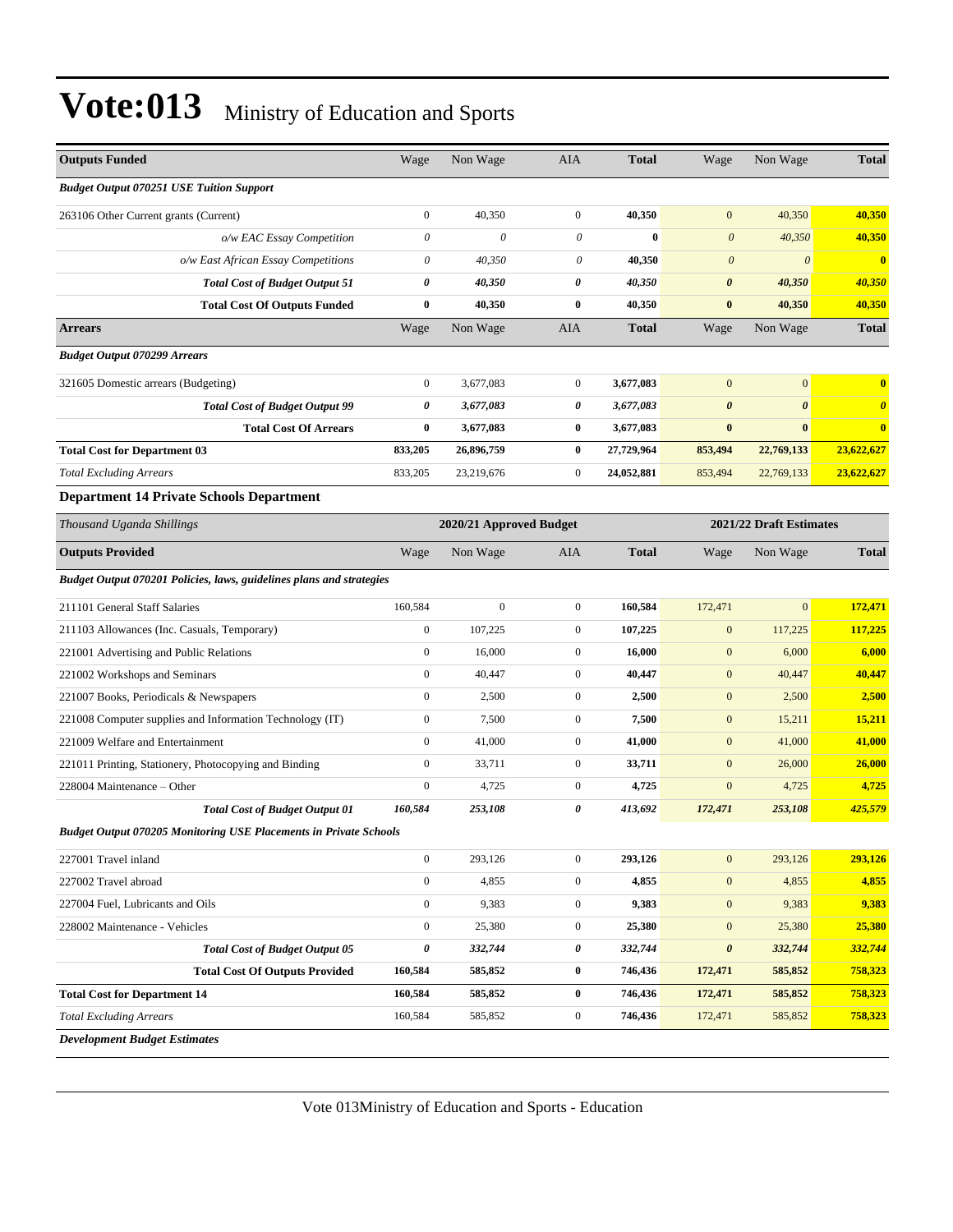| <b>Outputs Funded</b>                                                    | Wage                                               | Non Wage                  | AIA              | <b>Total</b> | Wage                  | Non Wage              | <b>Total</b>            |
|--------------------------------------------------------------------------|----------------------------------------------------|---------------------------|------------------|--------------|-----------------------|-----------------------|-------------------------|
| <b>Budget Output 070251 USE Tuition Support</b>                          |                                                    |                           |                  |              |                       |                       |                         |
| 263106 Other Current grants (Current)                                    | $\boldsymbol{0}$                                   | 40,350                    | $\mathbf{0}$     | 40,350       | $\mathbf{0}$          | 40,350                | 40,350                  |
| o/w EAC Essay Competition                                                | $\boldsymbol{\mathit{0}}$                          | $\boldsymbol{\mathit{0}}$ | 0                | $\bf{0}$     | $\boldsymbol{0}$      | 40,350                | 40,350                  |
| o/w East African Essay Competitions                                      | $\boldsymbol{\mathit{0}}$                          | 40,350                    | 0                | 40,350       | $\boldsymbol{\theta}$ | $\theta$              | $\overline{\mathbf{0}}$ |
| <b>Total Cost of Budget Output 51</b>                                    | 0                                                  | 40,350                    | 0                | 40,350       | $\boldsymbol{\theta}$ | 40,350                | 40,350                  |
| <b>Total Cost Of Outputs Funded</b>                                      | $\bf{0}$                                           | 40,350                    | $\bf{0}$         | 40,350       | $\bf{0}$              | 40,350                | 40,350                  |
| <b>Arrears</b>                                                           | Wage                                               | Non Wage                  | AIA              | <b>Total</b> | Wage                  | Non Wage              | <b>Total</b>            |
| <b>Budget Output 070299 Arrears</b>                                      |                                                    |                           |                  |              |                       |                       |                         |
| 321605 Domestic arrears (Budgeting)                                      | $\boldsymbol{0}$                                   | 3,677,083                 | $\mathbf{0}$     | 3,677,083    | $\boldsymbol{0}$      | $\mathbf{0}$          | $\bf{0}$                |
| <b>Total Cost of Budget Output 99</b>                                    | 0                                                  | 3,677,083                 | 0                | 3,677,083    | $\boldsymbol{\theta}$ | $\boldsymbol{\theta}$ | $\boldsymbol{\theta}$   |
| <b>Total Cost Of Arrears</b>                                             | $\bf{0}$                                           | 3,677,083                 | $\bf{0}$         | 3,677,083    | $\bf{0}$              | $\bf{0}$              | $\bf{0}$                |
| <b>Total Cost for Department 03</b>                                      | 833,205                                            | 26,896,759                | $\bf{0}$         | 27,729,964   | 853,494               | 22,769,133            | 23,622,627              |
| <b>Total Excluding Arrears</b>                                           | 833,205                                            | 23,219,676                | $\mathbf{0}$     | 24,052,881   | 853,494               | 22,769,133            | 23,622,627              |
| <b>Department 14 Private Schools Department</b>                          |                                                    |                           |                  |              |                       |                       |                         |
| Thousand Uganda Shillings                                                | 2021/22 Draft Estimates<br>2020/21 Approved Budget |                           |                  |              |                       |                       |                         |
| <b>Outputs Provided</b>                                                  | Wage                                               | Non Wage                  | AIA              | <b>Total</b> | Wage                  | Non Wage              | <b>Total</b>            |
| Budget Output 070201 Policies, laws, guidelines plans and strategies     |                                                    |                           |                  |              |                       |                       |                         |
| 211101 General Staff Salaries                                            | 160,584                                            | $\boldsymbol{0}$          | $\mathbf{0}$     | 160,584      | 172,471               | $\overline{0}$        | 172,471                 |
| 211103 Allowances (Inc. Casuals, Temporary)                              | $\boldsymbol{0}$                                   | 107,225                   | $\mathbf{0}$     | 107,225      | $\boldsymbol{0}$      | 117,225               | 117,225                 |
| 221001 Advertising and Public Relations                                  | $\boldsymbol{0}$                                   | 16,000                    | $\mathbf{0}$     | 16,000       | $\boldsymbol{0}$      | 6,000                 | 6,000                   |
| 221002 Workshops and Seminars                                            | $\boldsymbol{0}$                                   | 40,447                    | $\mathbf{0}$     | 40,447       | $\mathbf{0}$          | 40,447                | 40,447                  |
| 221007 Books, Periodicals & Newspapers                                   | $\boldsymbol{0}$                                   | 2,500                     | $\mathbf{0}$     | 2,500        | $\boldsymbol{0}$      | 2,500                 | 2,500                   |
| 221008 Computer supplies and Information Technology (IT)                 | $\boldsymbol{0}$                                   | 7,500                     | $\mathbf{0}$     | 7,500        | $\mathbf{0}$          | 15,211                | 15,211                  |
| 221009 Welfare and Entertainment                                         | $\boldsymbol{0}$                                   | 41,000                    | $\mathbf{0}$     | 41,000       | $\boldsymbol{0}$      | 41,000                | 41,000                  |
| 221011 Printing, Stationery, Photocopying and Binding                    | $\boldsymbol{0}$                                   | 33,711                    | $\mathbf{0}$     | 33,711       | $\boldsymbol{0}$      | 26,000                | 26,000                  |
| 228004 Maintenance – Other                                               | $\boldsymbol{0}$                                   | 4,725                     | $\mathbf{0}$     | 4,725        | $\boldsymbol{0}$      | 4,725                 | 4,725                   |
| <b>Total Cost of Budget Output 01</b>                                    | 160,584                                            | 253,108                   | 0                | 413,692      | 172,471               | 253,108               | 425,579                 |
| <b>Budget Output 070205 Monitoring USE Placements in Private Schools</b> |                                                    |                           |                  |              |                       |                       |                         |
| 227001 Travel inland                                                     | $\boldsymbol{0}$                                   | 293,126                   | $\mathbf{0}$     | 293,126      | $\mathbf{0}$          | 293,126               | 293,126                 |
| 227002 Travel abroad                                                     | $\boldsymbol{0}$                                   | 4,855                     | $\boldsymbol{0}$ | 4,855        | $\mathbf{0}$          | 4,855                 | 4,855                   |
| 227004 Fuel, Lubricants and Oils                                         | $\boldsymbol{0}$                                   | 9,383                     | $\boldsymbol{0}$ | 9,383        | $\mathbf{0}$          | 9,383                 | 9,383                   |
| 228002 Maintenance - Vehicles                                            | $\mathbf{0}$                                       | 25,380                    | $\boldsymbol{0}$ | 25,380       | $\bf{0}$              | 25,380                | 25,380                  |
| <b>Total Cost of Budget Output 05</b>                                    | 0                                                  | 332,744                   | 0                | 332,744      | $\pmb{\theta}$        | 332,744               | 332,744                 |
| <b>Total Cost Of Outputs Provided</b>                                    | 160,584                                            | 585,852                   | $\boldsymbol{0}$ | 746,436      | 172,471               | 585,852               | 758,323                 |
| <b>Total Cost for Department 14</b>                                      | 160,584                                            | 585,852                   | $\bf{0}$         | 746,436      | 172,471               | 585,852               | 758,323                 |
| <b>Total Excluding Arrears</b>                                           | 160,584                                            | 585,852                   | $\boldsymbol{0}$ | 746,436      | 172,471               | 585,852               | 758,323                 |
| <b>Development Budget Estimates</b>                                      |                                                    |                           |                  |              |                       |                       |                         |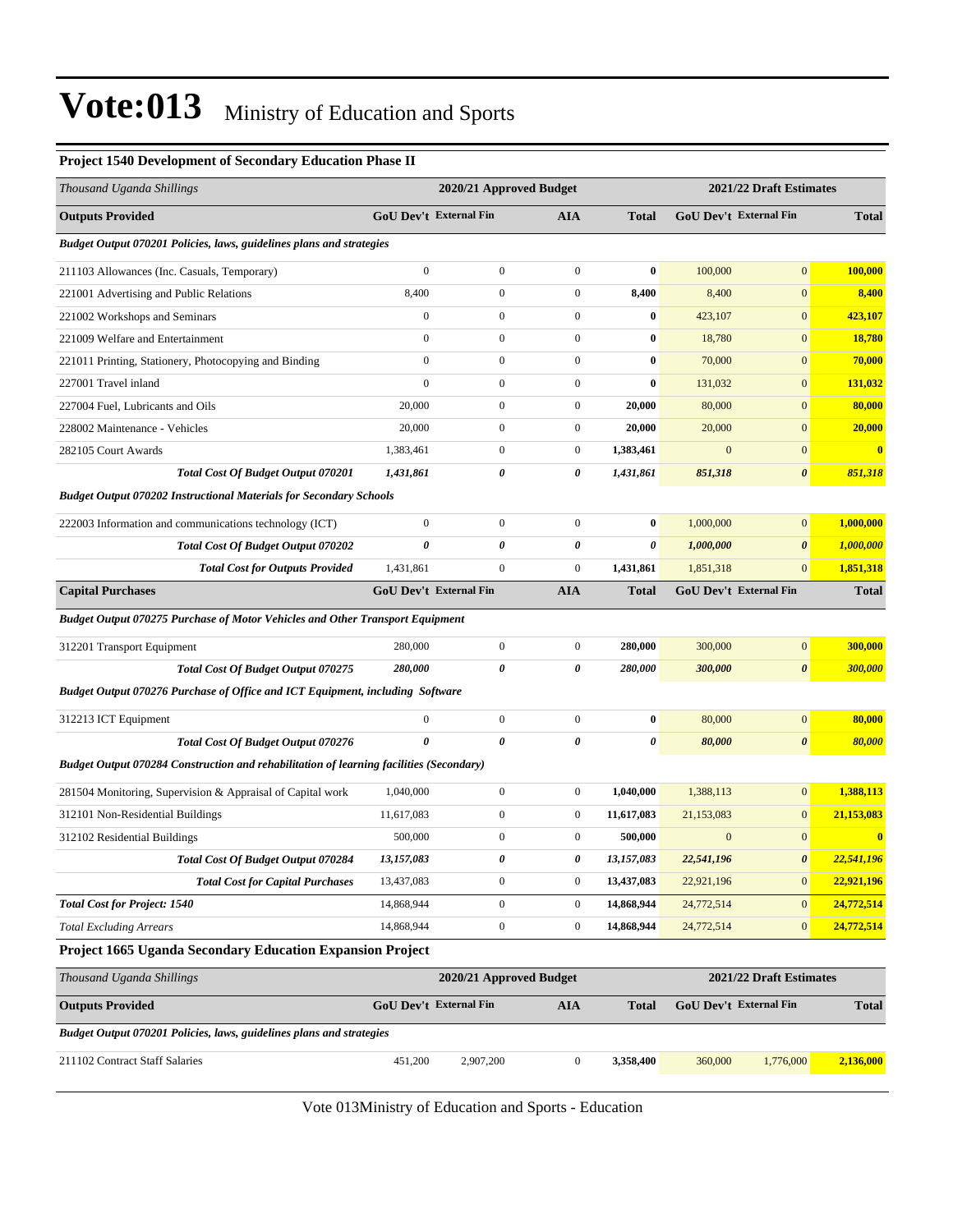| <b>Project 1540 Development of Secondary Education Phase II</b>                                |                  |                               |                  |              |              |                               |              |
|------------------------------------------------------------------------------------------------|------------------|-------------------------------|------------------|--------------|--------------|-------------------------------|--------------|
| Thousand Uganda Shillings                                                                      |                  | 2020/21 Approved Budget       |                  |              |              | 2021/22 Draft Estimates       |              |
| <b>Outputs Provided</b>                                                                        |                  | <b>GoU Dev't External Fin</b> | <b>AIA</b>       | <b>Total</b> |              | <b>GoU Dev't External Fin</b> | <b>Total</b> |
| Budget Output 070201 Policies, laws, guidelines plans and strategies                           |                  |                               |                  |              |              |                               |              |
| 211103 Allowances (Inc. Casuals, Temporary)                                                    | $\boldsymbol{0}$ | $\boldsymbol{0}$              | $\boldsymbol{0}$ | $\bf{0}$     | 100,000      | $\mathbf{0}$                  | 100,000      |
| 221001 Advertising and Public Relations                                                        | 8,400            | $\boldsymbol{0}$              | $\boldsymbol{0}$ | 8,400        | 8,400        | $\mathbf{0}$                  | 8,400        |
| 221002 Workshops and Seminars                                                                  | $\overline{0}$   | $\boldsymbol{0}$              | $\boldsymbol{0}$ | $\bf{0}$     | 423,107      | $\mathbf{0}$                  | 423,107      |
| 221009 Welfare and Entertainment                                                               | $\overline{0}$   | $\mathbf{0}$                  | $\boldsymbol{0}$ | $\bf{0}$     | 18,780       | $\mathbf{0}$                  | 18,780       |
| 221011 Printing, Stationery, Photocopying and Binding                                          | $\overline{0}$   | $\boldsymbol{0}$              | 0                | $\bf{0}$     | 70,000       | $\mathbf{0}$                  | 70,000       |
| 227001 Travel inland                                                                           | $\overline{0}$   | $\boldsymbol{0}$              | $\overline{0}$   | $\bf{0}$     | 131,032      | $\mathbf{0}$                  | 131,032      |
| 227004 Fuel, Lubricants and Oils                                                               | 20,000           | $\boldsymbol{0}$              | $\boldsymbol{0}$ | 20,000       | 80,000       | $\mathbf{0}$                  | 80,000       |
| 228002 Maintenance - Vehicles                                                                  | 20,000           | $\boldsymbol{0}$              | $\boldsymbol{0}$ | 20,000       | 20,000       | $\mathbf{0}$                  | 20,000       |
| 282105 Court Awards                                                                            | 1,383,461        | $\boldsymbol{0}$              | $\boldsymbol{0}$ | 1,383,461    | $\mathbf{0}$ | $\mathbf{0}$                  | $\bf{0}$     |
| <b>Total Cost Of Budget Output 070201</b>                                                      | 1,431,861        | 0                             | 0                | 1,431,861    | 851,318      | $\boldsymbol{\theta}$         | 851,318      |
| <b>Budget Output 070202 Instructional Materials for Secondary Schools</b>                      |                  |                               |                  |              |              |                               |              |
| 222003 Information and communications technology (ICT)                                         | $\boldsymbol{0}$ | $\boldsymbol{0}$              | $\boldsymbol{0}$ | $\bf{0}$     | 1,000,000    | $\mathbf{0}$                  | 1,000,000    |
| Total Cost Of Budget Output 070202                                                             | 0                | $\pmb{\theta}$                | $\pmb{\theta}$   | 0            | 1,000,000    | $\boldsymbol{\theta}$         | 1,000,000    |
| <b>Total Cost for Outputs Provided</b>                                                         | 1,431,861        | $\boldsymbol{0}$              | 0                | 1,431,861    | 1,851,318    | $\mathbf{0}$                  | 1,851,318    |
| <b>Capital Purchases</b>                                                                       |                  | <b>GoU Dev't External Fin</b> | <b>AIA</b>       | Total        |              | GoU Dev't External Fin        | <b>Total</b> |
| <b>Budget Output 070275 Purchase of Motor Vehicles and Other Transport Equipment</b>           |                  |                               |                  |              |              |                               |              |
| 312201 Transport Equipment                                                                     | 280,000          | $\mathbf{0}$                  | $\boldsymbol{0}$ | 280,000      | 300,000      | $\mathbf{0}$                  | 300,000      |
| <b>Total Cost Of Budget Output 070275</b>                                                      | 280,000          | 0                             | 0                | 280,000      | 300,000      | $\boldsymbol{\theta}$         | 300,000      |
| Budget Output 070276 Purchase of Office and ICT Equipment, including Software                  |                  |                               |                  |              |              |                               |              |
| 312213 ICT Equipment                                                                           | $\boldsymbol{0}$ | $\boldsymbol{0}$              | $\boldsymbol{0}$ | $\bf{0}$     | 80,000       | $\mathbf{0}$                  | 80,000       |
| Total Cost Of Budget Output 070276                                                             | 0                | $\pmb{\theta}$                | $\pmb{\theta}$   | 0            | 80,000       | $\pmb{\theta}$                | 80,000       |
| <b>Budget Output 070284 Construction and rehabilitation of learning facilities (Secondary)</b> |                  |                               |                  |              |              |                               |              |
| 281504 Monitoring, Supervision & Appraisal of Capital work                                     | 1,040,000        | $\boldsymbol{0}$              | $\boldsymbol{0}$ | 1,040,000    | 1,388,113    | $\boldsymbol{0}$              | 1,388,113    |
| 312101 Non-Residential Buildings                                                               | 11,617,083       | $\boldsymbol{0}$              | $\boldsymbol{0}$ | 11,617,083   | 21,153,083   | $\mathbf{0}$                  | 21,153,083   |
| 312102 Residential Buildings                                                                   | 500,000          | $\boldsymbol{0}$              | $\mathbf{0}$     | 500,000      | $\mathbf{0}$ | $\mathbf{0}$                  | $\bf{0}$     |
| Total Cost Of Budget Output 070284                                                             | 13,157,083       | 0                             | $\pmb{\theta}$   | 13,157,083   | 22,541,196   | $\boldsymbol{\theta}$         | 22,541,196   |
| <b>Total Cost for Capital Purchases</b>                                                        | 13,437,083       | $\boldsymbol{0}$              | $\boldsymbol{0}$ | 13,437,083   | 22,921,196   | $\mathbf{0}$                  | 22,921,196   |
| <b>Total Cost for Project: 1540</b>                                                            | 14,868,944       | $\boldsymbol{0}$              | $\boldsymbol{0}$ | 14,868,944   | 24,772,514   | $\boldsymbol{0}$              | 24,772,514   |
| <b>Total Excluding Arrears</b>                                                                 | 14,868,944       | $\boldsymbol{0}$              | $\boldsymbol{0}$ | 14,868,944   | 24,772,514   | $\mathbf{0}$                  | 24,772,514   |
| Project 1665 Uganda Secondary Education Expansion Project                                      |                  |                               |                  |              |              |                               |              |
| Thousand Uganda Shillings                                                                      |                  | 2020/21 Approved Budget       |                  |              |              | 2021/22 Draft Estimates       |              |
| <b>Outputs Provided</b>                                                                        |                  | <b>GoU Dev't External Fin</b> | <b>AIA</b>       | <b>Total</b> |              | GoU Dev't External Fin        | <b>Total</b> |
| Budget Output 070201 Policies, laws, guidelines plans and strategies                           |                  |                               |                  |              |              |                               |              |
| 211102 Contract Staff Salaries                                                                 | 451,200          | 2,907,200                     | $\boldsymbol{0}$ | 3,358,400    | 360,000      | 1,776,000                     | 2,136,000    |
|                                                                                                |                  |                               |                  |              |              |                               |              |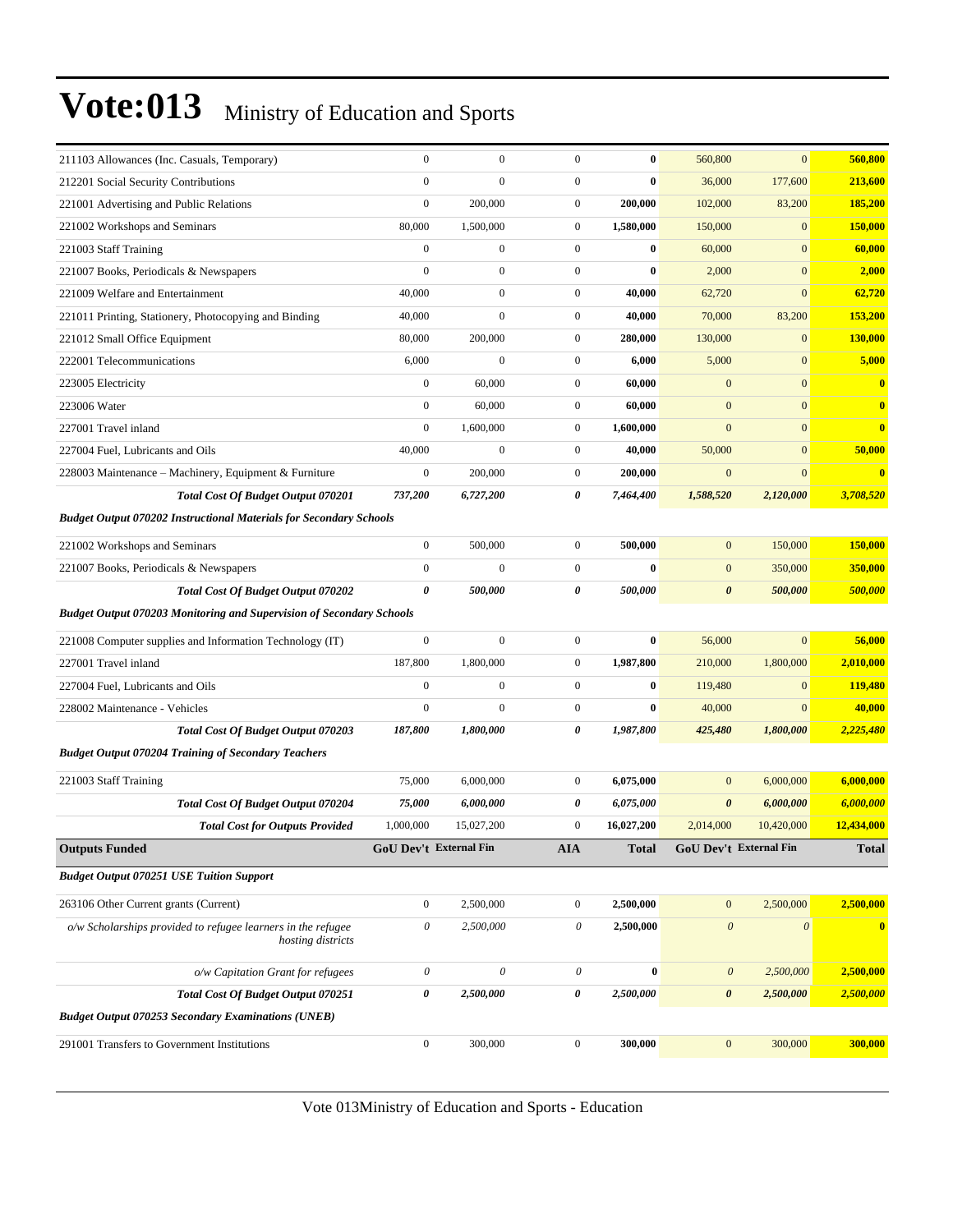| 211103 Allowances (Inc. Casuals, Temporary)                                 | $\mathbf{0}$           | $\boldsymbol{0}$      | $\mathbf{0}$          | $\bf{0}$   | 560,800                   | $\mathbf{0}$           | 560,800                |
|-----------------------------------------------------------------------------|------------------------|-----------------------|-----------------------|------------|---------------------------|------------------------|------------------------|
| 212201 Social Security Contributions                                        | $\mathbf{0}$           | $\mathbf{0}$          | $\mathbf{0}$          | $\bf{0}$   | 36,000                    | 177,600                | 213,600                |
| 221001 Advertising and Public Relations                                     | $\boldsymbol{0}$       | 200,000               | $\boldsymbol{0}$      | 200,000    | 102,000                   | 83,200                 | 185,200                |
| 221002 Workshops and Seminars                                               | 80,000                 | 1,500,000             | $\boldsymbol{0}$      | 1,580,000  | 150,000                   | $\boldsymbol{0}$       | 150,000                |
| 221003 Staff Training                                                       | $\boldsymbol{0}$       | $\boldsymbol{0}$      | $\boldsymbol{0}$      | $\bf{0}$   | 60,000                    | $\mathbf{0}$           | 60,000                 |
| 221007 Books, Periodicals & Newspapers                                      | $\mathbf{0}$           | $\boldsymbol{0}$      | $\boldsymbol{0}$      | $\bf{0}$   | 2,000                     | $\mathbf{0}$           | 2,000                  |
| 221009 Welfare and Entertainment                                            | 40,000                 | $\boldsymbol{0}$      | $\boldsymbol{0}$      | 40,000     | 62,720                    | $\mathbf{0}$           | 62,720                 |
| 221011 Printing, Stationery, Photocopying and Binding                       | 40,000                 | $\boldsymbol{0}$      | $\boldsymbol{0}$      | 40,000     | 70,000                    | 83,200                 | 153,200                |
| 221012 Small Office Equipment                                               | 80,000                 | 200,000               | $\boldsymbol{0}$      | 280,000    | 130,000                   | $\boldsymbol{0}$       | 130,000                |
| 222001 Telecommunications                                                   | 6,000                  | $\boldsymbol{0}$      | $\boldsymbol{0}$      | 6,000      | 5,000                     | $\mathbf{0}$           | 5,000                  |
| 223005 Electricity                                                          | $\boldsymbol{0}$       | 60,000                | $\boldsymbol{0}$      | 60,000     | $\mathbf{0}$              | $\mathbf{0}$           | $\bf{0}$               |
| 223006 Water                                                                | $\boldsymbol{0}$       | 60,000                | $\boldsymbol{0}$      | 60,000     | $\mathbf{0}$              | $\mathbf{0}$           | $\bf{0}$               |
| 227001 Travel inland                                                        | $\mathbf{0}$           | 1,600,000             | $\boldsymbol{0}$      | 1,600,000  | $\mathbf{0}$              | $\mathbf{0}$           | $\bf{0}$               |
| 227004 Fuel, Lubricants and Oils                                            | 40,000                 | $\boldsymbol{0}$      | $\boldsymbol{0}$      | 40,000     | 50,000                    | $\mathbf{0}$           | 50,000                 |
| 228003 Maintenance – Machinery, Equipment & Furniture                       | $\boldsymbol{0}$       | 200,000               | $\boldsymbol{0}$      | 200,000    | $\mathbf{0}$              | $\mathbf{0}$           | $\bf{0}$               |
| Total Cost Of Budget Output 070201                                          | 737,200                | 6,727,200             | 0                     | 7,464,400  | 1,588,520                 | 2,120,000              | 3,708,520              |
| <b>Budget Output 070202 Instructional Materials for Secondary Schools</b>   |                        |                       |                       |            |                           |                        |                        |
| 221002 Workshops and Seminars                                               | $\boldsymbol{0}$       | 500,000               | $\boldsymbol{0}$      | 500,000    | $\boldsymbol{0}$          | 150,000                | 150,000                |
| 221007 Books, Periodicals & Newspapers                                      | $\boldsymbol{0}$       | $\mathbf{0}$          | $\boldsymbol{0}$      | $\bf{0}$   | $\mathbf{0}$              | 350,000                | 350,000                |
| Total Cost Of Budget Output 070202                                          | 0                      | 500,000               | 0                     | 500,000    | $\boldsymbol{\theta}$     | 500,000                | 500,000                |
| <b>Budget Output 070203 Monitoring and Supervision of Secondary Schools</b> |                        |                       |                       |            |                           |                        |                        |
| 221008 Computer supplies and Information Technology (IT)                    | $\mathbf{0}$           | $\mathbf{0}$          | $\boldsymbol{0}$      | $\bf{0}$   | 56,000                    | $\mathbf{0}$           | 56,000                 |
| 227001 Travel inland                                                        | 187,800                | 1,800,000             | $\boldsymbol{0}$      | 1,987,800  | 210,000                   | 1,800,000              | 2,010,000              |
| 227004 Fuel, Lubricants and Oils                                            | $\boldsymbol{0}$       | $\boldsymbol{0}$      | $\boldsymbol{0}$      | $\bf{0}$   | 119,480                   | $\mathbf{0}$           | 119,480                |
| 228002 Maintenance - Vehicles                                               | $\boldsymbol{0}$       | $\boldsymbol{0}$      | $\boldsymbol{0}$      | $\bf{0}$   | 40,000                    | $\mathbf{0}$           | 40,000                 |
| <b>Total Cost Of Budget Output 070203</b>                                   | 187,800                | 1,800,000             | 0                     | 1,987,800  | 425,480                   | 1,800,000              | 2,225,480              |
| <b>Budget Output 070204 Training of Secondary Teachers</b>                  |                        |                       |                       |            |                           |                        |                        |
| 221003 Staff Training                                                       | 75,000                 | 6,000,000             | $\boldsymbol{0}$      | 6,075,000  | $\boldsymbol{0}$          | 6,000,000              | 6,000,000              |
| <b>Total Cost Of Budget Output 070204</b>                                   | 75,000                 | 6,000,000             | 0                     | 6,075,000  | $\boldsymbol{\theta}$     | 6,000,000              | 6,000,000              |
| <b>Total Cost for Outputs Provided</b>                                      |                        |                       | $\boldsymbol{0}$      |            | 2,014,000                 | 10,420,000             | 12,434,000             |
| <b>Outputs Funded</b>                                                       | 1,000,000              | 15,027,200            |                       | 16,027,200 |                           |                        |                        |
|                                                                             | GoU Dev't External Fin |                       | <b>AIA</b>            | Total      |                           | GoU Dev't External Fin | <b>Total</b>           |
| <b>Budget Output 070251 USE Tuition Support</b>                             |                        |                       |                       |            |                           |                        |                        |
| 263106 Other Current grants (Current)                                       | $\mathbf{0}$           | 2,500,000             | $\boldsymbol{0}$      | 2,500,000  | $\mathbf{0}$              | 2,500,000              | 2,500,000              |
| o/w Scholarships provided to refugee learners in the refugee                | $\mathcal O$           | 2,500,000             | 0                     | 2,500,000  | $\boldsymbol{\mathit{0}}$ | $\boldsymbol{\theta}$  |                        |
| hosting districts                                                           |                        |                       |                       |            |                           |                        |                        |
| o/w Capitation Grant for refugees                                           | $\mathcal O$           | $\boldsymbol{\theta}$ | $\boldsymbol{\theta}$ | $\bf{0}$   | $\boldsymbol{\mathit{0}}$ | 2,500,000              | 2,500,000              |
| Total Cost Of Budget Output 070251                                          | $\pmb{\theta}$         | 2,500,000             | 0                     | 2,500,000  | $\boldsymbol{\theta}$     | 2,500,000              | $\bullet$<br>2,500,000 |
| <b>Budget Output 070253 Secondary Examinations (UNEB)</b>                   |                        |                       |                       |            |                           |                        |                        |
| 291001 Transfers to Government Institutions                                 | $\boldsymbol{0}$       | 300,000               | $\boldsymbol{0}$      | 300,000    | $\boldsymbol{0}$          | 300,000                | 300,000                |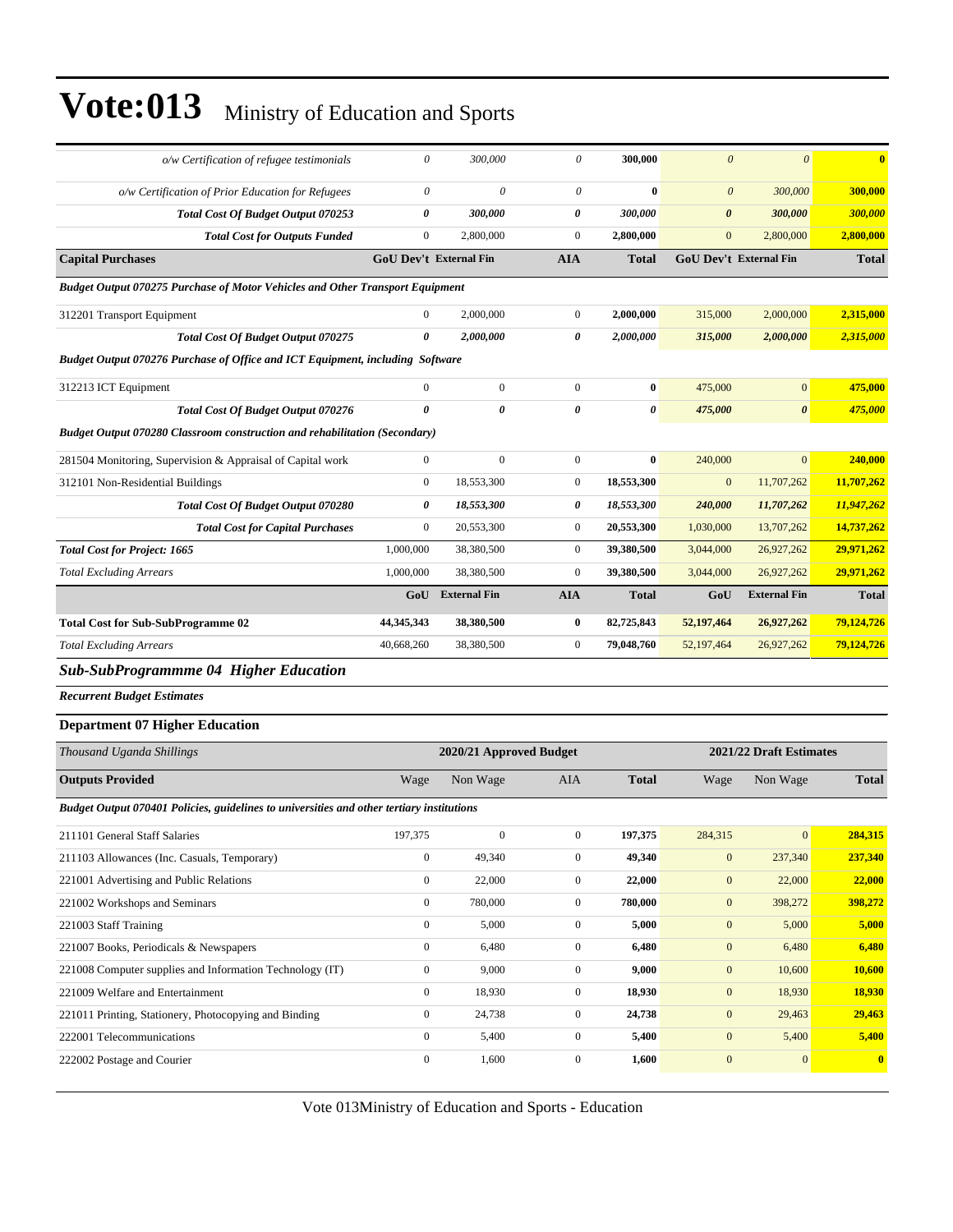| $o/w$ Certification of refugee testimonials                                               | $\theta$              | 300,000                       | 0                     | 300,000      | $\boldsymbol{\theta}$  | $\boldsymbol{\theta}$   | $\bf{0}$     |
|-------------------------------------------------------------------------------------------|-----------------------|-------------------------------|-----------------------|--------------|------------------------|-------------------------|--------------|
| o/w Certification of Prior Education for Refugees                                         | $\boldsymbol{\theta}$ | $\theta$                      | 0                     | $\bf{0}$     | $\boldsymbol{\theta}$  | 300,000                 | 300,000      |
| <b>Total Cost Of Budget Output 070253</b>                                                 | 0                     | 300,000                       | 0                     | 300,000      | $\boldsymbol{\theta}$  | 300,000                 | 300,000      |
| <b>Total Cost for Outputs Funded</b>                                                      | $\boldsymbol{0}$      | 2,800,000                     | $\boldsymbol{0}$      | 2,800,000    | $\boldsymbol{0}$       | 2,800,000               | 2,800,000    |
| <b>Capital Purchases</b>                                                                  |                       | <b>GoU Dev't External Fin</b> | <b>AIA</b>            | <b>Total</b> | GoU Dev't External Fin |                         | <b>Total</b> |
| <b>Budget Output 070275 Purchase of Motor Vehicles and Other Transport Equipment</b>      |                       |                               |                       |              |                        |                         |              |
| 312201 Transport Equipment                                                                | $\mathbf{0}$          | 2,000,000                     | $\boldsymbol{0}$      | 2,000,000    | 315,000                | 2,000,000               | 2,315,000    |
| <b>Total Cost Of Budget Output 070275</b>                                                 | 0                     | 2,000,000                     | 0                     | 2,000,000    | 315,000                | 2,000,000               | 2,315,000    |
| Budget Output 070276 Purchase of Office and ICT Equipment, including Software             |                       |                               |                       |              |                        |                         |              |
| 312213 ICT Equipment                                                                      | $\mathbf{0}$          | $\boldsymbol{0}$              | $\boldsymbol{0}$      | $\bf{0}$     | 475,000                | $\boldsymbol{0}$        | 475,000      |
| <b>Total Cost Of Budget Output 070276</b>                                                 | $\boldsymbol{\theta}$ | 0                             | $\boldsymbol{\theta}$ | 0            | 475,000                | 0                       | 475,000      |
| <b>Budget Output 070280 Classroom construction and rehabilitation (Secondary)</b>         |                       |                               |                       |              |                        |                         |              |
| 281504 Monitoring, Supervision & Appraisal of Capital work                                | $\boldsymbol{0}$      | $\boldsymbol{0}$              | $\boldsymbol{0}$      | $\bf{0}$     | 240,000                | $\overline{0}$          | 240,000      |
| 312101 Non-Residential Buildings                                                          | $\mathbf{0}$          | 18,553,300                    | $\boldsymbol{0}$      | 18,553,300   | $\boldsymbol{0}$       | 11,707,262              | 11,707,262   |
| <b>Total Cost Of Budget Output 070280</b>                                                 | 0                     | 18,553,300                    | 0                     | 18,553,300   | 240,000                | 11,707,262              | 11,947,262   |
| <b>Total Cost for Capital Purchases</b>                                                   | $\mathbf{0}$          | 20,553,300                    | $\boldsymbol{0}$      | 20,553,300   | 1,030,000              | 13,707,262              | 14,737,262   |
| <b>Total Cost for Project: 1665</b>                                                       | 1,000,000             | 38,380,500                    | $\boldsymbol{0}$      | 39,380,500   | 3,044,000              | 26,927,262              | 29,971,262   |
| <b>Total Excluding Arrears</b>                                                            | 1,000,000             | 38,380,500                    | $\boldsymbol{0}$      | 39,380,500   | 3,044,000              | 26,927,262              | 29,971,262   |
|                                                                                           | GoU                   | <b>External Fin</b>           | <b>AIA</b>            | <b>Total</b> | GoU                    | <b>External Fin</b>     | <b>Total</b> |
| <b>Total Cost for Sub-SubProgramme 02</b>                                                 | 44,345,343            | 38,380,500                    | $\bf{0}$              | 82,725,843   | 52,197,464             | 26,927,262              | 79,124,726   |
| <b>Total Excluding Arrears</b>                                                            | 40,668,260            | 38,380,500                    | $\boldsymbol{0}$      | 79,048,760   | 52,197,464             | 26,927,262              | 79,124,726   |
| <b>Sub-SubProgrammme 04 Higher Education</b>                                              |                       |                               |                       |              |                        |                         |              |
| <b>Recurrent Budget Estimates</b>                                                         |                       |                               |                       |              |                        |                         |              |
| <b>Department 07 Higher Education</b>                                                     |                       |                               |                       |              |                        |                         |              |
| Thousand Uganda Shillings                                                                 |                       | 2020/21 Approved Budget       |                       |              |                        | 2021/22 Draft Estimates |              |
| <b>Outputs Provided</b>                                                                   | Wage                  | Non Wage                      | AIA                   | <b>Total</b> | Wage                   | Non Wage                | <b>Total</b> |
| Budget Output 070401 Policies, guidelines to universities and other tertiary institutions |                       |                               |                       |              |                        |                         |              |
| 211101 General Staff Salaries                                                             | 197,375               | $\boldsymbol{0}$              | $\overline{0}$        | 197,375      | 284,315                | $\mathbf{0}$            | 284,315      |
| 211103 Allowances (Inc. Casuals, Temporary)                                               | $\boldsymbol{0}$      | 49,340                        | $\boldsymbol{0}$      | 49,340       | $\mathbf{0}$           | 237,340                 | 237,340      |
| 221001 Advertising and Public Relations                                                   | $\boldsymbol{0}$      | 22,000                        | $\boldsymbol{0}$      | 22,000       | $\boldsymbol{0}$       | 22,000                  | 22,000       |
| 221002 Workshops and Seminars                                                             | $\boldsymbol{0}$      | 780,000                       | $\boldsymbol{0}$      | 780,000      | $\mathbf{0}$           | 398,272                 | 398,272      |
| 221003 Staff Training                                                                     | $\boldsymbol{0}$      | 5,000                         | $\boldsymbol{0}$      | 5,000        | $\boldsymbol{0}$       | 5,000                   | 5,000        |
| 221007 Books, Periodicals & Newspapers                                                    | $\boldsymbol{0}$      | 6,480                         | $\boldsymbol{0}$      | 6,480        | $\boldsymbol{0}$       | 6,480                   | 6,480        |
| 221008 Computer supplies and Information Technology (IT)                                  | $\boldsymbol{0}$      | 9,000                         | $\mathbf{0}$          | 9,000        | $\boldsymbol{0}$       | 10,600                  | 10,600       |
| 221009 Welfare and Entertainment                                                          | $\boldsymbol{0}$      | 18,930                        | $\boldsymbol{0}$      | 18,930       | $\boldsymbol{0}$       | 18,930                  | 18,930       |
| 221011 Printing, Stationery, Photocopying and Binding                                     | $\boldsymbol{0}$      | 24,738                        | $\boldsymbol{0}$      | 24,738       | $\mathbf{0}$           | 29,463                  | 29,463       |
| 222001 Telecommunications                                                                 | $\boldsymbol{0}$      | 5,400                         | $\boldsymbol{0}$      | 5,400        | $\boldsymbol{0}$       | 5,400                   | 5,400        |
| 222002 Postage and Courier                                                                | $\boldsymbol{0}$      | 1,600                         | $\mathbf{0}$          | 1,600        | $\boldsymbol{0}$       | $\bf{0}$                | $\mathbf{0}$ |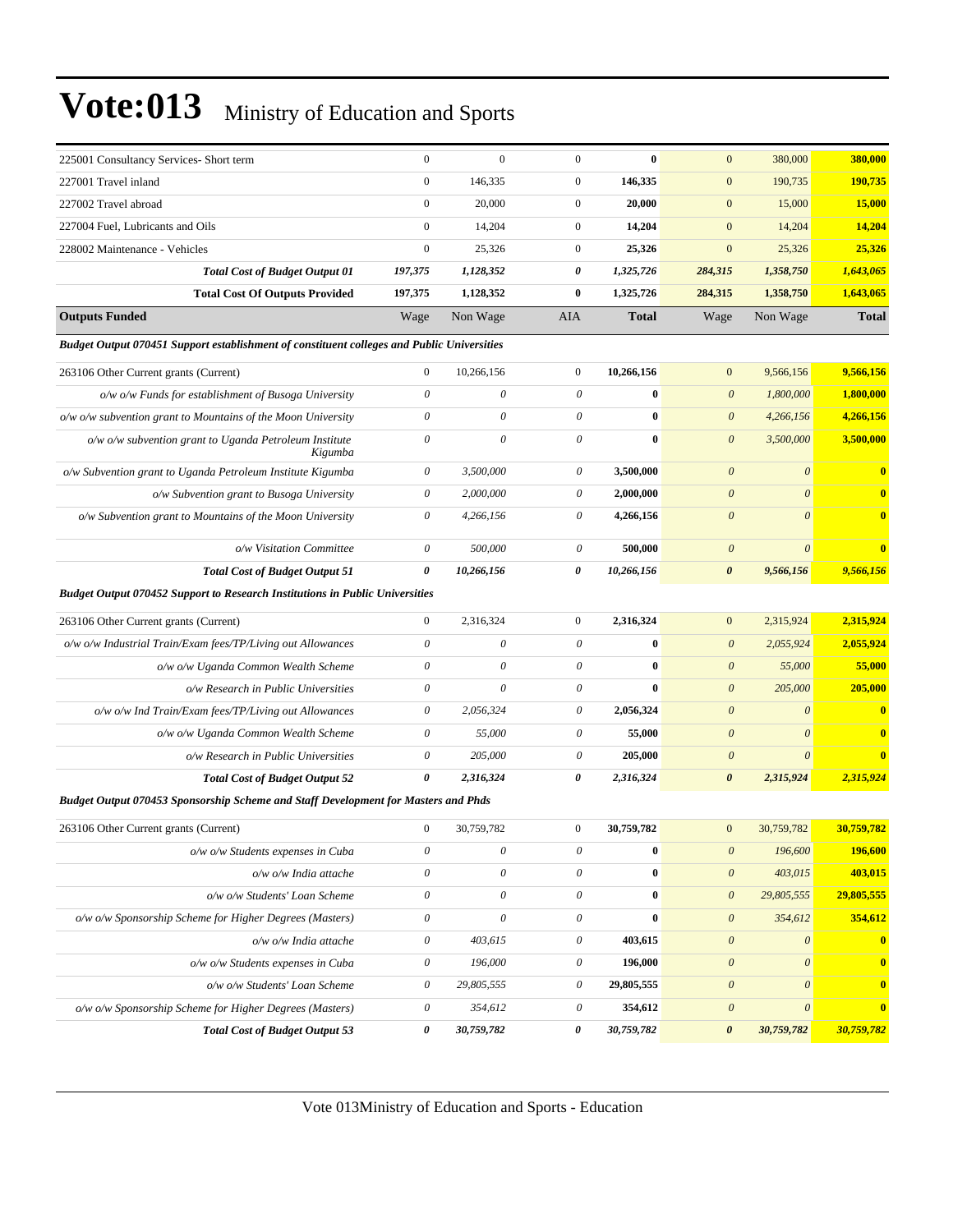| 225001 Consultancy Services- Short term                                                    | $\mathbf{0}$              | $\mathbf{0}$              | $\mathbf{0}$              | $\bf{0}$     | $\mathbf{0}$          | 380,000               | 380,000      |
|--------------------------------------------------------------------------------------------|---------------------------|---------------------------|---------------------------|--------------|-----------------------|-----------------------|--------------|
| 227001 Travel inland                                                                       | $\boldsymbol{0}$          | 146,335                   | $\boldsymbol{0}$          | 146,335      | $\boldsymbol{0}$      | 190,735               | 190,735      |
| 227002 Travel abroad                                                                       | $\mathbf{0}$              | 20,000                    | $\boldsymbol{0}$          | 20,000       | $\mathbf{0}$          | 15,000                | 15,000       |
| 227004 Fuel, Lubricants and Oils                                                           | $\mathbf{0}$              | 14,204                    | $\mathbf{0}$              | 14,204       | $\boldsymbol{0}$      | 14,204                | 14,204       |
| 228002 Maintenance - Vehicles                                                              | $\boldsymbol{0}$          | 25,326                    | $\mathbf{0}$              | 25,326       | $\boldsymbol{0}$      | 25,326                | 25,326       |
| <b>Total Cost of Budget Output 01</b>                                                      | 197,375                   | 1,128,352                 | 0                         | 1,325,726    | 284,315               | 1,358,750             | 1,643,065    |
| <b>Total Cost Of Outputs Provided</b>                                                      | 197,375                   | 1,128,352                 | $\bf{0}$                  | 1,325,726    | 284,315               | 1,358,750             | 1,643,065    |
| <b>Outputs Funded</b>                                                                      | Wage                      | Non Wage                  | AIA                       | <b>Total</b> | Wage                  | Non Wage              | <b>Total</b> |
| Budget Output 070451 Support establishment of constituent colleges and Public Universities |                           |                           |                           |              |                       |                       |              |
| 263106 Other Current grants (Current)                                                      | $\boldsymbol{0}$          | 10,266,156                | $\mathbf{0}$              | 10,266,156   | $\mathbf{0}$          | 9,566,156             | 9,566,156    |
| $o/w$ $o/w$ Funds for establishment of Busoga University                                   | $\theta$                  | $\theta$                  | $\theta$                  | $\bf{0}$     | $\boldsymbol{\theta}$ | 1,800,000             | 1,800,000    |
| $o/w o/w$ subvention grant to Mountains of the Moon University                             | $\theta$                  | $\theta$                  | $\boldsymbol{\theta}$     | $\bf{0}$     | $\boldsymbol{\theta}$ | 4,266,156             | 4,266,156    |
| o/w o/w subvention grant to Uganda Petroleum Institute<br>Kigumba                          | $\boldsymbol{\mathit{0}}$ | $\theta$                  | $\theta$                  | $\bf{0}$     | $\boldsymbol{\theta}$ | 3,500,000             | 3,500,000    |
| o/w Subvention grant to Uganda Petroleum Institute Kigumba                                 | 0                         | 3,500,000                 | 0                         | 3,500,000    | $\boldsymbol{\theta}$ | $\boldsymbol{\theta}$ | $\bf{0}$     |
| o/w Subvention grant to Busoga University                                                  | 0                         | 2,000,000                 | 0                         | 2,000,000    | $\boldsymbol{\theta}$ | $\theta$              | $\bf{0}$     |
| o/w Subvention grant to Mountains of the Moon University                                   | 0                         | 4,266,156                 | $\boldsymbol{\theta}$     | 4,266,156    | $\boldsymbol{\theta}$ | $\theta$              | $\bf{0}$     |
| o/w Visitation Committee                                                                   | 0                         | 500,000                   | $\theta$                  | 500,000      | $\boldsymbol{\theta}$ | $\boldsymbol{\theta}$ | $\bf{0}$     |
| <b>Total Cost of Budget Output 51</b>                                                      | $\boldsymbol{\theta}$     | 10,266,156                | 0                         | 10,266,156   | $\boldsymbol{\theta}$ | 9,566,156             | 9,566,156    |
| <b>Budget Output 070452 Support to Research Institutions in Public Universities</b>        |                           |                           |                           |              |                       |                       |              |
| 263106 Other Current grants (Current)                                                      | $\boldsymbol{0}$          | 2,316,324                 | $\mathbf{0}$              | 2,316,324    | $\mathbf{0}$          | 2,315,924             | 2,315,924    |
| o/w o/w Industrial Train/Exam fees/TP/Living out Allowances                                | $\boldsymbol{\mathit{0}}$ | 0                         | $\boldsymbol{\mathit{0}}$ | $\bf{0}$     | $\boldsymbol{\theta}$ | 2,055,924             | 2,055,924    |
| o/w o/w Uganda Common Wealth Scheme                                                        | $\boldsymbol{\mathit{0}}$ | 0                         | $\boldsymbol{\theta}$     | $\bf{0}$     | $\boldsymbol{\theta}$ | 55,000                | 55,000       |
| o/w Research in Public Universities                                                        | $\boldsymbol{\mathit{0}}$ | $\theta$                  | $\theta$                  | $\bf{0}$     | $\boldsymbol{\theta}$ | 205,000               | 205,000      |
| o/w o/w Ind Train/Exam fees/TP/Living out Allowances                                       | 0                         | 2,056,324                 | $\boldsymbol{\theta}$     | 2,056,324    | $\theta$              | $\theta$              | $\bf{0}$     |
| o/w o/w Uganda Common Wealth Scheme                                                        | 0                         | 55,000                    | $\boldsymbol{\theta}$     | 55,000       | $\boldsymbol{\theta}$ | $\boldsymbol{\theta}$ | $\bf{0}$     |
| o/w Research in Public Universities                                                        | $\boldsymbol{\mathit{0}}$ | 205,000                   | $\theta$                  | 205,000      | $\boldsymbol{\theta}$ | $\boldsymbol{\theta}$ | $\bf{0}$     |
| <b>Total Cost of Budget Output 52</b>                                                      | 0                         | 2,316,324                 | 0                         | 2,316,324    | $\boldsymbol{\theta}$ | 2,315,924             | 2,315,924    |
| Budget Output 070453 Sponsorship Scheme and Staff Development for Masters and Phds         |                           |                           |                           |              |                       |                       |              |
| 263106 Other Current grants (Current)                                                      | $\boldsymbol{0}$          | 30,759,782                | $\boldsymbol{0}$          | 30,759,782   | $\mathbf{0}$          | 30,759,782            | 30,759,782   |
| o/w o/w Students expenses in Cuba                                                          | $\boldsymbol{\theta}$     | $\boldsymbol{\mathit{0}}$ | $\boldsymbol{\mathit{0}}$ | $\bf{0}$     | $\boldsymbol{\theta}$ | 196,600               | 196,600      |
| o/w o/w India attache                                                                      | $\theta$                  | $\boldsymbol{\mathit{0}}$ | $\boldsymbol{\mathit{0}}$ | $\bf{0}$     | $\boldsymbol{0}$      | 403,015               | 403,015      |
| o/w o/w Students' Loan Scheme                                                              | $\theta$                  | 0                         | $\boldsymbol{\mathit{0}}$ | $\bf{0}$     | $\boldsymbol{\theta}$ | 29,805,555            | 29,805,555   |
| o/w o/w Sponsorship Scheme for Higher Degrees (Masters)                                    | $\theta$                  | 0                         | $\theta$                  | $\bf{0}$     | $\boldsymbol{\theta}$ | 354,612               | 354,612      |
| o/w o/w India attache                                                                      | $\theta$                  | 403,615                   | $\boldsymbol{\theta}$     | 403,615      | $\boldsymbol{0}$      | $\boldsymbol{\theta}$ | $\bf{0}$     |
| o/w o/w Students expenses in Cuba                                                          | $\boldsymbol{\theta}$     | 196,000                   | $\theta$                  | 196,000      | $\boldsymbol{\theta}$ | $\boldsymbol{\theta}$ | $\bf{0}$     |
| o/w o/w Students' Loan Scheme                                                              | $\boldsymbol{\theta}$     | 29,805,555                | $\boldsymbol{\theta}$     | 29,805,555   | $\boldsymbol{\theta}$ | $\boldsymbol{\theta}$ | $\bf{0}$     |
| o/w o/w Sponsorship Scheme for Higher Degrees (Masters)                                    | $\boldsymbol{\theta}$     | 354,612                   | 0                         | 354,612      | $\boldsymbol{\theta}$ | $\boldsymbol{\theta}$ | $\bf{0}$     |
| <b>Total Cost of Budget Output 53</b>                                                      | $\boldsymbol{\theta}$     | 30,759,782                | 0                         | 30,759,782   | $\pmb{\theta}$        | 30,759,782            | 30,759,782   |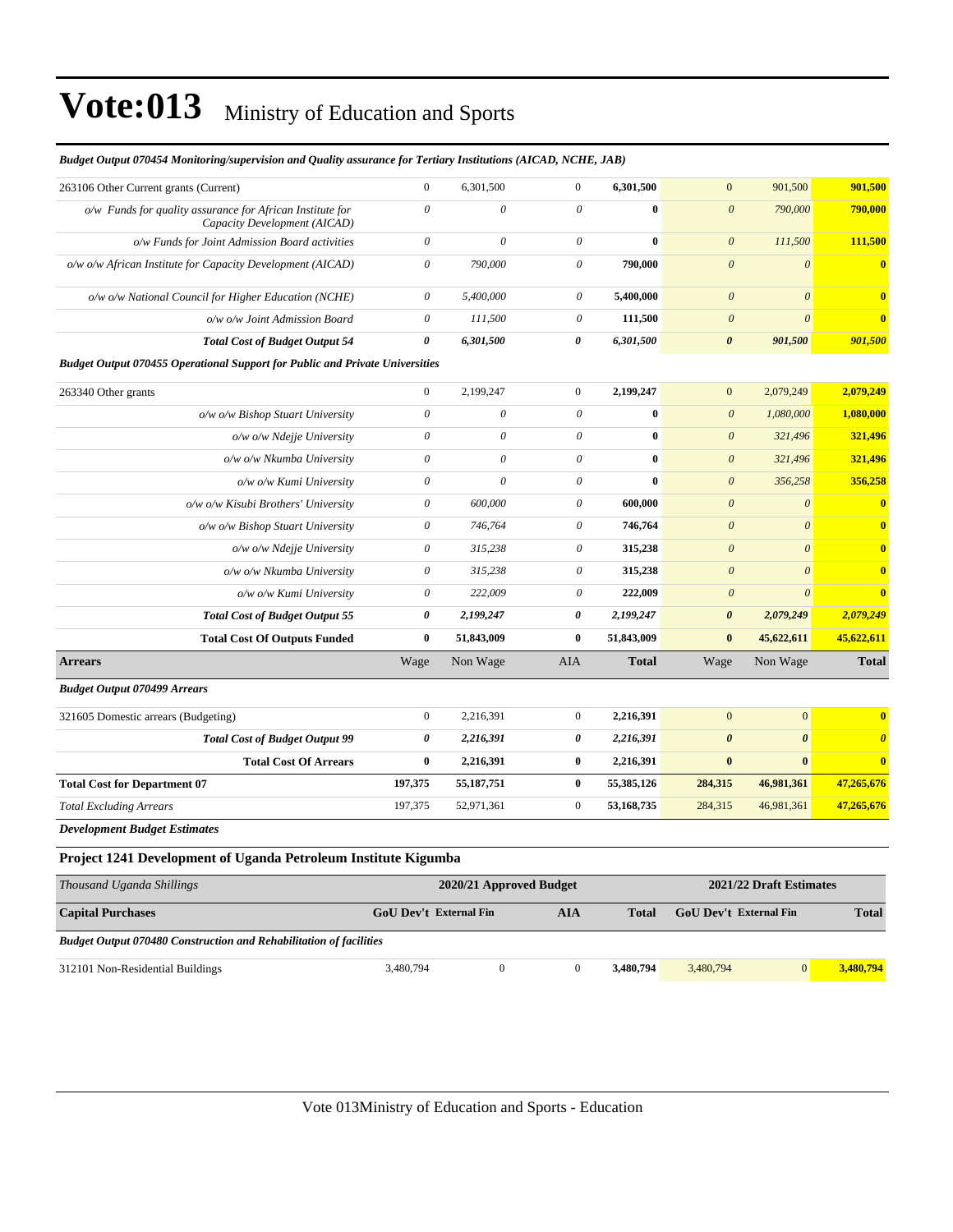| Thousand Haanda Shillings                                                                 |                               |                           | 2020/21 Approved Budget   |                  |              |                           | 2021/22 Draft Fetimates |                       |
|-------------------------------------------------------------------------------------------|-------------------------------|---------------------------|---------------------------|------------------|--------------|---------------------------|-------------------------|-----------------------|
| Project 1241 Development of Uganda Petroleum Institute Kigumba                            |                               |                           |                           |                  |              |                           |                         |                       |
| <b>Development Budget Estimates</b>                                                       |                               |                           |                           |                  |              |                           |                         |                       |
| <b>Total Excluding Arrears</b>                                                            |                               | 197,375                   | 52,971,361                | $\mathbf{0}$     | 53,168,735   | 284,315                   | 46,981,361              | 47,265,676            |
| <b>Total Cost for Department 07</b>                                                       |                               | 197,375                   | 55,187,751                | $\bf{0}$         | 55,385,126   | 284,315                   | 46,981,361              | 47,265,676            |
|                                                                                           | <b>Total Cost Of Arrears</b>  | $\bf{0}$                  | 2,216,391                 | $\bf{0}$         | 2,216,391    | $\bf{0}$                  | $\bf{0}$                | $\bf{0}$              |
| <b>Total Cost of Budget Output 99</b>                                                     |                               | 0                         | 2,216,391                 | 0                | 2,216,391    | $\boldsymbol{\theta}$     | $\boldsymbol{\theta}$   | $\boldsymbol{\theta}$ |
| 321605 Domestic arrears (Budgeting)                                                       |                               | $\boldsymbol{0}$          | 2,216,391                 | $\mathbf{0}$     | 2,216,391    | $\mathbf{0}$              | $\mathbf{0}$            | $\bf{0}$              |
| <b>Budget Output 070499 Arrears</b>                                                       |                               |                           |                           |                  |              |                           |                         |                       |
| <b>Arrears</b>                                                                            |                               | Wage                      | Non Wage                  | AIA              | <b>Total</b> | Wage                      | Non Wage                | <b>Total</b>          |
| <b>Total Cost Of Outputs Funded</b>                                                       |                               | $\bf{0}$                  | 51,843,009                | $\bf{0}$         | 51,843,009   | $\bf{0}$                  | 45,622,611              | 45,622,611            |
| <b>Total Cost of Budget Output 55</b>                                                     |                               | 0                         | 2,199,247                 | 0                | 2,199,247    | $\boldsymbol{\theta}$     | 2,079,249               | 2,079,249             |
|                                                                                           | o/w o/w Kumi University       | $\boldsymbol{\theta}$     | 222,009                   | 0                | 222,009      | $\boldsymbol{\theta}$     | $\theta$                | $\bf{0}$              |
|                                                                                           | o/w o/w Nkumba University     | $\boldsymbol{\mathit{0}}$ | 315,238                   | 0                | 315,238      | $\boldsymbol{\mathit{0}}$ | $\boldsymbol{\theta}$   | $\mathbf{0}$          |
|                                                                                           | o/w o/w Ndejje University     | $\theta$                  | 315,238                   | 0                | 315,238      | $\theta$                  | $\theta$                | $\bf{0}$              |
| o/w o/w Bishop Stuart University                                                          |                               | $\theta$                  | 746,764                   | 0                | 746,764      | $\boldsymbol{\theta}$     | $\theta$                | $\bf{0}$              |
| o/w o/w Kisubi Brothers' University                                                       |                               | $\theta$                  | 600,000                   | 0                | 600,000      | $\boldsymbol{\theta}$     | $\boldsymbol{\theta}$   | $\bf{0}$              |
|                                                                                           | o/w o/w Kumi University       | $\boldsymbol{\theta}$     | $\theta$                  | $\theta$         | $\bf{0}$     | $\boldsymbol{0}$          | 356,258                 | 356,258               |
|                                                                                           | o/w o/w Nkumba University     | $\boldsymbol{\mathit{0}}$ | $\boldsymbol{\mathit{0}}$ | 0                | $\bf{0}$     | $\boldsymbol{\mathit{0}}$ | 321,496                 | 321,496               |
|                                                                                           | $o/w$ $o/w$ Ndejje University | $\boldsymbol{\mathit{0}}$ | $\theta$                  | 0                | $\bf{0}$     | $\boldsymbol{\theta}$     | 321,496                 | 321,496               |
| o/w o/w Bishop Stuart University                                                          |                               | $\theta$                  | 0                         | $\theta$         | $\bf{0}$     | $\boldsymbol{\theta}$     | 1,080,000               | 1,080,000             |
| 263340 Other grants                                                                       |                               | $\boldsymbol{0}$          | 2,199,247                 | $\boldsymbol{0}$ | 2,199,247    | $\mathbf{0}$              | 2,079,249               | 2,079,249             |
| <b>Budget Output 070455 Operational Support for Public and Private Universities</b>       |                               |                           |                           |                  |              |                           |                         |                       |
| <b>Total Cost of Budget Output 54</b>                                                     |                               | 0                         | 6,301,500                 | 0                | 6,301,500    | $\boldsymbol{\theta}$     | 901,500                 | 901,500               |
|                                                                                           | o/w o/w Joint Admission Board | $\boldsymbol{\theta}$     | 111,500                   | 0                | 111,500      | $\boldsymbol{\theta}$     | $\theta$                | $\bf{0}$              |
| o/w o/w National Council for Higher Education (NCHE)                                      |                               | $\boldsymbol{\mathit{0}}$ | 5,400,000                 | 0                | 5,400,000    | $\boldsymbol{\theta}$     | $\boldsymbol{\theta}$   | $\bf{0}$              |
| o/w o/w African Institute for Capacity Development (AICAD)                                |                               | $\theta$                  | 790,000                   | 0                | 790,000      | $\boldsymbol{\theta}$     | $\boldsymbol{\theta}$   | $\bf{0}$              |
| o/w Funds for Joint Admission Board activities                                            |                               | $\mathcal O$              | $\theta$                  | $\theta$         | $\bf{0}$     | $\boldsymbol{\theta}$     | 111,500                 | 111,500               |
| o/w Funds for quality assurance for African Institute for<br>Capacity Development (AICAD) |                               | $\theta$                  | $\theta$                  | $\theta$         | $\bf{0}$     | $\boldsymbol{\theta}$     | 790,000                 | 790,000               |
| 263106 Other Current grants (Current)                                                     |                               |                           |                           |                  |              |                           |                         |                       |

*Budget Output 070454 Monitoring/supervision and Quality assurance for Tertiary Institutions (AICAD, NCHE, JAB)*

*Thousand Uganda Shillings* **2020/21 Approved Budget 2021/22 Draft Estimates Capital Purchases GoU Dev't External Fin AIA Total GoU Dev't External Fin Total** *Budget Output 070480 Construction and Rehabilitation of facilities* 312101 Non-Residential Buildings 3,480,794 0 0 **3,480,794** 3,480,794 0 **3,480,794**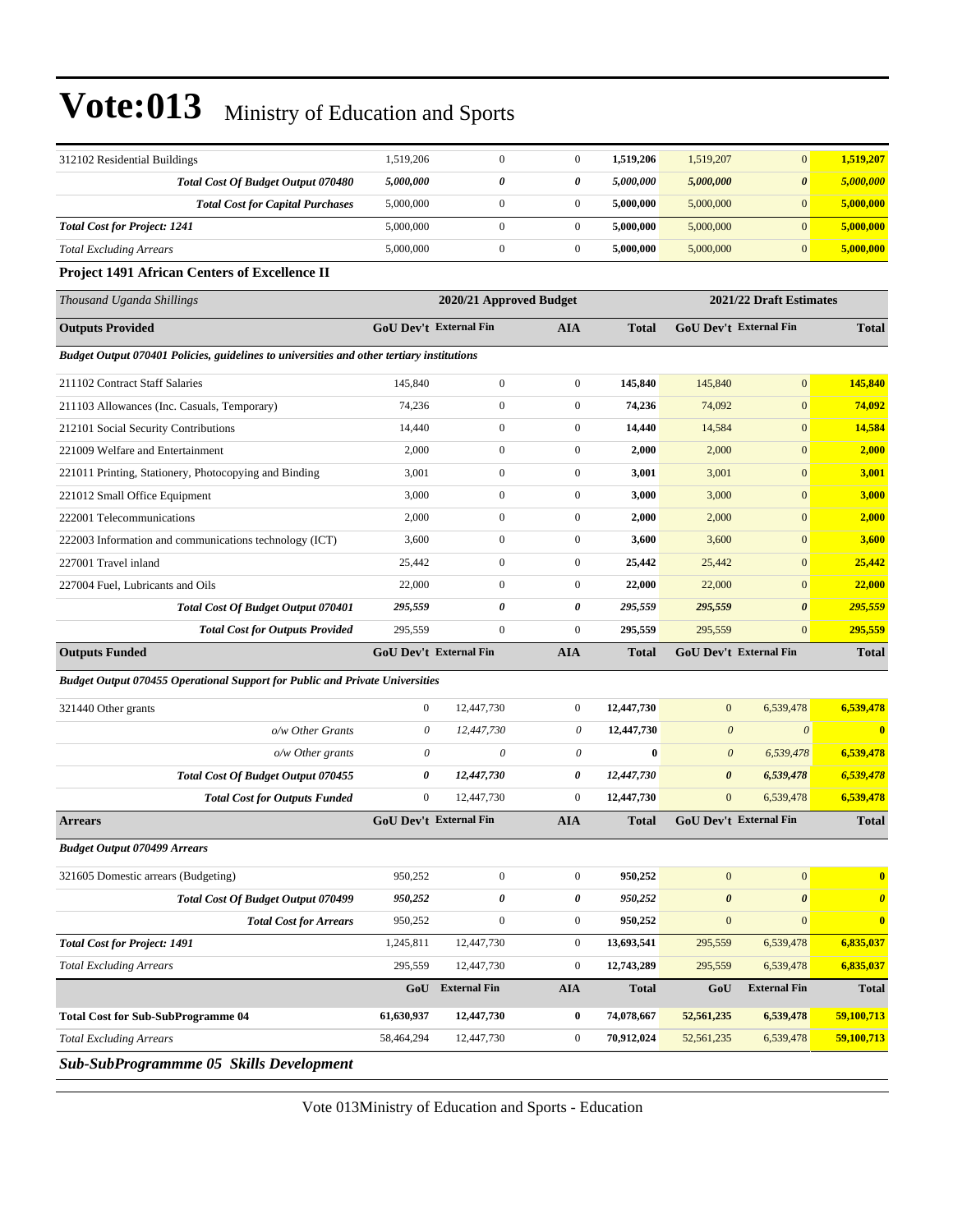| 312102 Residential Buildings                                                              | 1,519,206                     | $\overline{0}$          | $\boldsymbol{0}$ | 1,519,206    | 1,519,207                     | $\mathbf{0}$            | 1,519,207             |
|-------------------------------------------------------------------------------------------|-------------------------------|-------------------------|------------------|--------------|-------------------------------|-------------------------|-----------------------|
| Total Cost Of Budget Output 070480                                                        | 5,000,000                     | 0                       | 0                | 5,000,000    | 5,000,000                     | $\pmb{\theta}$          | 5,000,000             |
| <b>Total Cost for Capital Purchases</b>                                                   | 5,000,000                     | $\mathbf{0}$            | $\boldsymbol{0}$ | 5,000,000    | 5,000,000                     | $\mathbf{0}$            | 5,000,000             |
| <b>Total Cost for Project: 1241</b>                                                       | 5,000,000                     | $\overline{0}$          | $\boldsymbol{0}$ | 5,000,000    | 5,000,000                     | $\mathbf{0}$            | 5,000,000             |
| <b>Total Excluding Arrears</b>                                                            | 5,000,000                     | $\boldsymbol{0}$        | $\boldsymbol{0}$ | 5,000,000    | 5,000,000                     | $\mathbf{0}$            | 5,000,000             |
| Project 1491 African Centers of Excellence II                                             |                               |                         |                  |              |                               |                         |                       |
| Thousand Uganda Shillings                                                                 |                               | 2020/21 Approved Budget |                  |              |                               | 2021/22 Draft Estimates |                       |
| <b>Outputs Provided</b>                                                                   | <b>GoU Dev't External Fin</b> |                         | AIA              | <b>Total</b> | <b>GoU Dev't External Fin</b> |                         | <b>Total</b>          |
| Budget Output 070401 Policies, guidelines to universities and other tertiary institutions |                               |                         |                  |              |                               |                         |                       |
| 211102 Contract Staff Salaries                                                            | 145,840                       | $\overline{0}$          | $\boldsymbol{0}$ | 145,840      | 145,840                       | $\mathbf{0}$            | 145,840               |
| 211103 Allowances (Inc. Casuals, Temporary)                                               | 74,236                        | $\overline{0}$          | $\boldsymbol{0}$ | 74,236       | 74,092                        | $\boldsymbol{0}$        | 74,092                |
| 212101 Social Security Contributions                                                      | 14,440                        | $\mathbf{0}$            | $\boldsymbol{0}$ | 14,440       | 14,584                        | $\mathbf{0}$            | 14,584                |
| 221009 Welfare and Entertainment                                                          | 2,000                         | $\overline{0}$          | $\boldsymbol{0}$ | 2,000        | 2,000                         | $\mathbf{0}$            | 2,000                 |
| 221011 Printing, Stationery, Photocopying and Binding                                     | 3,001                         | $\overline{0}$          | $\boldsymbol{0}$ | 3,001        | 3,001                         | $\mathbf{0}$            | 3,001                 |
| 221012 Small Office Equipment                                                             | 3,000                         | $\overline{0}$          | $\boldsymbol{0}$ | 3,000        | 3,000                         | $\mathbf{0}$            | 3,000                 |
| 222001 Telecommunications                                                                 | 2,000                         | $\overline{0}$          | $\boldsymbol{0}$ | 2,000        | 2,000                         | $\boldsymbol{0}$        | 2,000                 |
| 222003 Information and communications technology (ICT)                                    | 3,600                         | $\mathbf{0}$            | $\boldsymbol{0}$ | 3,600        | 3,600                         | $\mathbf{0}$            | 3,600                 |
| 227001 Travel inland                                                                      | 25,442                        | $\overline{0}$          | $\boldsymbol{0}$ | 25,442       | 25,442                        | $\mathbf{0}$            | 25,442                |
| 227004 Fuel, Lubricants and Oils                                                          | 22,000                        | $\overline{0}$          | $\boldsymbol{0}$ | 22,000       | 22,000                        | $\mathbf{0}$            | 22,000                |
| Total Cost Of Budget Output 070401                                                        | 295,559                       | 0                       | 0                | 295,559      | 295,559                       | $\boldsymbol{\theta}$   | 295,559               |
| <b>Total Cost for Outputs Provided</b>                                                    | 295,559                       | $\mathbf{0}$            | $\boldsymbol{0}$ | 295,559      | 295,559                       | $\mathbf{0}$            | 295,559               |
| <b>Outputs Funded</b>                                                                     | <b>GoU Dev't External Fin</b> |                         | <b>AIA</b>       | <b>Total</b> | GoU Dev't External Fin        |                         | <b>Total</b>          |
| Budget Output 070455 Operational Support for Public and Private Universities              |                               |                         |                  |              |                               |                         |                       |
| 321440 Other grants                                                                       | $\mathbf{0}$                  | 12,447,730              | $\boldsymbol{0}$ | 12,447,730   | $\mathbf{0}$                  | 6,539,478               | 6,539,478             |
| o/w Other Grants                                                                          | 0                             | 12,447,730              | $\theta$         | 12,447,730   | $\boldsymbol{\theta}$         | $\boldsymbol{\theta}$   | $\bf{0}$              |
| $o/w$ Other grants                                                                        | 0                             | $\theta$                | $\theta$         | $\bf{0}$     | $\boldsymbol{\theta}$         | 6,539,478               | 6,539,478             |
| Total Cost Of Budget Output 070455                                                        | 0                             | 12,447,730              | 0                | 12,447,730   | $\boldsymbol{\theta}$         | 6,539,478               | 6,539,478             |
| <b>Total Cost for Outputs Funded</b>                                                      | $\boldsymbol{0}$              | 12,447,730              | $\boldsymbol{0}$ | 12,447,730   | $\mathbf{0}$                  | 6,539,478               | 6,539,478             |
| <b>Arrears</b>                                                                            | <b>GoU Dev't External Fin</b> |                         | <b>AIA</b>       | <b>Total</b> | <b>GoU Dev't External Fin</b> |                         | <b>Total</b>          |
| <b>Budget Output 070499 Arrears</b>                                                       |                               |                         |                  |              |                               |                         |                       |
| 321605 Domestic arrears (Budgeting)                                                       | 950,252                       | $\boldsymbol{0}$        | $\boldsymbol{0}$ | 950,252      | $\boldsymbol{0}$              | $\mathbf{0}$            | $\bf{0}$              |
| <b>Total Cost Of Budget Output 070499</b>                                                 | 950,252                       | 0                       | 0                | 950,252      | $\boldsymbol{\theta}$         | $\boldsymbol{\theta}$   | $\boldsymbol{\theta}$ |
| <b>Total Cost for Arrears</b>                                                             | 950,252                       | $\boldsymbol{0}$        | $\boldsymbol{0}$ | 950,252      | $\boldsymbol{0}$              | $\mathbf{0}$            | $\bf{0}$              |
| <b>Total Cost for Project: 1491</b>                                                       | 1,245,811                     | 12,447,730              | $\boldsymbol{0}$ | 13,693,541   | 295,559                       | 6,539,478               | 6,835,037             |
| <b>Total Excluding Arrears</b>                                                            | 295,559                       | 12,447,730              | $\boldsymbol{0}$ | 12,743,289   | 295,559                       | 6,539,478               | 6,835,037             |
|                                                                                           |                               |                         |                  |              |                               |                         | <b>Total</b>          |
|                                                                                           | GoU                           | <b>External Fin</b>     | <b>AIA</b>       | <b>Total</b> | GoU                           | <b>External Fin</b>     |                       |
| <b>Total Cost for Sub-SubProgramme 04</b>                                                 | 61,630,937                    | 12,447,730              | $\boldsymbol{0}$ | 74,078,667   | 52,561,235                    | 6,539,478               | 59,100,713            |
| <b>Total Excluding Arrears</b>                                                            | 58,464,294                    | 12,447,730              | $\boldsymbol{0}$ | 70,912,024   | 52,561,235                    | 6,539,478               | 59,100,713            |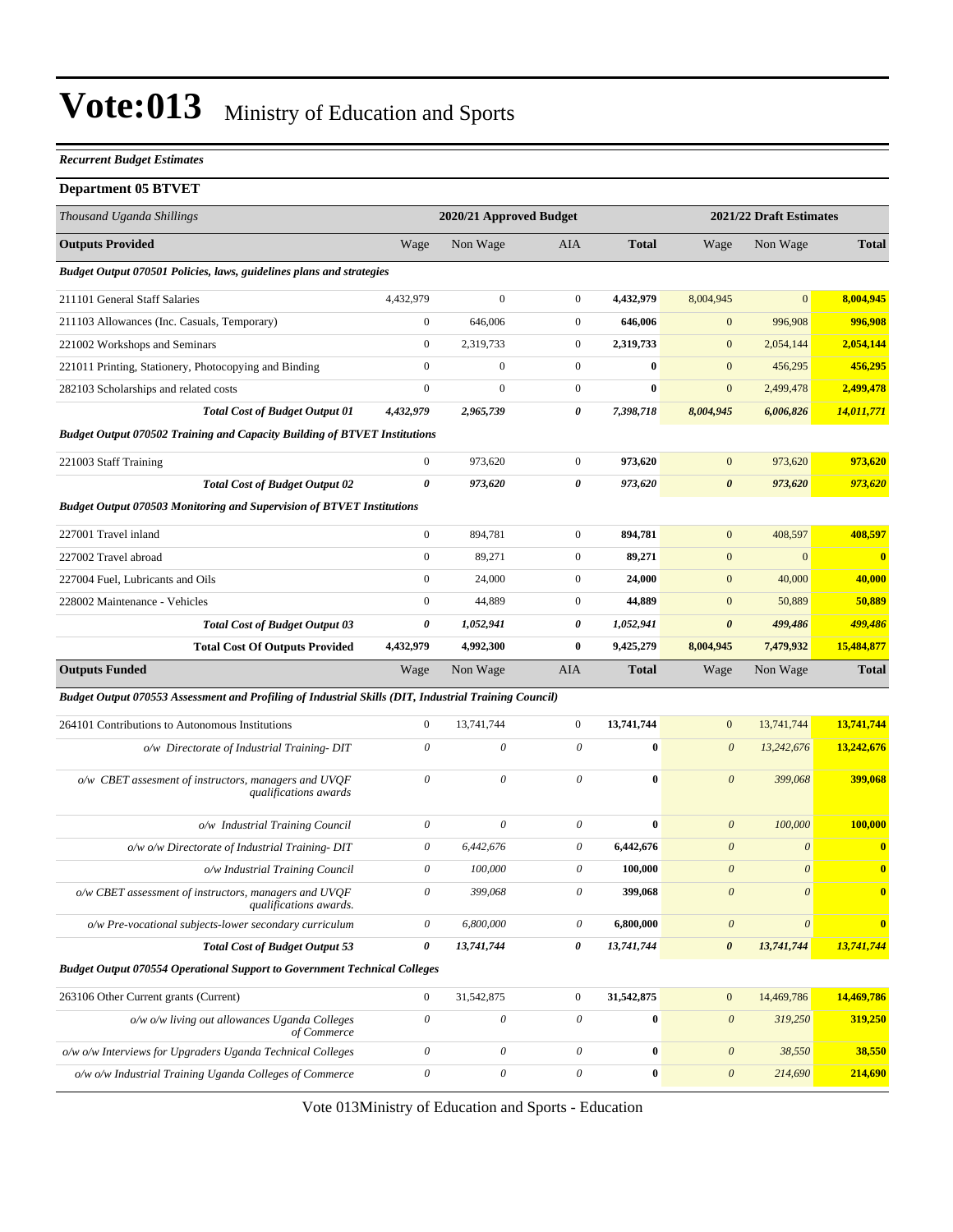#### *Recurrent Budget Estimates*

#### **Department 05 BTVET**

| Thousand Uganda Shillings                                                                             |                           | 2020/21 Approved Budget |                       |              |                           | 2021/22 Draft Estimates |              |  |
|-------------------------------------------------------------------------------------------------------|---------------------------|-------------------------|-----------------------|--------------|---------------------------|-------------------------|--------------|--|
| <b>Outputs Provided</b>                                                                               | Wage                      | Non Wage                | AIA                   | <b>Total</b> | Wage                      | Non Wage                | <b>Total</b> |  |
| Budget Output 070501 Policies, laws, guidelines plans and strategies                                  |                           |                         |                       |              |                           |                         |              |  |
| 211101 General Staff Salaries                                                                         | 4,432,979                 | $\boldsymbol{0}$        | $\mathbf{0}$          | 4,432,979    | 8,004,945                 | $\overline{0}$          | 8,004,945    |  |
| 211103 Allowances (Inc. Casuals, Temporary)                                                           | $\boldsymbol{0}$          | 646,006                 | $\boldsymbol{0}$      | 646,006      | $\boldsymbol{0}$          | 996,908                 | 996,908      |  |
| 221002 Workshops and Seminars                                                                         | $\mathbf{0}$              | 2,319,733               | $\mathbf{0}$          | 2,319,733    | $\mathbf{0}$              | 2,054,144               | 2,054,144    |  |
| 221011 Printing, Stationery, Photocopying and Binding                                                 | $\mathbf{0}$              | $\mathbf{0}$            | $\boldsymbol{0}$      | $\bf{0}$     | $\mathbf{0}$              | 456,295                 | 456,295      |  |
| 282103 Scholarships and related costs                                                                 | $\mathbf{0}$              | $\boldsymbol{0}$        | $\mathbf{0}$          | $\bf{0}$     | $\boldsymbol{0}$          | 2,499,478               | 2,499,478    |  |
| <b>Total Cost of Budget Output 01</b>                                                                 | 4,432,979                 | 2,965,739               | 0                     | 7,398,718    | 8,004,945                 | 6,006,826               | 14,011,771   |  |
| <b>Budget Output 070502 Training and Capacity Building of BTVET Institutions</b>                      |                           |                         |                       |              |                           |                         |              |  |
| 221003 Staff Training                                                                                 | $\boldsymbol{0}$          | 973,620                 | $\mathbf{0}$          | 973,620      | $\boldsymbol{0}$          | 973,620                 | 973,620      |  |
| <b>Total Cost of Budget Output 02</b>                                                                 | $\boldsymbol{\theta}$     | 973,620                 | 0                     | 973,620      | $\pmb{\theta}$            | 973,620                 | 973,620      |  |
| <b>Budget Output 070503 Monitoring and Supervision of BTVET Institutions</b>                          |                           |                         |                       |              |                           |                         |              |  |
| 227001 Travel inland                                                                                  | $\boldsymbol{0}$          | 894,781                 | $\mathbf{0}$          | 894,781      | $\mathbf{0}$              | 408,597                 | 408,597      |  |
| 227002 Travel abroad                                                                                  | $\boldsymbol{0}$          | 89,271                  | $\mathbf{0}$          | 89,271       | $\boldsymbol{0}$          | $\boldsymbol{0}$        | $\bf{0}$     |  |
| 227004 Fuel, Lubricants and Oils                                                                      | $\mathbf{0}$              | 24,000                  | $\mathbf{0}$          | 24,000       | $\mathbf{0}$              | 40,000                  | 40,000       |  |
| 228002 Maintenance - Vehicles                                                                         | $\mathbf{0}$              | 44,889                  | $\boldsymbol{0}$      | 44,889       | $\mathbf{0}$              | 50,889                  | 50,889       |  |
| <b>Total Cost of Budget Output 03</b>                                                                 | 0                         | 1,052,941               | 0                     | 1,052,941    | $\boldsymbol{\theta}$     | 499,486                 | 499,486      |  |
| <b>Total Cost Of Outputs Provided</b>                                                                 | 4,432,979                 | 4,992,300               | $\bf{0}$              | 9,425,279    | 8,004,945                 | 7,479,932               | 15,484,877   |  |
| <b>Outputs Funded</b>                                                                                 | Wage                      | Non Wage                | AIA                   | <b>Total</b> | Wage                      | Non Wage                | <b>Total</b> |  |
| Budget Output 070553 Assessment and Profiling of Industrial Skills (DIT, Industrial Training Council) |                           |                         |                       |              |                           |                         |              |  |
| 264101 Contributions to Autonomous Institutions                                                       | $\boldsymbol{0}$          | 13,741,744              | $\mathbf{0}$          | 13,741,744   | $\mathbf{0}$              | 13,741,744              | 13,741,744   |  |
| o/w Directorate of Industrial Training-DIT                                                            | $\boldsymbol{\mathit{0}}$ | 0                       | 0                     | $\bf{0}$     | $\boldsymbol{\theta}$     | 13,242,676              | 13,242,676   |  |
| o/w CBET assesment of instructors, managers and UVQF<br>qualifications awards                         | $\theta$                  | 0                       | $\theta$              | $\bf{0}$     | $\boldsymbol{\theta}$     | 399,068                 | 399,068      |  |
| o/w Industrial Training Council                                                                       | $\boldsymbol{\mathit{0}}$ | 0                       | $\theta$              | $\bf{0}$     | $\boldsymbol{\mathit{0}}$ | 100,000                 | 100,000      |  |
| o/w o/w Directorate of Industrial Training-DIT                                                        | 0                         | 6.442.676               | 0                     | 6,442,676    | $\boldsymbol{\theta}$     | $\boldsymbol{\theta}$   | $\bf{0}$     |  |
| o/w Industrial Training Council                                                                       | 0                         | 100,000                 | 0                     | 100,000      | $\boldsymbol{\theta}$     | $\theta$                | $\bf{0}$     |  |
| $o/w$ CBET assessment of instructors, managers and UVQF<br>qualifications awards.                     | $\boldsymbol{\mathit{0}}$ | 399,068                 | $\theta$              | 399,068      | $\boldsymbol{\theta}$     | $\theta$                | $\bf{0}$     |  |
| o/w Pre-vocational subjects-lower secondary curriculum                                                | $\theta$                  | 6,800,000               | 0                     | 6,800,000    | $\boldsymbol{\theta}$     | $\boldsymbol{\theta}$   | $\bf{0}$     |  |
| <b>Total Cost of Budget Output 53</b>                                                                 | $\boldsymbol{\theta}$     | 13,741,744              | $\boldsymbol{\theta}$ | 13,741,744   | $\boldsymbol{\theta}$     | 13,741,744              | 13,741,744   |  |
| <b>Budget Output 070554 Operational Support to Government Technical Colleges</b>                      |                           |                         |                       |              |                           |                         |              |  |
| 263106 Other Current grants (Current)                                                                 | $\boldsymbol{0}$          | 31,542,875              | $\overline{0}$        | 31,542,875   | $\mathbf{0}$              | 14,469,786              | 14,469,786   |  |
| o/w o/w living out allowances Uganda Colleges<br>of Commerce                                          | $\boldsymbol{\theta}$     | $\boldsymbol{\theta}$   | $\theta$              | $\bf{0}$     | $\boldsymbol{\theta}$     | 319,250                 | 319,250      |  |
| o/w o/w Interviews for Upgraders Uganda Technical Colleges                                            | $\boldsymbol{\theta}$     | $\boldsymbol{\theta}$   | $\theta$              | $\bf{0}$     | $\boldsymbol{\theta}$     | 38,550                  | 38,550       |  |
| o/w o/w Industrial Training Uganda Colleges of Commerce                                               | $\boldsymbol{\mathit{0}}$ | $\boldsymbol{\theta}$   | $\mathcal O$          | $\bf{0}$     | $\boldsymbol{\mathit{0}}$ | 214,690                 | 214,690      |  |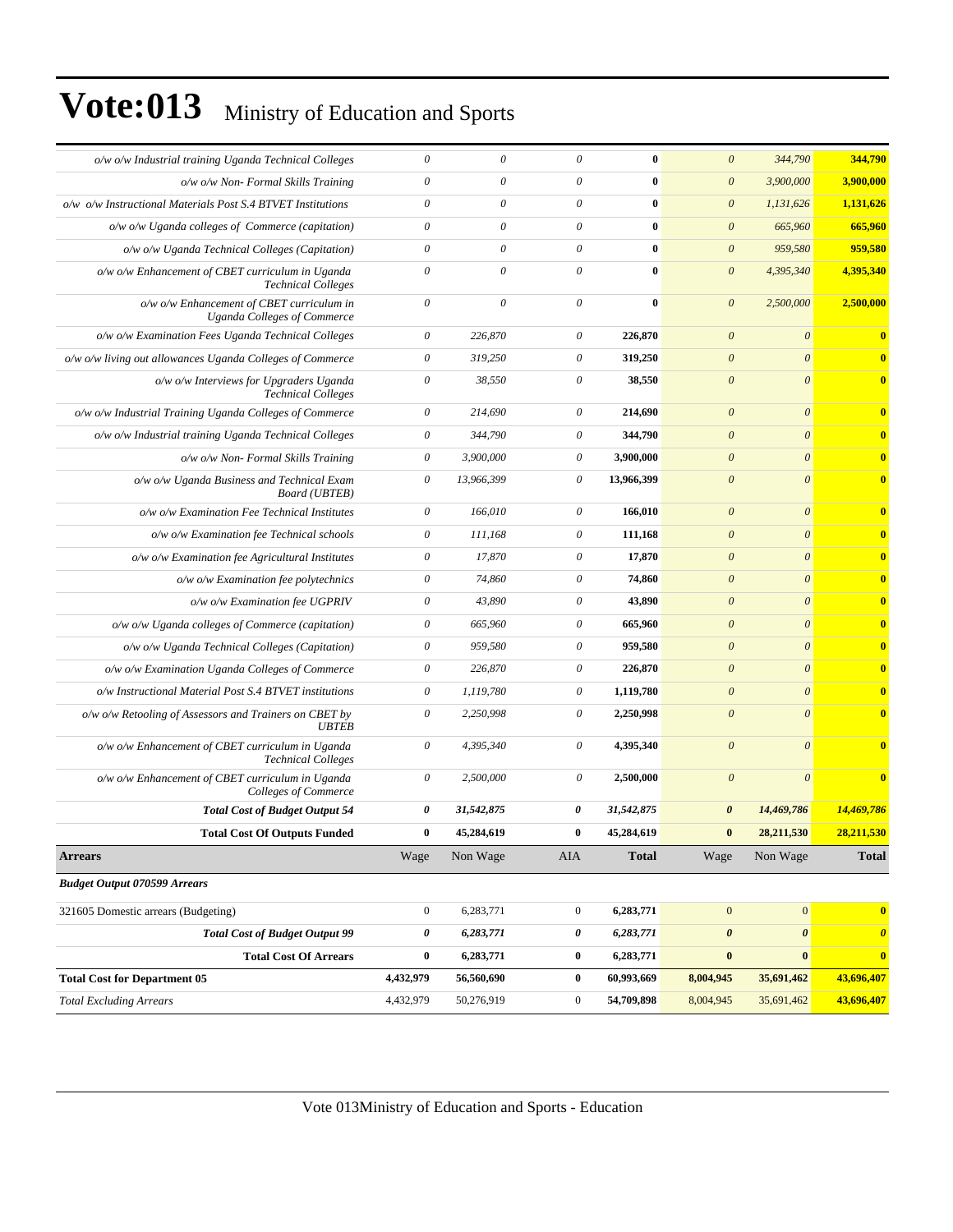| o/w o/w Industrial training Uganda Technical Colleges                           | $\boldsymbol{\theta}$ | $\theta$                  | 0                         | 0            | $\theta$              | 344,790               | 344,790               |
|---------------------------------------------------------------------------------|-----------------------|---------------------------|---------------------------|--------------|-----------------------|-----------------------|-----------------------|
| $o/w$ $o/w$ Non- Formal Skills Training                                         | $\boldsymbol{\theta}$ | $\theta$                  | $\boldsymbol{\theta}$     | $\bf{0}$     | $\theta$              | 3,900,000             | 3,900,000             |
| o/w o/w Instructional Materials Post S.4 BTVET Institutions                     | $\boldsymbol{\theta}$ | $\theta$                  | $\boldsymbol{\theta}$     | $\bf{0}$     | $\boldsymbol{\theta}$ | 1,131,626             | 1,131,626             |
| o/w o/w Uganda colleges of Commerce (capitation)                                | $\boldsymbol{\theta}$ | $\theta$                  | 0                         | $\bf{0}$     | $\boldsymbol{0}$      | 665,960               | 665,960               |
| o/w o/w Uganda Technical Colleges (Capitation)                                  | $\boldsymbol{\theta}$ | $\boldsymbol{\mathit{0}}$ | $\theta$                  | $\bf{0}$     | $\boldsymbol{\theta}$ | 959,580               | 959,580               |
| o/w o/w Enhancement of CBET curriculum in Uganda<br><b>Technical Colleges</b>   | $\theta$              | $\theta$                  | $\theta$                  | $\bf{0}$     | $\boldsymbol{\theta}$ | 4,395,340             | 4,395,340             |
| o/w o/w Enhancement of CBET curriculum in<br><b>Uganda Colleges of Commerce</b> | $\theta$              | $\boldsymbol{\theta}$     | $\boldsymbol{\mathit{0}}$ | $\bf{0}$     | $\boldsymbol{\theta}$ | 2,500,000             | 2,500,000             |
| o/w o/w Examination Fees Uganda Technical Colleges                              | $\theta$              | 226,870                   | $\boldsymbol{\theta}$     | 226,870      | $\boldsymbol{0}$      | $\boldsymbol{\theta}$ | $\bf{0}$              |
| o/w o/w living out allowances Uganda Colleges of Commerce                       | $\boldsymbol{\theta}$ | 319,250                   | $\boldsymbol{\mathit{0}}$ | 319,250      | $\theta$              | $\theta$              | $\bf{0}$              |
| o/w o/w Interviews for Upgraders Uganda<br><b>Technical Colleges</b>            | $\boldsymbol{\theta}$ | 38,550                    | $\boldsymbol{\mathit{0}}$ | 38,550       | $\boldsymbol{\theta}$ | $\theta$              | $\bf{0}$              |
| o/w o/w Industrial Training Uganda Colleges of Commerce                         | $\theta$              | 214,690                   | $\boldsymbol{\theta}$     | 214,690      | $\theta$              | $\theta$              | $\bf{0}$              |
| o/w o/w Industrial training Uganda Technical Colleges                           | $\boldsymbol{\theta}$ | 344,790                   | $\boldsymbol{\mathit{0}}$ | 344,790      | $\boldsymbol{\theta}$ | $\theta$              | $\bf{0}$              |
| $o/w$ $o/w$ Non- Formal Skills Training                                         | $\boldsymbol{\theta}$ | 3,900,000                 | $\boldsymbol{\theta}$     | 3,900,000    | $\boldsymbol{\theta}$ | $\boldsymbol{\theta}$ | $\bf{0}$              |
| o/w o/w Uganda Business and Technical Exam<br><b>Board</b> ( <b>UBTEB</b> )     | $\theta$              | 13,966,399                | $\boldsymbol{\theta}$     | 13,966,399   | $\boldsymbol{\theta}$ | $\theta$              | $\bf{0}$              |
| o/w o/w Examination Fee Technical Institutes                                    | $\boldsymbol{\theta}$ | 166,010                   | $\boldsymbol{\theta}$     | 166,010      | $\boldsymbol{0}$      | $\boldsymbol{\theta}$ | $\mathbf{0}$          |
| o/w o/w Examination fee Technical schools                                       | $\boldsymbol{\theta}$ | 111,168                   | $\boldsymbol{\theta}$     | 111,168      | $\boldsymbol{\theta}$ | $\boldsymbol{\theta}$ | $\bf{0}$              |
| o/w o/w Examination fee Agricultural Institutes                                 | $\theta$              | 17,870                    | $\theta$                  | 17,870       | $\theta$              | $\theta$              | $\bf{0}$              |
| $o/w$ $o/w$ Examination fee polytechnics                                        | $\theta$              | 74,860                    | $\boldsymbol{\theta}$     | 74,860       | $\boldsymbol{\theta}$ | $\boldsymbol{\theta}$ | $\bf{0}$              |
| o/w o/w Examination fee UGPRIV                                                  | $\theta$              | 43,890                    | $\boldsymbol{\mathit{0}}$ | 43,890       | $\boldsymbol{\theta}$ | $\boldsymbol{\theta}$ | $\bf{0}$              |
| o/w o/w Uganda colleges of Commerce (capitation)                                | $\boldsymbol{\theta}$ | 665,960                   | $\boldsymbol{\theta}$     | 665,960      | $\boldsymbol{\theta}$ | $\theta$              | $\bf{0}$              |
| o/w o/w Uganda Technical Colleges (Capitation)                                  | $\boldsymbol{\theta}$ | 959,580                   | $\boldsymbol{\theta}$     | 959,580      | $\boldsymbol{\theta}$ | $\boldsymbol{\theta}$ | $\bf{0}$              |
| o/w o/w Examination Uganda Colleges of Commerce                                 | $\theta$              | 226,870                   | $\theta$                  | 226,870      | $\theta$              | $\boldsymbol{\theta}$ | $\bf{0}$              |
| o/w Instructional Material Post S.4 BTVET institutions                          | $\boldsymbol{\theta}$ | 1,119,780                 | $\theta$                  | 1,119,780    | $\boldsymbol{\theta}$ | $\boldsymbol{\theta}$ | $\bf{0}$              |
| $o/w$ $o/w$ Retooling of Assessors and Trainers on CBET by<br><b>UBTEB</b>      | $\boldsymbol{\theta}$ | 2,250,998                 | $\boldsymbol{\theta}$     | 2,250,998    | $\boldsymbol{\theta}$ | $\boldsymbol{\theta}$ | $\bf{0}$              |
| o/w o/w Enhancement of CBET curriculum in Uganda<br><b>Technical Colleges</b>   | $\boldsymbol{\theta}$ | 4,395,340                 | $\boldsymbol{\theta}$     | 4,395,340    | $\theta$              | $\boldsymbol{\theta}$ | $\bf{0}$              |
| o/w o/w Enhancement of CBET curriculum in Uganda<br>Colleges of Commerce        | $\theta$              | 2,500,000                 | $\boldsymbol{\mathit{0}}$ | 2,500,000    | $\boldsymbol{\theta}$ | $\theta$              | $\bf{0}$              |
| <b>Total Cost of Budget Output 54</b>                                           | 0                     | 31,542,875                | 0                         | 31,542,875   | $\boldsymbol{\theta}$ | 14,469,786            | 14,469,786            |
| <b>Total Cost Of Outputs Funded</b>                                             | $\bf{0}$              | 45,284,619                | $\bf{0}$                  | 45,284,619   | $\bf{0}$              | 28,211,530            | 28,211,530            |
| <b>Arrears</b>                                                                  | Wage                  | Non Wage                  | AIA                       | <b>Total</b> | Wage                  | Non Wage              | <b>Total</b>          |
| <b>Budget Output 070599 Arrears</b>                                             |                       |                           |                           |              |                       |                       |                       |
| 321605 Domestic arrears (Budgeting)                                             | $\mathbf{0}$          | 6,283,771                 | $\boldsymbol{0}$          | 6,283,771    | $\mathbf{0}$          | $\vert 0 \vert$       | $\bf{0}$              |
| <b>Total Cost of Budget Output 99</b>                                           | 0                     | 6,283,771                 | 0                         | 6,283,771    | $\boldsymbol{\theta}$ | $\boldsymbol{\theta}$ | $\boldsymbol{\theta}$ |
| <b>Total Cost Of Arrears</b>                                                    | $\bf{0}$              | 6,283,771                 | $\boldsymbol{0}$          | 6,283,771    | $\pmb{0}$             | $\bf{0}$              | $\bf{0}$              |
| <b>Total Cost for Department 05</b>                                             | 4,432,979             | 56,560,690                | $\boldsymbol{0}$          | 60,993,669   | 8,004,945             | 35,691,462            | 43,696,407            |
| <b>Total Excluding Arrears</b>                                                  | 4,432,979             | 50,276,919                | $\boldsymbol{0}$          | 54,709,898   | 8,004,945             | 35,691,462            | 43,696,407            |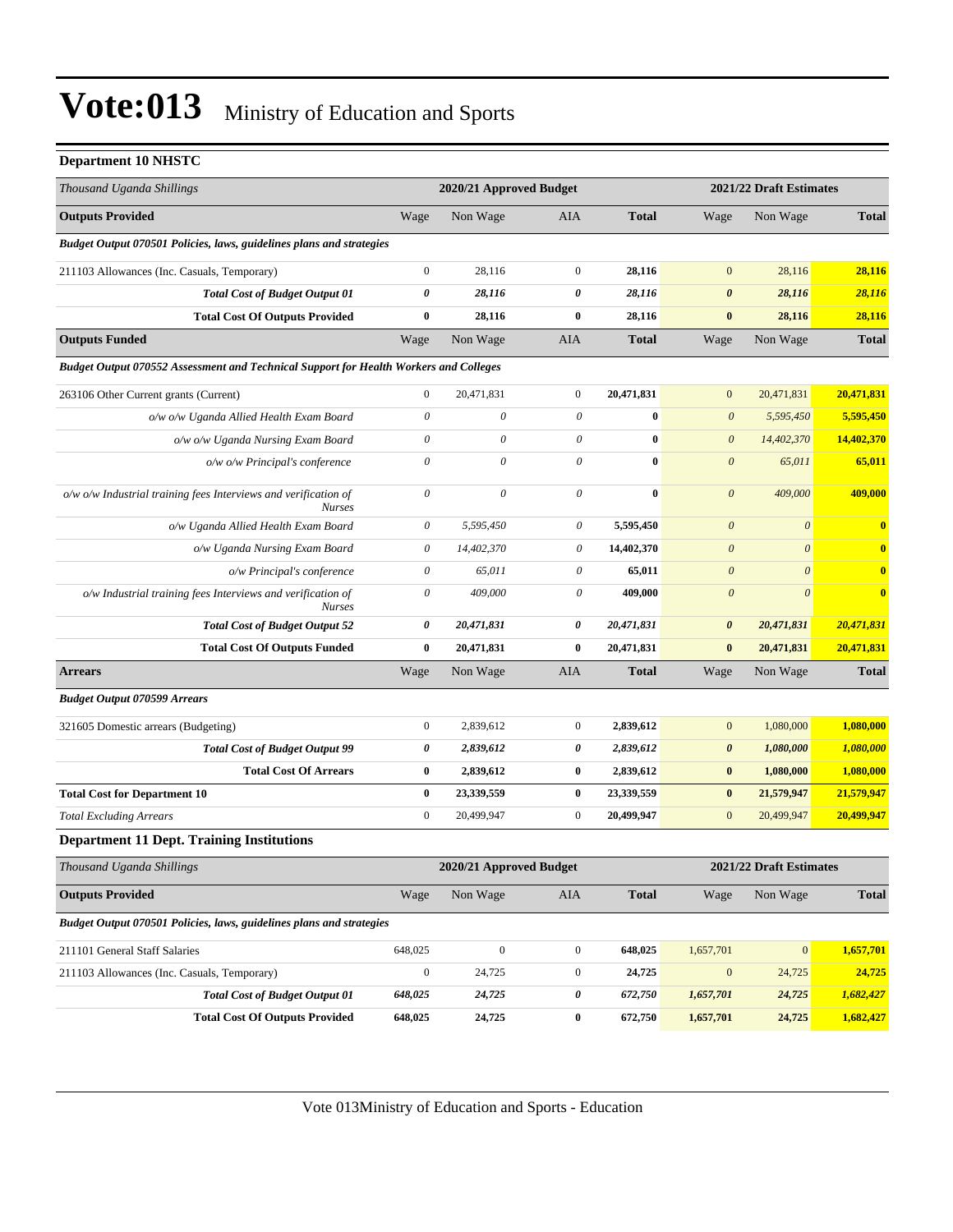#### **Department 10 NHSTC**

| Thousand Uganda Shillings                                                             |                           | 2020/21 Approved Budget |                           |              |                           | 2021/22 Draft Estimates |              |  |
|---------------------------------------------------------------------------------------|---------------------------|-------------------------|---------------------------|--------------|---------------------------|-------------------------|--------------|--|
| <b>Outputs Provided</b>                                                               | Wage                      | Non Wage                | AIA                       | <b>Total</b> | Wage                      | Non Wage                | <b>Total</b> |  |
| Budget Output 070501 Policies, laws, guidelines plans and strategies                  |                           |                         |                           |              |                           |                         |              |  |
| 211103 Allowances (Inc. Casuals, Temporary)                                           | $\boldsymbol{0}$          | 28,116                  | $\mathbf{0}$              | 28,116       | $\mathbf{0}$              | 28,116                  | 28,116       |  |
| <b>Total Cost of Budget Output 01</b>                                                 | 0                         | 28,116                  | 0                         | 28,116       | $\boldsymbol{\theta}$     | 28,116                  | 28,116       |  |
| <b>Total Cost Of Outputs Provided</b>                                                 | $\bf{0}$                  | 28,116                  | $\bf{0}$                  | 28,116       | $\pmb{0}$                 | 28,116                  | 28,116       |  |
| <b>Outputs Funded</b>                                                                 | Wage                      | Non Wage                | <b>AIA</b>                | <b>Total</b> | Wage                      | Non Wage                | <b>Total</b> |  |
| Budget Output 070552 Assessment and Technical Support for Health Workers and Colleges |                           |                         |                           |              |                           |                         |              |  |
| 263106 Other Current grants (Current)                                                 | $\boldsymbol{0}$          | 20,471,831              | $\boldsymbol{0}$          | 20,471,831   | $\boldsymbol{0}$          | 20,471,831              | 20,471,831   |  |
| o/w o/w Uganda Allied Health Exam Board                                               | $\boldsymbol{\mathit{0}}$ | 0                       | $\theta$                  | $\bf{0}$     | $\boldsymbol{\mathit{0}}$ | 5,595,450               | 5,595,450    |  |
| o/w o/w Uganda Nursing Exam Board                                                     | $\theta$                  | 0                       | 0                         | 0            | $\boldsymbol{\mathit{0}}$ | 14,402,370              | 14,402,370   |  |
| o/w o/w Principal's conference                                                        | $\boldsymbol{\theta}$     | 0                       | $\theta$                  | $\bf{0}$     | $\boldsymbol{\theta}$     | 65,011                  | 65,011       |  |
| o/w o/w Industrial training fees Interviews and verification of<br><b>Nurses</b>      | $\theta$                  | $\theta$                | $\theta$                  | $\bf{0}$     | $\boldsymbol{\theta}$     | 409,000                 | 409,000      |  |
| o/w Uganda Allied Health Exam Board                                                   | $\theta$                  | 5,595,450               | 0                         | 5,595,450    | $\boldsymbol{\mathit{0}}$ | $\boldsymbol{\theta}$   | $\bf{0}$     |  |
| o/w Uganda Nursing Exam Board                                                         | $\theta$                  | 14,402,370              | $\boldsymbol{\mathit{0}}$ | 14,402,370   | $\boldsymbol{\theta}$     | $\boldsymbol{\theta}$   | $\bf{0}$     |  |
| o/w Principal's conference                                                            | $\boldsymbol{\theta}$     | 65,011                  | 0                         | 65,011       | $\boldsymbol{\theta}$     | $\boldsymbol{\theta}$   | $\bf{0}$     |  |
| o/w Industrial training fees Interviews and verification of<br><b>Nurses</b>          | $\theta$                  | 409,000                 | 0                         | 409,000      | $\boldsymbol{\theta}$     | $\theta$                | $\mathbf{0}$ |  |
| <b>Total Cost of Budget Output 52</b>                                                 | 0                         | 20,471,831              | 0                         | 20,471,831   | $\pmb{\theta}$            | 20,471,831              | 20,471,831   |  |
| <b>Total Cost Of Outputs Funded</b>                                                   | $\bf{0}$                  | 20,471,831              | $\bf{0}$                  | 20,471,831   | $\bf{0}$                  | 20,471,831              | 20,471,831   |  |
| <b>Arrears</b>                                                                        | Wage                      | Non Wage                | AIA                       | <b>Total</b> | Wage                      | Non Wage                | <b>Total</b> |  |
| <b>Budget Output 070599 Arrears</b>                                                   |                           |                         |                           |              |                           |                         |              |  |
| 321605 Domestic arrears (Budgeting)                                                   | $\boldsymbol{0}$          | 2,839,612               | $\mathbf{0}$              | 2,839,612    | $\mathbf{0}$              | 1,080,000               | 1,080,000    |  |
| <b>Total Cost of Budget Output 99</b>                                                 | 0                         | 2,839,612               | 0                         | 2,839,612    | $\pmb{\theta}$            | 1,080,000               | 1,080,000    |  |
| <b>Total Cost Of Arrears</b>                                                          | $\pmb{0}$                 | 2,839,612               | $\bf{0}$                  | 2,839,612    | $\pmb{0}$                 | 1,080,000               | 1,080,000    |  |
| <b>Total Cost for Department 10</b>                                                   | $\bf{0}$                  | 23,339,559              | $\bf{0}$                  | 23,339,559   | $\pmb{0}$                 | 21,579,947              | 21,579,947   |  |
| <b>Total Excluding Arrears</b>                                                        | $\boldsymbol{0}$          | 20,499,947              | $\mathbf{0}$              | 20,499,947   | $\boldsymbol{0}$          | 20,499,947              | 20,499,947   |  |
| <b>Department 11 Dept. Training Institutions</b>                                      |                           |                         |                           |              |                           |                         |              |  |
| Thousand Uganda Shillings                                                             |                           | 2020/21 Approved Budget |                           |              |                           | 2021/22 Draft Estimates |              |  |
| <b>Outputs Provided</b>                                                               | Wage                      | Non Wage                | AIA                       | <b>Total</b> | Wage                      | Non Wage                | <b>Total</b> |  |
| Budget Output 070501 Policies, laws, guidelines plans and strategies                  |                           |                         |                           |              |                           |                         |              |  |
| 211101 General Staff Salaries                                                         | 648,025                   | $\boldsymbol{0}$        | $\mathbf{0}$              | 648,025      | 1,657,701                 | $\mathbf{0}$            | 1,657,701    |  |
| 211103 Allowances (Inc. Casuals, Temporary)                                           | $\boldsymbol{0}$          | 24,725                  | $\boldsymbol{0}$          | 24,725       | $\boldsymbol{0}$          | 24,725                  | 24,725       |  |
| <b>Total Cost of Budget Output 01</b>                                                 | 648,025                   | 24,725                  | 0                         | 672,750      | 1,657,701                 | 24,725                  | 1,682,427    |  |
| <b>Total Cost Of Outputs Provided</b>                                                 | 648,025                   | 24,725                  | $\bf{0}$                  | 672,750      | 1,657,701                 | 24,725                  | 1,682,427    |  |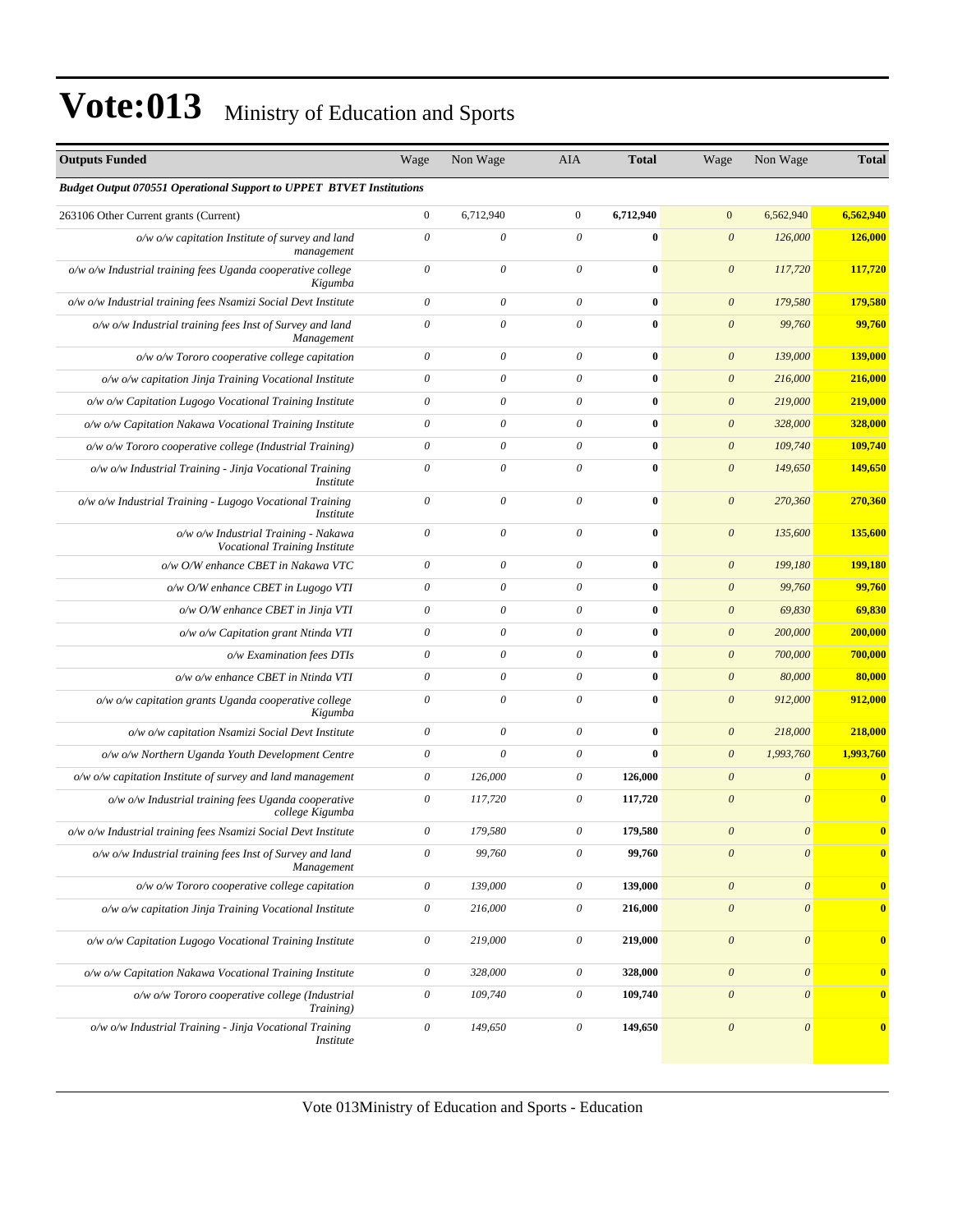| <b>Outputs Funded</b>                                                         | Wage                      | Non Wage                  | AIA                       | <b>Total</b> | Wage                      | Non Wage                  | <b>Total</b> |
|-------------------------------------------------------------------------------|---------------------------|---------------------------|---------------------------|--------------|---------------------------|---------------------------|--------------|
| <b>Budget Output 070551 Operational Support to UPPET BTVET Institutions</b>   |                           |                           |                           |              |                           |                           |              |
| 263106 Other Current grants (Current)                                         | $\boldsymbol{0}$          | 6,712,940                 | $\mathbf{0}$              | 6,712,940    | $\mathbf{0}$              | 6,562,940                 | 6,562,940    |
| $o/w$ $o/w$ capitation Institute of survey and land<br>management             | $\theta$                  | $\boldsymbol{\mathit{0}}$ | $\theta$                  | 0            | $\boldsymbol{\theta}$     | 126,000                   | 126,000      |
| o/w o/w Industrial training fees Uganda cooperative college<br>Kigumba        | $\theta$                  | $\theta$                  | $\theta$                  | $\bf{0}$     | $\boldsymbol{\theta}$     | 117,720                   | 117,720      |
| o/w o/w Industrial training fees Nsamizi Social Devt Institute                | $\theta$                  | $\boldsymbol{\theta}$     | $\theta$                  | $\bf{0}$     | $\boldsymbol{\theta}$     | 179,580                   | 179,580      |
| o/w o/w Industrial training fees Inst of Survey and land<br>Management        | $\theta$                  | $\theta$                  | $\theta$                  | $\bf{0}$     | $\boldsymbol{\theta}$     | 99,760                    | 99,760       |
| o/w o/w Tororo cooperative college capitation                                 | $\boldsymbol{\theta}$     | $\theta$                  | $\theta$                  | $\bf{0}$     | $\boldsymbol{\theta}$     | 139,000                   | 139,000      |
| o/w o/w capitation Jinja Training Vocational Institute                        | $\theta$                  | $\boldsymbol{\theta}$     | 0                         | $\bf{0}$     | $\boldsymbol{\theta}$     | 216,000                   | 216,000      |
| o/w o/w Capitation Lugogo Vocational Training Institute                       | $\boldsymbol{\theta}$     | 0                         | 0                         | $\bf{0}$     | $\boldsymbol{\theta}$     | 219,000                   | 219,000      |
| o/w o/w Capitation Nakawa Vocational Training Institute                       | $\theta$                  | $\boldsymbol{\theta}$     | $\theta$                  | 0            | $\boldsymbol{\theta}$     | 328,000                   | 328,000      |
| o/w o/w Tororo cooperative college (Industrial Training)                      | $\theta$                  | $\boldsymbol{\theta}$     | $\boldsymbol{\theta}$     | $\bf{0}$     | $\boldsymbol{\theta}$     | 109,740                   | 109,740      |
| o/w o/w Industrial Training - Jinja Vocational Training<br><i>Institute</i>   | $\theta$                  | $\boldsymbol{\theta}$     | $\theta$                  | $\bf{0}$     | $\boldsymbol{\theta}$     | 149,650                   | 149,650      |
| o/w o/w Industrial Training - Lugogo Vocational Training<br><i>Institute</i>  | $\boldsymbol{\theta}$     | $\boldsymbol{\theta}$     | $\theta$                  | $\bf{0}$     | $\boldsymbol{\theta}$     | 270,360                   | 270,360      |
| o/w o/w Industrial Training - Nakawa<br>Vocational Training Institute         | $\boldsymbol{\theta}$     | $\boldsymbol{\theta}$     | $\theta$                  | $\bf{0}$     | $\boldsymbol{\theta}$     | 135,600                   | 135,600      |
| o/w O/W enhance CBET in Nakawa VTC                                            | $\theta$                  | $\boldsymbol{\theta}$     | $\theta$                  | $\bf{0}$     | $\boldsymbol{\theta}$     | 199,180                   | 199,180      |
| o/w O/W enhance CBET in Lugogo VTI                                            | $\theta$                  | 0                         | 0                         | $\bf{0}$     | $\boldsymbol{\theta}$     | 99,760                    | 99,760       |
| o/w O/W enhance CBET in Jinja VTI                                             | $\theta$                  | $\theta$                  | $\boldsymbol{\mathit{0}}$ | 0            | $\boldsymbol{\theta}$     | 69,830                    | 69,830       |
| o/w o/w Capitation grant Ntinda VTI                                           | $\theta$                  | $\boldsymbol{\theta}$     | $\boldsymbol{\theta}$     | $\bf{0}$     | $\boldsymbol{\theta}$     | 200,000                   | 200,000      |
| o/w Examination fees DTIs                                                     | $\theta$                  | $\boldsymbol{\theta}$     | $\boldsymbol{\mathit{0}}$ | $\bf{0}$     | $\boldsymbol{\theta}$     | 700,000                   | 700,000      |
| o/w o/w enhance CBET in Ntinda VTI                                            | $\theta$                  | $\boldsymbol{\theta}$     | $\theta$                  | $\bf{0}$     | $\boldsymbol{\theta}$     | 80,000                    | 80,000       |
| o/w o/w capitation grants Uganda cooperative college<br>Kigumba               | $\theta$                  | $\theta$                  | $\theta$                  | $\bf{0}$     | $\boldsymbol{\theta}$     | 912,000                   | 912,000      |
| o/w o/w capitation Nsamizi Social Devt Institute                              | $\theta$                  | $\boldsymbol{\theta}$     | $\theta$                  | $\bf{0}$     | $\boldsymbol{\theta}$     | 218,000                   | 218,000      |
| o/w o/w Northern Uganda Youth Development Centre                              | $\theta$                  | $\theta$                  | 0                         | $\bf{0}$     | $\boldsymbol{\theta}$     | 1,993,760                 | 1,993,760    |
| $o/w$ $o/w$ capitation Institute of survey and land management                | $\boldsymbol{\theta}$     | 126,000                   | $\boldsymbol{\mathit{0}}$ | 126,000      | $\boldsymbol{\theta}$     | $\boldsymbol{\mathit{0}}$ | $\bf{0}$     |
| o/w o/w Industrial training fees Uganda cooperative<br>college Kigumba        | $\boldsymbol{\theta}$     | 117,720                   | 0                         | 117,720      | $\boldsymbol{\theta}$     | $\boldsymbol{\theta}$     | $\bf{0}$     |
| o/w o/w Industrial training fees Nsamizi Social Devt Institute                | $\theta$                  | 179,580                   | 0                         | 179,580      | $\boldsymbol{\theta}$     | $\boldsymbol{\theta}$     | $\bf{0}$     |
| o/w o/w Industrial training fees Inst of Survey and land<br>Management        | $\boldsymbol{\theta}$     | 99,760                    | $\mathcal O$              | 99,760       | $\boldsymbol{\theta}$     | $\boldsymbol{\mathit{0}}$ | $\bf{0}$     |
| o/w o/w Tororo cooperative college capitation                                 | $\boldsymbol{\mathit{0}}$ | 139,000                   | 0                         | 139,000      | $\boldsymbol{\theta}$     | $\boldsymbol{\mathit{0}}$ | $\bf{0}$     |
| o/w o/w capitation Jinja Training Vocational Institute                        | $\boldsymbol{\mathit{0}}$ | 216,000                   | $\mathcal O$              | 216,000      | $\boldsymbol{\mathit{0}}$ | $\boldsymbol{\mathit{0}}$ | $\bf{0}$     |
| o/w o/w Capitation Lugogo Vocational Training Institute                       | $\boldsymbol{\mathit{0}}$ | 219,000                   | 0                         | 219,000      | $\boldsymbol{\theta}$     | $\boldsymbol{\mathit{0}}$ | $\bf{0}$     |
| o/w o/w Capitation Nakawa Vocational Training Institute                       | $\boldsymbol{\theta}$     | 328,000                   | $\mathcal O$              | 328,000      | $\boldsymbol{\theta}$     | $\boldsymbol{\mathit{0}}$ | $\mathbf{0}$ |
| o/w o/w Tororo cooperative college (Industrial<br>Training)                   | $\boldsymbol{\mathit{0}}$ | 109,740                   | 0                         | 109,740      | $\boldsymbol{\theta}$     | $\boldsymbol{\mathit{0}}$ | $\bf{0}$     |
| $o/w$ o/w Industrial Training - Jinja Vocational Training<br><i>Institute</i> | $\theta$                  | 149,650                   | 0                         | 149,650      | $\boldsymbol{\theta}$     | $\boldsymbol{\mathit{0}}$ | $\bf{0}$     |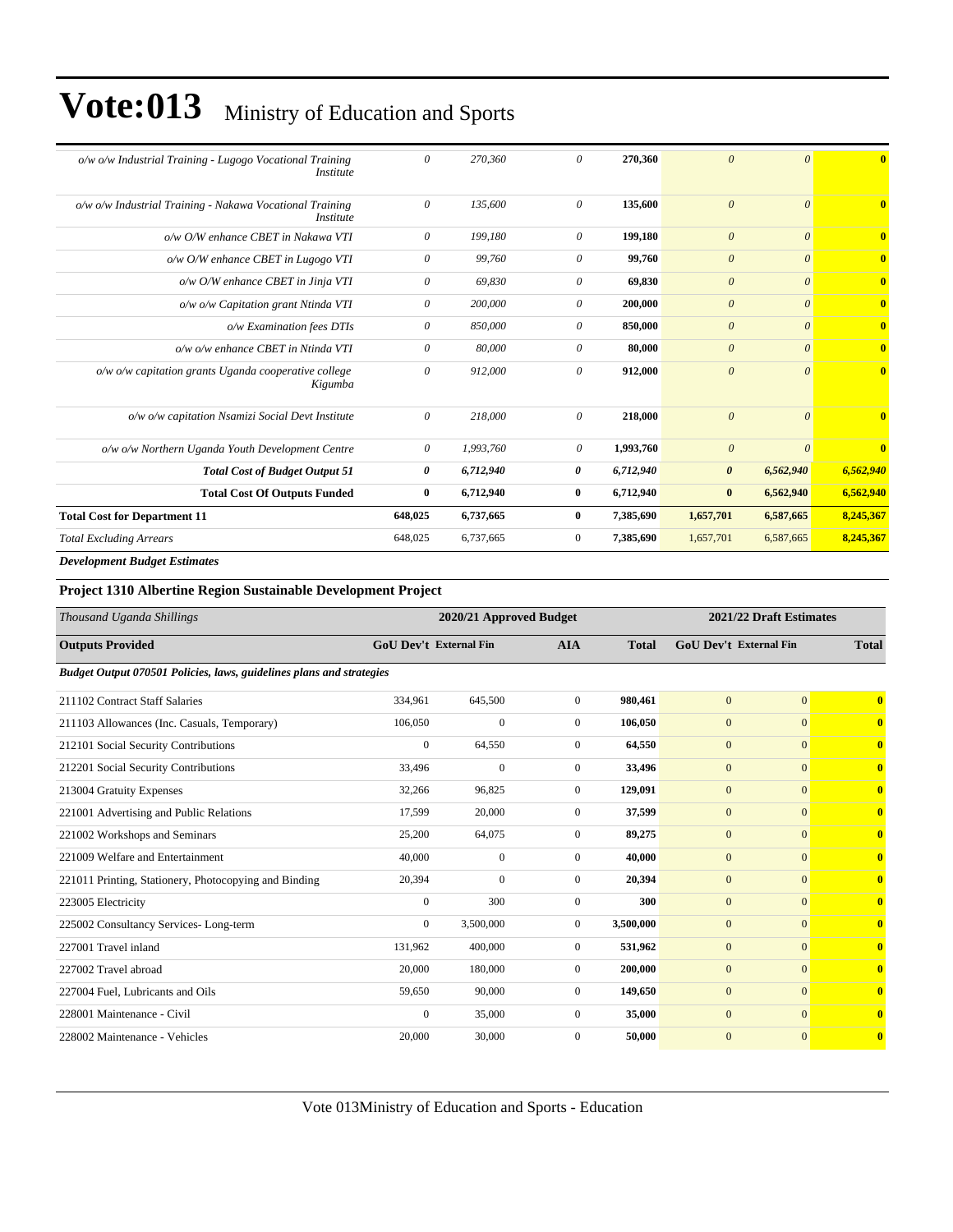| o/w o/w Industrial Training - Lugogo Vocational Training<br>Institute        | $\theta$ | 270,360   | $\theta$     | 270,360   | $\theta$              | $\Omega$  | $\mathbf{0}$   |
|------------------------------------------------------------------------------|----------|-----------|--------------|-----------|-----------------------|-----------|----------------|
| o/w o/w Industrial Training - Nakawa Vocational Training<br><i>Institute</i> | $\theta$ | 135,600   | $\theta$     | 135,600   | $\theta$              | $\Omega$  | $\mathbf{0}$   |
| o/w O/W enhance CBET in Nakawa VTI                                           | 0        | 199,180   | $\theta$     | 199,180   | $\boldsymbol{\theta}$ | $\theta$  | $\mathbf{0}$   |
| o/w O/W enhance CBET in Lugogo VTI                                           | 0        | 99,760    | 0            | 99,760    | $\boldsymbol{\theta}$ | $\theta$  | $\overline{0}$ |
| o/w O/W enhance CBET in Jinja VTI                                            | 0        | 69,830    | 0            | 69,830    | $\boldsymbol{\theta}$ | $\theta$  | $\overline{0}$ |
| o/w o/w Capitation grant Ntinda VTI                                          | $\theta$ | 200,000   | 0            | 200,000   | $\boldsymbol{\theta}$ | $\theta$  | $\overline{0}$ |
| o/w Examination fees DTIs                                                    | 0        | 850,000   | $\theta$     | 850,000   | $\theta$              | $\theta$  | $\overline{0}$ |
| o/w o/w enhance CBET in Ntinda VTI                                           | 0        | 80,000    | 0            | 80,000    | $\theta$              | $\theta$  | $\overline{0}$ |
| o/w o/w capitation grants Uganda cooperative college<br>Kigumba              | $\theta$ | 912,000   | 0            | 912,000   | $\theta$              | $\theta$  | $\overline{0}$ |
| o/w o/w capitation Nsamizi Social Devt Institute                             | 0        | 218,000   | $\theta$     | 218,000   | $\theta$              | $\theta$  | $\overline{0}$ |
| o/w o/w Northern Uganda Youth Development Centre                             | $\theta$ | 1,993,760 | $\theta$     | 1,993,760 | $\theta$              | $\theta$  | $\overline{0}$ |
| <b>Total Cost of Budget Output 51</b>                                        | 0        | 6,712,940 | 0            | 6,712,940 | $\boldsymbol{\theta}$ | 6,562,940 | 6,562,940      |
| <b>Total Cost Of Outputs Funded</b>                                          | $\bf{0}$ | 6,712,940 | $\bf{0}$     | 6,712,940 | $\bf{0}$              | 6,562,940 | 6,562,940      |
| <b>Total Cost for Department 11</b>                                          | 648,025  | 6,737,665 | $\bf{0}$     | 7,385,690 | 1,657,701             | 6,587,665 | 8,245,367      |
| <b>Total Excluding Arrears</b>                                               | 648,025  | 6,737,665 | $\mathbf{0}$ | 7,385,690 | 1,657,701             | 6,587,665 | 8,245,367      |
| $\mathbf{r}$                                                                 |          |           |              |           |                       |           |                |

*Development Budget Estimates*

#### **Project 1310 Albertine Region Sustainable Development Project**

| Thousand Uganda Shillings                                            | 2020/21 Approved Budget |                               |                |              | 2021/22 Draft Estimates       |              |                         |
|----------------------------------------------------------------------|-------------------------|-------------------------------|----------------|--------------|-------------------------------|--------------|-------------------------|
| <b>Outputs Provided</b>                                              |                         | <b>GoU Dev't External Fin</b> | <b>AIA</b>     | <b>Total</b> | <b>GoU Dev't External Fin</b> |              | <b>Total</b>            |
| Budget Output 070501 Policies, laws, guidelines plans and strategies |                         |                               |                |              |                               |              |                         |
| 211102 Contract Staff Salaries                                       | 334,961                 | 645,500                       | $\overline{0}$ | 980,461      | $\mathbf{0}$                  | $\mathbf{0}$ | $\overline{\mathbf{0}}$ |
| 211103 Allowances (Inc. Casuals, Temporary)                          | 106,050                 | $\mathbf{0}$                  | $\mathbf{0}$   | 106.050      | $\mathbf{0}$                  | $\mathbf{0}$ | $\bf{0}$                |
| 212101 Social Security Contributions                                 | $\overline{0}$          | 64,550                        | $\overline{0}$ | 64,550       | $\mathbf{0}$                  | $\mathbf{0}$ | $\mathbf{0}$            |
| 212201 Social Security Contributions                                 | 33,496                  | $\mathbf{0}$                  | $\mathbf{0}$   | 33,496       | $\mathbf{0}$                  | $\mathbf{0}$ | $\overline{\mathbf{0}}$ |
| 213004 Gratuity Expenses                                             | 32,266                  | 96,825                        | $\Omega$       | 129,091      | $\mathbf{0}$                  | $\Omega$     | $\mathbf{0}$            |
| 221001 Advertising and Public Relations                              | 17,599                  | 20,000                        | $\overline{0}$ | 37,599       | $\mathbf{0}$                  | $\mathbf{0}$ | $\mathbf{0}$            |
| 221002 Workshops and Seminars                                        | 25,200                  | 64,075                        | $\mathbf{0}$   | 89,275       | $\mathbf{0}$                  | $\mathbf{0}$ | $\bf{0}$                |
| 221009 Welfare and Entertainment                                     | 40,000                  | $\mathbf{0}$                  | $\overline{0}$ | 40,000       | $\mathbf{0}$                  | $\mathbf{0}$ | $\overline{\mathbf{0}}$ |
| 221011 Printing, Stationery, Photocopying and Binding                | 20,394                  | $\mathbf{0}$                  | $\Omega$       | 20,394       | $\mathbf{0}$                  | $\mathbf{0}$ | $\overline{\mathbf{0}}$ |
| 223005 Electricity                                                   | $\overline{0}$          | 300                           | $\overline{0}$ | 300          | $\mathbf{0}$                  | $\mathbf{0}$ | $\overline{\mathbf{0}}$ |
| 225002 Consultancy Services-Long-term                                | $\overline{0}$          | 3,500,000                     | $\mathbf{0}$   | 3,500,000    | $\mathbf{0}$                  | $\mathbf{0}$ | $\bf{0}$                |
| 227001 Travel inland                                                 | 131,962                 | 400,000                       | $\mathbf{0}$   | 531,962      | $\mathbf{0}$                  | $\mathbf{0}$ | $\overline{\mathbf{0}}$ |
| 227002 Travel abroad                                                 | 20,000                  | 180,000                       | $\mathbf{0}$   | 200,000      | $\mathbf{0}$                  | $\mathbf{0}$ | $\mathbf{0}$            |
| 227004 Fuel, Lubricants and Oils                                     | 59,650                  | 90,000                        | $\mathbf{0}$   | 149,650      | $\mathbf{0}$                  | $\mathbf{0}$ | $\overline{\mathbf{0}}$ |
| 228001 Maintenance - Civil                                           | $\mathbf{0}$            | 35,000                        | $\overline{0}$ | 35,000       | $\mathbf{0}$                  | $\mathbf{0}$ | $\mathbf{0}$            |
| 228002 Maintenance - Vehicles                                        | 20,000                  | 30,000                        | $\mathbf{0}$   | 50,000       | $\mathbf{0}$                  | $\mathbf{0}$ | $\mathbf{0}$            |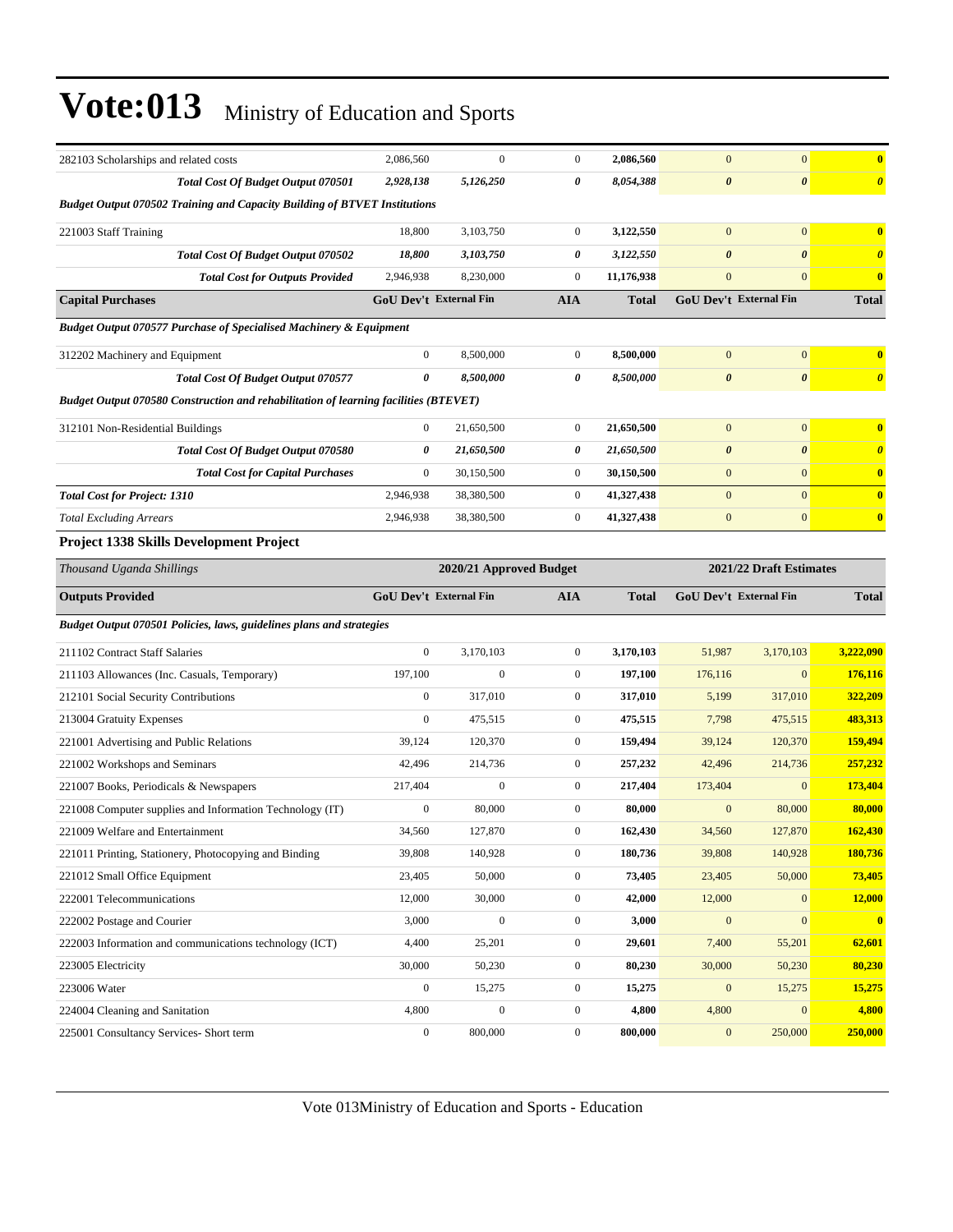| 282103 Scholarships and related costs                                                       | 2,086,560                                          | $\boldsymbol{0}$ | $\boldsymbol{0}$ | 2,086,560    | $\mathbf{0}$           | $\boldsymbol{0}$              | $\overline{\mathbf{0}}$ |
|---------------------------------------------------------------------------------------------|----------------------------------------------------|------------------|------------------|--------------|------------------------|-------------------------------|-------------------------|
| Total Cost Of Budget Output 070501                                                          | 2,928,138                                          | 5,126,250        | 0                | 8,054,388    | $\pmb{\theta}$         | $\pmb{\theta}$                | $\boldsymbol{\theta}$   |
| <b>Budget Output 070502 Training and Capacity Building of BTVET Institutions</b>            |                                                    |                  |                  |              |                        |                               |                         |
| 221003 Staff Training                                                                       | 18,800                                             | 3,103,750        | $\boldsymbol{0}$ | 3,122,550    | $\overline{0}$         | $\mathbf{0}$                  | $\overline{\mathbf{0}}$ |
| <b>Total Cost Of Budget Output 070502</b>                                                   | 18,800                                             | 3,103,750        | 0                | 3,122,550    | $\boldsymbol{\theta}$  | $\boldsymbol{\theta}$         | $\boldsymbol{\theta}$   |
| <b>Total Cost for Outputs Provided</b>                                                      | 2,946,938                                          | 8,230,000        | $\boldsymbol{0}$ | 11,176,938   | $\mathbf{0}$           | $\mathbf{0}$                  | $\bf{0}$                |
| <b>Capital Purchases</b>                                                                    | <b>GoU Dev't External Fin</b>                      |                  | <b>AIA</b>       | <b>Total</b> |                        | <b>GoU Dev't External Fin</b> | <b>Total</b>            |
| Budget Output 070577 Purchase of Specialised Machinery & Equipment                          |                                                    |                  |                  |              |                        |                               |                         |
| 312202 Machinery and Equipment                                                              | $\mathbf{0}$                                       | 8,500,000        | $\boldsymbol{0}$ | 8,500,000    | $\mathbf{0}$           | $\boldsymbol{0}$              | $\bf{0}$                |
| Total Cost Of Budget Output 070577                                                          | 0                                                  | 8,500,000        | 0                | 8,500,000    | $\boldsymbol{\theta}$  | $\pmb{\theta}$                | $\boldsymbol{\theta}$   |
| <b>Budget Output 070580 Construction and rehabilitation of learning facilities (BTEVET)</b> |                                                    |                  |                  |              |                        |                               |                         |
| 312101 Non-Residential Buildings                                                            | $\mathbf{0}$                                       | 21,650,500       | $\boldsymbol{0}$ | 21,650,500   | $\mathbf{0}$           | $\mathbf{0}$                  | $\overline{\mathbf{0}}$ |
| <b>Total Cost Of Budget Output 070580</b>                                                   | 0                                                  | 21,650,500       | 0                | 21,650,500   | $\boldsymbol{\theta}$  | $\boldsymbol{\theta}$         | $\boldsymbol{\theta}$   |
| <b>Total Cost for Capital Purchases</b>                                                     | $\boldsymbol{0}$                                   | 30,150,500       | $\boldsymbol{0}$ | 30,150,500   | $\boldsymbol{0}$       | $\mathbf{0}$                  | $\bf{0}$                |
| <b>Total Cost for Project: 1310</b>                                                         | 2,946,938                                          | 38,380,500       | $\mathbf{0}$     | 41,327,438   | $\mathbf{0}$           | $\mathbf{0}$                  | $\overline{\mathbf{0}}$ |
| <b>Total Excluding Arrears</b>                                                              | 2,946,938                                          | 38,380,500       | $\boldsymbol{0}$ | 41,327,438   | $\boldsymbol{0}$       | $\boldsymbol{0}$              | $\bf{0}$                |
| <b>Project 1338 Skills Development Project</b>                                              |                                                    |                  |                  |              |                        |                               |                         |
| Thousand Uganda Shillings                                                                   | 2021/22 Draft Estimates<br>2020/21 Approved Budget |                  |                  |              |                        |                               |                         |
| <b>Outputs Provided</b>                                                                     | <b>GoU Dev't External Fin</b>                      |                  | <b>AIA</b>       | <b>Total</b> | GoU Dev't External Fin |                               | <b>Total</b>            |
| Budget Output 070501 Policies, laws, guidelines plans and strategies                        |                                                    |                  |                  |              |                        |                               |                         |
| 211102 Contract Staff Salaries                                                              | $\overline{0}$                                     | 3,170,103        | $\boldsymbol{0}$ | 3,170,103    | 51,987                 | 3,170,103                     | 3,222,090               |
| 211103 Allowances (Inc. Casuals, Temporary)                                                 | 197,100                                            | $\mathbf{0}$     | $\boldsymbol{0}$ | 197,100      | 176,116                | $\mathbf{0}$                  | 176,116                 |
| 212101 Social Security Contributions                                                        | $\boldsymbol{0}$                                   | 317,010          | $\boldsymbol{0}$ | 317,010      | 5,199                  | 317,010                       | 322,209                 |
| 213004 Gratuity Expenses                                                                    | $\boldsymbol{0}$                                   | 475,515          | $\boldsymbol{0}$ | 475,515      | 7,798                  | 475,515                       | 483,313                 |
| 221001 Advertising and Public Relations                                                     | 39,124                                             | 120,370          | $\boldsymbol{0}$ | 159,494      | 39,124                 | 120,370                       | 159,494                 |
| 221002 Workshops and Seminars                                                               | 42,496                                             | 214,736          | $\boldsymbol{0}$ | 257,232      | 42,496                 | 214,736                       | 257,232                 |
| 221007 Books, Periodicals & Newspapers                                                      | 217,404                                            | $\mathbf{0}$     | $\boldsymbol{0}$ | 217,404      | 173,404                | $\mathbf{0}$                  | 173,404                 |
| 221008 Computer supplies and Information Technology (IT)                                    | $\boldsymbol{0}$                                   | 80,000           | $\boldsymbol{0}$ | 80,000       | $\overline{0}$         | 80,000                        | 80,000                  |
| 221009 Welfare and Entertainment                                                            | 34,560                                             | 127,870          | $\boldsymbol{0}$ | 162,430      | 34,560                 | 127,870                       | 162,430                 |
| 221011 Printing, Stationery, Photocopying and Binding                                       | 39,808                                             | 140,928          | $\boldsymbol{0}$ | 180,736      | 39,808                 | 140,928                       | 180,736                 |
| 221012 Small Office Equipment                                                               | 23,405                                             | 50,000           | $\boldsymbol{0}$ | 73,405       | 23,405                 | 50,000                        | 73,405                  |
| 222001 Telecommunications                                                                   | 12,000                                             | 30,000           | $\boldsymbol{0}$ | 42,000       | 12,000                 | $\mathbf{0}$                  | 12,000                  |
| 222002 Postage and Courier                                                                  | 3,000                                              | $\boldsymbol{0}$ | $\boldsymbol{0}$ | 3,000        | $\mathbf{0}$           | $\boldsymbol{0}$              | $\bf{0}$                |
| 222003 Information and communications technology (ICT)                                      | 4,400                                              | 25,201           | $\boldsymbol{0}$ | 29,601       | 7,400                  | 55,201                        | 62,601                  |
| 223005 Electricity                                                                          | 30,000                                             | 50,230           | $\boldsymbol{0}$ | 80,230       | 30,000                 | 50,230                        | 80,230                  |
| 223006 Water                                                                                | $\boldsymbol{0}$                                   | 15,275           | $\boldsymbol{0}$ | 15,275       | $\boldsymbol{0}$       | 15,275                        | 15,275                  |
| 224004 Cleaning and Sanitation                                                              | 4,800                                              | $\boldsymbol{0}$ | $\boldsymbol{0}$ | 4,800        | 4,800                  | $\boldsymbol{0}$              | 4,800                   |
| 225001 Consultancy Services- Short term                                                     | $\boldsymbol{0}$                                   | 800,000          | $\boldsymbol{0}$ | 800,000      | $\boldsymbol{0}$       | 250,000                       | 250,000                 |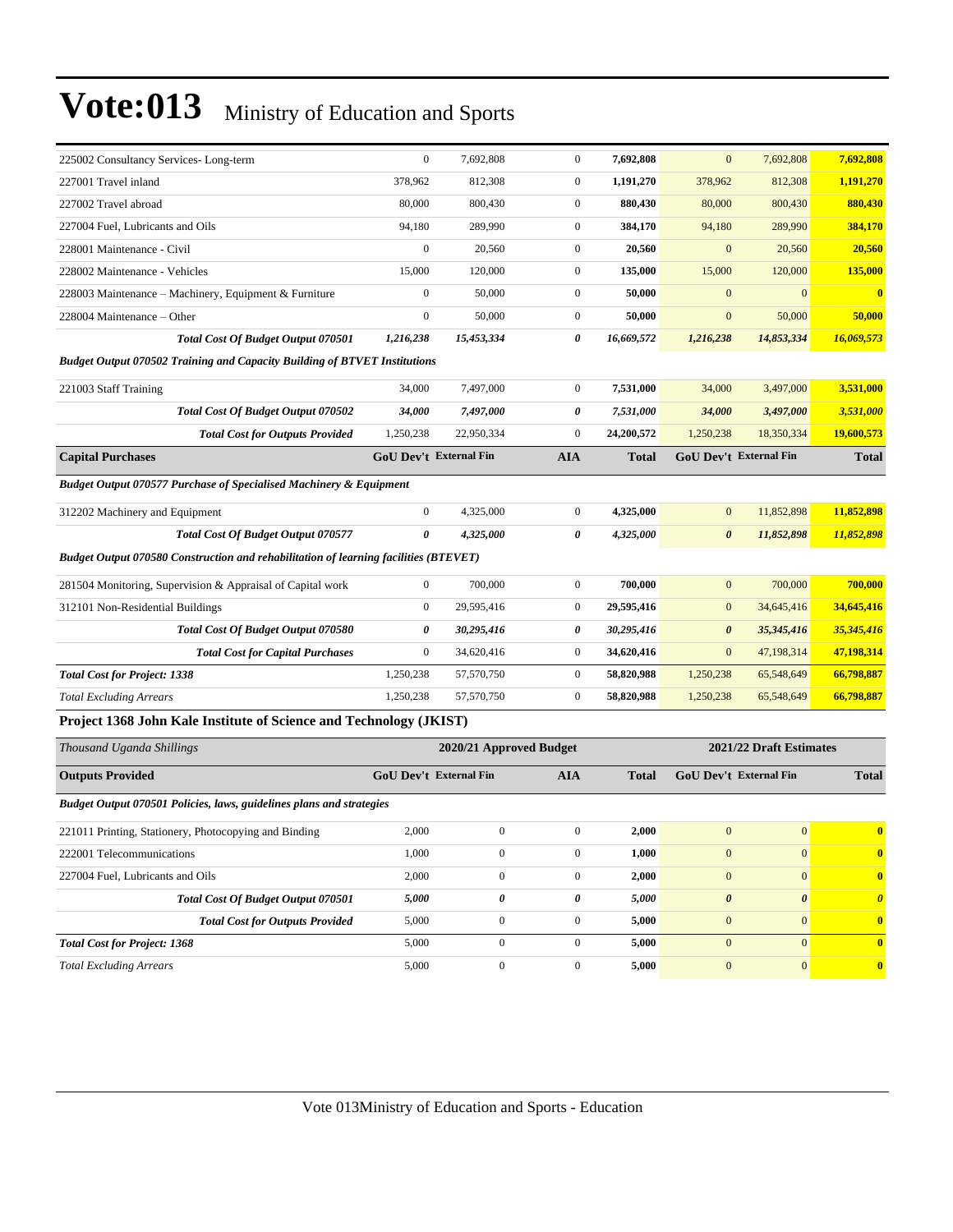| 378,962<br>812,308<br>$\mathbf{0}$<br>1,191,270<br>378,962<br>812,308<br>1,191,270<br>80,000<br>800,430<br>$\mathbf{0}$<br>880,430<br>80,000<br>800,430<br>880,430<br>94.180<br>289,990<br>$\mathbf{0}$<br>384,170<br>94,180<br>289,990<br>384,170<br>$\mathbf{0}$<br>$\boldsymbol{0}$<br>20,560<br>20,560<br>$\mathbf{0}$<br>20,560<br>20,560 |
|------------------------------------------------------------------------------------------------------------------------------------------------------------------------------------------------------------------------------------------------------------------------------------------------------------------------------------------------|
|                                                                                                                                                                                                                                                                                                                                                |
|                                                                                                                                                                                                                                                                                                                                                |
|                                                                                                                                                                                                                                                                                                                                                |
|                                                                                                                                                                                                                                                                                                                                                |
| 15,000<br>$\mathbf{0}$<br>15,000<br>120,000<br>135,000<br>120,000<br>135,000                                                                                                                                                                                                                                                                   |
| $\overline{0}$<br>$\mathbf{0}$<br>$\mathbf{0}$<br>$\mathbf{0}$<br>$\overline{\mathbf{0}}$<br>50,000<br>50,000                                                                                                                                                                                                                                  |
| $\mathbf{0}$<br>50,000<br>50,000<br>50,000<br>$\mathbf{0}$<br>50,000<br>$\mathbf{0}$                                                                                                                                                                                                                                                           |
| 1,216,238<br>14,853,334<br>16,069,573<br>1,216,238<br>15,453,334<br>0<br>16,669,572                                                                                                                                                                                                                                                            |
| <b>Budget Output 070502 Training and Capacity Building of BTVET Institutions</b>                                                                                                                                                                                                                                                               |
| $\mathbf{0}$<br>3,531,000<br>34,000<br>7,497,000<br>7,531,000<br>34,000<br>3,497,000                                                                                                                                                                                                                                                           |
| 34,000<br>7,497,000<br>0<br>7,531,000<br>34,000<br>3,497,000<br>3,531,000                                                                                                                                                                                                                                                                      |
| 22,950,334<br>$\overline{0}$<br>24,200,572<br>1,250,238<br>18,350,334<br>19,600,573<br>1,250,238                                                                                                                                                                                                                                               |
| <b>GoU Dev't External Fin</b><br><b>GoU Dev't External Fin</b><br><b>AIA</b><br><b>Total</b><br><b>Total</b>                                                                                                                                                                                                                                   |
| Budget Output 070577 Purchase of Specialised Machinery & Equipment                                                                                                                                                                                                                                                                             |
| 11,852,898<br>$\mathbf{0}$<br>4,325,000<br>$\boldsymbol{0}$<br>4,325,000<br>11,852,898<br>$\mathbf{0}$                                                                                                                                                                                                                                         |
| $\theta$<br>0<br>11,852,898<br>4.325,000<br>4,325,000<br>$\boldsymbol{\theta}$<br>11,852,898                                                                                                                                                                                                                                                   |
| Budget Output 070580 Construction and rehabilitation of learning facilities (BTEVET)                                                                                                                                                                                                                                                           |
| 700,000<br>$\mathbf{0}$<br>700,000<br>$\boldsymbol{0}$<br>700,000<br>$\mathbf{0}$<br>700,000                                                                                                                                                                                                                                                   |
| $\mathbf{0}$<br>$\mathbf{0}$<br>29,595,416<br>34,645,416<br>29,595,416<br>$\mathbf{0}$<br>34,645,416                                                                                                                                                                                                                                           |
| 0<br>0<br>$\boldsymbol{\theta}$<br>35,345,416<br>35,345,416<br>30,295,416<br>30,295,416                                                                                                                                                                                                                                                        |
| 47,198,314<br>47,198,314<br>$\overline{0}$<br>34,620,416<br>$\overline{0}$<br>34,620,416<br>$\mathbf{0}$                                                                                                                                                                                                                                       |
| $\overline{0}$<br>66,798,887<br>1,250,238<br>57,570,750<br>58,820,988<br>1,250,238<br>65,548,649                                                                                                                                                                                                                                               |
| 66,798,887<br>1,250,238<br>57,570,750<br>$\overline{0}$<br>58,820,988<br>65,548,649<br>1,250,238                                                                                                                                                                                                                                               |
| Project 1368 John Kale Institute of Science and Technology (JKIST)                                                                                                                                                                                                                                                                             |
|                                                                                                                                                                                                                                                                                                                                                |

| Thousand Uganda Shillings                                            |                               | 2020/21 Approved Budget | 2021/22 Draft Estimates |              |                               |                       |                         |
|----------------------------------------------------------------------|-------------------------------|-------------------------|-------------------------|--------------|-------------------------------|-----------------------|-------------------------|
| <b>Outputs Provided</b>                                              | <b>GoU Dev't External Fin</b> |                         | <b>AIA</b>              | <b>Total</b> | <b>GoU</b> Dev't External Fin | <b>Total</b>          |                         |
| Budget Output 070501 Policies, laws, guidelines plans and strategies |                               |                         |                         |              |                               |                       |                         |
| 221011 Printing, Stationery, Photocopying and Binding                | 2,000                         | 0                       | $\overline{0}$          | 2,000        | $\mathbf{0}$                  | $\mathbf{0}$          | $\mathbf{0}$            |
| 222001 Telecommunications                                            | 1,000                         | 0                       | $\mathbf{0}$            | 1,000        | $\overline{0}$                | $\mathbf{0}$          | $\mathbf{0}$            |
| 227004 Fuel, Lubricants and Oils                                     | 2,000                         | 0                       | $\overline{0}$          | 2,000        | $\overline{0}$                | $\Omega$              | $\overline{\mathbf{0}}$ |
| <b>Total Cost Of Budget Output 070501</b>                            | 5,000                         | 0                       | 0                       | 5,000        | $\boldsymbol{\theta}$         | $\boldsymbol{\theta}$ | $\theta$                |
| <b>Total Cost for Outputs Provided</b>                               | 5,000                         | 0                       | $\overline{0}$          | 5,000        | $\overline{0}$                | $\Omega$              | $\mathbf{0}$            |
| <b>Total Cost for Project: 1368</b>                                  | 5,000                         | $\Omega$                | $\Omega$                | 5,000        | $\theta$                      | $\Omega$              | $\mathbf{0}$            |
| <b>Total Excluding Arrears</b>                                       | 5,000                         | 0                       | $\overline{0}$          | 5,000        | $\overline{0}$                | $\mathbf{0}$          | $\mathbf{0}$            |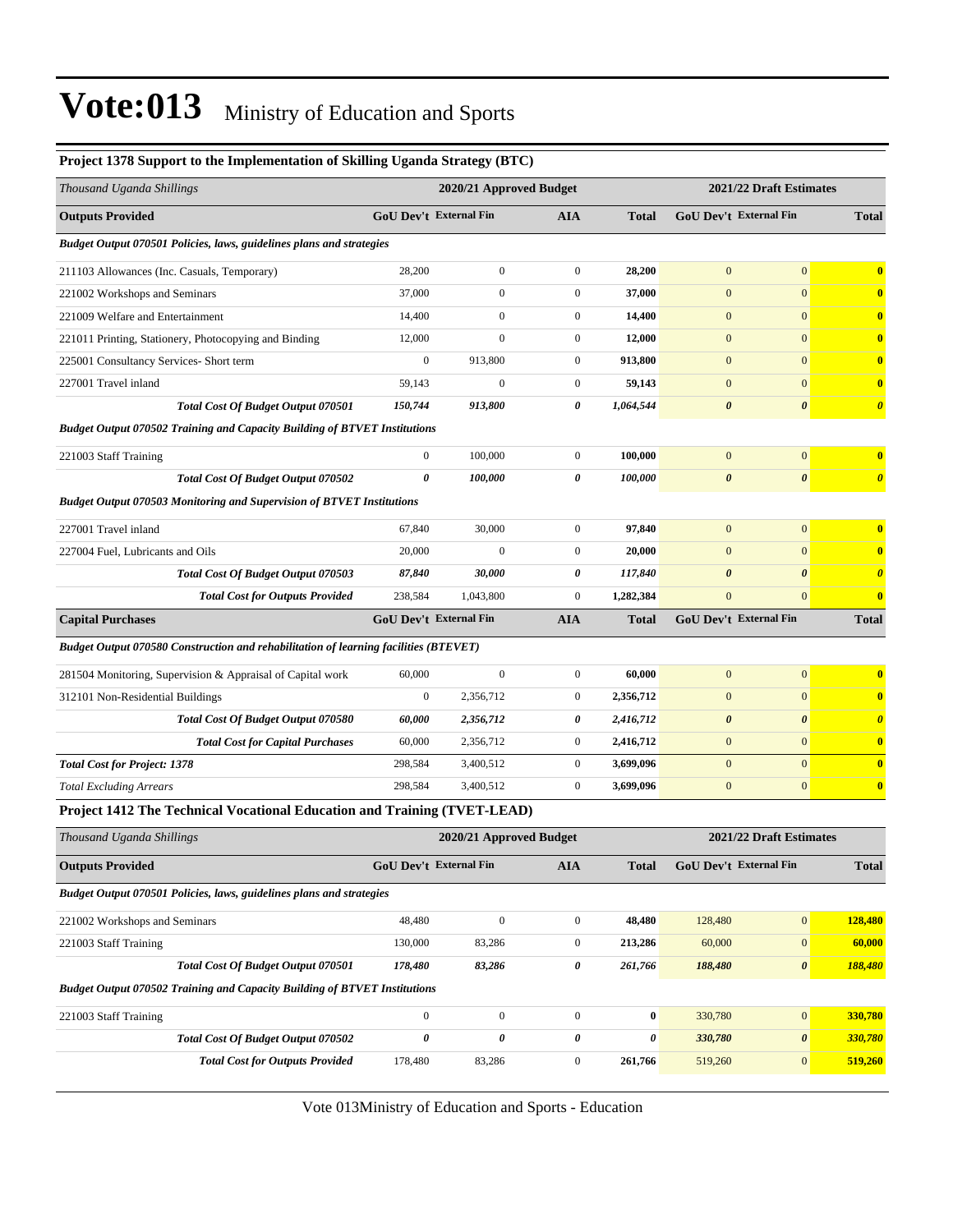| Project 1378 Support to the Implementation of Skilling Uganda Strategy (BTC)         |                  |                               |                  |                  |                        |                         |                                  |
|--------------------------------------------------------------------------------------|------------------|-------------------------------|------------------|------------------|------------------------|-------------------------|----------------------------------|
| Thousand Uganda Shillings                                                            |                  | 2020/21 Approved Budget       |                  |                  |                        | 2021/22 Draft Estimates |                                  |
| <b>Outputs Provided</b>                                                              |                  | GoU Dev't External Fin        | <b>AIA</b>       | <b>Total</b>     |                        | GoU Dev't External Fin  | <b>Total</b>                     |
| Budget Output 070501 Policies, laws, guidelines plans and strategies                 |                  |                               |                  |                  |                        |                         |                                  |
| 211103 Allowances (Inc. Casuals, Temporary)                                          | 28,200           | $\boldsymbol{0}$              | $\boldsymbol{0}$ | 28,200           | $\mathbf{0}$           | $\mathbf{0}$            | $\bf{0}$                         |
| 221002 Workshops and Seminars                                                        | 37,000           | $\overline{0}$                | $\boldsymbol{0}$ | 37,000           | $\mathbf{0}$           | $\overline{0}$          | $\bf{0}$                         |
| 221009 Welfare and Entertainment                                                     | 14,400           | $\boldsymbol{0}$              | $\boldsymbol{0}$ | 14,400           | $\mathbf{0}$           | $\mathbf{0}$            | $\bf{0}$                         |
| 221011 Printing, Stationery, Photocopying and Binding                                | 12,000           | $\boldsymbol{0}$              | $\boldsymbol{0}$ | 12,000           | $\boldsymbol{0}$       | $\mathbf{0}$            | $\bf{0}$                         |
| 225001 Consultancy Services- Short term                                              | $\boldsymbol{0}$ | 913,800                       | $\boldsymbol{0}$ | 913,800          | $\mathbf{0}$           | $\mathbf{0}$            | $\bf{0}$                         |
| 227001 Travel inland                                                                 | 59,143           | $\overline{0}$                | $\boldsymbol{0}$ | 59,143           | $\mathbf{0}$           | $\mathbf{0}$            | $\bf{0}$                         |
| <b>Total Cost Of Budget Output 070501</b>                                            | 150,744          | 913,800                       | 0                | 1,064,544        | $\pmb{\theta}$         | $\boldsymbol{\theta}$   | $\boldsymbol{\theta}$            |
| <b>Budget Output 070502 Training and Capacity Building of BTVET Institutions</b>     |                  |                               |                  |                  |                        |                         |                                  |
| 221003 Staff Training                                                                | $\boldsymbol{0}$ | 100,000                       | $\boldsymbol{0}$ | 100,000          | $\mathbf{0}$           | $\mathbf{0}$            | $\bf{0}$                         |
| <b>Total Cost Of Budget Output 070502</b>                                            | $\pmb{\theta}$   | 100,000                       | 0                | 100,000          | $\boldsymbol{\theta}$  | $\boldsymbol{\theta}$   | $\boldsymbol{\theta}$            |
| Budget Output 070503 Monitoring and Supervision of BTVET Institutions                |                  |                               |                  |                  |                        |                         |                                  |
| 227001 Travel inland                                                                 | 67,840           | 30,000                        | $\boldsymbol{0}$ | 97,840           | $\mathbf{0}$           | $\mathbf{0}$            | $\bf{0}$                         |
| 227004 Fuel, Lubricants and Oils                                                     | 20,000           | $\mathbf{0}$                  | $\boldsymbol{0}$ | 20,000           | $\mathbf{0}$           | $\mathbf{0}$            | $\bf{0}$                         |
| Total Cost Of Budget Output 070503                                                   | 87,840           | 30,000                        | 0                | 117,840          | $\boldsymbol{\theta}$  | $\boldsymbol{\theta}$   | $\overline{\boldsymbol{\theta}}$ |
| <b>Total Cost for Outputs Provided</b>                                               | 238,584          | 1,043,800                     | $\boldsymbol{0}$ | 1,282,384        | $\mathbf{0}$           | $\mathbf{0}$            | $\bf{0}$                         |
| <b>Capital Purchases</b>                                                             |                  | <b>GoU Dev't External Fin</b> | <b>AIA</b>       | <b>Total</b>     | GoU Dev't External Fin |                         | <b>Total</b>                     |
| Budget Output 070580 Construction and rehabilitation of learning facilities (BTEVET) |                  |                               |                  |                  |                        |                         |                                  |
| 281504 Monitoring, Supervision & Appraisal of Capital work                           | 60,000           | $\boldsymbol{0}$              | $\boldsymbol{0}$ | 60,000           | $\boldsymbol{0}$       | $\boldsymbol{0}$        | $\bf{0}$                         |
| 312101 Non-Residential Buildings                                                     | $\boldsymbol{0}$ | 2,356,712                     | $\boldsymbol{0}$ | 2,356,712        | $\mathbf{0}$           | $\mathbf{0}$            | $\bf{0}$                         |
| Total Cost Of Budget Output 070580                                                   | 60,000           | 2,356,712                     | 0                | 2,416,712        | $\boldsymbol{\theta}$  | $\boldsymbol{\theta}$   | $\boldsymbol{\theta}$            |
| <b>Total Cost for Capital Purchases</b>                                              | 60,000           | 2,356,712                     | $\boldsymbol{0}$ | 2,416,712        | $\boldsymbol{0}$       | $\mathbf{0}$            | $\bf{0}$                         |
| <b>Total Cost for Project: 1378</b>                                                  | 298,584          | 3,400,512                     | $\boldsymbol{0}$ | 3,699,096        | $\mathbf{0}$           | $\mathbf{0}$            | $\bf{0}$                         |
| <b>Total Excluding Arrears</b>                                                       | 298,584          | 3,400,512                     | $\boldsymbol{0}$ | 3,699,096        | $\boldsymbol{0}$       | $\boldsymbol{0}$        | $\bf{0}$                         |
| Project 1412 The Technical Vocational Education and Training (TVET-LEAD)             |                  |                               |                  |                  |                        |                         |                                  |
| Thousand Uganda Shillings                                                            |                  | 2020/21 Approved Budget       |                  |                  |                        | 2021/22 Draft Estimates |                                  |
| <b>Outputs Provided</b>                                                              |                  | <b>GoU Dev't External Fin</b> | <b>AIA</b>       | <b>Total</b>     | GoU Dev't External Fin |                         | <b>Total</b>                     |
| Budget Output 070501 Policies, laws, guidelines plans and strategies                 |                  |                               |                  |                  |                        |                         |                                  |
| 221002 Workshops and Seminars                                                        | 48,480           | $\boldsymbol{0}$              | $\boldsymbol{0}$ | 48,480           | 128,480                | $\boldsymbol{0}$        | 128,480                          |
| 221003 Staff Training                                                                | 130,000          | 83,286                        | $\boldsymbol{0}$ | 213,286          | 60,000                 | $\boldsymbol{0}$        | 60,000                           |
| Total Cost Of Budget Output 070501                                                   | 178,480          | 83,286                        | 0                | 261,766          | 188,480                | $\boldsymbol{\theta}$   | 188,480                          |
| <b>Budget Output 070502 Training and Capacity Building of BTVET Institutions</b>     |                  |                               |                  |                  |                        |                         |                                  |
| 221003 Staff Training                                                                | $\boldsymbol{0}$ | $\boldsymbol{0}$              | $\boldsymbol{0}$ | $\boldsymbol{0}$ | 330,780                | $\boldsymbol{0}$        | 330,780                          |
| Total Cost Of Budget Output 070502                                                   | $\pmb{\theta}$   | 0                             | 0                | 0                | 330,780                | $\boldsymbol{\theta}$   | 330,780                          |
| <b>Total Cost for Outputs Provided</b>                                               | 178,480          | 83,286                        | $\boldsymbol{0}$ | 261,766          | 519,260                | $\mathbf{0}$            | 519,260                          |
|                                                                                      |                  |                               |                  |                  |                        |                         |                                  |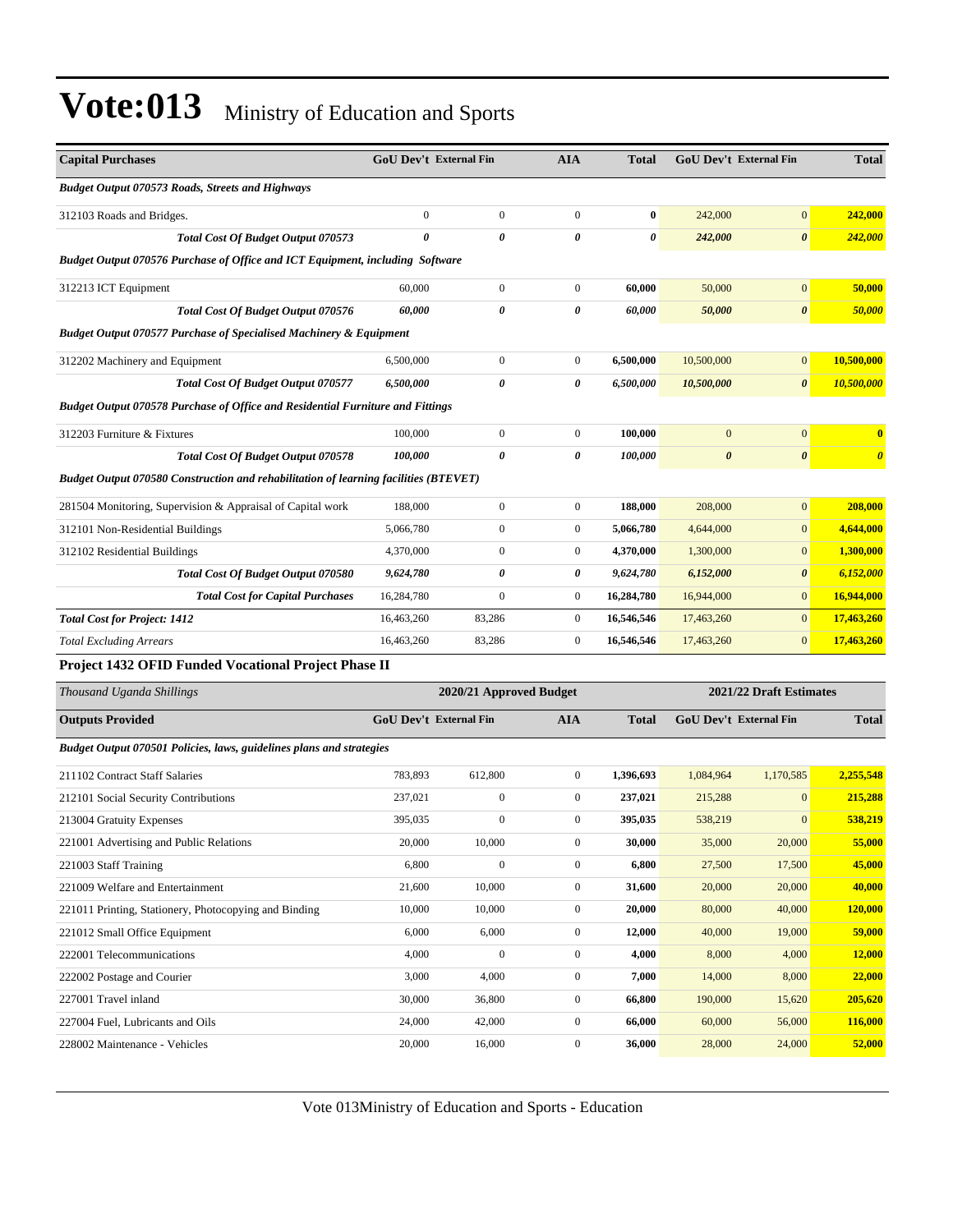| <b>Capital Purchases</b>                                                              | GoU Dev't External Fin |                         | <b>AIA</b>            | <b>Total</b> |                         | <b>GoU Dev't External Fin</b> | <b>Total</b>          |
|---------------------------------------------------------------------------------------|------------------------|-------------------------|-----------------------|--------------|-------------------------|-------------------------------|-----------------------|
| <b>Budget Output 070573 Roads, Streets and Highways</b>                               |                        |                         |                       |              |                         |                               |                       |
| 312103 Roads and Bridges.                                                             | $\overline{0}$         | $\boldsymbol{0}$        | $\boldsymbol{0}$      | $\bf{0}$     | 242,000                 | $\boldsymbol{0}$              | 242,000               |
| <b>Total Cost Of Budget Output 070573</b>                                             | 0                      | 0                       | $\boldsymbol{\theta}$ | $\theta$     | 242,000                 | $\pmb{\theta}$                | <b>242,000</b>        |
| Budget Output 070576 Purchase of Office and ICT Equipment, including Software         |                        |                         |                       |              |                         |                               |                       |
| 312213 ICT Equipment                                                                  | 60,000                 | $\boldsymbol{0}$        | $\boldsymbol{0}$      | 60,000       | 50,000                  | $\boldsymbol{0}$              | 50,000                |
| Total Cost Of Budget Output 070576                                                    | 60,000                 | 0                       | 0                     | 60,000       | 50,000                  | $\pmb{\theta}$                | 50,000                |
| <b>Budget Output 070577 Purchase of Specialised Machinery &amp; Equipment</b>         |                        |                         |                       |              |                         |                               |                       |
| 312202 Machinery and Equipment                                                        | 6,500,000              | $\boldsymbol{0}$        | $\boldsymbol{0}$      | 6,500,000    | 10,500,000              | $\mathbf{0}$                  | 10,500,000            |
| <b>Total Cost Of Budget Output 070577</b>                                             | 6,500,000              | 0                       | 0                     | 6,500,000    | 10,500,000              | $\boldsymbol{\theta}$         | 10,500,000            |
| <b>Budget Output 070578 Purchase of Office and Residential Furniture and Fittings</b> |                        |                         |                       |              |                         |                               |                       |
| 312203 Furniture & Fixtures                                                           | 100,000                | $\boldsymbol{0}$        | $\boldsymbol{0}$      | 100,000      | $\overline{0}$          | $\mathbf{0}$                  | $\bf{0}$              |
| Total Cost Of Budget Output 070578                                                    | 100,000                | 0                       | 0                     | 100,000      | $\boldsymbol{\theta}$   | $\boldsymbol{\theta}$         | $\boldsymbol{\theta}$ |
| Budget Output 070580 Construction and rehabilitation of learning facilities (BTEVET)  |                        |                         |                       |              |                         |                               |                       |
| 281504 Monitoring, Supervision & Appraisal of Capital work                            | 188,000                | $\boldsymbol{0}$        | $\mathbf{0}$          | 188,000      | 208,000                 | $\mathbf{0}$                  | 208,000               |
| 312101 Non-Residential Buildings                                                      | 5,066,780              | $\mathbf{0}$            | $\boldsymbol{0}$      | 5,066,780    | 4,644,000               | $\mathbf{0}$                  | 4,644,000             |
| 312102 Residential Buildings                                                          | 4,370,000              | $\mathbf{0}$            | $\boldsymbol{0}$      | 4,370,000    | 1,300,000               | $\mathbf{0}$                  | 1,300,000             |
| <b>Total Cost Of Budget Output 070580</b>                                             | 9,624,780              | 0                       | 0                     | 9,624,780    | 6,152,000               | $\boldsymbol{\theta}$         | 6,152,000             |
| <b>Total Cost for Capital Purchases</b>                                               | 16,284,780             | $\mathbf{0}$            | $\boldsymbol{0}$      | 16,284,780   | 16,944,000              | $\mathbf{0}$                  | 16,944,000            |
| <b>Total Cost for Project: 1412</b>                                                   | 16,463,260             | 83,286                  | $\boldsymbol{0}$      | 16,546,546   | 17,463,260              | $\mathbf{0}$                  | 17,463,260            |
| <b>Total Excluding Arrears</b>                                                        | 16,463,260             | 83,286                  | $\boldsymbol{0}$      | 16,546,546   | 17,463,260              | $\mathbf{0}$                  | 17,463,260            |
| Project 1432 OFID Funded Vocational Project Phase II                                  |                        |                         |                       |              |                         |                               |                       |
| Thousand Uganda Shillings                                                             |                        | 2020/21 Approved Budget |                       |              | 2021/22 Draft Estimates |                               |                       |
| <b>Outputs Provided</b>                                                               | GoU Dev't External Fin |                         | <b>AIA</b>            | <b>Total</b> |                         | GoU Dev't External Fin        | <b>Total</b>          |
| Budget Output 070501 Policies, laws, guidelines plans and strategies                  |                        |                         |                       |              |                         |                               |                       |
| 211102 Contract Staff Salaries                                                        | 783,893                | 612,800                 | $\boldsymbol{0}$      | 1,396,693    | 1,084,964               | 1,170,585                     | 2,255,548             |
| 212101 Social Security Contributions                                                  | 237,021                | $\boldsymbol{0}$        | $\boldsymbol{0}$      | 237,021      | 215,288                 | $\mathbf{0}$                  | 215,288               |
| 213004 Gratuity Expenses                                                              | 395,035                | $\boldsymbol{0}$        | $\boldsymbol{0}$      | 395,035      | 538,219                 | $\mathbf{0}$                  | 538,219               |
| 221001 Advertising and Public Relations                                               | 20,000                 | 10,000                  | $\bf{0}$              | 30,000       | 35,000                  | 20,000                        | <u>55,000</u>         |
| 221003 Staff Training                                                                 | 6,800                  | $\boldsymbol{0}$        | $\mathbf{0}$          | 6,800        | 27,500                  | 17,500                        | 45,000                |
| 221009 Welfare and Entertainment                                                      | 21,600                 | 10,000                  | $\boldsymbol{0}$      | 31,600       | 20,000                  | 20,000                        | 40,000                |
| 221011 Printing, Stationery, Photocopying and Binding                                 | 10,000                 | 10,000                  | $\boldsymbol{0}$      | 20,000       | 80,000                  | 40,000                        | 120,000               |
| 221012 Small Office Equipment                                                         | 6,000                  | 6,000                   | $\boldsymbol{0}$      | 12,000       | 40,000                  | 19,000                        | 59,000                |
| 222001 Telecommunications                                                             | 4,000                  | $\boldsymbol{0}$        | $\boldsymbol{0}$      | 4,000        | 8,000                   | 4,000                         | 12,000                |
| 222002 Postage and Courier                                                            | 3,000                  | 4,000                   | $\boldsymbol{0}$      | 7,000        | 14,000                  | 8,000                         | 22,000                |
| 227001 Travel inland                                                                  | 30,000                 | 36,800                  | $\boldsymbol{0}$      | 66,800       | 190,000                 | 15,620                        | 205,620               |
| 227004 Fuel, Lubricants and Oils                                                      | 24,000                 | 42,000                  | $\boldsymbol{0}$      | 66,000       | 60,000                  | 56,000                        | 116,000               |
| 228002 Maintenance - Vehicles                                                         | 20,000                 | 16,000                  | $\boldsymbol{0}$      | 36,000       | 28,000                  | 24,000                        | 52,000                |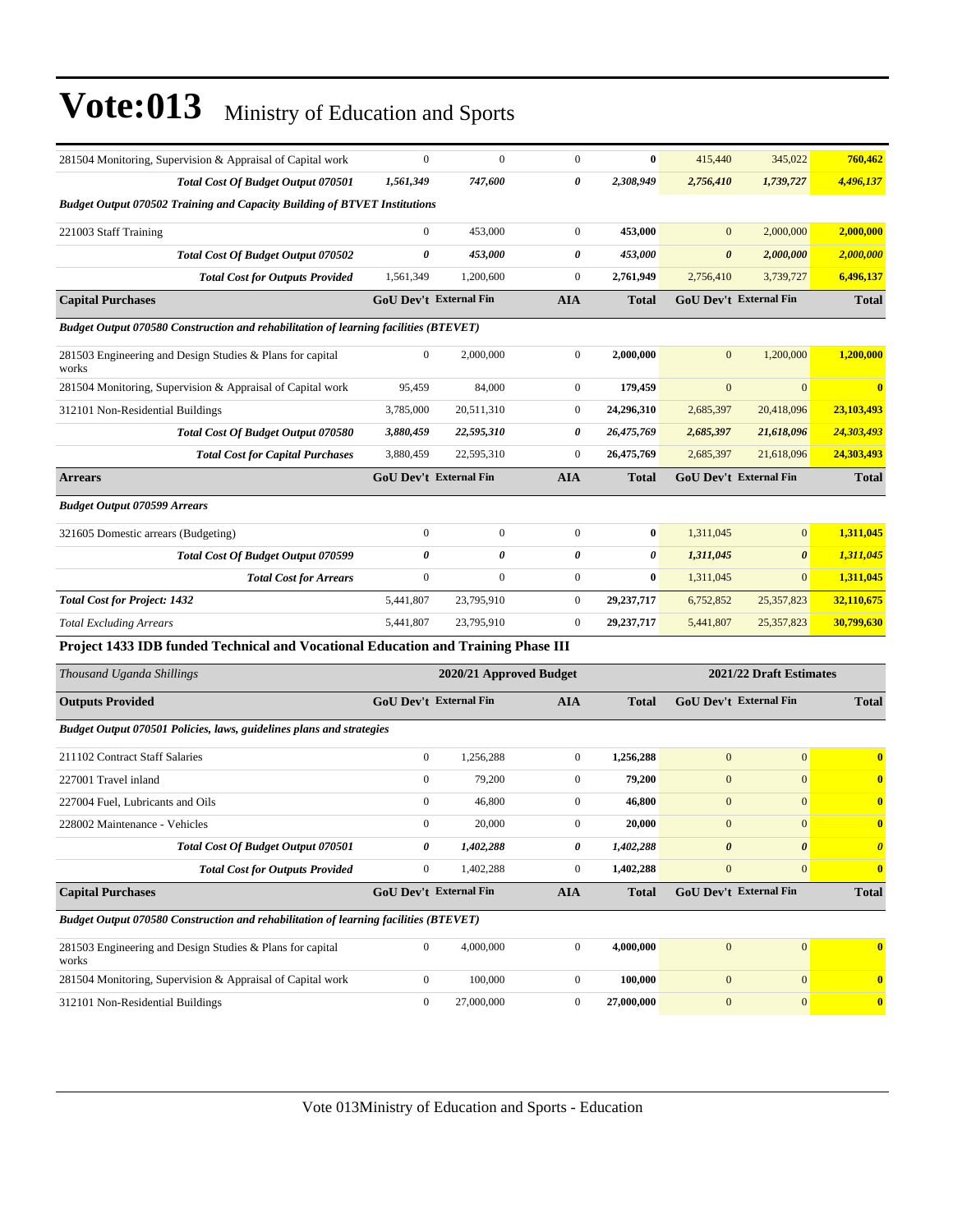| 281504 Monitoring, Supervision & Appraisal of Capital work                           | $\boldsymbol{0}$ | $\overline{0}$                | $\mathbf{0}$     | $\bf{0}$     | 415,440               | 345,022                       | 760,462                 |
|--------------------------------------------------------------------------------------|------------------|-------------------------------|------------------|--------------|-----------------------|-------------------------------|-------------------------|
| Total Cost Of Budget Output 070501                                                   | 1,561,349        | 747,600                       | 0                | 2,308,949    | 2,756,410             | 1,739,727                     | 4,496,137               |
| <b>Budget Output 070502 Training and Capacity Building of BTVET Institutions</b>     |                  |                               |                  |              |                       |                               |                         |
| 221003 Staff Training                                                                | $\overline{0}$   | 453,000                       | $\overline{0}$   | 453,000      | $\mathbf{0}$          | 2,000,000                     | 2,000,000               |
| Total Cost Of Budget Output 070502                                                   | $\theta$         | 453,000                       | $\pmb{\theta}$   | 453,000      | $\boldsymbol{\theta}$ | 2,000,000                     | 2,000,000               |
| <b>Total Cost for Outputs Provided</b>                                               | 1,561,349        | 1,200,600                     | $\boldsymbol{0}$ | 2,761,949    | 2,756,410             | 3,739,727                     | 6,496,137               |
| <b>Capital Purchases</b>                                                             |                  | <b>GoU Dev't External Fin</b> | <b>AIA</b>       | <b>Total</b> |                       | <b>GoU Dev't External Fin</b> | <b>Total</b>            |
| Budget Output 070580 Construction and rehabilitation of learning facilities (BTEVET) |                  |                               |                  |              |                       |                               |                         |
| 281503 Engineering and Design Studies & Plans for capital<br>works                   | $\boldsymbol{0}$ | 2,000,000                     | $\mathbf{0}$     | 2,000,000    | $\mathbf{0}$          | 1,200,000                     | 1,200,000               |
| 281504 Monitoring, Supervision & Appraisal of Capital work                           | 95,459           | 84,000                        | $\boldsymbol{0}$ | 179,459      | $\mathbf{0}$          | $\mathbf{0}$                  | $\bf{0}$                |
| 312101 Non-Residential Buildings                                                     | 3,785,000        | 20,511,310                    | $\boldsymbol{0}$ | 24,296,310   | 2,685,397             | 20,418,096                    | 23,103,493              |
| Total Cost Of Budget Output 070580                                                   | 3,880,459        | 22,595,310                    | 0                | 26,475,769   | 2,685,397             | 21,618,096                    | 24,303,493              |
| <b>Total Cost for Capital Purchases</b>                                              | 3,880,459        | 22,595,310                    | $\mathbf{0}$     | 26,475,769   | 2,685,397             | 21,618,096                    | 24,303,493              |
| <b>Arrears</b>                                                                       |                  | <b>GoU Dev't External Fin</b> | <b>AIA</b>       | <b>Total</b> |                       | <b>GoU Dev't External Fin</b> | <b>Total</b>            |
| <b>Budget Output 070599 Arrears</b>                                                  |                  |                               |                  |              |                       |                               |                         |
| 321605 Domestic arrears (Budgeting)                                                  | $\boldsymbol{0}$ | $\boldsymbol{0}$              | $\boldsymbol{0}$ | $\bf{0}$     | 1,311,045             | $\overline{0}$                | 1,311,045               |
| Total Cost Of Budget Output 070599                                                   | $\theta$         | 0                             | 0                | 0            | 1,311,045             | $\boldsymbol{\theta}$         | 1,311,045               |
| <b>Total Cost for Arrears</b>                                                        | $\boldsymbol{0}$ | $\boldsymbol{0}$              | $\boldsymbol{0}$ | $\bf{0}$     | 1,311,045             | $\overline{0}$                | 1,311,045               |
| <b>Total Cost for Project: 1432</b>                                                  | 5,441,807        | 23,795,910                    | $\boldsymbol{0}$ | 29,237,717   | 6,752,852             | 25,357,823                    | 32,110,675              |
| <b>Total Excluding Arrears</b>                                                       | 5,441,807        | 23,795,910                    | $\overline{0}$   | 29,237,717   | 5,441,807             | 25,357,823                    | 30,799,630              |
| Project 1433 IDB funded Technical and Vocational Education and Training Phase III    |                  |                               |                  |              |                       |                               |                         |
| Thousand Uganda Shillings                                                            |                  | 2020/21 Approved Budget       |                  |              |                       | 2021/22 Draft Estimates       |                         |
| <b>Outputs Provided</b>                                                              |                  | GoU Dev't External Fin        | <b>AIA</b>       | <b>Total</b> |                       | GoU Dev't External Fin        | <b>Total</b>            |
| Budget Output 070501 Policies, laws, guidelines plans and strategies                 |                  |                               |                  |              |                       |                               |                         |
| 211102 Contract Staff Salaries                                                       | $\boldsymbol{0}$ | 1,256,288                     | $\boldsymbol{0}$ | 1,256,288    | $\mathbf{0}$          | $\overline{0}$                | $\bf{0}$                |
| 227001 Travel inland                                                                 | $\mathbf{0}$     | 79,200                        | $\boldsymbol{0}$ | 79,200       | $\mathbf{0}$          | $\overline{0}$                | $\bf{0}$                |
| 227004 Fuel, Lubricants and Oils                                                     | $\boldsymbol{0}$ | 46,800                        | $\boldsymbol{0}$ | 46,800       | $\mathbf{0}$          | $\overline{0}$                | $\bf{0}$                |
| 228002 Maintenance - Vehicles                                                        | $\mathbf{0}$     | 20,000                        | $\mathbf{0}$     | 20,000       | $\mathbf{0}$          | $\overline{0}$                | $\bf{0}$                |
| Total Cost Of Budget Output 070501                                                   | 0                | 1,402,288                     | 0                | 1,402,288    | 0                     | 0                             | $\boldsymbol{\theta}$   |
| <b>Total Cost for Outputs Provided</b>                                               | $\boldsymbol{0}$ | 1,402,288                     | $\boldsymbol{0}$ | 1,402,288    | $\mathbf{0}$          | $\mathbf{0}$                  | $\overline{\mathbf{0}}$ |
| <b>Capital Purchases</b>                                                             |                  | GoU Dev't External Fin        | <b>AIA</b>       | <b>Total</b> |                       | GoU Dev't External Fin        | <b>Total</b>            |
| Budget Output 070580 Construction and rehabilitation of learning facilities (BTEVET) |                  |                               |                  |              |                       |                               |                         |
| 281503 Engineering and Design Studies & Plans for capital<br>works                   | $\mathbf{0}$     | 4,000,000                     | $\mathbf{0}$     | 4,000,000    | $\mathbf{0}$          | $\mathbf{0}$                  | $\bf{0}$                |
| 281504 Monitoring, Supervision & Appraisal of Capital work                           | $\mathbf{0}$     | 100,000                       | $\boldsymbol{0}$ | 100,000      | $\mathbf{0}$          | $\mathbf{0}$                  | $\bf{0}$                |
| 312101 Non-Residential Buildings                                                     | $\boldsymbol{0}$ | 27,000,000                    | $\boldsymbol{0}$ | 27,000,000   | $\boldsymbol{0}$      | $\mathbf{0}$                  | $\bf{0}$                |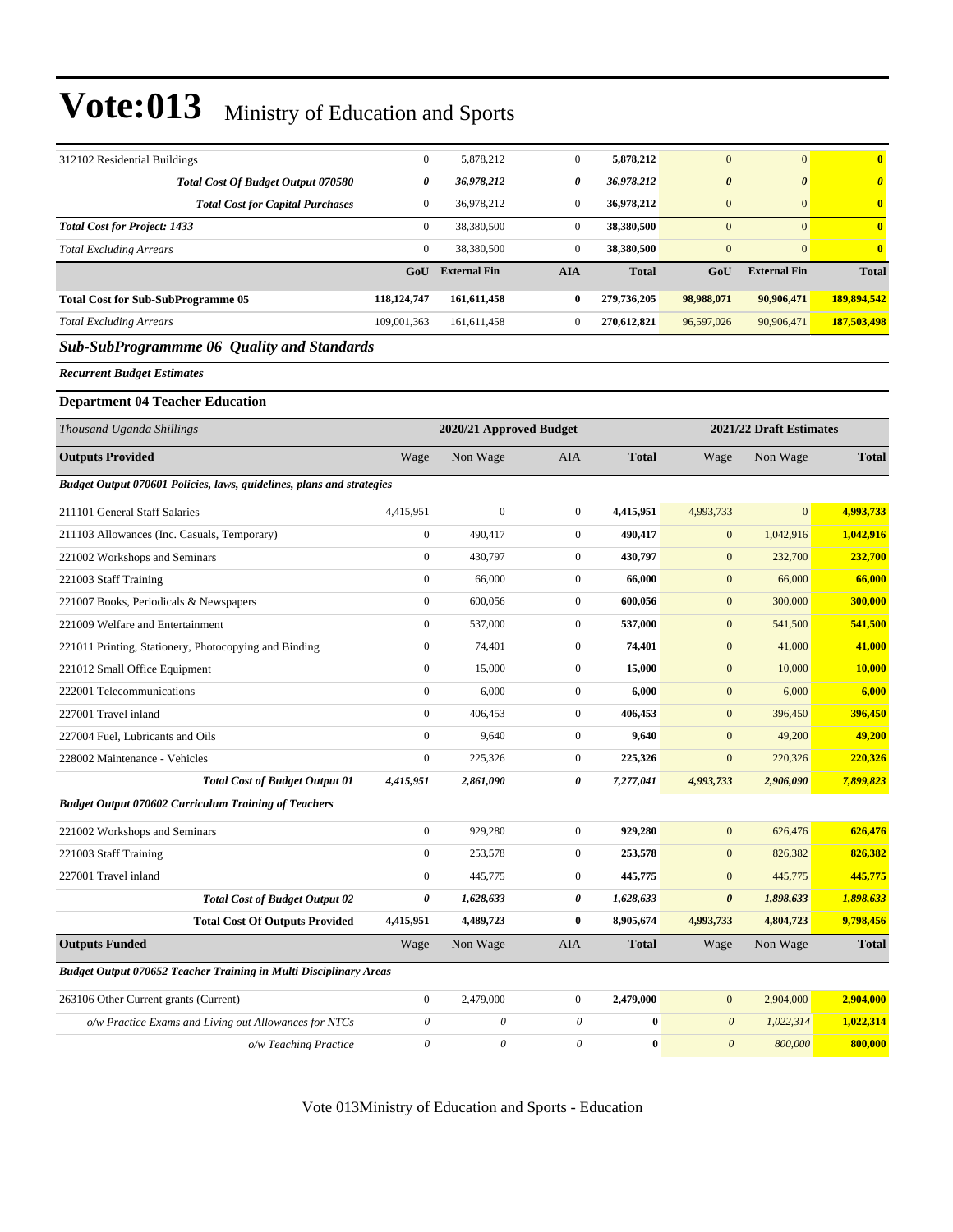| 312102 Residential Buildings                                          | $\boldsymbol{0}$          | 5,878,212               | $\boldsymbol{0}$          | 5,878,212    | $\mathbf{0}$          | $\overline{0}$          | $\bf{0}$              |
|-----------------------------------------------------------------------|---------------------------|-------------------------|---------------------------|--------------|-----------------------|-------------------------|-----------------------|
| Total Cost Of Budget Output 070580                                    | 0                         | 36,978,212              | 0                         | 36,978,212   | $\boldsymbol{\theta}$ | $\boldsymbol{\theta}$   | $\boldsymbol{\theta}$ |
| <b>Total Cost for Capital Purchases</b>                               | $\mathbf{0}$              | 36,978,212              | $\boldsymbol{0}$          | 36,978,212   | $\boldsymbol{0}$      | $\mathbf{0}$            | $\bf{0}$              |
| <b>Total Cost for Project: 1433</b>                                   | $\mathbf{0}$              | 38,380,500              | $\boldsymbol{0}$          | 38,380,500   | $\mathbf{0}$          | $\overline{0}$          | $\mathbf{0}$          |
| <b>Total Excluding Arrears</b>                                        | $\overline{0}$            | 38,380,500              | $\boldsymbol{0}$          | 38,380,500   | $\mathbf{0}$          | $\overline{0}$          | $\mathbf{0}$          |
|                                                                       | GoU                       | <b>External Fin</b>     | <b>AIA</b>                | <b>Total</b> | GoU                   | <b>External Fin</b>     | <b>Total</b>          |
| <b>Total Cost for Sub-SubProgramme 05</b>                             | 118, 124, 747             | 161,611,458             | $\bf{0}$                  | 279,736,205  | 98,988,071            | 90,906,471              | 189,894,542           |
| <b>Total Excluding Arrears</b>                                        | 109,001,363               | 161,611,458             | $\boldsymbol{0}$          | 270,612,821  | 96,597,026            | 90,906,471              | 187,503,498           |
| <b>Sub-SubProgrammme 06 Quality and Standards</b>                     |                           |                         |                           |              |                       |                         |                       |
| <b>Recurrent Budget Estimates</b>                                     |                           |                         |                           |              |                       |                         |                       |
| <b>Department 04 Teacher Education</b>                                |                           |                         |                           |              |                       |                         |                       |
| Thousand Uganda Shillings                                             |                           | 2020/21 Approved Budget |                           |              |                       | 2021/22 Draft Estimates |                       |
| <b>Outputs Provided</b>                                               | Wage                      | Non Wage                | <b>AIA</b>                | <b>Total</b> | Wage                  | Non Wage                | <b>Total</b>          |
| Budget Output 070601 Policies, laws, guidelines, plans and strategies |                           |                         |                           |              |                       |                         |                       |
| 211101 General Staff Salaries                                         | 4,415,951                 | $\mathbf{0}$            | $\boldsymbol{0}$          | 4,415,951    | 4,993,733             | $\overline{0}$          | 4,993,733             |
| 211103 Allowances (Inc. Casuals, Temporary)                           | $\boldsymbol{0}$          | 490,417                 | $\boldsymbol{0}$          | 490,417      | $\boldsymbol{0}$      | 1,042,916               | 1,042,916             |
| 221002 Workshops and Seminars                                         | $\boldsymbol{0}$          | 430,797                 | $\boldsymbol{0}$          | 430,797      | $\mathbf{0}$          | 232,700                 | 232,700               |
| 221003 Staff Training                                                 | $\boldsymbol{0}$          | 66,000                  | $\boldsymbol{0}$          | 66,000       | $\boldsymbol{0}$      | 66,000                  | 66,000                |
| 221007 Books, Periodicals & Newspapers                                | $\boldsymbol{0}$          | 600,056                 | $\boldsymbol{0}$          | 600,056      | $\mathbf{0}$          | 300,000                 | 300,000               |
| 221009 Welfare and Entertainment                                      | $\boldsymbol{0}$          | 537,000                 | $\boldsymbol{0}$          | 537,000      | $\mathbf{0}$          | 541,500                 | 541,500               |
| 221011 Printing, Stationery, Photocopying and Binding                 | $\boldsymbol{0}$          | 74,401                  | $\boldsymbol{0}$          | 74,401       | $\boldsymbol{0}$      | 41,000                  | 41,000                |
| 221012 Small Office Equipment                                         | $\boldsymbol{0}$          | 15,000                  | $\boldsymbol{0}$          | 15,000       | $\mathbf{0}$          | 10,000                  | 10,000                |
| 222001 Telecommunications                                             | $\boldsymbol{0}$          | 6,000                   | $\boldsymbol{0}$          | 6,000        | $\boldsymbol{0}$      | 6,000                   | 6,000                 |
| 227001 Travel inland                                                  | $\mathbf{0}$              | 406,453                 | $\boldsymbol{0}$          | 406,453      | $\mathbf{0}$          | 396,450                 | 396,450               |
| 227004 Fuel, Lubricants and Oils                                      | $\boldsymbol{0}$          | 9,640                   | $\boldsymbol{0}$          | 9,640        | $\mathbf{0}$          | 49,200                  | 49,200                |
| 228002 Maintenance - Vehicles                                         | $\boldsymbol{0}$          | 225,326                 | $\boldsymbol{0}$          | 225,326      | $\boldsymbol{0}$      | 220,326                 | 220,326               |
| <b>Total Cost of Budget Output 01</b>                                 | 4,415,951                 | 2,861,090               | 0                         | 7,277,041    | 4,993,733             | 2,906,090               | 7,899,823             |
| <b>Budget Output 070602 Curriculum Training of Teachers</b>           |                           |                         |                           |              |                       |                         |                       |
| 221002 Workshops and Seminars                                         | $\boldsymbol{0}$          | 929,280                 | $\boldsymbol{0}$          | 929,280      | $\mathbf{0}$          | 626,476                 | 626,476               |
| 221003 Staff Training                                                 | $\boldsymbol{0}$          | 253,578                 | $\boldsymbol{0}$          | 253,578      | $\boldsymbol{0}$      | 826,382                 | 826,382               |
| 227001 Travel inland                                                  | $\boldsymbol{0}$          | 445,775                 | $\boldsymbol{0}$          | 445,775      | $\mathbf{0}$          | 445,775                 | 445,775               |
| <b>Total Cost of Budget Output 02</b>                                 | 0                         | 1,628,633               | 0                         | 1,628,633    | $\pmb{\theta}$        | 1,898,633               | 1,898,633             |
| <b>Total Cost Of Outputs Provided</b>                                 | 4,415,951                 | 4,489,723               | $\bf{0}$                  | 8,905,674    | 4,993,733             | 4,804,723               | 9,798,456             |
| <b>Outputs Funded</b>                                                 | Wage                      | Non Wage                | AIA                       | <b>Total</b> | Wage                  | Non Wage                | <b>Total</b>          |
| Budget Output 070652 Teacher Training in Multi Disciplinary Areas     |                           |                         |                           |              |                       |                         |                       |
| 263106 Other Current grants (Current)                                 | $\boldsymbol{0}$          | 2,479,000               | $\boldsymbol{0}$          | 2,479,000    | $\boldsymbol{0}$      | 2,904,000               | 2,904,000             |
| o/w Practice Exams and Living out Allowances for NTCs                 | $\boldsymbol{\mathit{0}}$ | $\theta$                | $\boldsymbol{\mathit{0}}$ | $\bf{0}$     | $\boldsymbol{\theta}$ | 1,022,314               | 1,022,314             |
| o/w Teaching Practice                                                 | $\boldsymbol{\mathit{0}}$ | $\boldsymbol{\theta}$   | $\theta$                  | $\bf{0}$     | $\boldsymbol{\theta}$ | 800,000                 | 800,000               |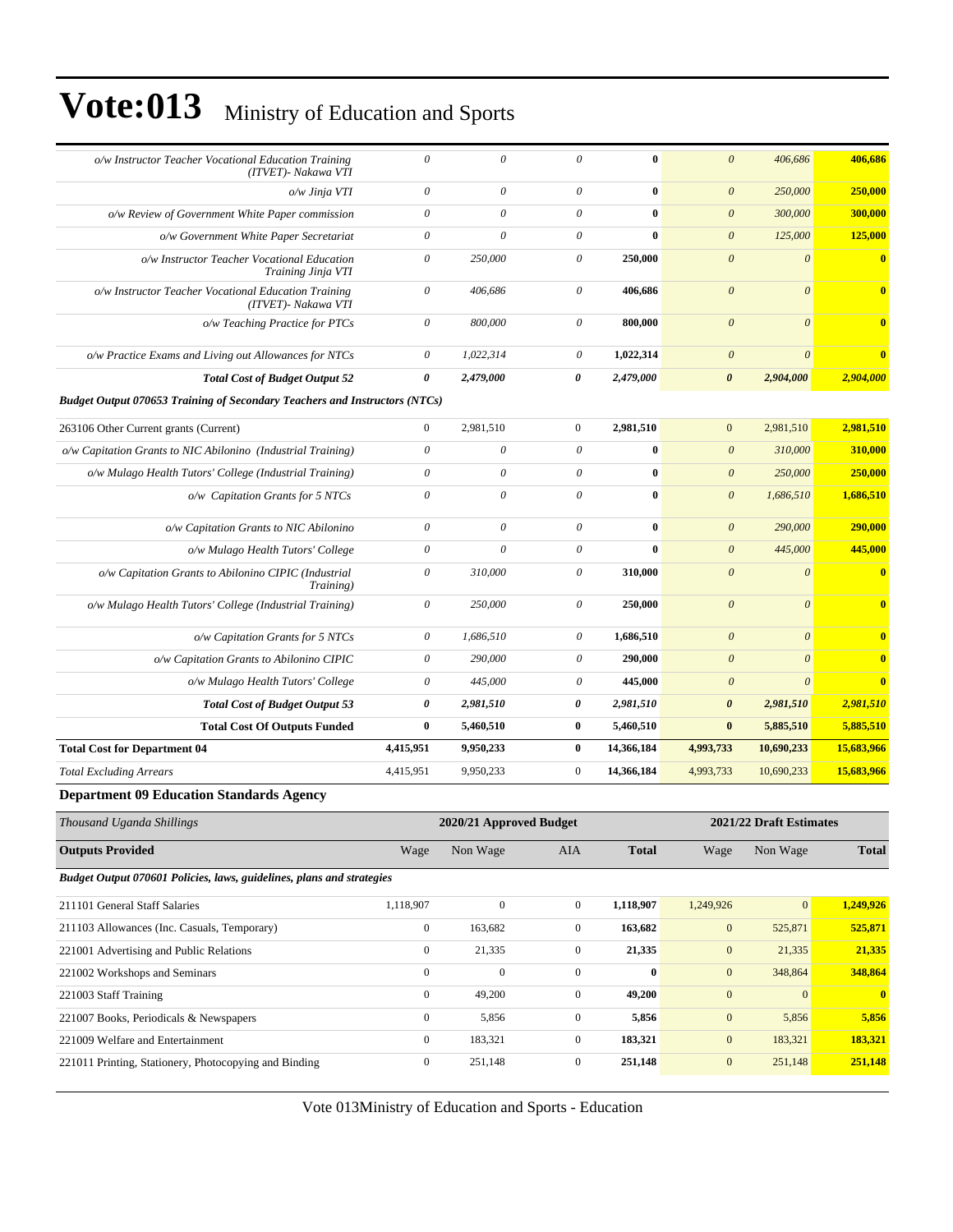| o/w Instructor Teacher Vocational Education Training<br>(ITVET)- Nakawa VTI       | $\theta$                  | $\theta$  | $\theta$                  | $\mathbf{0}$ | $\mathcal{O}$         | 406,686                  | 406,686                 |  |  |
|-----------------------------------------------------------------------------------|---------------------------|-----------|---------------------------|--------------|-----------------------|--------------------------|-------------------------|--|--|
| o/w Jinja VTI                                                                     | $\boldsymbol{\theta}$     | 0         | $\boldsymbol{\mathit{0}}$ | $\bf{0}$     | $\boldsymbol{0}$      | 250,000                  | 250,000                 |  |  |
| o/w Review of Government White Paper commission                                   | $\boldsymbol{\mathit{0}}$ | $\theta$  | $\theta$                  | $\mathbf{0}$ | $\boldsymbol{\theta}$ | 300,000                  | 300,000                 |  |  |
| o/w Government White Paper Secretariat                                            | $\theta$                  | $\theta$  | $\theta$                  | $\mathbf{0}$ | $\boldsymbol{\theta}$ | 125,000                  | 125,000                 |  |  |
| o/w Instructor Teacher Vocational Education<br>Training Jinja VTI                 | $\boldsymbol{\mathit{0}}$ | 250,000   | $\theta$                  | 250,000      | $\mathcal{O}$         | $\theta$                 | $\overline{\mathbf{0}}$ |  |  |
| o/w Instructor Teacher Vocational Education Training<br>(ITVET)- Nakawa VTI       | $\boldsymbol{\mathit{0}}$ | 406,686   | $\theta$                  | 406,686      | $\theta$              | $\theta$                 | $\overline{\mathbf{0}}$ |  |  |
| o/w Teaching Practice for PTCs                                                    | $\boldsymbol{\theta}$     | 800,000   | $\theta$                  | 800,000      | $\mathcal{O}$         | $\theta$                 | $\overline{0}$          |  |  |
| o/w Practice Exams and Living out Allowances for NTCs                             | $\boldsymbol{\mathit{0}}$ | 1,022,314 | $\boldsymbol{\theta}$     | 1,022,314    | $\boldsymbol{\theta}$ | $\theta$                 | $\overline{0}$          |  |  |
| <b>Total Cost of Budget Output 52</b>                                             | 0                         | 2,479,000 | 0                         | 2,479,000    | $\boldsymbol{\theta}$ | 2,904,000                | 2,904,000               |  |  |
| <b>Budget Output 070653 Training of Secondary Teachers and Instructors (NTCs)</b> |                           |           |                           |              |                       |                          |                         |  |  |
| 263106 Other Current grants (Current)                                             | $\overline{0}$            | 2,981,510 | $\mathbf{0}$              | 2,981,510    | $\mathbf{0}$          | 2,981,510                | 2,981,510               |  |  |
| o/w Capitation Grants to NIC Abilonino (Industrial Training)                      | $\theta$                  | $\theta$  | $\theta$                  | $\mathbf{0}$ | $\theta$              | 310,000                  | 310,000                 |  |  |
| o/w Mulago Health Tutors' College (Industrial Training)                           | $\theta$                  | $\theta$  | $\theta$                  | $\mathbf{0}$ | $\theta$              | 250,000                  | 250,000                 |  |  |
| o/w Capitation Grants for 5 NTCs                                                  | $\theta$                  | $\theta$  | $\theta$                  | $\mathbf{0}$ | $\theta$              | 1,686,510                | 1,686,510               |  |  |
| o/w Capitation Grants to NIC Abilonino                                            | $\theta$                  | $\theta$  | $\theta$                  | $\bf{0}$     | $\theta$              | 290,000                  | 290,000                 |  |  |
| o/w Mulago Health Tutors' College                                                 | $\boldsymbol{\mathit{0}}$ | $\theta$  | $\theta$                  | $\mathbf{0}$ | $\boldsymbol{0}$      | 445,000                  | 445,000                 |  |  |
| o/w Capitation Grants to Abilonino CIPIC (Industrial<br>Training)                 | $\theta$                  | 310,000   | $\theta$                  | 310,000      | $\mathcal{O}$         | $\overline{\mathcal{O}}$ | $\overline{\mathbf{0}}$ |  |  |
| o/w Mulago Health Tutors' College (Industrial Training)                           | $\theta$                  | 250,000   | $\theta$                  | 250,000      | $\mathcal{O}$         | $\theta$                 | $\overline{0}$          |  |  |
| o/w Capitation Grants for 5 NTCs                                                  | $\boldsymbol{\mathit{0}}$ | 1,686,510 | $\theta$                  | 1,686,510    | $\mathcal{O}$         | $\theta$                 | $\mathbf{0}$            |  |  |
| o/w Capitation Grants to Abilonino CIPIC                                          | $\theta$                  | 290,000   | $\theta$                  | 290,000      | $\mathcal{O}$         | $\theta$                 | $\overline{\mathbf{0}}$ |  |  |
| o/w Mulago Health Tutors' College                                                 | $\boldsymbol{\theta}$     | 445,000   | $\boldsymbol{\theta}$     | 445,000      | $\boldsymbol{\theta}$ | $\theta$                 | $\mathbf{0}$            |  |  |
| <b>Total Cost of Budget Output 53</b>                                             | 0                         | 2,981,510 | 0                         | 2,981,510    | $\boldsymbol{\theta}$ | 2,981,510                | 2,981,510               |  |  |
| <b>Total Cost Of Outputs Funded</b>                                               | $\bf{0}$                  | 5,460,510 | $\bf{0}$                  | 5,460,510    | $\bf{0}$              | 5,885,510                | 5,885,510               |  |  |

*Total Excluding Arrears* 4,415,951 9,950,233 0 **14,366,184** 4,993,733 10,690,233 **15,683,966**

#### **Department 09 Education Standards Agency**

| Thousand Uganda Shillings                                             | 2020/21 Approved Budget |              |                |              |              | 2021/22 Draft Estimates |              |  |  |
|-----------------------------------------------------------------------|-------------------------|--------------|----------------|--------------|--------------|-------------------------|--------------|--|--|
| <b>Outputs Provided</b>                                               | Wage                    | Non Wage     | <b>AIA</b>     | <b>Total</b> | Wage         | Non Wage                | <b>Total</b> |  |  |
| Budget Output 070601 Policies, laws, guidelines, plans and strategies |                         |              |                |              |              |                         |              |  |  |
| 211101 General Staff Salaries                                         | 1,118,907               | $\mathbf{0}$ | $\overline{0}$ | 1,118,907    | 1,249,926    | $\mathbf{0}$            | 1,249,926    |  |  |
| 211103 Allowances (Inc. Casuals, Temporary)                           | $\mathbf{0}$            | 163,682      | $\overline{0}$ | 163,682      | $\mathbf{0}$ | 525,871                 | 525,871      |  |  |
| 221001 Advertising and Public Relations                               | $\overline{0}$          | 21,335       | $\overline{0}$ | 21,335       | $\mathbf{0}$ | 21,335                  | 21,335       |  |  |
| 221002 Workshops and Seminars                                         | $\mathbf{0}$            | $\Omega$     | $\overline{0}$ | $\bf{0}$     | $\mathbf{0}$ | 348,864                 | 348,864      |  |  |
| 221003 Staff Training                                                 | $\mathbf{0}$            | 49,200       | $\overline{0}$ | 49,200       | $\mathbf{0}$ | $\Omega$                | $\mathbf{0}$ |  |  |
| 221007 Books, Periodicals & Newspapers                                | $\mathbf{0}$            | 5,856        | $\overline{0}$ | 5,856        | $\mathbf{0}$ | 5,856                   | 5,856        |  |  |
| 221009 Welfare and Entertainment                                      | $\mathbf{0}$            | 183,321      | $\overline{0}$ | 183,321      | $\mathbf{0}$ | 183,321                 | 183,321      |  |  |
| 221011 Printing, Stationery, Photocopying and Binding                 | $\overline{0}$          | 251,148      | $\overline{0}$ | 251,148      | $\mathbf{0}$ | 251,148                 | 251,148      |  |  |
|                                                                       |                         |              |                |              |              |                         |              |  |  |

**Total Cost for Department 04 4,415,951 9,950,233 0 14,366,184 4,993,733 10,690,233 15,683,966**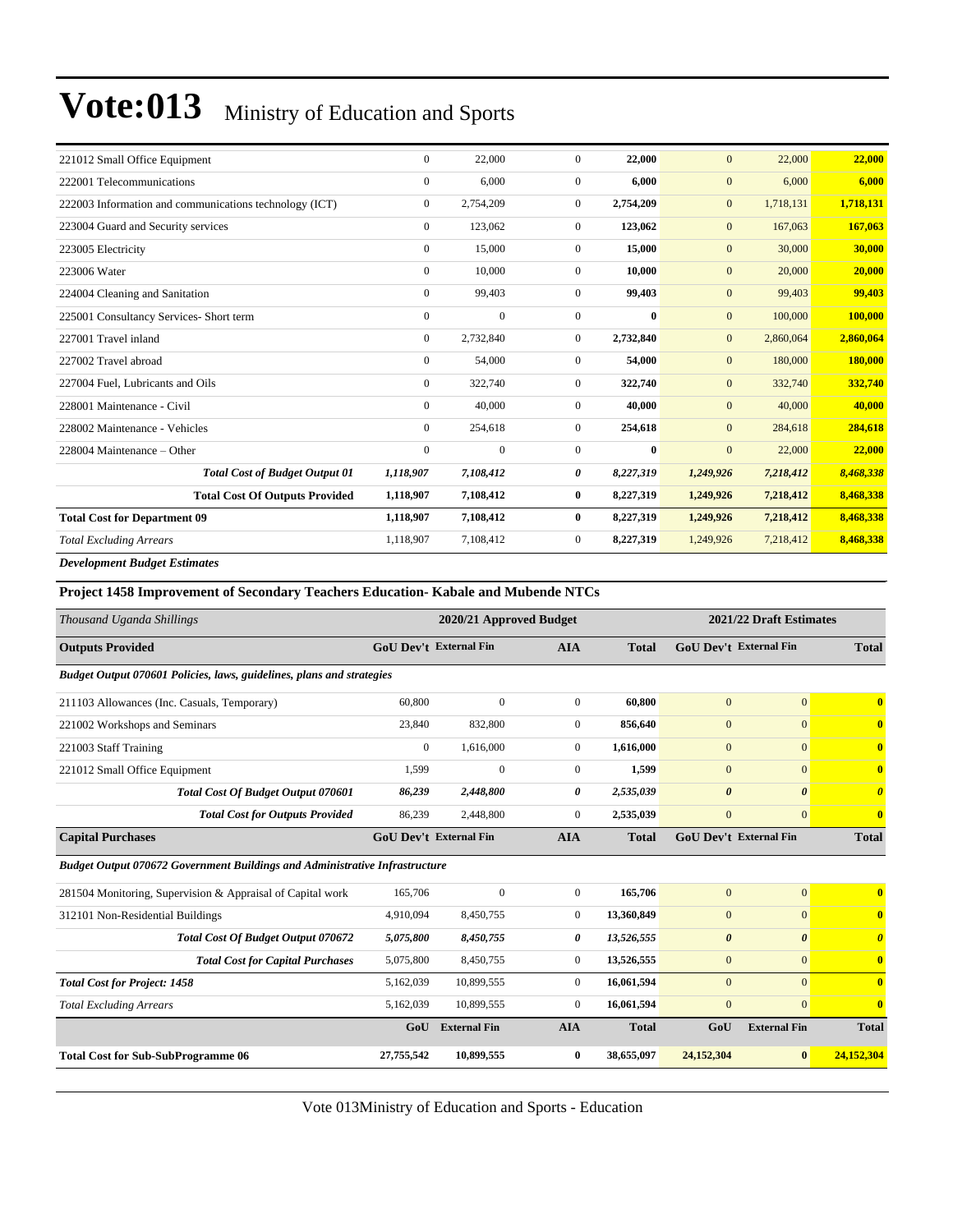| 221012 Small Office Equipment                          | $\Omega$         | 22,000           | $\Omega$       | 22,000    | $\overline{0}$   | 22,000    | 22,000    |
|--------------------------------------------------------|------------------|------------------|----------------|-----------|------------------|-----------|-----------|
| 222001 Telecommunications                              | $\mathbf{0}$     | 6,000            | $\overline{0}$ | 6,000     | $\boldsymbol{0}$ | 6,000     | 6,000     |
| 222003 Information and communications technology (ICT) | $\mathbf{0}$     | 2,754,209        | $\mathbf{0}$   | 2,754,209 | $\mathbf{0}$     | 1,718,131 | 1,718,131 |
| 223004 Guard and Security services                     | $\mathbf{0}$     | 123,062          | $\overline{0}$ | 123,062   | $\mathbf{0}$     | 167,063   | 167,063   |
| 223005 Electricity                                     | $\mathbf{0}$     | 15,000           | $\mathbf{0}$   | 15,000    | $\mathbf{0}$     | 30,000    | 30,000    |
| 223006 Water                                           | $\boldsymbol{0}$ | 10,000           | $\mathbf{0}$   | 10,000    | $\mathbf{0}$     | 20,000    | 20,000    |
| 224004 Cleaning and Sanitation                         | $\mathbf{0}$     | 99,403           | $\mathbf{0}$   | 99,403    | $\mathbf{0}$     | 99,403    | 99,403    |
| 225001 Consultancy Services- Short term                | $\mathbf{0}$     | $\mathbf{0}$     | $\overline{0}$ | 0         | $\mathbf{0}$     | 100,000   | 100,000   |
| 227001 Travel inland                                   | $\mathbf{0}$     | 2,732,840        | $\mathbf{0}$   | 2,732,840 | $\mathbf{0}$     | 2,860,064 | 2,860,064 |
| 227002 Travel abroad                                   | $\boldsymbol{0}$ | 54,000           | $\overline{0}$ | 54,000    | $\mathbf{0}$     | 180,000   | 180,000   |
| 227004 Fuel, Lubricants and Oils                       | $\mathbf{0}$     | 322,740          | $\overline{0}$ | 322,740   | $\mathbf{0}$     | 332,740   | 332,740   |
| 228001 Maintenance - Civil                             | $\mathbf{0}$     | 40,000           | $\overline{0}$ | 40,000    | $\mathbf{0}$     | 40,000    | 40,000    |
| 228002 Maintenance - Vehicles                          | $\mathbf{0}$     | 254,618          | $\overline{0}$ | 254,618   | $\boldsymbol{0}$ | 284,618   | 284,618   |
| 228004 Maintenance – Other                             | $\mathbf{0}$     | $\boldsymbol{0}$ | $\mathbf{0}$   | $\bf{0}$  | $\boldsymbol{0}$ | 22,000    | 22,000    |
| <b>Total Cost of Budget Output 01</b>                  | 1,118,907        | 7,108,412        | 0              | 8,227,319 | 1,249,926        | 7,218,412 | 8,468,338 |
| <b>Total Cost Of Outputs Provided</b>                  | 1,118,907        | 7,108,412        | $\bf{0}$       | 8,227,319 | 1,249,926        | 7,218,412 | 8,468,338 |
| <b>Total Cost for Department 09</b>                    | 1,118,907        | 7,108,412        | $\bf{0}$       | 8,227,319 | 1,249,926        | 7,218,412 | 8,468,338 |
| <b>Total Excluding Arrears</b>                         | 1,118,907        | 7,108,412        | $\mathbf{0}$   | 8,227,319 | 1,249,926        | 7,218,412 | 8,468,338 |
| <b>Development Budget Estimates</b>                    |                  |                  |                |           |                  |           |           |

#### **Project 1458 Improvement of Secondary Teachers Education- Kabale and Mubende NTCs**

| Thousand Uganda Shillings                                                          |              | 2020/21 Approved Budget       |                |              |                       | 2021/22 Draft Estimates       |                         |
|------------------------------------------------------------------------------------|--------------|-------------------------------|----------------|--------------|-----------------------|-------------------------------|-------------------------|
| <b>Outputs Provided</b>                                                            |              | <b>GoU Dev't External Fin</b> | <b>AIA</b>     | <b>Total</b> |                       | GoU Dev't External Fin        | <b>Total</b>            |
| Budget Output 070601 Policies, laws, guidelines, plans and strategies              |              |                               |                |              |                       |                               |                         |
| 211103 Allowances (Inc. Casuals, Temporary)                                        | 60,800       | $\mathbf{0}$                  | $\mathbf{0}$   | 60.800       | $\overline{0}$        | $\overline{0}$                | $\mathbf{0}$            |
| 221002 Workshops and Seminars                                                      | 23,840       | 832,800                       | $\overline{0}$ | 856.640      | $\mathbf{0}$          | $\overline{0}$                | $\mathbf{0}$            |
| 221003 Staff Training                                                              | $\mathbf{0}$ | 1,616,000                     | $\overline{0}$ | 1,616,000    | $\mathbf{0}$          | $\overline{0}$                | $\mathbf{0}$            |
| 221012 Small Office Equipment                                                      | 1,599        | $\mathbf{0}$                  | $\overline{0}$ | 1,599        | $\mathbf{0}$          | $\overline{0}$                | $\mathbf{0}$            |
| <b>Total Cost Of Budget Output 070601</b>                                          | 86,239       | 2,448,800                     | 0              | 2,535,039    | $\boldsymbol{\theta}$ | $\boldsymbol{\theta}$         | $\boldsymbol{\theta}$   |
| <b>Total Cost for Outputs Provided</b>                                             | 86,239       | 2,448,800                     | $\overline{0}$ | 2,535,039    | $\overline{0}$        | $\overline{0}$                | $\mathbf{0}$            |
| <b>Capital Purchases</b>                                                           |              | <b>GoU Dev't External Fin</b> | <b>AIA</b>     | <b>Total</b> |                       | <b>GoU Dev't External Fin</b> | <b>Total</b>            |
| <b>Budget Output 070672 Government Buildings and Administrative Infrastructure</b> |              |                               |                |              |                       |                               |                         |
| 281504 Monitoring, Supervision & Appraisal of Capital work                         | 165,706      | $\mathbf{0}$                  | $\overline{0}$ | 165,706      | $\mathbf{0}$          | $\overline{0}$                | $\overline{\mathbf{0}}$ |
| 312101 Non-Residential Buildings                                                   | 4,910,094    | 8,450,755                     | $\overline{0}$ | 13,360,849   | $\mathbf{0}$          | $\overline{0}$                | $\overline{\mathbf{0}}$ |
| Total Cost Of Budget Output 070672                                                 | 5,075,800    | 8,450,755                     | 0              | 13,526,555   | $\boldsymbol{\theta}$ | $\boldsymbol{\theta}$         | $\boldsymbol{\theta}$   |
| <b>Total Cost for Capital Purchases</b>                                            | 5,075,800    | 8,450,755                     | $\overline{0}$ | 13,526,555   | $\mathbf{0}$          | $\overline{0}$                | $\overline{\mathbf{0}}$ |
| <b>Total Cost for Project: 1458</b>                                                | 5,162,039    | 10,899,555                    | $\overline{0}$ | 16,061,594   | $\mathbf{0}$          | $\Omega$                      | $\mathbf{0}$            |
| <b>Total Excluding Arrears</b>                                                     | 5,162,039    | 10,899,555                    | $\overline{0}$ | 16,061,594   | $\overline{0}$        | $\overline{0}$                | $\mathbf{0}$            |
|                                                                                    | GoU          | <b>External Fin</b>           | <b>AIA</b>     | <b>Total</b> | GoU                   | <b>External Fin</b>           | <b>Total</b>            |
| <b>Total Cost for Sub-SubProgramme 06</b>                                          | 27,755,542   | 10,899,555                    | $\bf{0}$       | 38,655,097   | 24,152,304            | $\bf{0}$                      | 24,152,304              |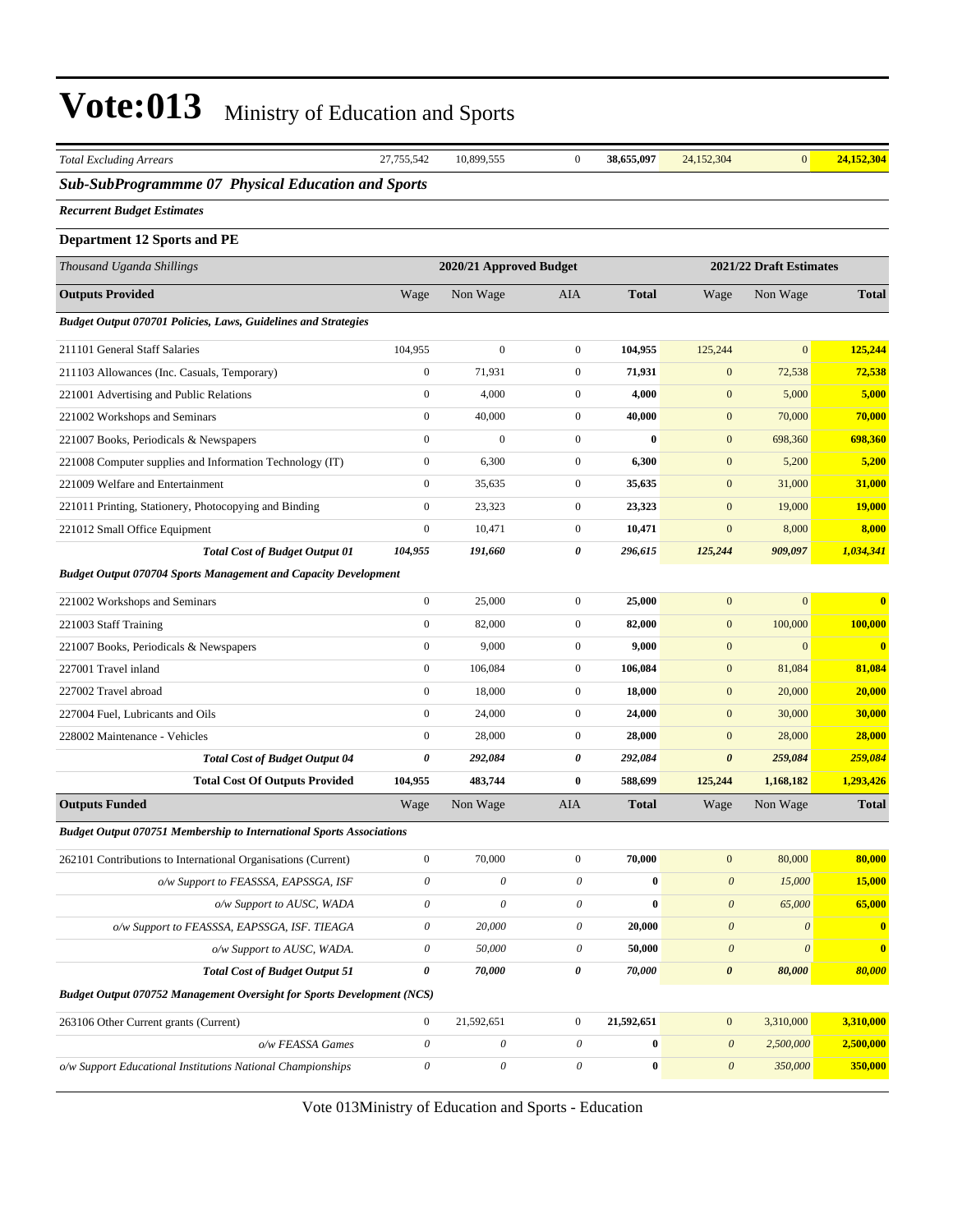| <b>Total Excluding Arrears</b>                                              | 27,755,542            | 10,899,555                | $\boldsymbol{0}$          | 38,655,097   | 24,152,304            | $\mathbf{0}$            | 24,152,304    |
|-----------------------------------------------------------------------------|-----------------------|---------------------------|---------------------------|--------------|-----------------------|-------------------------|---------------|
| <b>Sub-SubProgrammme 07 Physical Education and Sports</b>                   |                       |                           |                           |              |                       |                         |               |
| <b>Recurrent Budget Estimates</b>                                           |                       |                           |                           |              |                       |                         |               |
| <b>Department 12 Sports and PE</b>                                          |                       |                           |                           |              |                       |                         |               |
| Thousand Uganda Shillings                                                   |                       | 2020/21 Approved Budget   |                           |              |                       | 2021/22 Draft Estimates |               |
| <b>Outputs Provided</b>                                                     | Wage                  | Non Wage                  | AIA                       | <b>Total</b> | Wage                  | Non Wage                | <b>Total</b>  |
| <b>Budget Output 070701 Policies, Laws, Guidelines and Strategies</b>       |                       |                           |                           |              |                       |                         |               |
| 211101 General Staff Salaries                                               | 104,955               | $\boldsymbol{0}$          | $\mathbf{0}$              | 104,955      | 125,244               | $\overline{0}$          | 125,244       |
| 211103 Allowances (Inc. Casuals, Temporary)                                 | $\boldsymbol{0}$      | 71,931                    | $\boldsymbol{0}$          | 71,931       | $\mathbf{0}$          | 72,538                  | 72,538        |
| 221001 Advertising and Public Relations                                     | $\boldsymbol{0}$      | 4,000                     | $\mathbf{0}$              | 4,000        | $\mathbf{0}$          | 5,000                   | 5,000         |
| 221002 Workshops and Seminars                                               | $\boldsymbol{0}$      | 40,000                    | $\mathbf{0}$              | 40,000       | $\mathbf{0}$          | 70,000                  | 70,000        |
| 221007 Books, Periodicals & Newspapers                                      | $\boldsymbol{0}$      | $\boldsymbol{0}$          | $\boldsymbol{0}$          | $\bf{0}$     | $\boldsymbol{0}$      | 698,360                 | 698,360       |
| 221008 Computer supplies and Information Technology (IT)                    | $\boldsymbol{0}$      | 6,300                     | $\boldsymbol{0}$          | 6,300        | $\mathbf{0}$          | 5,200                   | 5,200         |
| 221009 Welfare and Entertainment                                            | $\boldsymbol{0}$      | 35,635                    | $\boldsymbol{0}$          | 35,635       | $\mathbf{0}$          | 31,000                  | 31,000        |
| 221011 Printing, Stationery, Photocopying and Binding                       | $\boldsymbol{0}$      | 23,323                    | $\mathbf{0}$              | 23,323       | $\mathbf{0}$          | 19,000                  | <b>19,000</b> |
| 221012 Small Office Equipment                                               | $\boldsymbol{0}$      | 10,471                    | $\mathbf{0}$              | 10,471       | $\mathbf{0}$          | 8,000                   | 8,000         |
| <b>Total Cost of Budget Output 01</b>                                       | 104,955               | 191,660                   | 0                         | 296,615      | 125,244               | 909,097                 | 1,034,341     |
| <b>Budget Output 070704 Sports Management and Capacity Development</b>      |                       |                           |                           |              |                       |                         |               |
| 221002 Workshops and Seminars                                               | $\boldsymbol{0}$      | 25,000                    | $\boldsymbol{0}$          | 25,000       | $\mathbf{0}$          | $\overline{0}$          | $\bf{0}$      |
| 221003 Staff Training                                                       | $\boldsymbol{0}$      | 82,000                    | $\boldsymbol{0}$          | 82,000       | $\mathbf{0}$          | 100,000                 | 100,000       |
| 221007 Books, Periodicals & Newspapers                                      | $\boldsymbol{0}$      | 9,000                     | $\mathbf{0}$              | 9,000        | $\boldsymbol{0}$      | $\boldsymbol{0}$        | $\bf{0}$      |
| 227001 Travel inland                                                        | $\boldsymbol{0}$      | 106,084                   | $\mathbf{0}$              | 106,084      | $\mathbf{0}$          | 81,084                  | 81,084        |
| 227002 Travel abroad                                                        | $\boldsymbol{0}$      | 18,000                    | $\mathbf{0}$              | 18,000       | $\boldsymbol{0}$      | 20,000                  | 20,000        |
| 227004 Fuel, Lubricants and Oils                                            | $\boldsymbol{0}$      | 24,000                    | $\boldsymbol{0}$          | 24,000       | $\mathbf{0}$          | 30,000                  | 30,000        |
| 228002 Maintenance - Vehicles                                               | $\boldsymbol{0}$      | 28,000                    | $\boldsymbol{0}$          | 28,000       | $\mathbf{0}$          | 28,000                  | 28,000        |
| <b>Total Cost of Budget Output 04</b>                                       | 0                     | 292,084                   | 0                         | 292,084      | $\boldsymbol{\theta}$ | 259,084                 | 259,084       |
| <b>Total Cost Of Outputs Provided</b>                                       | 104,955               | 483,744                   | $\bf{0}$                  | 588,699      | 125,244               | 1,168,182               | 1,293,426     |
| <b>Outputs Funded</b>                                                       | Wage                  | Non Wage                  | AIA                       | <b>Total</b> | Wage                  | Non Wage                | Total         |
| <b>Budget Output 070751 Membership to International Sports Associations</b> |                       |                           |                           |              |                       |                         |               |
| 262101 Contributions to International Organisations (Current)               | $\boldsymbol{0}$      | 70,000                    | $\boldsymbol{0}$          | 70,000       | $\boldsymbol{0}$      | 80,000                  | 80,000        |
| o/w Support to FEASSSA, EAPSSGA, ISF                                        | $\boldsymbol{\theta}$ | $\boldsymbol{\theta}$     | $\boldsymbol{\mathit{0}}$ | $\bf{0}$     | $\boldsymbol{\theta}$ | 15,000                  | 15,000        |
| o/w Support to AUSC, WADA                                                   | $\theta$              | $\boldsymbol{\theta}$     | $\theta$                  | $\bf{0}$     | $\boldsymbol{\theta}$ | 65,000                  | 65,000        |
| o/w Support to FEASSSA, EAPSSGA, ISF. TIEAGA                                | $\boldsymbol{\theta}$ | 20,000                    | $\boldsymbol{\mathit{0}}$ | 20,000       | $\boldsymbol{\theta}$ | $\boldsymbol{\theta}$   | $\mathbf{0}$  |
| o/w Support to AUSC, WADA.                                                  | $\boldsymbol{\theta}$ | 50,000                    | 0                         | 50,000       | $\boldsymbol{0}$      | $\boldsymbol{\theta}$   | $\bf{0}$      |
| <b>Total Cost of Budget Output 51</b>                                       | 0                     | 70,000                    | 0                         | 70,000       | $\boldsymbol{\theta}$ | 80,000                  | 80,000        |
| Budget Output 070752 Management Oversight for Sports Development (NCS)      |                       |                           |                           |              |                       |                         |               |
| 263106 Other Current grants (Current)                                       | $\boldsymbol{0}$      | 21,592,651                | $\boldsymbol{0}$          | 21,592,651   | $\boldsymbol{0}$      | 3,310,000               | 3,310,000     |
| o/w FEASSA Games                                                            | $\theta$              | $\boldsymbol{\theta}$     | $\boldsymbol{\mathit{0}}$ | $\pmb{0}$    | $\boldsymbol{0}$      | 2,500,000               | 2,500,000     |
| o/w Support Educational Institutions National Championships                 | $\boldsymbol{\theta}$ | $\boldsymbol{\mathit{0}}$ | $\boldsymbol{\mathit{0}}$ | $\pmb{0}$    | $\boldsymbol{\theta}$ | 350,000                 | 350,000       |
|                                                                             |                       |                           |                           |              |                       |                         |               |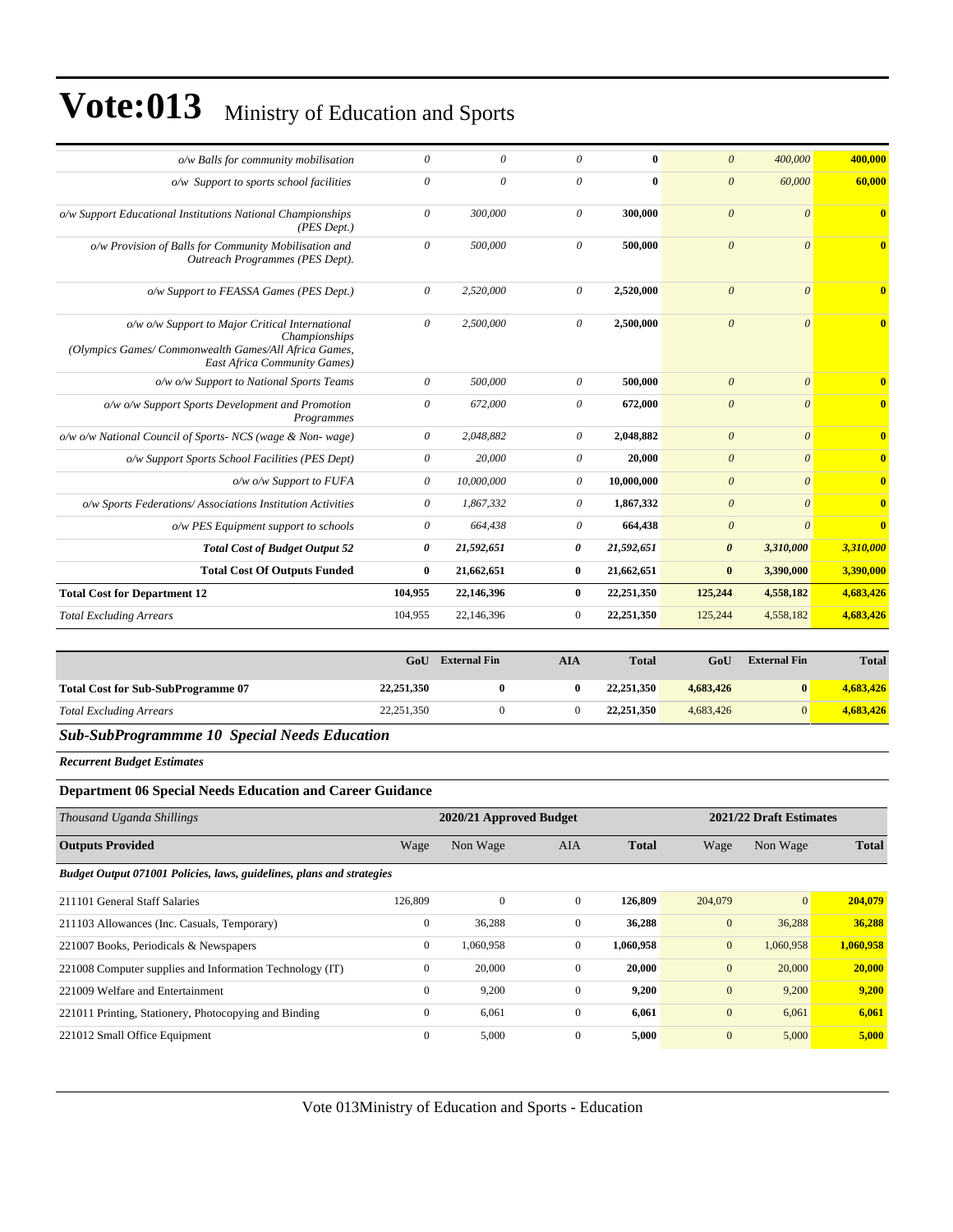| o/w Balls for community mobilisation                                                                                                                            | $\theta$              | 0          | $\theta$       | 0          | $\theta$              | 400,000               | 400.000                 |
|-----------------------------------------------------------------------------------------------------------------------------------------------------------------|-----------------------|------------|----------------|------------|-----------------------|-----------------------|-------------------------|
| o/w Support to sports school facilities                                                                                                                         | $\theta$              | $\theta$   | $\theta$       | $\bf{0}$   | $\boldsymbol{\theta}$ | 60,000                | 60,000                  |
| o/w Support Educational Institutions National Championships<br>(PES Dept.)                                                                                      | $\boldsymbol{\theta}$ | 300,000    | $\theta$       | 300,000    | $\boldsymbol{\theta}$ | $\theta$              | $\overline{\mathbf{0}}$ |
| o/w Provision of Balls for Community Mobilisation and<br>Outreach Programmes (PES Dept).                                                                        | $\theta$              | 500,000    | $\theta$       | 500,000    | $\overline{0}$        | $\theta$              | $\mathbf{0}$            |
| o/w Support to FEASSA Games (PES Dept.)                                                                                                                         | $\theta$              | 2,520,000  | $\theta$       | 2,520,000  | $\overline{0}$        | $\theta$              | $\mathbf{0}$            |
| o/w o/w Support to Major Critical International<br>Championships<br>(Olympics Games/Commonwealth Games/All Africa Games,<br><b>East Africa Community Games)</b> | 0                     | 2,500,000  | $\theta$       | 2,500,000  | $\theta$              | $\theta$              | $\bf{0}$                |
| o/w o/w Support to National Sports Teams                                                                                                                        | $\theta$              | 500,000    | $\theta$       | 500,000    | $\boldsymbol{\theta}$ | $\theta$              |                         |
| o/w o/w Support Sports Development and Promotion<br>Programmes                                                                                                  | $\theta$              | 672,000    | $\theta$       | 672,000    | $\theta$              | $\theta$              | $\bf{0}$                |
| o/w o/w National Council of Sports- NCS (wage & Non-wage)                                                                                                       | $\theta$              | 2,048,882  | $\theta$       | 2,048,882  | $\boldsymbol{\theta}$ | $\theta$              | $\mathbf{0}$            |
| o/w Support Sports School Facilities (PES Dept)                                                                                                                 | $\boldsymbol{\theta}$ | 20,000     | $\theta$       | 20,000     | $\boldsymbol{\theta}$ | $\theta$              | $\overline{0}$          |
| o/w o/w Support to FUFA                                                                                                                                         | $\theta$              | 10,000,000 | $\theta$       | 10,000,000 | $\boldsymbol{\theta}$ | $\theta$              | $\mathbf{0}$            |
| o/w Sports Federations/Associations Institution Activities                                                                                                      | $\theta$              | 1,867,332  | 0              | 1,867,332  | $\theta$              | $\boldsymbol{\theta}$ | $\overline{\mathbf{0}}$ |
| o/w PES Equipment support to schools                                                                                                                            | $\theta$              | 664,438    | $\theta$       | 664,438    | $\theta$              | $\theta$              | $\mathbf{0}$            |
| <b>Total Cost of Budget Output 52</b>                                                                                                                           | 0                     | 21,592,651 | $\theta$       | 21,592,651 | $\boldsymbol{\theta}$ | 3,310,000             | 3,310,000               |
| <b>Total Cost Of Outputs Funded</b>                                                                                                                             | $\bf{0}$              | 21,662,651 | $\bf{0}$       | 21,662,651 | $\bf{0}$              | 3,390,000             | 3,390,000               |
| <b>Total Cost for Department 12</b>                                                                                                                             | 104,955               | 22,146,396 | $\bf{0}$       | 22,251,350 | 125,244               | 4,558,182             | 4,683,426               |
| <b>Total Excluding Arrears</b>                                                                                                                                  | 104,955               | 22,146,396 | $\overline{0}$ | 22,251,350 | 125,244               | 4,558,182             | 4,683,426               |
|                                                                                                                                                                 |                       |            |                |            |                       |                       |                         |

|                                           | GoU        | <b>External Fin</b> | <b>AIA</b> | <b>Total</b> | GoU       | <b>External Fin</b> | <b>Total</b> |
|-------------------------------------------|------------|---------------------|------------|--------------|-----------|---------------------|--------------|
| <b>Total Cost for Sub-SubProgramme 07</b> | 22,251,350 |                     |            | 22, 251, 350 | 4.683.426 |                     | 4.683.426    |
| <b>Total Excluding Arrears</b>            | 22,251,350 |                     |            | 22,251,350   | 4.683.426 |                     | 4.683.426    |

#### *Sub-SubProgrammme 10 Special Needs Education*

*Recurrent Budget Estimates*

#### **Department 06 Special Needs Education and Career Guidance**

| Thousand Uganda Shillings                                             |              | 2020/21 Approved Budget |              |              |              | 2021/22 Draft Estimates |              |
|-----------------------------------------------------------------------|--------------|-------------------------|--------------|--------------|--------------|-------------------------|--------------|
| <b>Outputs Provided</b>                                               | Wage         | Non Wage                | <b>AIA</b>   | <b>Total</b> | Wage         | Non Wage                | <b>Total</b> |
| Budget Output 071001 Policies, laws, guidelines, plans and strategies |              |                         |              |              |              |                         |              |
| 211101 General Staff Salaries                                         | 126,809      | $\Omega$                | $\mathbf{0}$ | 126,809      | 204,079      | $\vert 0 \vert$         | 204,079      |
| 211103 Allowances (Inc. Casuals, Temporary)                           | $\mathbf{0}$ | 36,288                  | $\mathbf{0}$ | 36,288       | $\mathbf{0}$ | 36,288                  | 36,288       |
| 221007 Books, Periodicals & Newspapers                                | $\mathbf{0}$ | 1,060,958               | $\mathbf{0}$ | 1,060,958    | $\mathbf{0}$ | 1,060,958               | 1,060,958    |
| 221008 Computer supplies and Information Technology (IT)              | $\mathbf{0}$ | 20,000                  | $\Omega$     | 20,000       | $\mathbf{0}$ | 20,000                  | 20,000       |
| 221009 Welfare and Entertainment                                      | $\mathbf{0}$ | 9,200                   | $\mathbf{0}$ | 9,200        | $\mathbf{0}$ | 9,200                   | 9,200        |
| 221011 Printing, Stationery, Photocopying and Binding                 | $\mathbf{0}$ | 6,061                   | $\mathbf{0}$ | 6,061        | $\mathbf{0}$ | 6,061                   | 6,061        |
| 221012 Small Office Equipment                                         | $\mathbf{0}$ | 5,000                   | $\mathbf{0}$ | 5,000        | $\mathbf{0}$ | 5,000                   | 5,000        |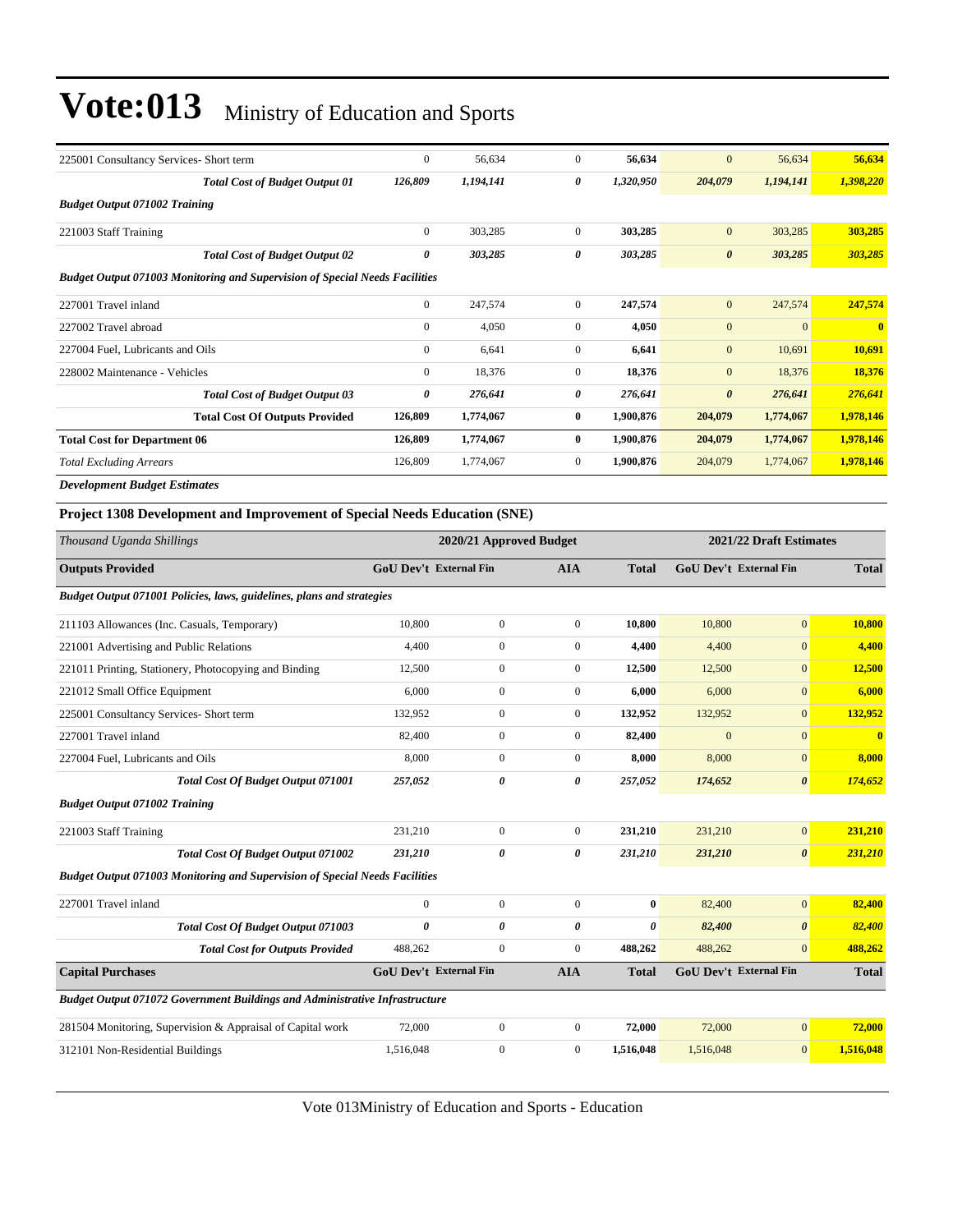| 225001 Consultancy Services- Short term                                     | $\boldsymbol{0}$              | 56,634                  | $\mathbf{0}$     | 56,634       | $\mathbf{0}$          | 56,634                        | 56,634       |
|-----------------------------------------------------------------------------|-------------------------------|-------------------------|------------------|--------------|-----------------------|-------------------------------|--------------|
| <b>Total Cost of Budget Output 01</b>                                       | 126,809                       | 1,194,141               | 0                | 1,320,950    | 204,079               | 1,194,141                     | 1,398,220    |
| <b>Budget Output 071002 Training</b>                                        |                               |                         |                  |              |                       |                               |              |
| 221003 Staff Training                                                       | $\overline{0}$                | 303,285                 | $\mathbf{0}$     | 303,285      | $\overline{0}$        | 303,285                       | 303,285      |
| <b>Total Cost of Budget Output 02</b>                                       | 0                             | 303,285                 | 0                | 303,285      | $\boldsymbol{\theta}$ | 303,285                       | 303,285      |
| Budget Output 071003 Monitoring and Supervision of Special Needs Facilities |                               |                         |                  |              |                       |                               |              |
| 227001 Travel inland                                                        | $\overline{0}$                | 247,574                 | $\mathbf{0}$     | 247,574      | $\overline{0}$        | 247,574                       | 247,574      |
| 227002 Travel abroad                                                        | $\overline{0}$                | 4,050                   | $\mathbf{0}$     | 4,050        | $\mathbf{0}$          | $\overline{0}$                | $\bf{0}$     |
| 227004 Fuel. Lubricants and Oils                                            | $\overline{0}$                | 6,641                   | $\mathbf{0}$     | 6,641        | $\mathbf{0}$          | 10,691                        | 10,691       |
| 228002 Maintenance - Vehicles                                               | $\overline{0}$                | 18,376                  | $\overline{0}$   | 18,376       | $\overline{0}$        | 18,376                        | 18,376       |
| <b>Total Cost of Budget Output 03</b>                                       | 0                             | 276,641                 | 0                | 276,641      | $\boldsymbol{\theta}$ | 276,641                       | 276,641      |
| <b>Total Cost Of Outputs Provided</b>                                       | 126,809                       | 1,774,067               | $\bf{0}$         | 1,900,876    | 204,079               | 1,774,067                     | 1,978,146    |
| <b>Total Cost for Department 06</b>                                         | 126,809                       | 1,774,067               | $\bf{0}$         | 1,900,876    | 204,079               | 1,774,067                     | 1,978,146    |
| <b>Total Excluding Arrears</b>                                              | 126,809                       | 1,774,067               | $\mathbf{0}$     | 1,900,876    | 204,079               | 1,774,067                     | 1,978,146    |
| <b>Development Budget Estimates</b>                                         |                               |                         |                  |              |                       |                               |              |
| Project 1308 Development and Improvement of Special Needs Education (SNE)   |                               |                         |                  |              |                       |                               |              |
| Thousand Uganda Shillings                                                   |                               | 2020/21 Approved Budget |                  |              |                       | 2021/22 Draft Estimates       |              |
| <b>Outputs Provided</b>                                                     | <b>GoU Dev't External Fin</b> |                         | <b>AIA</b>       | <b>Total</b> |                       | <b>GoU Dev't External Fin</b> | <b>Total</b> |
| Budget Output 071001 Policies, laws, guidelines, plans and strategies       |                               |                         |                  |              |                       |                               |              |
| 211103 Allowances (Inc. Casuals, Temporary)                                 | 10,800                        | $\boldsymbol{0}$        | $\mathbf{0}$     | 10,800       | 10,800                | $\overline{0}$                | 10,800       |
| 221001 Advertising and Public Relations                                     | 4,400                         | $\boldsymbol{0}$        | $\overline{0}$   | 4,400        | 4,400                 | $\mathbf{0}$                  | 4,400        |
| 221011 Printing, Stationery, Photocopying and Binding                       | 12,500                        | $\mathbf{0}$            | $\boldsymbol{0}$ | 12,500       | 12,500                | $\overline{0}$                | 12,500       |
| 221012 Small Office Equipment                                               | 6,000                         | $\boldsymbol{0}$        | $\boldsymbol{0}$ | 6,000        | 6,000                 | $\mathbf{0}$                  | 6,000        |
| 225001 Consultancy Services- Short term                                     | 132,952                       | $\boldsymbol{0}$        | $\mathbf{0}$     | 132,952      | 132,952               | $\mathbf{0}$                  | 132,952      |
| 227001 Travel inland                                                        | 82,400                        | $\mathbf{0}$            | $\boldsymbol{0}$ | 82,400       | $\mathbf{0}$          | $\overline{0}$                | $\bf{0}$     |
| 227004 Fuel, Lubricants and Oils                                            | 8.000                         | $\overline{0}$          | $\mathbf{0}$     | 8.000        | 8,000                 | $\overline{0}$                | 8,000        |

| <b>Total Cost Of Budget Output 071001</b>                                          | 257,052        | 0                             | 0              | 257,052      | 174,652                       | $\boldsymbol{\theta}$ | 174,652      |
|------------------------------------------------------------------------------------|----------------|-------------------------------|----------------|--------------|-------------------------------|-----------------------|--------------|
| <b>Budget Output 071002 Training</b>                                               |                |                               |                |              |                               |                       |              |
| 221003 Staff Training                                                              | 231,210        | $\Omega$                      | $\overline{0}$ | 231,210      | 231,210                       | $\overline{0}$        | 231,210      |
| <b>Total Cost Of Budget Output 071002</b>                                          | 231,210        | 0                             | 0              | 231,210      | 231,210                       | $\boldsymbol{\theta}$ | 231,210      |
| <b>Budget Output 071003 Monitoring and Supervision of Special Needs Facilities</b> |                |                               |                |              |                               |                       |              |
| 227001 Travel inland                                                               | $\overline{0}$ | $\mathbf{0}$                  | $\mathbf{0}$   | $\bf{0}$     | 82,400                        | $\overline{0}$        | 82,400       |
| <b>Total Cost Of Budget Output 071003</b>                                          | 0              | 0                             | 0              | 0            | 82,400                        | $\boldsymbol{\theta}$ | 82,400       |
| <b>Total Cost for Outputs Provided</b>                                             | 488,262        | $\mathbf{0}$                  | $\overline{0}$ | 488,262      | 488,262                       | $\overline{0}$        | 488,262      |
| <b>Capital Purchases</b>                                                           |                | <b>GoU Dev't External Fin</b> | <b>AIA</b>     | <b>Total</b> | <b>GoU Dev't External Fin</b> |                       | <b>Total</b> |
| <b>Budget Output 071072 Government Buildings and Administrative Infrastructure</b> |                |                               |                |              |                               |                       |              |
| 281504 Monitoring, Supervision & Appraisal of Capital work                         | 72,000         | $\Omega$                      | $\overline{0}$ | 72,000       | 72,000                        | $\overline{0}$        | 72,000       |
| 312101 Non-Residential Buildings                                                   | 1,516,048      | $\mathbf{0}$                  | $\overline{0}$ | 1,516,048    | 1,516,048                     | $\overline{0}$        | 1,516,048    |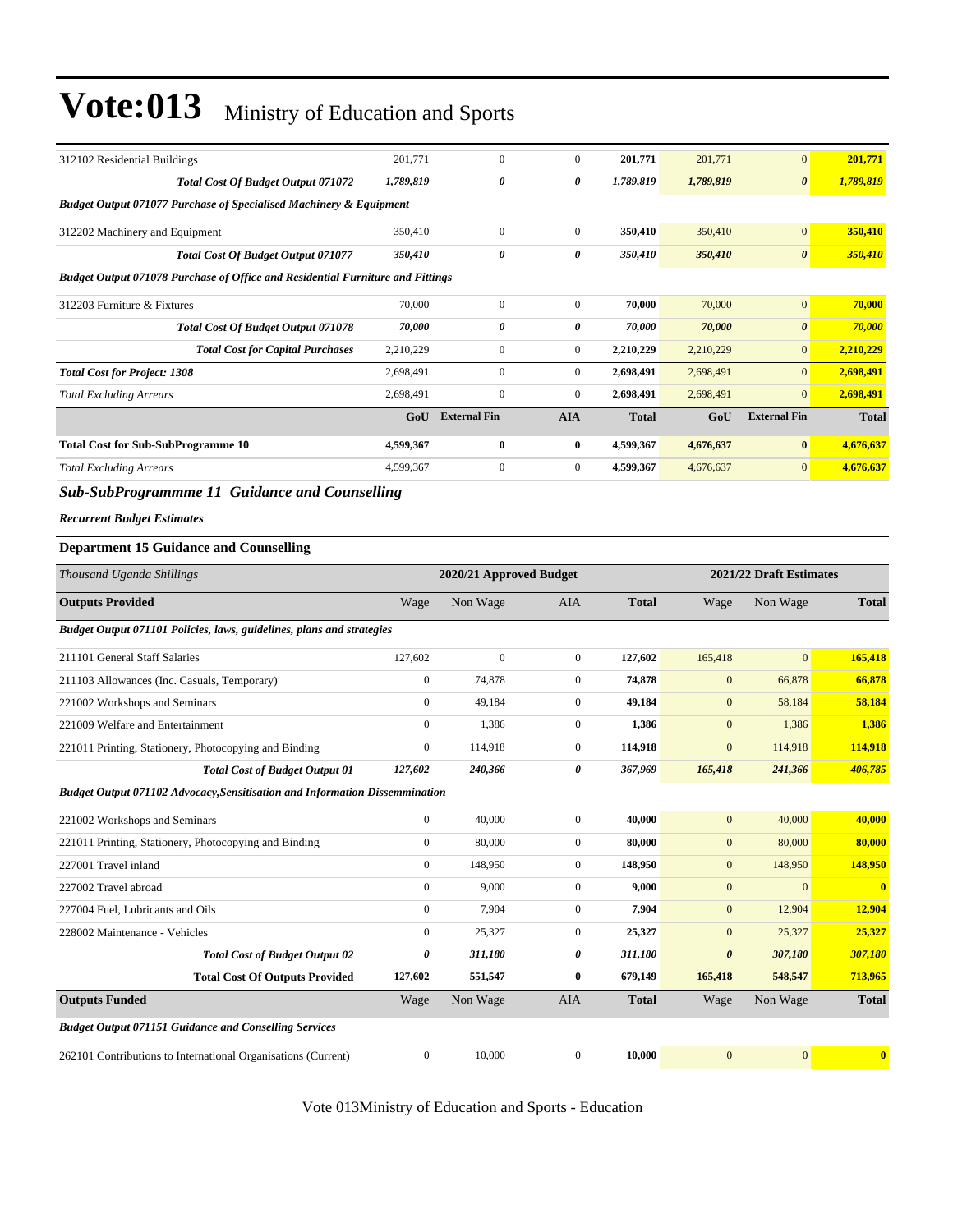| 312102 Residential Buildings                                                       | 201,771          | $\boldsymbol{0}$        | $\boldsymbol{0}$ | 201,771      | 201,771          | $\mathbf{0}$            | 201,771      |
|------------------------------------------------------------------------------------|------------------|-------------------------|------------------|--------------|------------------|-------------------------|--------------|
| Total Cost Of Budget Output 071072                                                 | 1,789,819        | 0                       | 0                | 1,789,819    | 1,789,819        | $\boldsymbol{\theta}$   | 1,789,819    |
| Budget Output 071077 Purchase of Specialised Machinery & Equipment                 |                  |                         |                  |              |                  |                         |              |
| 312202 Machinery and Equipment                                                     | 350,410          | $\boldsymbol{0}$        | $\boldsymbol{0}$ | 350,410      | 350,410          | $\boldsymbol{0}$        | 350,410      |
| <b>Total Cost Of Budget Output 071077</b>                                          | 350,410          | 0                       | 0                | 350,410      | 350,410          | $\boldsymbol{\theta}$   | 350,410      |
| Budget Output 071078 Purchase of Office and Residential Furniture and Fittings     |                  |                         |                  |              |                  |                         |              |
| 312203 Furniture & Fixtures                                                        | 70,000           | $\boldsymbol{0}$        | $\boldsymbol{0}$ | 70,000       | 70,000           | $\mathbf{0}$            | 70,000       |
| <b>Total Cost Of Budget Output 071078</b>                                          | 70,000           | 0                       | 0                | 70,000       | 70,000           | $\pmb{\theta}$          | 70,000       |
| <b>Total Cost for Capital Purchases</b>                                            | 2,210,229        | $\boldsymbol{0}$        | $\boldsymbol{0}$ | 2,210,229    | 2,210,229        | $\mathbf{0}$            | 2,210,229    |
| <b>Total Cost for Project: 1308</b>                                                | 2,698,491        | $\overline{0}$          | $\boldsymbol{0}$ | 2,698,491    | 2,698,491        | $\mathbf{0}$            | 2,698,491    |
| <b>Total Excluding Arrears</b>                                                     | 2,698,491        | $\boldsymbol{0}$        | $\boldsymbol{0}$ | 2,698,491    | 2,698,491        | $\mathbf{0}$            | 2,698,491    |
|                                                                                    | GoU              | <b>External Fin</b>     | <b>AIA</b>       | <b>Total</b> | GoU              | <b>External Fin</b>     | <b>Total</b> |
| <b>Total Cost for Sub-SubProgramme 10</b>                                          | 4,599,367        | 0                       | $\bf{0}$         | 4,599,367    | 4,676,637        | $\bf{0}$                | 4,676,637    |
| <b>Total Excluding Arrears</b>                                                     | 4,599,367        | $\boldsymbol{0}$        | $\boldsymbol{0}$ | 4,599,367    | 4,676,637        | $\mathbf{0}$            | 4,676,637    |
| <b>Sub-SubProgrammme 11 Guidance and Counselling</b>                               |                  |                         |                  |              |                  |                         |              |
| <b>Recurrent Budget Estimates</b>                                                  |                  |                         |                  |              |                  |                         |              |
| <b>Department 15 Guidance and Counselling</b>                                      |                  |                         |                  |              |                  |                         |              |
| Thousand Uganda Shillings                                                          |                  | 2020/21 Approved Budget |                  |              |                  | 2021/22 Draft Estimates |              |
|                                                                                    |                  |                         |                  |              |                  |                         |              |
| <b>Outputs Provided</b>                                                            | Wage             | Non Wage                | AIA              | <b>Total</b> | Wage             | Non Wage                | <b>Total</b> |
| Budget Output 071101 Policies, laws, guidelines, plans and strategies              |                  |                         |                  |              |                  |                         |              |
| 211101 General Staff Salaries                                                      | 127,602          | $\mathbf{0}$            | $\mathbf{0}$     | 127,602      | 165,418          | $\mathbf{0}$            | 165,418      |
| 211103 Allowances (Inc. Casuals, Temporary)                                        | $\boldsymbol{0}$ | 74,878                  | $\mathbf{0}$     | 74,878       | $\boldsymbol{0}$ | 66,878                  | 66,878       |
| 221002 Workshops and Seminars                                                      | $\boldsymbol{0}$ | 49,184                  | $\mathbf{0}$     | 49,184       | $\mathbf{0}$     | 58,184                  | 58,184       |
| 221009 Welfare and Entertainment                                                   | $\boldsymbol{0}$ | 1,386                   | $\mathbf{0}$     | 1,386        | $\mathbf{0}$     | 1,386                   | 1,386        |
| 221011 Printing, Stationery, Photocopying and Binding                              | $\boldsymbol{0}$ | 114,918                 | $\mathbf{0}$     | 114,918      | $\boldsymbol{0}$ | 114,918                 | 114,918      |
| <b>Total Cost of Budget Output 01</b>                                              | 127,602          | 240,366                 | 0                | 367,969      | 165,418          | 241,366                 | 406,785      |
| <b>Budget Output 071102 Advocacy, Sensitisation and Information Dissemmination</b> |                  |                         |                  |              |                  |                         |              |
| 221002 Workshops and Seminars                                                      | $\boldsymbol{0}$ | 40,000                  | $\mathbf{0}$     | 40,000       | $\mathbf{0}$     | 40,000                  | 40,000       |
| 221011 Printing, Stationery, Photocopying and Binding                              | $\boldsymbol{0}$ | 80,000                  | $\boldsymbol{0}$ | 80,000       | $\mathbf{0}$     | 80,000                  | 80,000       |
| 227001 Travel inland                                                               | $\boldsymbol{0}$ | 148,950                 | $\mathbf{0}$     | 148,950      | $\mathbf{0}$     | 148,950                 | 148,950      |
| 227002 Travel abroad                                                               | $\boldsymbol{0}$ | 9,000                   | $\boldsymbol{0}$ | 9,000        | $\boldsymbol{0}$ | $\boldsymbol{0}$        | $\mathbf{0}$ |
| 227004 Fuel, Lubricants and Oils                                                   | $\boldsymbol{0}$ | 7,904                   | $\boldsymbol{0}$ | 7,904        | $\boldsymbol{0}$ | 12,904                  | 12,904       |
| 228002 Maintenance - Vehicles                                                      | $\boldsymbol{0}$ | 25,327                  | $\boldsymbol{0}$ | 25,327       | $\boldsymbol{0}$ | 25,327                  | 25,327       |
| <b>Total Cost of Budget Output 02</b>                                              | 0                | 311,180                 | 0                | 311,180      | 0                | 307,180                 | 307,180      |
| <b>Total Cost Of Outputs Provided</b>                                              | 127,602          | 551,547                 | $\bf{0}$         | 679,149      | 165,418          | 548,547                 | 713,965      |
| <b>Outputs Funded</b>                                                              | Wage             | Non Wage                | AIA              | <b>Total</b> | Wage             | Non Wage                | <b>Total</b> |
| <b>Budget Output 071151 Guidance and Conselling Services</b>                       |                  |                         |                  |              |                  |                         |              |
| 262101 Contributions to International Organisations (Current)                      | $\boldsymbol{0}$ | 10,000                  | $\boldsymbol{0}$ | 10,000       | $\boldsymbol{0}$ | $\vert 0 \vert$         | $\bf{0}$     |
|                                                                                    |                  |                         |                  |              |                  |                         |              |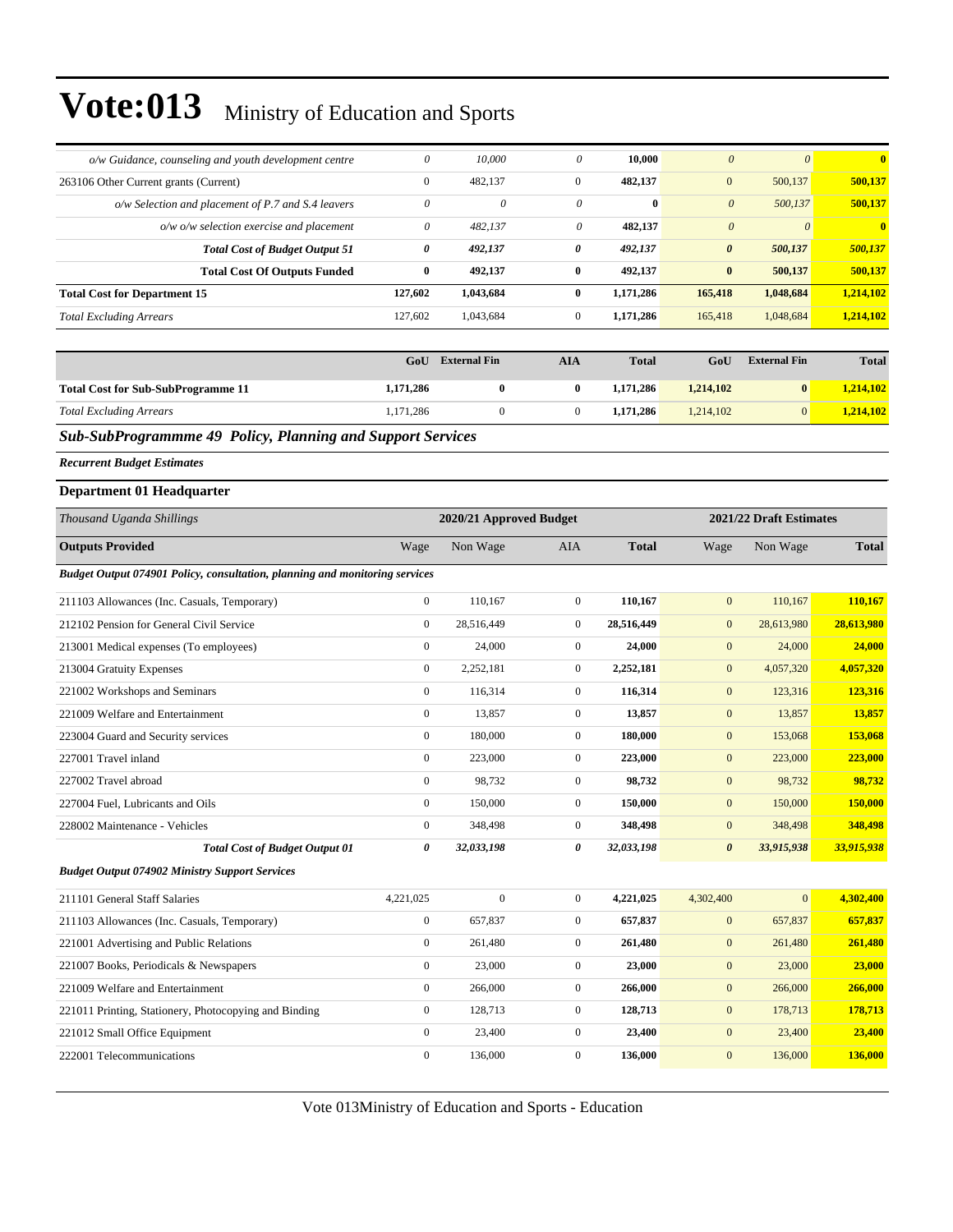| o/w Guidance, counseling and youth development centre                       | $\theta$              | 10,000                  | $\boldsymbol{\theta}$ | 10,000       | $\boldsymbol{0}$      | $\boldsymbol{\theta}$   | $\bf{0}$     |
|-----------------------------------------------------------------------------|-----------------------|-------------------------|-----------------------|--------------|-----------------------|-------------------------|--------------|
| 263106 Other Current grants (Current)                                       | $\boldsymbol{0}$      | 482,137                 | $\mathbf{0}$          | 482,137      | $\mathbf{0}$          | 500,137                 | 500,137      |
| o/w Selection and placement of P.7 and S.4 leavers                          | $\boldsymbol{\theta}$ | $\theta$                | 0                     | $\bf{0}$     | $\boldsymbol{\theta}$ | 500,137                 | 500,137      |
| o/w o/w selection exercise and placement                                    | $\theta$              | 482,137                 | 0                     | 482,137      | $\boldsymbol{\theta}$ | $\boldsymbol{\theta}$   | $\bf{0}$     |
| <b>Total Cost of Budget Output 51</b>                                       | $\pmb{\theta}$        | 492,137                 | 0                     | 492,137      | $\boldsymbol{\theta}$ | 500,137                 | 500,137      |
| <b>Total Cost Of Outputs Funded</b>                                         | $\bf{0}$              | 492,137                 | $\bf{0}$              | 492,137      | $\pmb{0}$             | 500,137                 | 500,137      |
| <b>Total Cost for Department 15</b>                                         | 127,602               | 1,043,684               | $\bf{0}$              | 1,171,286    | 165,418               | 1,048,684               | 1,214,102    |
| <b>Total Excluding Arrears</b>                                              | 127,602               | 1,043,684               | $\mathbf{0}$          | 1,171,286    | 165,418               | 1,048,684               | 1,214,102    |
|                                                                             |                       |                         |                       |              |                       |                         |              |
|                                                                             | GoU                   | <b>External Fin</b>     | <b>AIA</b>            | <b>Total</b> | GoU                   | <b>External Fin</b>     | <b>Total</b> |
| <b>Total Cost for Sub-SubProgramme 11</b>                                   | 1,171,286             | $\bf{0}$                | $\bf{0}$              | 1,171,286    | 1,214,102             | $\bf{0}$                | 1,214,102    |
| <b>Total Excluding Arrears</b>                                              | 1,171,286             | $\boldsymbol{0}$        | $\boldsymbol{0}$      | 1,171,286    | 1,214,102             | $\mathbf{0}$            | 1,214,102    |
| Sub-SubProgrammme 49 Policy, Planning and Support Services                  |                       |                         |                       |              |                       |                         |              |
| <b>Recurrent Budget Estimates</b>                                           |                       |                         |                       |              |                       |                         |              |
| <b>Department 01 Headquarter</b>                                            |                       |                         |                       |              |                       |                         |              |
| Thousand Uganda Shillings                                                   |                       | 2020/21 Approved Budget |                       |              |                       | 2021/22 Draft Estimates |              |
| <b>Outputs Provided</b>                                                     | Wage                  | Non Wage                | AIA                   | <b>Total</b> | Wage                  | Non Wage                | <b>Total</b> |
| Budget Output 074901 Policy, consultation, planning and monitoring services |                       |                         |                       |              |                       |                         |              |
| 211103 Allowances (Inc. Casuals, Temporary)                                 | $\boldsymbol{0}$      | 110,167                 | $\mathbf{0}$          | 110,167      | $\mathbf{0}$          | 110,167                 | 110,167      |
| 212102 Pension for General Civil Service                                    | $\boldsymbol{0}$      | 28,516,449              | $\mathbf{0}$          | 28,516,449   | $\boldsymbol{0}$      | 28,613,980              | 28,613,980   |
| 213001 Medical expenses (To employees)                                      | $\boldsymbol{0}$      | 24,000                  | $\mathbf{0}$          | 24,000       | $\mathbf{0}$          | 24,000                  | 24,000       |
| 213004 Gratuity Expenses                                                    | $\boldsymbol{0}$      | 2,252,181               | $\mathbf{0}$          | 2,252,181    | $\mathbf{0}$          | 4,057,320               | 4,057,320    |
| 221002 Workshops and Seminars                                               | $\boldsymbol{0}$      | 116,314                 | $\mathbf{0}$          | 116,314      | $\mathbf{0}$          | 123,316                 | 123,316      |
| 221009 Welfare and Entertainment                                            | $\boldsymbol{0}$      | 13,857                  | $\mathbf{0}$          | 13,857       | $\mathbf{0}$          | 13,857                  | 13,857       |
| 223004 Guard and Security services                                          | $\boldsymbol{0}$      | 180,000                 | $\mathbf{0}$          | 180,000      | $\mathbf{0}$          | 153,068                 | 153,068      |
| 227001 Travel inland                                                        | $\boldsymbol{0}$      | 223,000                 | $\mathbf{0}$          | 223,000      | $\boldsymbol{0}$      | 223,000                 | 223,000      |
| 227002 Travel abroad                                                        | $\boldsymbol{0}$      | 98,732                  | $\mathbf{0}$          | 98,732       | $\boldsymbol{0}$      | 98,732                  | 98,732       |
| 227004 Fuel, Lubricants and Oils                                            | $\boldsymbol{0}$      | 150,000                 | $\mathbf{0}$          | 150,000      | $\boldsymbol{0}$      | 150,000                 | 150,000      |
| 228002 Maintenance - Vehicles                                               | $\boldsymbol{0}$      | 348,498                 | $\mathbf{0}$          | 348,498      | $\mathbf{0}$          | 348,498                 | 348,498      |
| <b>Total Cost of Budget Output 01</b>                                       | 0                     | 32,033,198              | 0                     | 32,033,198   | $\boldsymbol{\theta}$ | 33,915,938              | 33,915,938   |
| <b>Budget Output 074902 Ministry Support Services</b>                       |                       |                         |                       |              |                       |                         |              |
| 211101 General Staff Salaries                                               | 4,221,025             | $\boldsymbol{0}$        | $\mathbf{0}$          | 4,221,025    | 4,302,400             | $\mathbf{0}$            | 4,302,400    |
| 211103 Allowances (Inc. Casuals, Temporary)                                 | $\boldsymbol{0}$      | 657,837                 | $\boldsymbol{0}$      | 657,837      | $\boldsymbol{0}$      | 657,837                 | 657,837      |
| 221001 Advertising and Public Relations                                     | $\boldsymbol{0}$      | 261,480                 | $\boldsymbol{0}$      | 261,480      | $\boldsymbol{0}$      | 261,480                 | 261,480      |
| 221007 Books, Periodicals & Newspapers                                      | $\boldsymbol{0}$      | 23,000                  | $\boldsymbol{0}$      | 23,000       | $\boldsymbol{0}$      | 23,000                  | 23,000       |
| 221009 Welfare and Entertainment                                            | $\mathbf{0}$          | 266,000                 | $\boldsymbol{0}$      | 266,000      | $\boldsymbol{0}$      | 266,000                 | 266,000      |
| 221011 Printing, Stationery, Photocopying and Binding                       | $\boldsymbol{0}$      | 128,713                 | $\boldsymbol{0}$      | 128,713      | $\boldsymbol{0}$      | 178,713                 | 178,713      |

Vote 013Ministry of Education and Sports - Education

221012 Small Office Equipment 0 23,400 0 **23,400** 0 23,400 **23,400** 222001 Telecommunications 0 136,000 0 **136,000** 0 136,000 **136,000**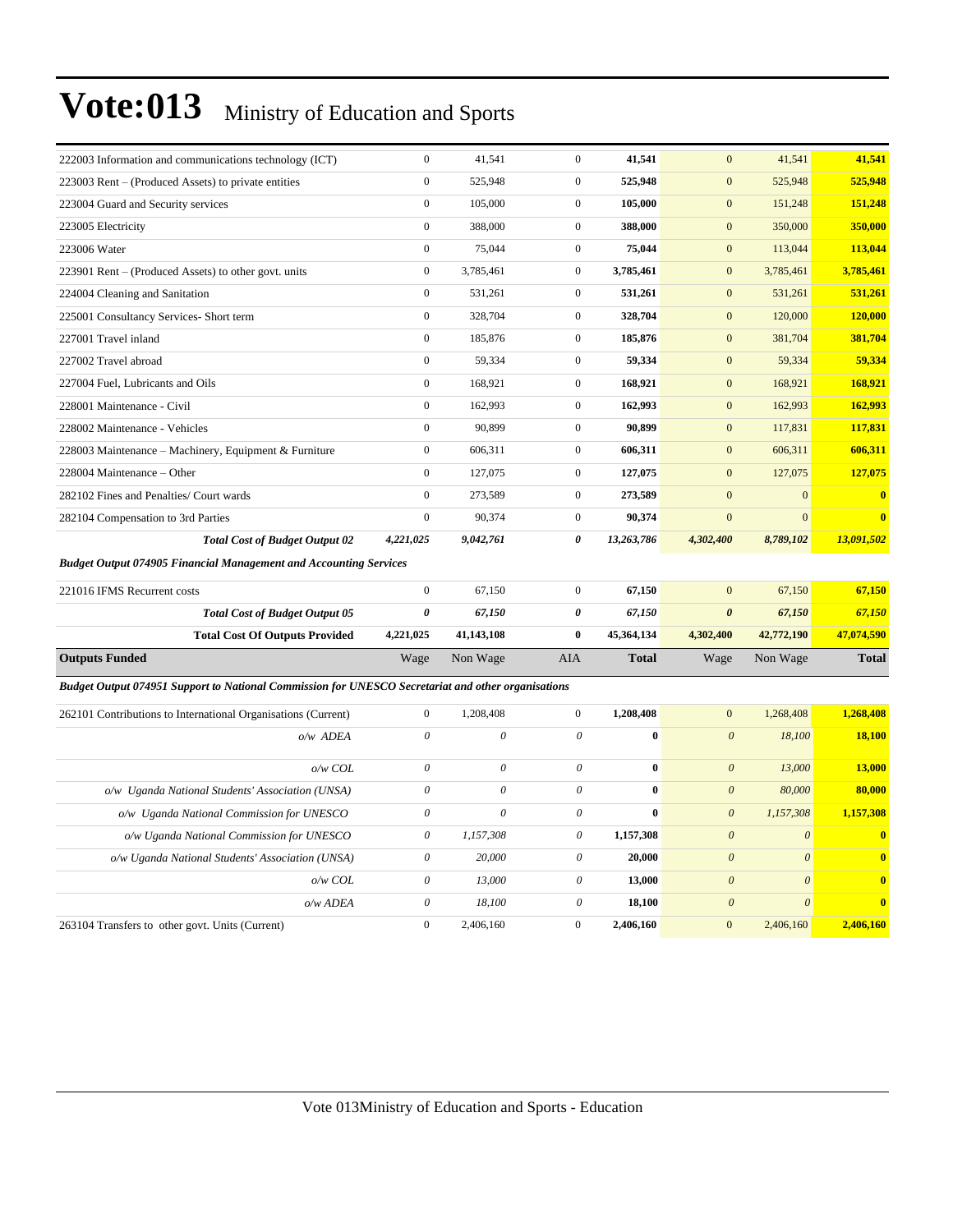| 222003 Information and communications technology (ICT)                                             | $\mathbf{0}$              | 41,541                    | $\mathbf{0}$              | 41,541       | $\mathbf{0}$          | 41,541                | 41,541                  |
|----------------------------------------------------------------------------------------------------|---------------------------|---------------------------|---------------------------|--------------|-----------------------|-----------------------|-------------------------|
| 223003 Rent – (Produced Assets) to private entities                                                | $\mathbf{0}$              | 525,948                   | $\mathbf{0}$              | 525,948      | $\overline{0}$        | 525,948               | 525,948                 |
| 223004 Guard and Security services                                                                 | $\boldsymbol{0}$          | 105,000                   | $\boldsymbol{0}$          | 105,000      | $\mathbf{0}$          | 151,248               | 151,248                 |
| 223005 Electricity                                                                                 | $\mathbf{0}$              | 388,000                   | $\overline{0}$            | 388,000      | $\overline{0}$        | 350,000               | 350,000                 |
| 223006 Water                                                                                       | $\boldsymbol{0}$          | 75,044                    | $\boldsymbol{0}$          | 75,044       | $\mathbf{0}$          | 113,044               | 113,044                 |
| 223901 Rent – (Produced Assets) to other govt. units                                               | $\boldsymbol{0}$          | 3,785,461                 | $\mathbf{0}$              | 3,785,461    | $\mathbf{0}$          | 3,785,461             | 3,785,461               |
| 224004 Cleaning and Sanitation                                                                     | $\boldsymbol{0}$          | 531,261                   | $\mathbf{0}$              | 531,261      | $\mathbf{0}$          | 531,261               | 531,261                 |
| 225001 Consultancy Services- Short term                                                            | $\boldsymbol{0}$          | 328,704                   | $\mathbf{0}$              | 328,704      | $\boldsymbol{0}$      | 120,000               | 120,000                 |
| 227001 Travel inland                                                                               | $\boldsymbol{0}$          | 185,876                   | $\mathbf{0}$              | 185,876      | $\mathbf{0}$          | 381,704               | 381,704                 |
| 227002 Travel abroad                                                                               | $\mathbf{0}$              | 59,334                    | $\overline{0}$            | 59,334       | $\mathbf{0}$          | 59,334                | 59,334                  |
| 227004 Fuel, Lubricants and Oils                                                                   | $\boldsymbol{0}$          | 168,921                   | $\mathbf{0}$              | 168,921      | $\boldsymbol{0}$      | 168,921               | 168,921                 |
| 228001 Maintenance - Civil                                                                         | $\mathbf{0}$              | 162,993                   | $\mathbf{0}$              | 162,993      | $\overline{0}$        | 162,993               | 162,993                 |
| 228002 Maintenance - Vehicles                                                                      | $\mathbf{0}$              | 90,899                    | $\overline{0}$            | 90,899       | $\mathbf{0}$          | 117,831               | 117,831                 |
| 228003 Maintenance – Machinery, Equipment & Furniture                                              | $\boldsymbol{0}$          | 606,311                   | $\mathbf{0}$              | 606,311      | $\boldsymbol{0}$      | 606,311               | 606,311                 |
| 228004 Maintenance – Other                                                                         | $\mathbf{0}$              | 127,075                   | $\mathbf{0}$              | 127,075      | $\overline{0}$        | 127,075               | 127,075                 |
| 282102 Fines and Penalties/ Court wards                                                            | $\boldsymbol{0}$          | 273,589                   | $\mathbf{0}$              | 273,589      | $\mathbf{0}$          | $\mathbf{0}$          | $\bf{0}$                |
| 282104 Compensation to 3rd Parties                                                                 | $\boldsymbol{0}$          | 90,374                    | $\mathbf{0}$              | 90,374       | $\mathbf{0}$          | $\mathbf{0}$          | $\overline{\mathbf{0}}$ |
| <b>Total Cost of Budget Output 02</b>                                                              | 4,221,025                 | 9,042,761                 | $\theta$                  | 13,263,786   | 4,302,400             | 8,789,102             | 13,091,502              |
| <b>Budget Output 074905 Financial Management and Accounting Services</b>                           |                           |                           |                           |              |                       |                       |                         |
| 221016 IFMS Recurrent costs                                                                        | $\boldsymbol{0}$          | 67,150                    | $\mathbf{0}$              | 67,150       | $\mathbf{0}$          | 67,150                | 67,150                  |
| <b>Total Cost of Budget Output 05</b>                                                              | $\boldsymbol{\theta}$     | 67,150                    | $\pmb{\theta}$            | 67,150       | $\boldsymbol{\theta}$ | 67,150                | 67,150                  |
| <b>Total Cost Of Outputs Provided</b>                                                              | 4,221,025                 | 41,143,108                | $\bf{0}$                  | 45,364,134   | 4,302,400             | 42,772,190            | 47,074,590              |
| <b>Outputs Funded</b>                                                                              | Wage                      | Non Wage                  | AIA                       | <b>Total</b> | Wage                  | Non Wage              | <b>Total</b>            |
| Budget Output 074951 Support to National Commission for UNESCO Secretariat and other organisations |                           |                           |                           |              |                       |                       |                         |
| 262101 Contributions to International Organisations (Current)                                      | $\boldsymbol{0}$          | 1,208,408                 | $\mathbf{0}$              | 1,208,408    | $\mathbf{0}$          | 1,268,408             | 1,268,408               |
| o/w ADEA                                                                                           | $\boldsymbol{\theta}$     | $\boldsymbol{\mathit{0}}$ | $\theta$                  | $\bf{0}$     | $\boldsymbol{\theta}$ | 18,100                | 18,100                  |
|                                                                                                    |                           |                           |                           |              |                       |                       |                         |
| o/w COL                                                                                            | $\boldsymbol{\theta}$     | $\boldsymbol{\mathit{0}}$ | $\theta$                  | $\bf{0}$     | $\boldsymbol{\theta}$ | 13,000                | 13,000                  |
| o/w Uganda National Students' Association (UNSA)                                                   | $\theta$                  | $\theta$                  | $\theta$                  | $\bf{0}$     | $\boldsymbol{\theta}$ | 80,000                | 80,000                  |
| o/w Uganda National Commission for UNESCO                                                          | $\theta$                  | $\theta$                  | $\theta$                  | $\bf{0}$     | $\boldsymbol{\theta}$ | 1,157,308             | 1,157,308               |
| o/w Uganda National Commission for UNESCO                                                          | $\theta$                  | 1,157,308                 | $\theta$                  | 1,157,308    | $\boldsymbol{\theta}$ | $\boldsymbol{\theta}$ | $\bf{0}$                |
| o/w Uganda National Students' Association (UNSA)                                                   | $\theta$                  | 20,000                    | $\theta$                  | 20,000       | $\mathfrak{o}$        | $\theta$              | $\bf{0}$                |
| o/w COL                                                                                            | $\boldsymbol{\mathit{0}}$ | 13,000                    | $\boldsymbol{\mathit{0}}$ | 13,000       | $\boldsymbol{\theta}$ | $\boldsymbol{\theta}$ | $\bf{0}$                |
| o/w ADEA                                                                                           |                           |                           |                           |              |                       |                       |                         |
|                                                                                                    | $\boldsymbol{\theta}$     | 18,100                    | $\theta$                  | 18,100       | $\boldsymbol{\theta}$ | $\boldsymbol{\theta}$ | $\bf{0}$                |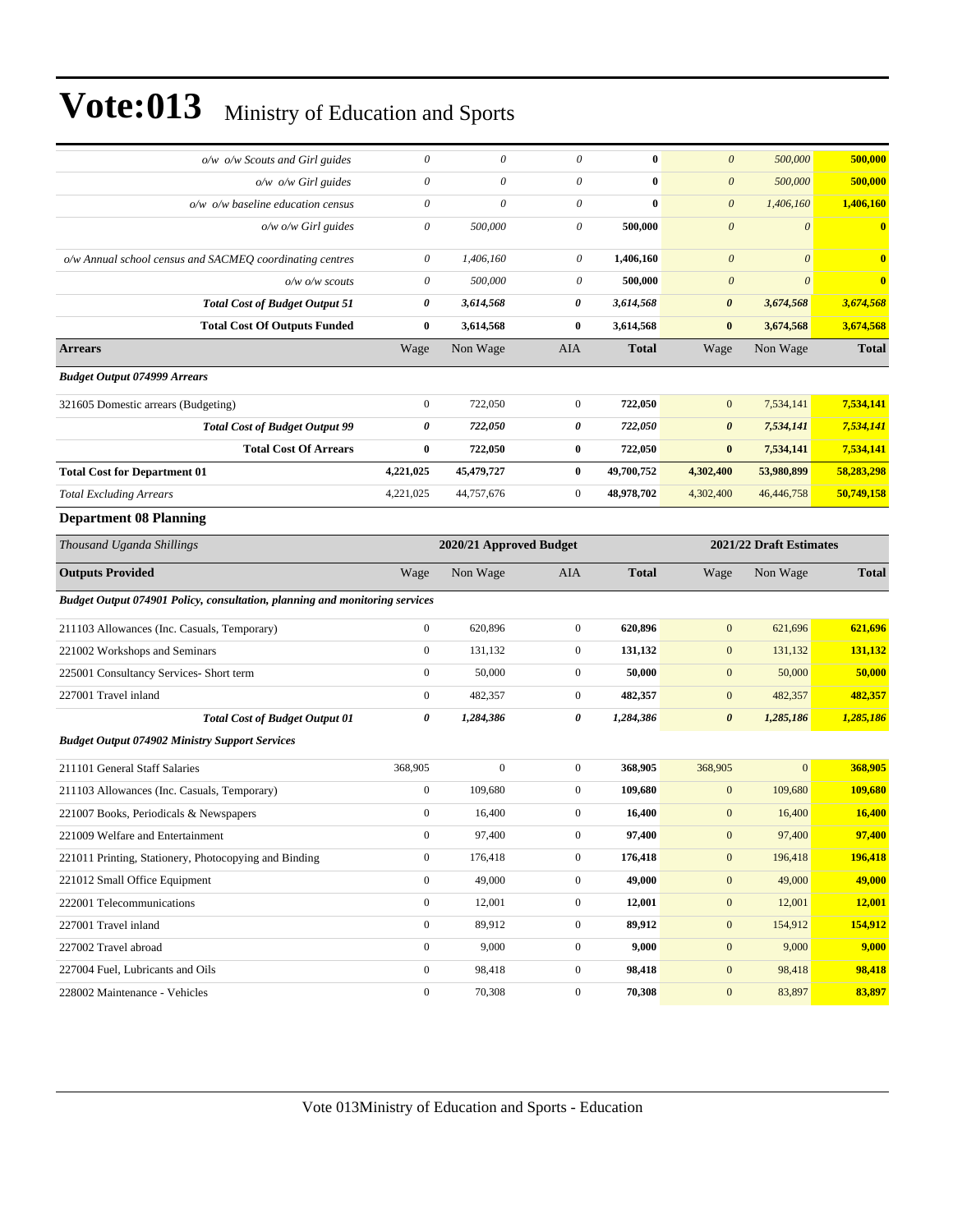| o/w o/w Scouts and Girl guides                                                     | $\theta$              | 0                       | 0                | $\bf{0}$     | $\boldsymbol{\theta}$   | 500,000      | 500,000       |
|------------------------------------------------------------------------------------|-----------------------|-------------------------|------------------|--------------|-------------------------|--------------|---------------|
| $o/w$ $o/w$ Girl guides                                                            | $\theta$              | 0                       | $\theta$         | $\bf{0}$     | $\boldsymbol{\theta}$   | 500,000      | 500,000       |
| $o/w$ $o/w$ baseline education census                                              | $\theta$              | 0                       | $\theta$         | $\bf{0}$     | $\boldsymbol{\theta}$   | 1,406,160    | 1,406,160     |
| $o/w$ $o/w$ Girl guides                                                            | $\theta$              | 500,000                 | 0                | 500,000      | $\boldsymbol{\theta}$   | $\theta$     | $\bf{0}$      |
| o/w Annual school census and SACMEQ coordinating centres                           | $\boldsymbol{\theta}$ | 1,406,160               | 0                | 1,406,160    | $\boldsymbol{0}$        | $\theta$     | $\bf{0}$      |
| $o/w$ o/w scouts                                                                   | $\theta$              | 500,000                 | $\theta$         | 500,000      | $\boldsymbol{\theta}$   | $\theta$     | $\bf{0}$      |
| <b>Total Cost of Budget Output 51</b>                                              | 0                     | 3,614,568               | 0                | 3,614,568    | $\boldsymbol{\theta}$   | 3,674,568    | 3,674,568     |
| <b>Total Cost Of Outputs Funded</b>                                                | $\bf{0}$              | 3,614,568               | $\bf{0}$         | 3,614,568    | $\bf{0}$                | 3,674,568    | 3,674,568     |
| <b>Arrears</b>                                                                     | Wage                  | Non Wage                | AIA              | <b>Total</b> | Wage                    | Non Wage     | <b>Total</b>  |
| <b>Budget Output 074999 Arrears</b>                                                |                       |                         |                  |              |                         |              |               |
| 321605 Domestic arrears (Budgeting)                                                | $\boldsymbol{0}$      | 722,050                 | $\mathbf{0}$     | 722,050      | $\mathbf{0}$            | 7,534,141    | 7,534,141     |
| <b>Total Cost of Budget Output 99</b>                                              | 0                     | 722,050                 | 0                | 722,050      | $\boldsymbol{\theta}$   | 7,534,141    | 7,534,141     |
| <b>Total Cost Of Arrears</b>                                                       | $\bf{0}$              | 722,050                 | $\bf{0}$         | 722,050      | $\bf{0}$                | 7,534,141    | 7,534,141     |
| <b>Total Cost for Department 01</b>                                                | 4,221,025             | 45,479,727              | $\bf{0}$         | 49,700,752   | 4,302,400               | 53,980,899   | 58,283,298    |
| <b>Total Excluding Arrears</b>                                                     | 4,221,025             | 44,757,676              | $\mathbf{0}$     | 48,978,702   | 4,302,400               | 46,446,758   | 50,749,158    |
| <b>Department 08 Planning</b>                                                      |                       |                         |                  |              |                         |              |               |
| Thousand Uganda Shillings                                                          |                       | 2020/21 Approved Budget |                  |              | 2021/22 Draft Estimates |              |               |
| <b>Outputs Provided</b>                                                            | Wage                  | Non Wage                | AIA              | <b>Total</b> | Wage                    | Non Wage     | <b>Total</b>  |
| <b>Budget Output 074901 Policy, consultation, planning and monitoring services</b> |                       |                         |                  |              |                         |              |               |
| 211103 Allowances (Inc. Casuals, Temporary)                                        | $\boldsymbol{0}$      | 620,896                 | $\mathbf{0}$     | 620,896      | $\boldsymbol{0}$        | 621,696      | 621,696       |
| 221002 Workshops and Seminars                                                      | $\boldsymbol{0}$      | 131,132                 | $\mathbf{0}$     | 131,132      | $\boldsymbol{0}$        | 131,132      | 131,132       |
| 225001 Consultancy Services- Short term                                            | $\boldsymbol{0}$      | 50,000                  | $\mathbf{0}$     | 50,000       | $\boldsymbol{0}$        | 50,000       | 50,000        |
| 227001 Travel inland                                                               | $\boldsymbol{0}$      | 482,357                 | $\mathbf{0}$     | 482,357      | $\mathbf{0}$            | 482,357      | 482,357       |
| <b>Total Cost of Budget Output 01</b>                                              | 0                     | 1,284,386               | 0                | 1,284,386    | $\boldsymbol{\theta}$   | 1,285,186    | 1,285,186     |
| <b>Budget Output 074902 Ministry Support Services</b>                              |                       |                         |                  |              |                         |              |               |
| 211101 General Staff Salaries                                                      | 368,905               | $\mathbf{0}$            | $\mathbf{0}$     | 368,905      | 368,905                 | $\mathbf{0}$ | 368,905       |
| 211103 Allowances (Inc. Casuals, Temporary)                                        | $\boldsymbol{0}$      | 109,680                 | $\mathbf{0}$     | 109,680      | $\boldsymbol{0}$        | 109,680      | 109,680       |
| 221007 Books, Periodicals & Newspapers                                             | $\boldsymbol{0}$      | 16,400                  | $\mathbf{0}$     | 16,400       | $\boldsymbol{0}$        | 16,400       | <b>16,400</b> |
| 221009 Welfare and Entertainment                                                   | $\mathbf{0}$          | 97,400                  | $\mathbf{0}$     | 97,400       | $\mathbf{0}$            | 97,400       | 97,400        |
| 221011 Printing, Stationery, Photocopying and Binding                              | $\boldsymbol{0}$      | 176,418                 | $\boldsymbol{0}$ | 176,418      | $\boldsymbol{0}$        | 196,418      | 196,418       |
| 221012 Small Office Equipment                                                      | $\mathbf{0}$          | 49,000                  | $\boldsymbol{0}$ | 49,000       | $\mathbf{0}$            | 49,000       | 49,000        |
| 222001 Telecommunications                                                          | $\boldsymbol{0}$      | 12,001                  | $\boldsymbol{0}$ | 12,001       | $\boldsymbol{0}$        | 12,001       | 12,001        |
| 227001 Travel inland                                                               | $\boldsymbol{0}$      | 89,912                  | $\boldsymbol{0}$ | 89,912       | $\boldsymbol{0}$        | 154,912      | 154,912       |
| 227002 Travel abroad                                                               |                       |                         |                  |              |                         |              |               |
|                                                                                    | $\boldsymbol{0}$      | 9,000                   | $\boldsymbol{0}$ | 9,000        | $\boldsymbol{0}$        | 9,000        | 9,000         |
| 227004 Fuel, Lubricants and Oils                                                   | $\boldsymbol{0}$      | 98,418                  | $\boldsymbol{0}$ | 98,418       | $\boldsymbol{0}$        | 98,418       | 98,418        |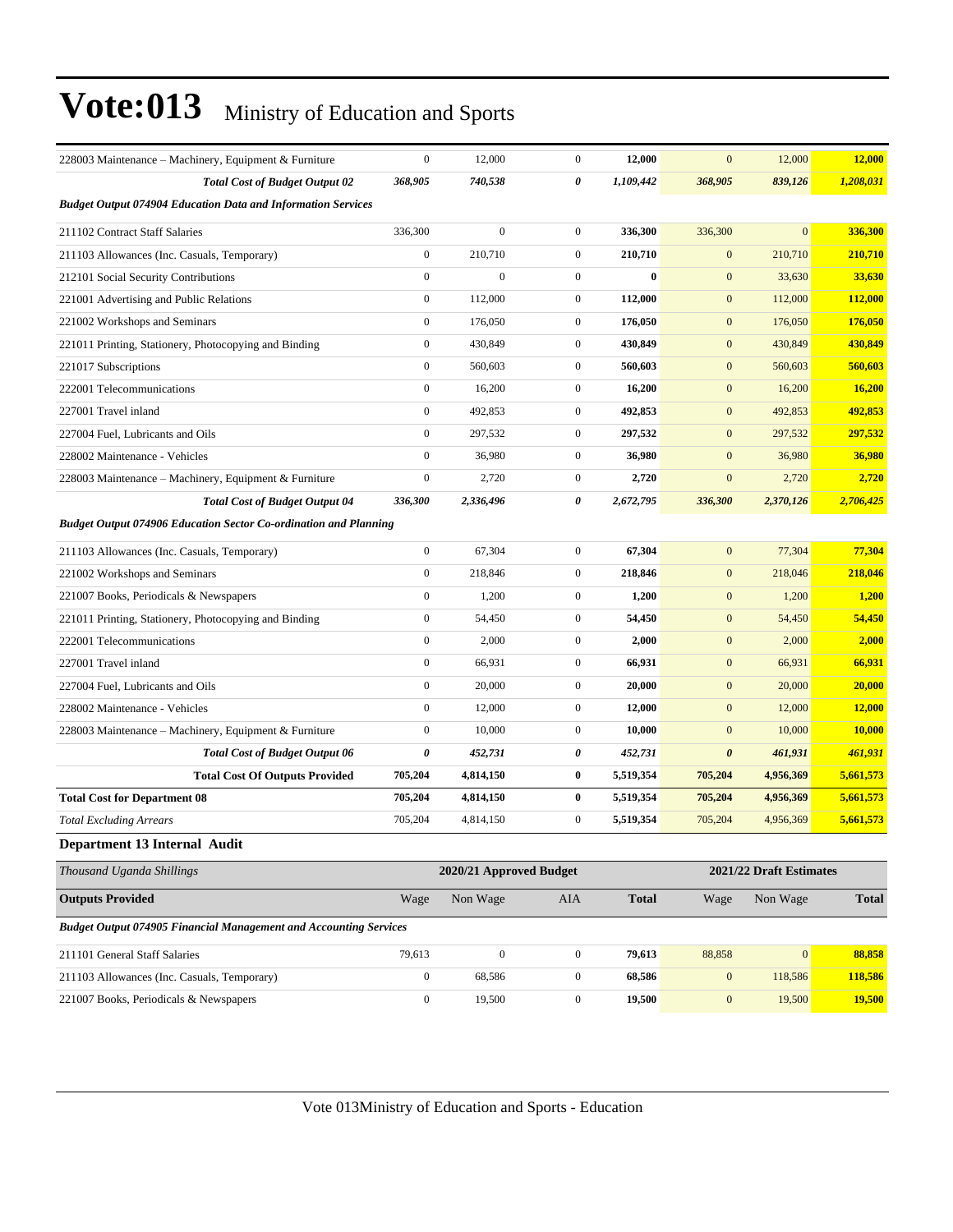| 228003 Maintenance – Machinery, Equipment & Furniture                    | $\boldsymbol{0}$ | 12,000                  | $\boldsymbol{0}$ | 12,000       | $\mathbf{0}$          | 12,000                  | 12,000         |
|--------------------------------------------------------------------------|------------------|-------------------------|------------------|--------------|-----------------------|-------------------------|----------------|
| <b>Total Cost of Budget Output 02</b>                                    | 368,905          | 740,538                 | 0                | 1,109,442    | 368,905               | 839,126                 | 1,208,031      |
| <b>Budget Output 074904 Education Data and Information Services</b>      |                  |                         |                  |              |                       |                         |                |
| 211102 Contract Staff Salaries                                           | 336,300          | $\boldsymbol{0}$        | $\mathbf{0}$     | 336,300      | 336,300               | $\overline{0}$          | 336,300        |
| 211103 Allowances (Inc. Casuals, Temporary)                              | $\boldsymbol{0}$ | 210,710                 | $\mathbf{0}$     | 210,710      | $\mathbf{0}$          | 210,710                 | 210,710        |
| 212101 Social Security Contributions                                     | $\boldsymbol{0}$ | $\mathbf{0}$            | $\mathbf{0}$     | $\bf{0}$     | $\mathbf{0}$          | 33,630                  | 33,630         |
| 221001 Advertising and Public Relations                                  | $\boldsymbol{0}$ | 112,000                 | $\mathbf{0}$     | 112,000      | $\mathbf{0}$          | 112,000                 | 112,000        |
| 221002 Workshops and Seminars                                            | $\boldsymbol{0}$ | 176,050                 | $\mathbf{0}$     | 176,050      | $\mathbf{0}$          | 176,050                 | <b>176,050</b> |
| 221011 Printing, Stationery, Photocopying and Binding                    | $\boldsymbol{0}$ | 430,849                 | $\mathbf{0}$     | 430,849      | $\mathbf{0}$          | 430,849                 | 430,849        |
| 221017 Subscriptions                                                     | $\boldsymbol{0}$ | 560,603                 | $\mathbf{0}$     | 560,603      | $\mathbf{0}$          | 560,603                 | 560,603        |
| 222001 Telecommunications                                                | $\boldsymbol{0}$ | 16,200                  | $\mathbf{0}$     | 16,200       | $\mathbf{0}$          | 16,200                  | 16,200         |
| 227001 Travel inland                                                     | $\boldsymbol{0}$ | 492,853                 | $\mathbf{0}$     | 492,853      | $\boldsymbol{0}$      | 492,853                 | 492,853        |
| 227004 Fuel, Lubricants and Oils                                         | $\boldsymbol{0}$ | 297,532                 | $\mathbf{0}$     | 297,532      | $\mathbf{0}$          | 297,532                 | 297,532        |
| 228002 Maintenance - Vehicles                                            | $\boldsymbol{0}$ | 36,980                  | $\mathbf{0}$     | 36,980       | $\mathbf{0}$          | 36,980                  | 36,980         |
| 228003 Maintenance - Machinery, Equipment & Furniture                    | $\boldsymbol{0}$ | 2,720                   | $\mathbf{0}$     | 2,720        | $\mathbf{0}$          | 2,720                   | 2,720          |
| <b>Total Cost of Budget Output 04</b>                                    | 336,300          | 2,336,496               | 0                | 2,672,795    | 336,300               | 2,370,126               | 2,706,425      |
| <b>Budget Output 074906 Education Sector Co-ordination and Planning</b>  |                  |                         |                  |              |                       |                         |                |
| 211103 Allowances (Inc. Casuals, Temporary)                              | $\boldsymbol{0}$ | 67,304                  | $\mathbf{0}$     | 67,304       | $\mathbf{0}$          | 77,304                  | 77,304         |
| 221002 Workshops and Seminars                                            | $\boldsymbol{0}$ | 218,846                 | $\mathbf{0}$     | 218,846      | $\boldsymbol{0}$      | 218,046                 | 218,046        |
| 221007 Books, Periodicals & Newspapers                                   | $\boldsymbol{0}$ | 1,200                   | $\mathbf{0}$     | 1,200        | $\boldsymbol{0}$      | 1,200                   | 1,200          |
| 221011 Printing, Stationery, Photocopying and Binding                    | $\boldsymbol{0}$ | 54,450                  | $\mathbf{0}$     | 54,450       | $\boldsymbol{0}$      | 54,450                  | 54,450         |
| 222001 Telecommunications                                                | $\boldsymbol{0}$ | 2,000                   | $\mathbf{0}$     | 2,000        | $\boldsymbol{0}$      | 2,000                   | 2,000          |
| 227001 Travel inland                                                     | $\boldsymbol{0}$ | 66,931                  | $\mathbf{0}$     | 66,931       | $\mathbf{0}$          | 66,931                  | 66,931         |
| 227004 Fuel, Lubricants and Oils                                         | $\boldsymbol{0}$ | 20,000                  | $\mathbf{0}$     | 20,000       | $\mathbf{0}$          | 20,000                  | 20,000         |
| 228002 Maintenance - Vehicles                                            | $\boldsymbol{0}$ | 12,000                  | $\mathbf{0}$     | 12,000       | $\mathbf{0}$          | 12,000                  | 12,000         |
| 228003 Maintenance - Machinery, Equipment & Furniture                    | $\boldsymbol{0}$ | 10,000                  | $\boldsymbol{0}$ | 10,000       | $\mathbf{0}$          | 10,000                  | 10,000         |
| <b>Total Cost of Budget Output 06</b>                                    | 0                | 452,731                 | 0                | 452,731      | $\boldsymbol{\theta}$ | 461,931                 | 461,931        |
| <b>Total Cost Of Outputs Provided</b>                                    | 705,204          | 4,814,150               | $\bf{0}$         | 5,519,354    | 705,204               | 4,956,369               | 5,661,573      |
| <b>Total Cost for Department 08</b>                                      | 705,204          | 4,814,150               | $\bf{0}$         | 5,519,354    | 705,204               | 4,956,369               | 5,661,573      |
| <b>Total Excluding Arrears</b>                                           | 705,204          | 4,814,150               | $\boldsymbol{0}$ | 5,519,354    | 705,204               | 4,956,369               | 5,661,573      |
| Department 13 Internal Audit                                             |                  |                         |                  |              |                       |                         |                |
| Thousand Uganda Shillings                                                |                  | 2020/21 Approved Budget |                  |              |                       | 2021/22 Draft Estimates |                |
| <b>Outputs Provided</b>                                                  | Wage             | Non Wage                | AIA              | <b>Total</b> | Wage                  | Non Wage                | <b>Total</b>   |
| <b>Budget Output 074905 Financial Management and Accounting Services</b> |                  |                         |                  |              |                       |                         |                |
| 211101 General Staff Salaries                                            | 79,613           | $\overline{0}$          | $\boldsymbol{0}$ | 79,613       | 88,858                | $\boldsymbol{0}$        | 88,858         |
| 211103 Allowances (Inc. Casuals, Temporary)                              | $\boldsymbol{0}$ | 68,586                  | $\mathbf{0}$     | 68,586       | $\boldsymbol{0}$      | 118,586                 | 118,586        |
| 221007 Books, Periodicals & Newspapers                                   | $\boldsymbol{0}$ | 19,500                  | $\boldsymbol{0}$ | 19,500       | $\boldsymbol{0}$      | 19,500                  | 19,500         |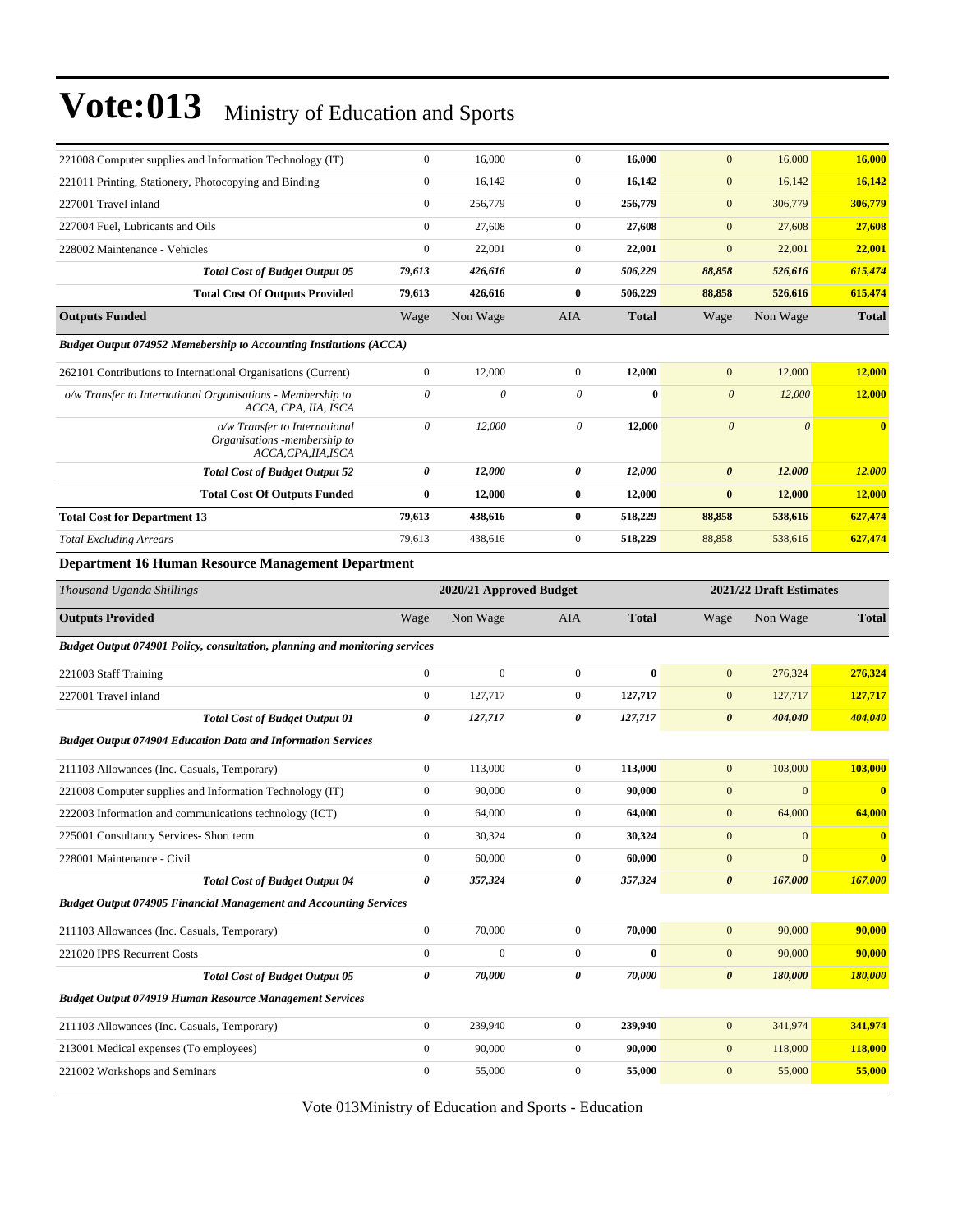| 221008 Computer supplies and Information Technology (IT)                              | $\boldsymbol{0}$ | 16,000                                             | $\mathbf{0}$     | 16,000       | $\mathbf{0}$          | 16,000                | 16,000                  |
|---------------------------------------------------------------------------------------|------------------|----------------------------------------------------|------------------|--------------|-----------------------|-----------------------|-------------------------|
| 221011 Printing, Stationery, Photocopying and Binding                                 | $\boldsymbol{0}$ | 16,142                                             | $\mathbf{0}$     | 16,142       | $\boldsymbol{0}$      | 16,142                | 16,142                  |
| 227001 Travel inland                                                                  | $\boldsymbol{0}$ | 256,779                                            | $\mathbf{0}$     | 256,779      | $\mathbf{0}$          | 306,779               | 306,779                 |
| 227004 Fuel, Lubricants and Oils                                                      | $\boldsymbol{0}$ | 27,608                                             | $\mathbf{0}$     | 27,608       | $\mathbf{0}$          | 27,608                | 27,608                  |
| 228002 Maintenance - Vehicles                                                         | $\boldsymbol{0}$ | 22,001                                             | $\mathbf{0}$     | 22,001       | $\mathbf{0}$          | 22,001                | 22,001                  |
| <b>Total Cost of Budget Output 05</b>                                                 | 79,613           | 426,616                                            | 0                | 506,229      | 88,858                | 526,616               | 615,474                 |
| <b>Total Cost Of Outputs Provided</b>                                                 | 79,613           | 426,616                                            | $\bf{0}$         | 506,229      | 88,858                | 526,616               | 615,474                 |
| <b>Outputs Funded</b>                                                                 | Wage             | Non Wage                                           | AIA              | <b>Total</b> | Wage                  | Non Wage              | <b>Total</b>            |
| <b>Budget Output 074952 Memebership to Accounting Institutions (ACCA)</b>             |                  |                                                    |                  |              |                       |                       |                         |
| 262101 Contributions to International Organisations (Current)                         | $\boldsymbol{0}$ | 12,000                                             | $\mathbf{0}$     | 12,000       | $\overline{0}$        | 12,000                | 12,000                  |
| o/w Transfer to International Organisations - Membership to<br>ACCA, CPA, IIA, ISCA   | $\theta$         | 0                                                  | $\theta$         | $\bf{0}$     | $\boldsymbol{\theta}$ | 12,000                | 12,000                  |
| o/w Transfer to International<br>Organisations -membership to<br>ACCA, CPA, IIA, ISCA | $\theta$         | 12,000                                             | 0                | 12,000       | $\boldsymbol{0}$      | $\boldsymbol{\theta}$ | $\bf{0}$                |
| <b>Total Cost of Budget Output 52</b>                                                 | 0                | 12,000                                             | 0                | 12,000       | $\boldsymbol{\theta}$ | 12,000                | 12,000                  |
| <b>Total Cost Of Outputs Funded</b>                                                   | $\bf{0}$         | 12,000                                             | $\bf{0}$         | 12,000       | $\bf{0}$              | 12,000                | <b>12,000</b>           |
| <b>Total Cost for Department 13</b>                                                   | 79,613           | 438,616                                            | $\bf{0}$         | 518,229      | 88,858                | 538,616               | 627,474                 |
| <b>Total Excluding Arrears</b>                                                        | 79,613           | 438,616                                            | $\mathbf{0}$     | 518,229      | 88,858                | 538,616               | 627,474                 |
| <b>Department 16 Human Resource Management Department</b>                             |                  |                                                    |                  |              |                       |                       |                         |
| Thousand Uganda Shillings                                                             |                  | 2021/22 Draft Estimates<br>2020/21 Approved Budget |                  |              |                       |                       |                         |
| <b>Outputs Provided</b>                                                               | Wage             | Non Wage                                           | <b>AIA</b>       | <b>Total</b> | Wage                  | Non Wage              | <b>Total</b>            |
| Budget Output 074901 Policy, consultation, planning and monitoring services           |                  |                                                    |                  |              |                       |                       |                         |
| 221003 Staff Training                                                                 | $\boldsymbol{0}$ | $\mathbf{0}$                                       | $\mathbf{0}$     | $\bf{0}$     | $\boldsymbol{0}$      | 276,324               | 276,324                 |
| 227001 Travel inland                                                                  | $\boldsymbol{0}$ | 127,717                                            | $\mathbf{0}$     | 127,717      | $\overline{0}$        | 127,717               | 127,717                 |
| <b>Total Cost of Budget Output 01</b>                                                 | 0                | 127,717                                            | 0                | 127,717      | $\boldsymbol{\theta}$ | 404,040               | 404,040                 |
| <b>Budget Output 074904 Education Data and Information Services</b>                   |                  |                                                    |                  |              |                       |                       |                         |
| 211103 Allowances (Inc. Casuals, Temporary)                                           | $\boldsymbol{0}$ | 113,000                                            | $\mathbf{0}$     | 113,000      | $\overline{0}$        | 103,000               | 103,000                 |
| 221008 Computer supplies and Information Technology (IT)                              | $\boldsymbol{0}$ | 90,000                                             | $\mathbf{0}$     | 90,000       | $\mathbf{0}$          | $\mathbf{0}$          | $\overline{\mathbf{0}}$ |
| 222003 Information and communications technology (ICT)                                | $\boldsymbol{0}$ | 64,000                                             | $\mathbf{0}$     | 64,000       | $\boldsymbol{0}$      | 64,000                | 64,000                  |
| 225001 Consultancy Services- Short term                                               | $\mathbf{0}$     | 30,324                                             | $\mathbf{0}$     | 30,324       | $\overline{0}$        | $\mathbf{0}$          | $\mathbf{0}$            |
| 228001 Maintenance - Civil                                                            | $\boldsymbol{0}$ | 60,000                                             | $\mathbf{0}$     | 60,000       | $\boldsymbol{0}$      | $\boldsymbol{0}$      | $\bf{0}$                |
| <b>Total Cost of Budget Output 04</b>                                                 | 0                | 357,324                                            | $\pmb{\theta}$   | 357,324      | $\boldsymbol{\theta}$ | 167,000               | 167,000                 |
| <b>Budget Output 074905 Financial Management and Accounting Services</b>              |                  |                                                    |                  |              |                       |                       |                         |
| 211103 Allowances (Inc. Casuals, Temporary)                                           | $\boldsymbol{0}$ | 70,000                                             | $\mathbf{0}$     | 70,000       | $\mathbf{0}$          | 90,000                | 90,000                  |
| 221020 IPPS Recurrent Costs                                                           | $\boldsymbol{0}$ | $\mathbf{0}$                                       | $\mathbf{0}$     | $\bf{0}$     | $\mathbf{0}$          | 90,000                | 90,000                  |
| <b>Total Cost of Budget Output 05</b>                                                 | 0                | 70,000                                             | 0                | 70,000       | $\boldsymbol{\theta}$ | 180,000               | 180,000                 |
| <b>Budget Output 074919 Human Resource Management Services</b>                        |                  |                                                    |                  |              |                       |                       |                         |
| 211103 Allowances (Inc. Casuals, Temporary)                                           | $\boldsymbol{0}$ | 239,940                                            | $\mathbf{0}$     | 239,940      | $\mathbf{0}$          | 341,974               | 341,974                 |
| 213001 Medical expenses (To employees)                                                | $\boldsymbol{0}$ | 90,000                                             | $\mathbf{0}$     | 90,000       | $\boldsymbol{0}$      | 118,000               | <b>118,000</b>          |
| 221002 Workshops and Seminars                                                         | $\boldsymbol{0}$ | 55,000                                             | $\boldsymbol{0}$ | 55,000       | $\boldsymbol{0}$      | 55,000                | 55,000                  |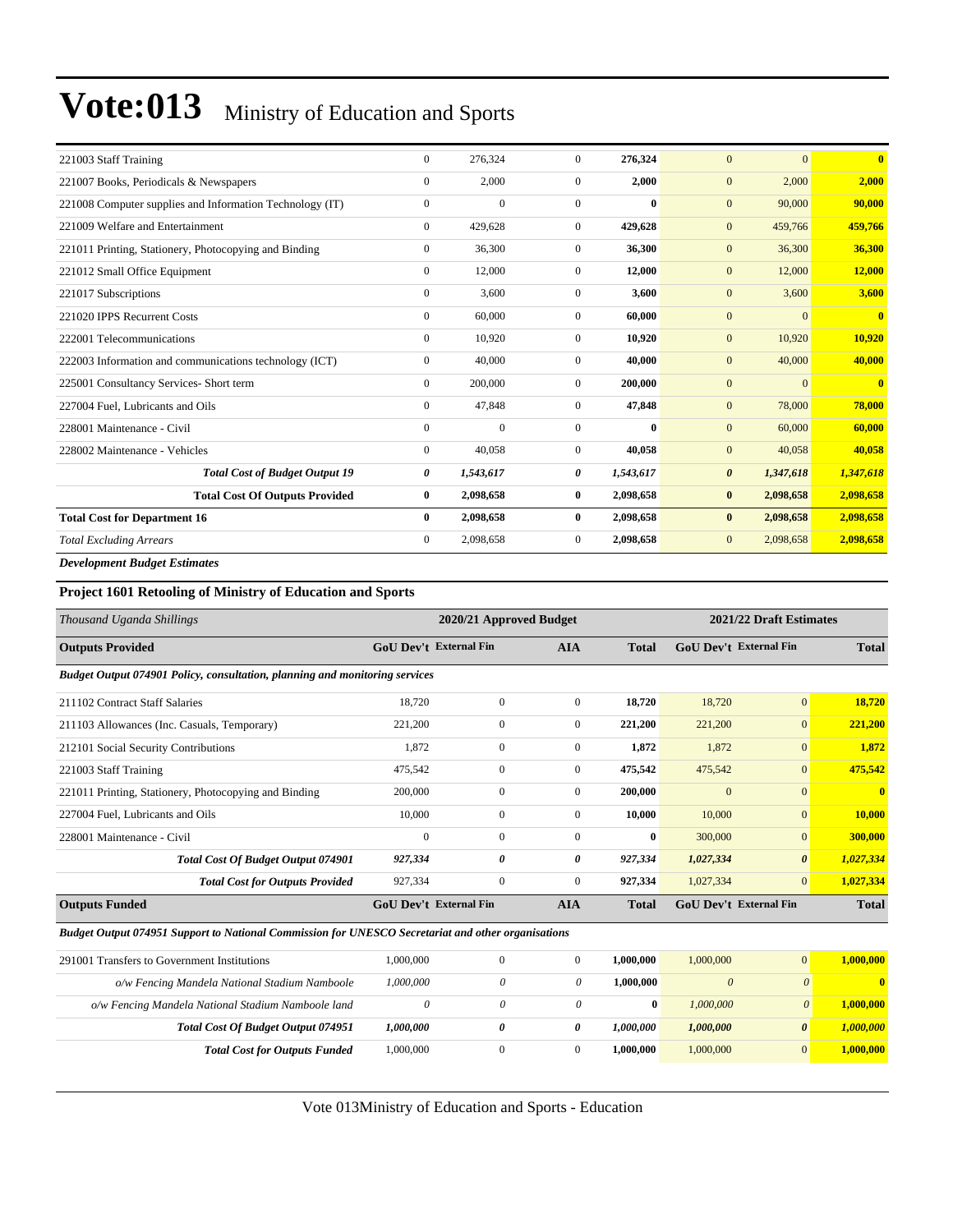| 221003 Staff Training                                    | $\Omega$       | 276,324        | $\Omega$     | 276,324      | $\overline{0}$<br>$\Omega$         | $\overline{\mathbf{0}}$ |
|----------------------------------------------------------|----------------|----------------|--------------|--------------|------------------------------------|-------------------------|
| 221007 Books, Periodicals & Newspapers                   | $\mathbf{0}$   | 2,000          | $\mathbf{0}$ | 2,000        | 2,000<br>$\mathbf{0}$              | 2,000                   |
| 221008 Computer supplies and Information Technology (IT) | $\mathbf{0}$   | $\mathbf{0}$   | $\mathbf{0}$ | $\mathbf{0}$ | $\mathbf{0}$<br>90,000             | 90,000                  |
| 221009 Welfare and Entertainment                         | $\Omega$       | 429,628        | $\mathbf{0}$ | 429,628      | $\mathbf{0}$<br>459,766            | 459,766                 |
| 221011 Printing, Stationery, Photocopying and Binding    | $\overline{0}$ | 36,300         | $\mathbf{0}$ | 36,300       | $\mathbf{0}$<br>36,300             | 36,300                  |
| 221012 Small Office Equipment                            | $\overline{0}$ | 12,000         | $\mathbf{0}$ | 12,000       | $\mathbf{0}$<br>12,000             | 12,000                  |
| 221017 Subscriptions                                     | $\overline{0}$ | 3,600          | $\mathbf{0}$ | 3,600        | $\overline{0}$<br>3,600            | 3,600                   |
| 221020 IPPS Recurrent Costs                              | $\overline{0}$ | 60,000         | $\mathbf{0}$ | 60,000       | $\overline{0}$<br>$\Omega$         | $\mathbf{0}$            |
| 222001 Telecommunications                                | $\Omega$       | 10,920         | $\Omega$     | 10,920       | $\mathbf{0}$<br>10,920             | 10,920                  |
| 222003 Information and communications technology (ICT)   | $\mathbf{0}$   | 40,000         | $\mathbf{0}$ | 40,000       | $\overline{0}$<br>40,000           | 40,000                  |
| 225001 Consultancy Services- Short term                  | $\mathbf{0}$   | 200,000        | $\mathbf{0}$ | 200,000      | $\mathbf{0}$<br>$\Omega$           | $\mathbf{0}$            |
| 227004 Fuel, Lubricants and Oils                         | $\mathbf{0}$   | 47,848         | $\mathbf{0}$ | 47,848       | $\mathbf{0}$<br>78,000             | 78,000                  |
| 228001 Maintenance - Civil                               | $\mathbf{0}$   | $\overline{0}$ | $\mathbf{0}$ | $\mathbf{0}$ | $\overline{0}$<br>60,000           | 60,000                  |
| 228002 Maintenance - Vehicles                            | $\mathbf{0}$   | 40,058         | $\mathbf{0}$ | 40,058       | $\mathbf{0}$<br>40,058             | 40,058                  |
| <b>Total Cost of Budget Output 19</b>                    | 0              | 1,543,617      | 0            | 1,543,617    | 1,347,618<br>$\boldsymbol{\theta}$ | 1,347,618               |
| <b>Total Cost Of Outputs Provided</b>                    | $\bf{0}$       | 2,098,658      | $\bf{0}$     | 2,098,658    | $\bf{0}$<br>2,098,658              | 2,098,658               |
| <b>Total Cost for Department 16</b>                      | $\bf{0}$       | 2,098,658      | $\bf{0}$     | 2,098,658    | $\bf{0}$<br>2,098,658              | 2,098,658               |
| <b>Total Excluding Arrears</b>                           | $\overline{0}$ | 2,098,658      | $\mathbf{0}$ | 2,098,658    | $\boldsymbol{0}$<br>2,098,658      | 2,098,658               |
| <b>Development Budget Estimates</b>                      |                |                |              |              |                                    |                         |

#### **Project 1601 Retooling of Ministry of Education and Sports**

| Thousand Uganda Shillings                                                   |                               | 2020/21 Approved Budget |                |              |                               | 2021/22 Draft Estimates |              |
|-----------------------------------------------------------------------------|-------------------------------|-------------------------|----------------|--------------|-------------------------------|-------------------------|--------------|
| <b>Outputs Provided</b>                                                     | <b>GoU Dev't External Fin</b> |                         | <b>AIA</b>     | <b>Total</b> | <b>GoU Dev't External Fin</b> |                         | <b>Total</b> |
| Budget Output 074901 Policy, consultation, planning and monitoring services |                               |                         |                |              |                               |                         |              |
| 211102 Contract Staff Salaries                                              | 18,720                        | $\mathbf{0}$            | $\overline{0}$ | 18,720       | 18,720                        | $\overline{0}$          | 18,720       |
| 211103 Allowances (Inc. Casuals, Temporary)                                 | 221,200                       | $\mathbf{0}$            | $\overline{0}$ | 221,200      | 221,200                       | $\overline{0}$          | 221,200      |
| 212101 Social Security Contributions                                        | 1,872                         | $\overline{0}$          | $\overline{0}$ | 1,872        | 1,872                         | $\mathbf{0}$            | 1,872        |
| 221003 Staff Training                                                       | 475,542                       | $\overline{0}$          | $\overline{0}$ | 475,542      | 475,542                       | $\mathbf{0}$            | 475,542      |
| 221011 Printing, Stationery, Photocopying and Binding                       | 200,000                       | $\overline{0}$          | $\overline{0}$ | 200,000      | $\mathbf{0}$                  | $\Omega$                | $\mathbf{0}$ |
| 227004 Fuel, Lubricants and Oils                                            | 10,000                        | $\mathbf{0}$            | $\overline{0}$ | 10,000       | 10,000                        | $\mathbf{0}$            | 10,000       |
| 228001 Maintenance - Civil                                                  | $\mathbf{0}$                  | $\mathbf{0}$            | $\overline{0}$ | $\bf{0}$     | 300,000                       | $\mathbf{0}$            | 300,000      |
| <b>Total Cost Of Budget Output 074901</b>                                   | 927,334                       | 0                       | 0              | 927,334      | 1,027,334                     | $\theta$                | 1,027,334    |
| <b>Total Cost for Outputs Provided</b>                                      | 927,334                       | $\mathbf{0}$            | $\overline{0}$ | 927,334      | 1,027,334                     | $\overline{0}$          | 1,027,334    |
| <b>Outputs Funded</b><br>$- - -$<br>$\sim$ $\sim$<br>$\cdots$ $\cdots$      | <b>GoU Dev't External Fin</b> |                         | <b>AIA</b>     | <b>Total</b> | <b>GoU Dev't External Fin</b> |                         | <b>Total</b> |

#### *Budget Output 074951 Support to National Commission for UNESCO Secretariat and other organisations*

| 291001 Transfers to Government Institutions        | 1,000,000 |  | 1.000.000 | 1,000,000 | $\Omega$ | 1.000.000 |
|----------------------------------------------------|-----------|--|-----------|-----------|----------|-----------|
| o/w Fencing Mandela National Stadium Namboole      | 1,000,000 |  | 1.000.000 | $\theta$  |          | 0.        |
| o/w Fencing Mandela National Stadium Namboole land |           |  |           | 1.000,000 |          | 1,000,000 |
| <b>Total Cost Of Budget Output 074951</b>          | 1,000,000 |  | 1.000.000 | 1,000,000 | $\theta$ | 1,000,000 |
| <b>Total Cost for Outputs Funded</b>               | 1,000,000 |  | 1.000.000 | 1,000,000 |          | 1,000,000 |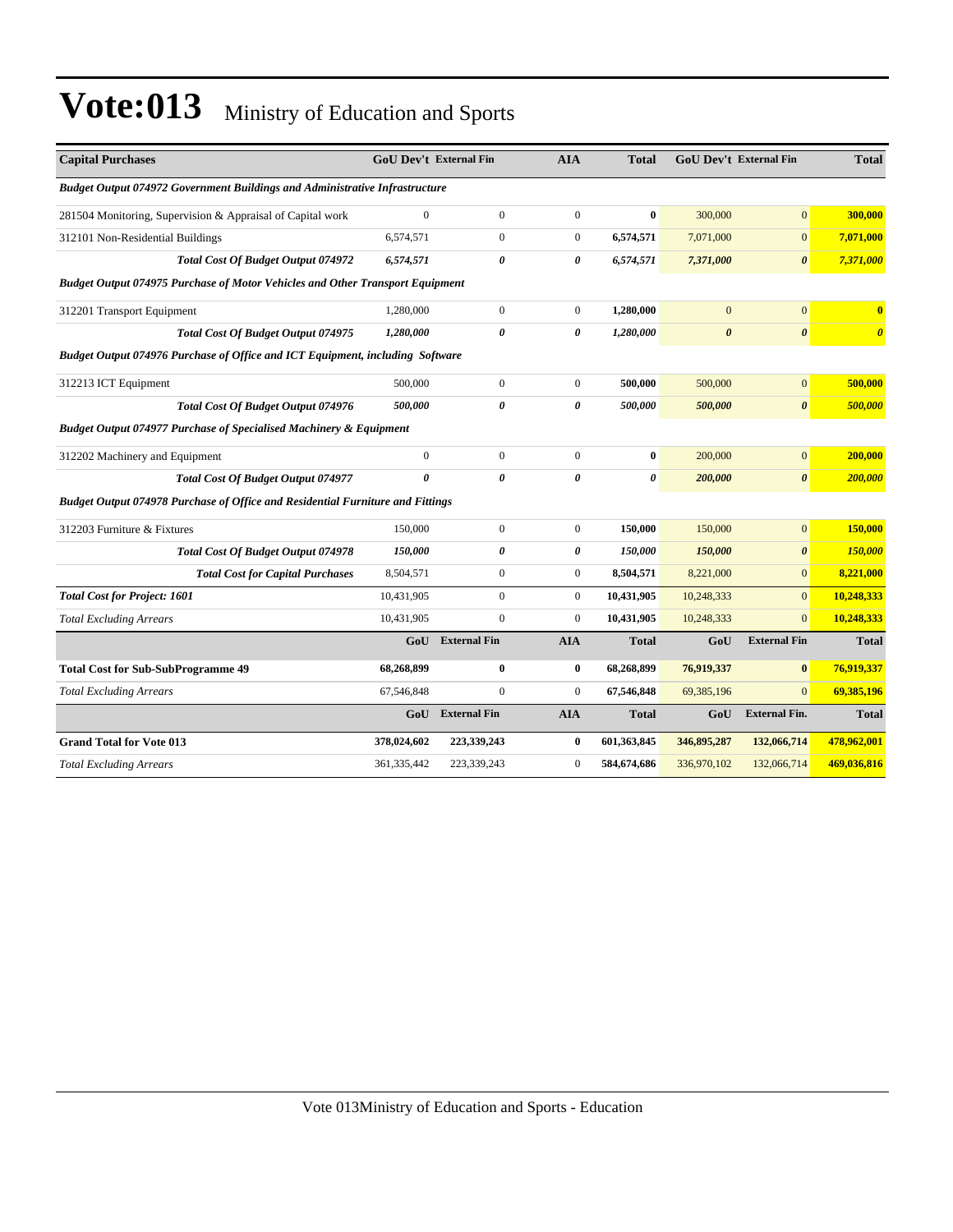| <b>Capital Purchases</b>                                                             | <b>GoU Dev't External Fin</b> |                     | <b>AIA</b>       | <b>Total</b> |                       | <b>GoU Dev't External Fin</b> | <b>Total</b>          |
|--------------------------------------------------------------------------------------|-------------------------------|---------------------|------------------|--------------|-----------------------|-------------------------------|-----------------------|
| <b>Budget Output 074972 Government Buildings and Administrative Infrastructure</b>   |                               |                     |                  |              |                       |                               |                       |
| 281504 Monitoring, Supervision & Appraisal of Capital work                           | $\overline{0}$                | $\boldsymbol{0}$    | $\mathbf{0}$     | $\bf{0}$     | 300,000               | $\overline{0}$                | 300,000               |
| 312101 Non-Residential Buildings                                                     | 6,574,571                     | $\mathbf{0}$        | $\mathbf{0}$     | 6,574,571    | 7,071,000             | $\overline{0}$                | 7,071,000             |
| <b>Total Cost Of Budget Output 074972</b>                                            | 6,574,571                     | 0                   | 0                | 6,574,571    | 7,371,000             | $\boldsymbol{\theta}$         | 7,371,000             |
| <b>Budget Output 074975 Purchase of Motor Vehicles and Other Transport Equipment</b> |                               |                     |                  |              |                       |                               |                       |
| 312201 Transport Equipment                                                           | 1,280,000                     | $\boldsymbol{0}$    | $\boldsymbol{0}$ | 1,280,000    | $\overline{0}$        | $\overline{0}$                | $\mathbf{0}$          |
| <b>Total Cost Of Budget Output 074975</b>                                            | 1,280,000                     | 0                   | 0                | 1,280,000    | $\boldsymbol{\theta}$ | $\boldsymbol{\theta}$         | $\boldsymbol{\theta}$ |
| Budget Output 074976 Purchase of Office and ICT Equipment, including Software        |                               |                     |                  |              |                       |                               |                       |
| 312213 ICT Equipment                                                                 | 500,000                       | $\boldsymbol{0}$    | $\boldsymbol{0}$ | 500,000      | 500,000               | $\boldsymbol{0}$              | 500,000               |
| <b>Total Cost Of Budget Output 074976</b>                                            | 500,000                       | 0                   | 0                | 500,000      | 500,000               | $\boldsymbol{\theta}$         | 500,000               |
| Budget Output 074977 Purchase of Specialised Machinery & Equipment                   |                               |                     |                  |              |                       |                               |                       |
| 312202 Machinery and Equipment                                                       | $\boldsymbol{0}$              | $\boldsymbol{0}$    | $\boldsymbol{0}$ | $\bf{0}$     | 200,000               | $\overline{0}$                | 200,000               |
| <b>Total Cost Of Budget Output 074977</b>                                            | $\theta$                      | 0                   | 0                | 0            | 200,000               | $\boldsymbol{\theta}$         | 200,000               |
| Budget Output 074978 Purchase of Office and Residential Furniture and Fittings       |                               |                     |                  |              |                       |                               |                       |
| 312203 Furniture & Fixtures                                                          | 150,000                       | $\boldsymbol{0}$    | $\mathbf{0}$     | 150,000      | 150,000               | $\overline{0}$                | 150,000               |
| <b>Total Cost Of Budget Output 074978</b>                                            | 150,000                       | 0                   | 0                | 150,000      | 150,000               | 0                             | 150,000               |
| <b>Total Cost for Capital Purchases</b>                                              | 8,504,571                     | $\boldsymbol{0}$    | $\mathbf{0}$     | 8,504,571    | 8,221,000             | $\overline{0}$                | 8,221,000             |
| <b>Total Cost for Project: 1601</b>                                                  | 10,431,905                    | $\boldsymbol{0}$    | $\mathbf{0}$     | 10,431,905   | 10,248,333            | $\Omega$                      | 10,248,333            |
| <b>Total Excluding Arrears</b>                                                       | 10,431,905                    | $\boldsymbol{0}$    | $\mathbf{0}$     | 10,431,905   | 10,248,333            | $\overline{0}$                | 10,248,333            |
|                                                                                      | GoU                           | <b>External Fin</b> | <b>AIA</b>       | <b>Total</b> | GoU                   | <b>External Fin</b>           | <b>Total</b>          |
| <b>Total Cost for Sub-SubProgramme 49</b>                                            | 68,268,899                    | $\bf{0}$            | $\bf{0}$         | 68,268,899   | 76,919,337            | $\bf{0}$                      | 76,919,337            |
| <b>Total Excluding Arrears</b>                                                       | 67,546,848                    | $\mathbf{0}$        | $\boldsymbol{0}$ | 67,546,848   | 69,385,196            | $\overline{0}$                | 69,385,196            |
|                                                                                      |                               | GoU External Fin    | <b>AIA</b>       | <b>Total</b> | GoU                   | <b>External Fin.</b>          | <b>Total</b>          |
| <b>Grand Total for Vote 013</b>                                                      | 378,024,602                   | 223,339,243         | $\bf{0}$         | 601,363,845  | 346,895,287           | 132,066,714                   | 478,962,001           |
| <b>Total Excluding Arrears</b>                                                       | 361, 335, 442                 | 223,339,243         | $\overline{0}$   | 584,674,686  | 336,970,102           | 132,066,714                   | 469,036,816           |